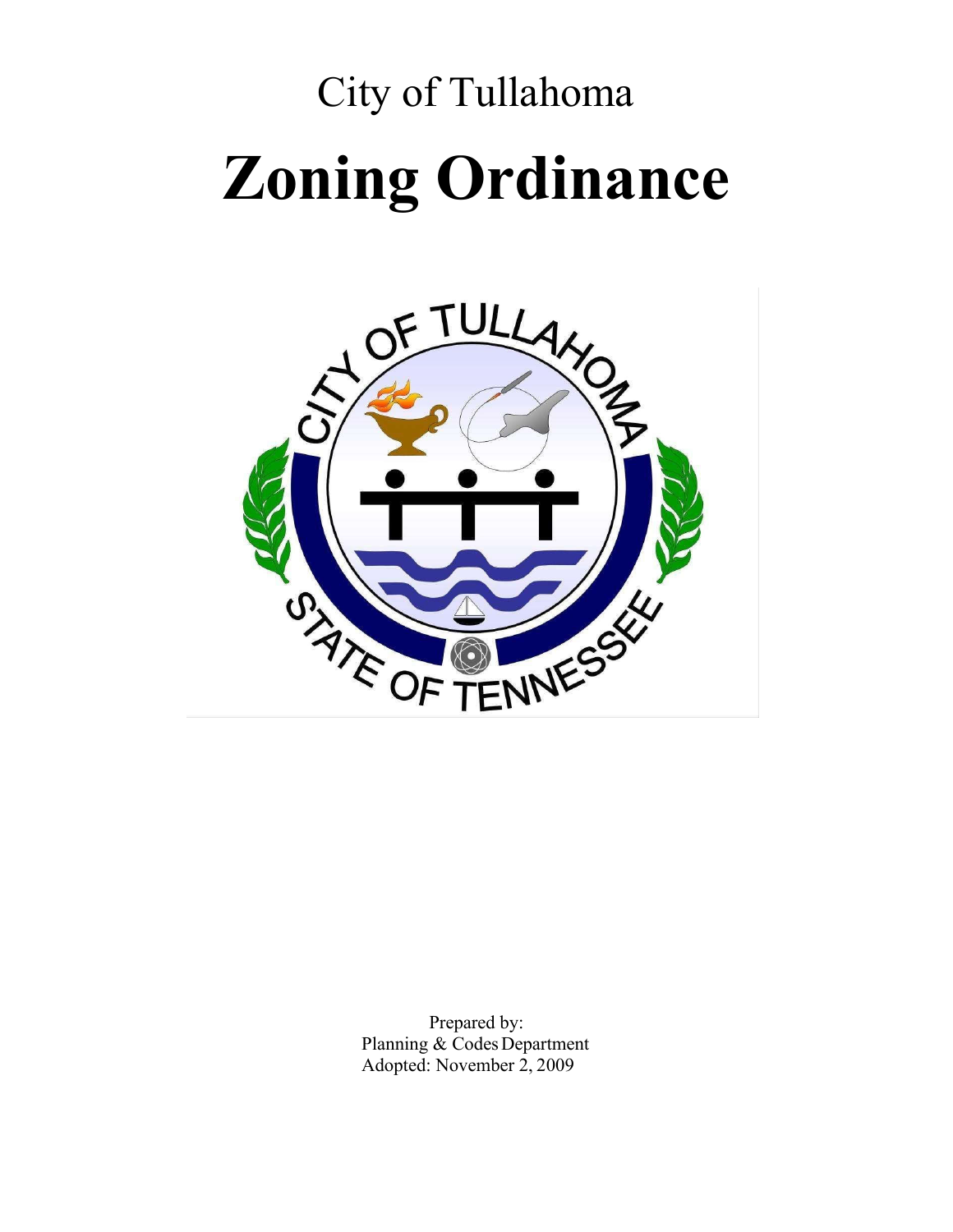# City of Tullahoma **Zoning Ordinance**



Prepared by: Planning & Codes Department Adopted: November 2, 2009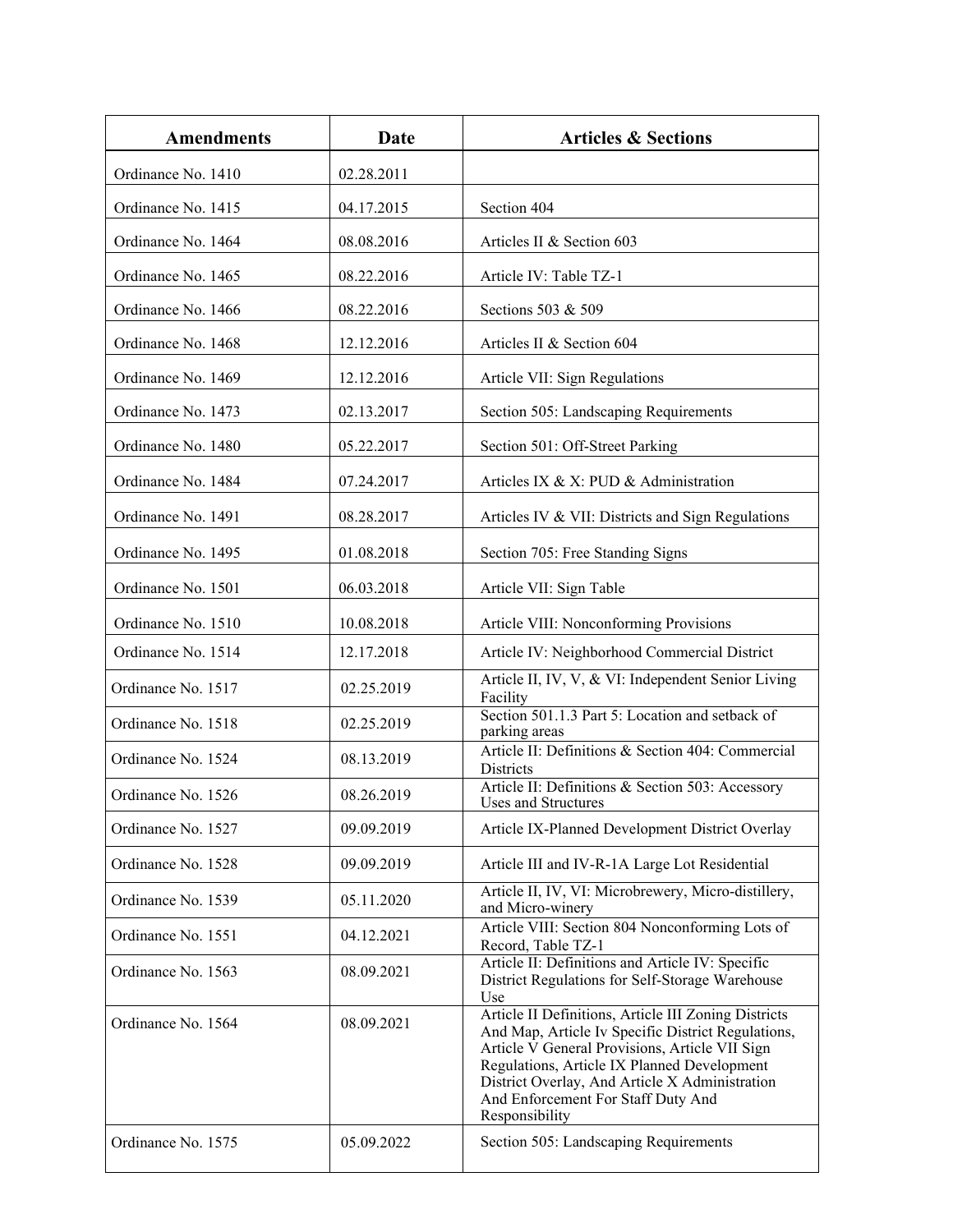| <b>Amendments</b>  | Date       | <b>Articles &amp; Sections</b>                                                                                                                                                                                                                                                                                        |  |  |  |  |
|--------------------|------------|-----------------------------------------------------------------------------------------------------------------------------------------------------------------------------------------------------------------------------------------------------------------------------------------------------------------------|--|--|--|--|
| Ordinance No. 1410 | 02.28.2011 |                                                                                                                                                                                                                                                                                                                       |  |  |  |  |
| Ordinance No. 1415 | 04.17.2015 | Section 404                                                                                                                                                                                                                                                                                                           |  |  |  |  |
| Ordinance No. 1464 | 08.08.2016 | Articles II & Section 603                                                                                                                                                                                                                                                                                             |  |  |  |  |
| Ordinance No. 1465 | 08.22.2016 | Article IV: Table TZ-1                                                                                                                                                                                                                                                                                                |  |  |  |  |
| Ordinance No. 1466 | 08.22.2016 | Sections 503 & 509                                                                                                                                                                                                                                                                                                    |  |  |  |  |
| Ordinance No. 1468 | 12.12.2016 | Articles II & Section 604                                                                                                                                                                                                                                                                                             |  |  |  |  |
| Ordinance No. 1469 | 12.12.2016 | Article VII: Sign Regulations                                                                                                                                                                                                                                                                                         |  |  |  |  |
| Ordinance No. 1473 | 02.13.2017 | Section 505: Landscaping Requirements                                                                                                                                                                                                                                                                                 |  |  |  |  |
| Ordinance No. 1480 | 05.22.2017 | Section 501: Off-Street Parking                                                                                                                                                                                                                                                                                       |  |  |  |  |
| Ordinance No. 1484 | 07.24.2017 | Articles IX & X: PUD & Administration                                                                                                                                                                                                                                                                                 |  |  |  |  |
| Ordinance No. 1491 | 08.28.2017 | Articles IV & VII: Districts and Sign Regulations                                                                                                                                                                                                                                                                     |  |  |  |  |
| Ordinance No. 1495 | 01.08.2018 | Section 705: Free Standing Signs                                                                                                                                                                                                                                                                                      |  |  |  |  |
| Ordinance No. 1501 | 06.03.2018 | Article VII: Sign Table                                                                                                                                                                                                                                                                                               |  |  |  |  |
| Ordinance No. 1510 | 10.08.2018 | Article VIII: Nonconforming Provisions                                                                                                                                                                                                                                                                                |  |  |  |  |
| Ordinance No. 1514 | 12.17.2018 | Article IV: Neighborhood Commercial District                                                                                                                                                                                                                                                                          |  |  |  |  |
| Ordinance No. 1517 | 02.25.2019 | Article II, IV, V, & VI: Independent Senior Living<br>Facility                                                                                                                                                                                                                                                        |  |  |  |  |
| Ordinance No. 1518 | 02.25.2019 | Section 501.1.3 Part 5: Location and setback of<br>parking areas                                                                                                                                                                                                                                                      |  |  |  |  |
| Ordinance No. 1524 | 08.13.2019 | Article II: Definitions & Section 404: Commercial<br><b>Districts</b>                                                                                                                                                                                                                                                 |  |  |  |  |
| Ordinance No. 1526 | 08.26.2019 | Article II: Definitions & Section 503: Accessory<br>Uses and Structures                                                                                                                                                                                                                                               |  |  |  |  |
| Ordinance No. 1527 | 09.09.2019 | Article IX-Planned Development District Overlay                                                                                                                                                                                                                                                                       |  |  |  |  |
| Ordinance No. 1528 | 09.09.2019 | Article III and IV-R-1A Large Lot Residential                                                                                                                                                                                                                                                                         |  |  |  |  |
| Ordinance No. 1539 | 05.11.2020 | Article II, IV, VI: Microbrewery, Micro-distillery,<br>and Micro-winery                                                                                                                                                                                                                                               |  |  |  |  |
| Ordinance No. 1551 | 04.12.2021 | Article VIII: Section 804 Nonconforming Lots of<br>Record, Table TZ-1                                                                                                                                                                                                                                                 |  |  |  |  |
| Ordinance No. 1563 | 08.09.2021 | Article II: Definitions and Article IV: Specific<br>District Regulations for Self-Storage Warehouse<br>Use                                                                                                                                                                                                            |  |  |  |  |
| Ordinance No. 1564 | 08.09.2021 | Article II Definitions, Article III Zoning Districts<br>And Map, Article Iv Specific District Regulations,<br>Article V General Provisions, Article VII Sign<br>Regulations, Article IX Planned Development<br>District Overlay, And Article X Administration<br>And Enforcement For Staff Duty And<br>Responsibility |  |  |  |  |
| Ordinance No. 1575 | 05.09.2022 | Section 505: Landscaping Requirements                                                                                                                                                                                                                                                                                 |  |  |  |  |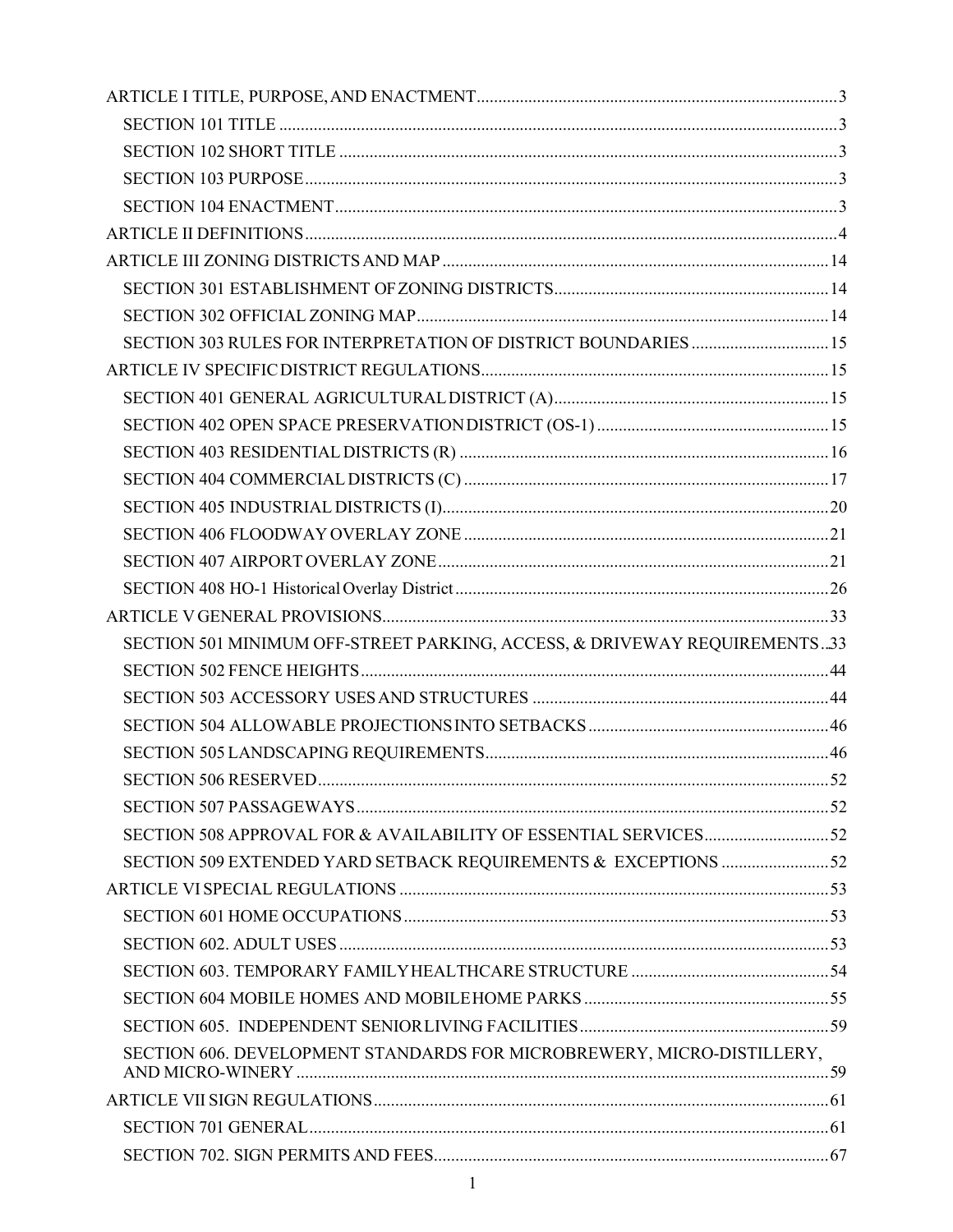| SECTION 303 RULES FOR INTERPRETATION OF DISTRICT BOUNDARIES  15           |  |
|---------------------------------------------------------------------------|--|
|                                                                           |  |
|                                                                           |  |
|                                                                           |  |
|                                                                           |  |
|                                                                           |  |
|                                                                           |  |
|                                                                           |  |
|                                                                           |  |
|                                                                           |  |
|                                                                           |  |
| SECTION 501 MINIMUM OFF-STREET PARKING, ACCESS, & DRIVEWAY REQUIREMENTS33 |  |
|                                                                           |  |
|                                                                           |  |
|                                                                           |  |
|                                                                           |  |
|                                                                           |  |
|                                                                           |  |
|                                                                           |  |
| SECTION 509 EXTENDED YARD SETBACK REQUIREMENTS & EXCEPTIONS 52            |  |
|                                                                           |  |
|                                                                           |  |
|                                                                           |  |
|                                                                           |  |
|                                                                           |  |
|                                                                           |  |
| SECTION 606. DEVELOPMENT STANDARDS FOR MICROBREWERY, MICRO-DISTILLERY,    |  |
|                                                                           |  |
|                                                                           |  |
|                                                                           |  |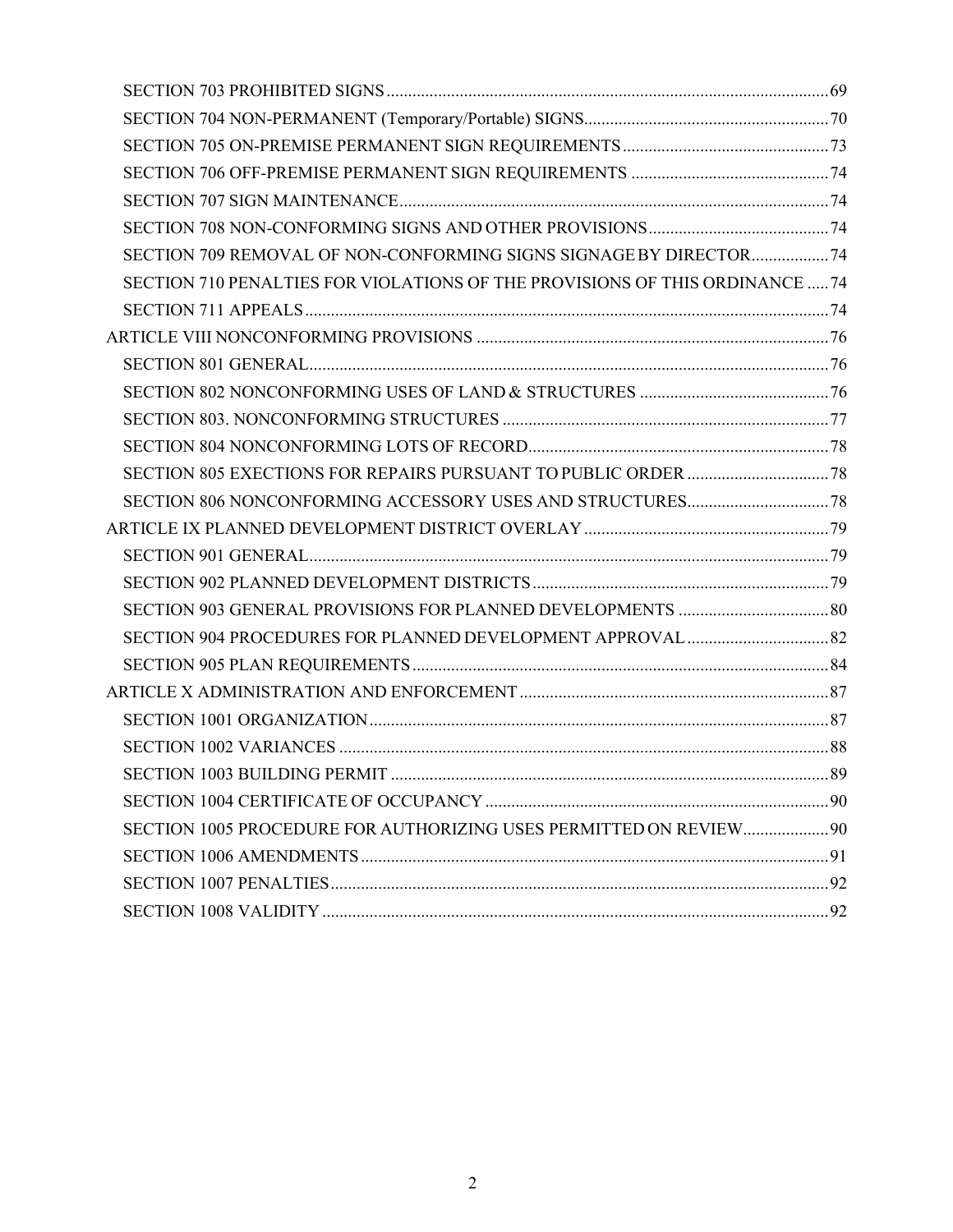| SECTION 709 REMOVAL OF NON-CONFORMING SIGNS SIGNAGE BY DIRECTOR 74           |  |
|------------------------------------------------------------------------------|--|
| SECTION 710 PENALTIES FOR VIOLATIONS OF THE PROVISIONS OF THIS ORDINANCE  74 |  |
|                                                                              |  |
|                                                                              |  |
|                                                                              |  |
|                                                                              |  |
|                                                                              |  |
|                                                                              |  |
|                                                                              |  |
|                                                                              |  |
|                                                                              |  |
|                                                                              |  |
|                                                                              |  |
|                                                                              |  |
|                                                                              |  |
|                                                                              |  |
|                                                                              |  |
|                                                                              |  |
|                                                                              |  |
|                                                                              |  |
|                                                                              |  |
| SECTION 1005 PROCEDURE FOR AUTHORIZING USES PERMITTED ON REVIEW 90           |  |
|                                                                              |  |
|                                                                              |  |
|                                                                              |  |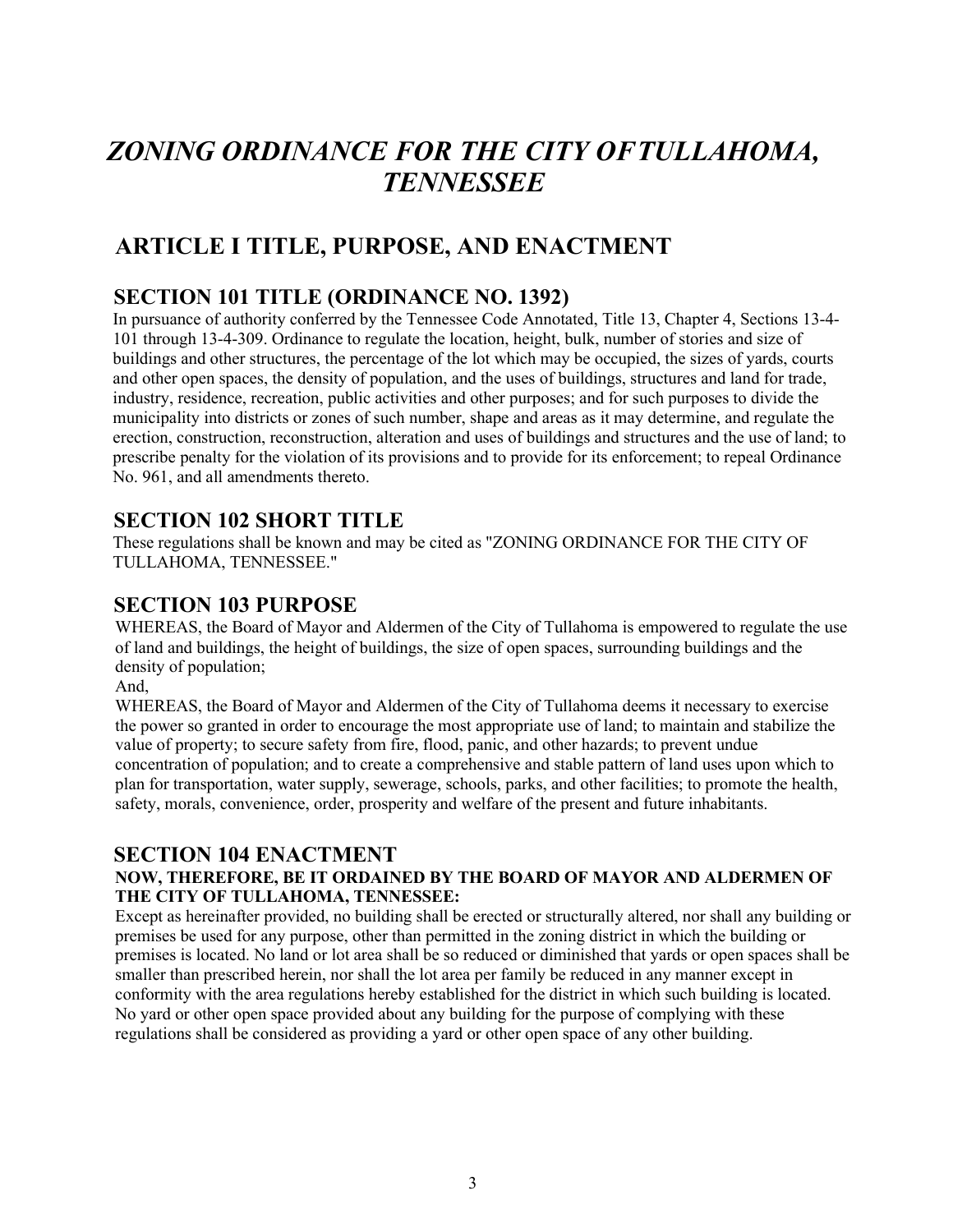## *ZONING ORDINANCE FOR THE CITY OFTULLAHOMA, TENNESSEE*

## **ARTICLE I TITLE, PURPOSE, AND ENACTMENT**

### **SECTION 101 TITLE (ORDINANCE NO. 1392)**

In pursuance of authority conferred by the Tennessee Code Annotated, Title 13, Chapter 4, Sections 13-4- 101 through 13-4-309. Ordinance to regulate the location, height, bulk, number of stories and size of buildings and other structures, the percentage of the lot which may be occupied, the sizes of yards, courts and other open spaces, the density of population, and the uses of buildings, structures and land for trade, industry, residence, recreation, public activities and other purposes; and for such purposes to divide the municipality into districts or zones of such number, shape and areas as it may determine, and regulate the erection, construction, reconstruction, alteration and uses of buildings and structures and the use of land; to prescribe penalty for the violation of its provisions and to provide for its enforcement; to repeal Ordinance No. 961, and all amendments thereto.

## **SECTION 102 SHORT TITLE**

These regulations shall be known and may be cited as "ZONING ORDINANCE FOR THE CITY OF TULLAHOMA, TENNESSEE."

#### **SECTION 103 PURPOSE**

WHEREAS, the Board of Mayor and Aldermen of the City of Tullahoma is empowered to regulate the use of land and buildings, the height of buildings, the size of open spaces, surrounding buildings and the density of population;

And,

WHEREAS, the Board of Mayor and Aldermen of the City of Tullahoma deems it necessary to exercise the power so granted in order to encourage the most appropriate use of land; to maintain and stabilize the value of property; to secure safety from fire, flood, panic, and other hazards; to prevent undue concentration of population; and to create a comprehensive and stable pattern of land uses upon which to plan for transportation, water supply, sewerage, schools, parks, and other facilities; to promote the health, safety, morals, convenience, order, prosperity and welfare of the present and future inhabitants.

#### **SECTION 104 ENACTMENT**

#### **NOW, THEREFORE, BE IT ORDAINED BY THE BOARD OF MAYOR AND ALDERMEN OF THE CITY OF TULLAHOMA, TENNESSEE:**

Except as hereinafter provided, no building shall be erected or structurally altered, nor shall any building or premises be used for any purpose, other than permitted in the zoning district in which the building or premises is located. No land or lot area shall be so reduced or diminished that yards or open spaces shall be smaller than prescribed herein, nor shall the lot area per family be reduced in any manner except in conformity with the area regulations hereby established for the district in which such building is located. No yard or other open space provided about any building for the purpose of complying with these regulations shall be considered as providing a yard or other open space of any other building.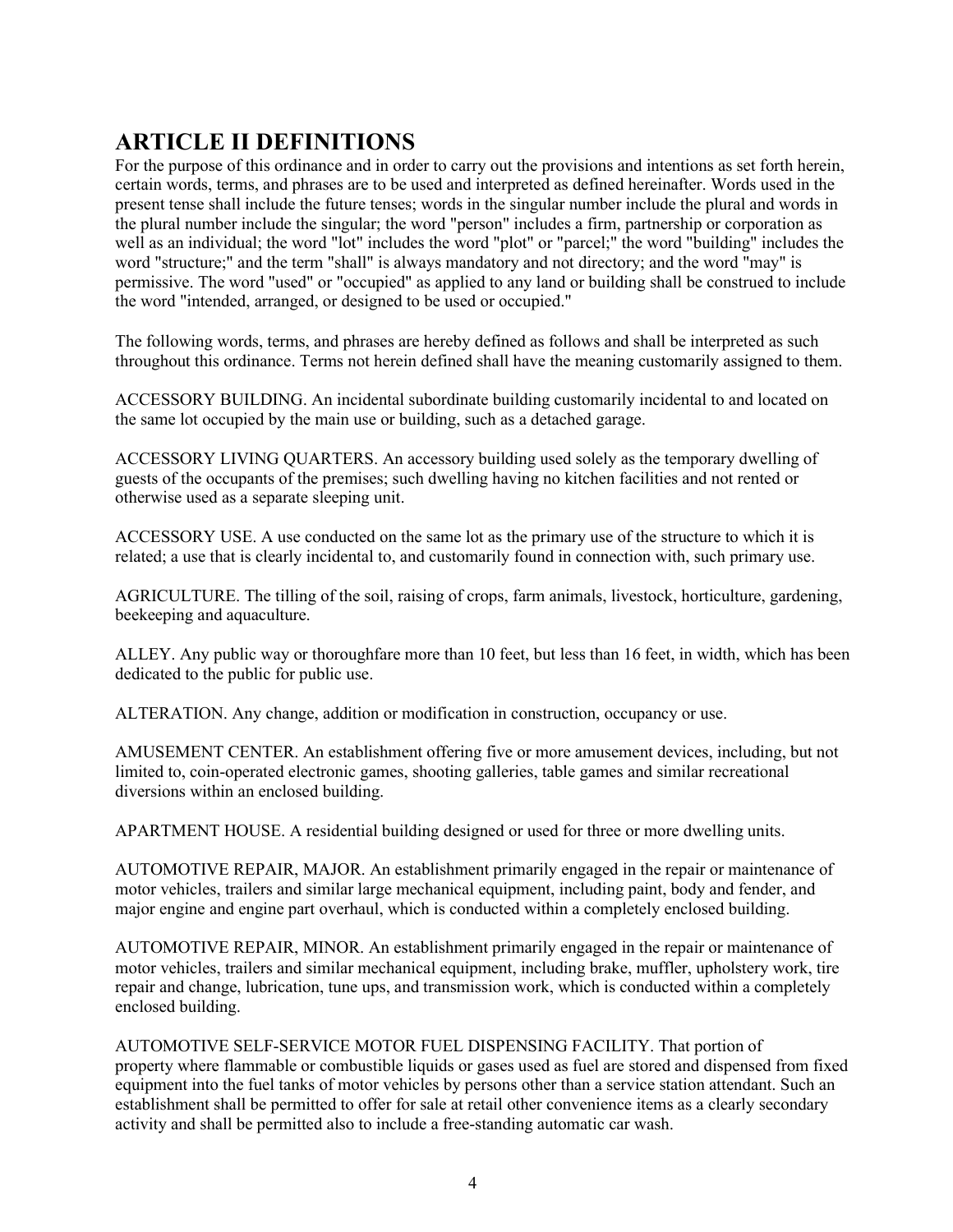## **ARTICLE II DEFINITIONS**

For the purpose of this ordinance and in order to carry out the provisions and intentions as set forth herein, certain words, terms, and phrases are to be used and interpreted as defined hereinafter. Words used in the present tense shall include the future tenses; words in the singular number include the plural and words in the plural number include the singular; the word "person" includes a firm, partnership or corporation as well as an individual; the word "lot" includes the word "plot" or "parcel;" the word "building" includes the word "structure;" and the term "shall" is always mandatory and not directory; and the word "may" is permissive. The word "used" or "occupied" as applied to any land or building shall be construed to include the word "intended, arranged, or designed to be used or occupied."

The following words, terms, and phrases are hereby defined as follows and shall be interpreted as such throughout this ordinance. Terms not herein defined shall have the meaning customarily assigned to them.

ACCESSORY BUILDING. An incidental subordinate building customarily incidental to and located on the same lot occupied by the main use or building, such as a detached garage.

ACCESSORY LIVING QUARTERS. An accessory building used solely as the temporary dwelling of guests of the occupants of the premises; such dwelling having no kitchen facilities and not rented or otherwise used as a separate sleeping unit.

ACCESSORY USE. A use conducted on the same lot as the primary use of the structure to which it is related; a use that is clearly incidental to, and customarily found in connection with, such primary use.

AGRICULTURE. The tilling of the soil, raising of crops, farm animals, livestock, horticulture, gardening, beekeeping and aquaculture.

ALLEY. Any public way or thoroughfare more than 10 feet, but less than 16 feet, in width, which has been dedicated to the public for public use.

ALTERATION. Any change, addition or modification in construction, occupancy or use.

AMUSEMENT CENTER. An establishment offering five or more amusement devices, including, but not limited to, coin-operated electronic games, shooting galleries, table games and similar recreational diversions within an enclosed building.

APARTMENT HOUSE. A residential building designed or used for three or more dwelling units.

AUTOMOTIVE REPAIR, MAJOR. An establishment primarily engaged in the repair or maintenance of motor vehicles, trailers and similar large mechanical equipment, including paint, body and fender, and major engine and engine part overhaul, which is conducted within a completely enclosed building.

AUTOMOTIVE REPAIR, MINOR. An establishment primarily engaged in the repair or maintenance of motor vehicles, trailers and similar mechanical equipment, including brake, muffler, upholstery work, tire repair and change, lubrication, tune ups, and transmission work, which is conducted within a completely enclosed building.

AUTOMOTIVE SELF-SERVICE MOTOR FUEL DISPENSING FACILITY. That portion of property where flammable or combustible liquids or gases used as fuel are stored and dispensed from fixed equipment into the fuel tanks of motor vehicles by persons other than a service station attendant. Such an establishment shall be permitted to offer for sale at retail other convenience items as a clearly secondary activity and shall be permitted also to include a free-standing automatic car wash.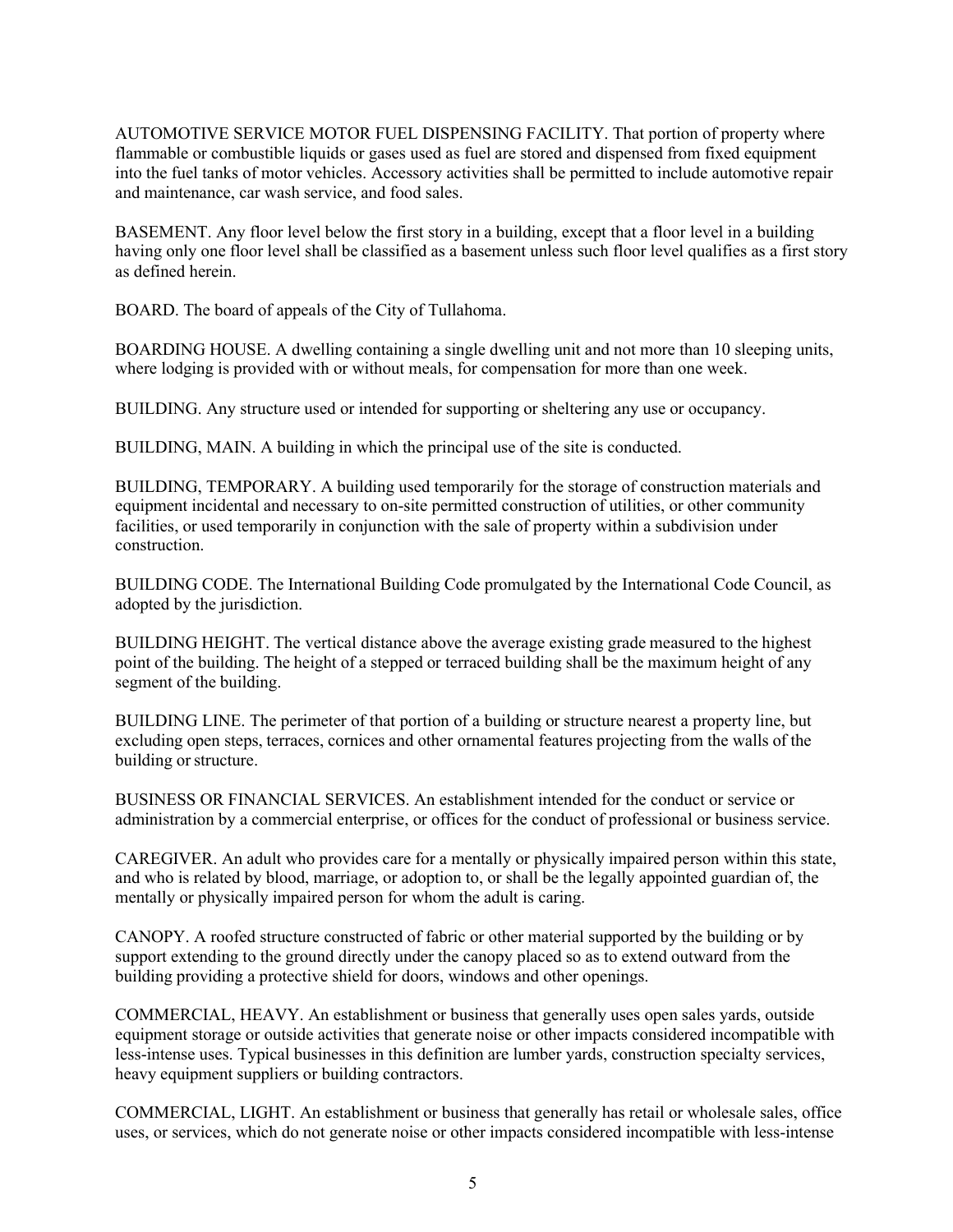AUTOMOTIVE SERVICE MOTOR FUEL DISPENSING FACILITY. That portion of property where flammable or combustible liquids or gases used as fuel are stored and dispensed from fixed equipment into the fuel tanks of motor vehicles. Accessory activities shall be permitted to include automotive repair and maintenance, car wash service, and food sales.

BASEMENT. Any floor level below the first story in a building, except that a floor level in a building having only one floor level shall be classified as a basement unless such floor level qualifies as a first story as defined herein.

BOARD. The board of appeals of the City of Tullahoma.

BOARDING HOUSE. A dwelling containing a single dwelling unit and not more than 10 sleeping units, where lodging is provided with or without meals, for compensation for more than one week.

BUILDING. Any structure used or intended for supporting or sheltering any use or occupancy.

BUILDING, MAIN. A building in which the principal use of the site is conducted.

BUILDING, TEMPORARY. A building used temporarily for the storage of construction materials and equipment incidental and necessary to on-site permitted construction of utilities, or other community facilities, or used temporarily in conjunction with the sale of property within a subdivision under construction.

BUILDING CODE. The International Building Code promulgated by the International Code Council, as adopted by the jurisdiction.

BUILDING HEIGHT. The vertical distance above the average existing grade measured to the highest point of the building. The height of a stepped or terraced building shall be the maximum height of any segment of the building.

BUILDING LINE. The perimeter of that portion of a building or structure nearest a property line, but excluding open steps, terraces, cornices and other ornamental features projecting from the walls of the building or structure.

BUSINESS OR FINANCIAL SERVICES. An establishment intended for the conduct or service or administration by a commercial enterprise, or offices for the conduct of professional or business service.

CAREGIVER. An adult who provides care for a mentally or physically impaired person within this state, and who is related by blood, marriage, or adoption to, or shall be the legally appointed guardian of, the mentally or physically impaired person for whom the adult is caring.

CANOPY. A roofed structure constructed of fabric or other material supported by the building or by support extending to the ground directly under the canopy placed so as to extend outward from the building providing a protective shield for doors, windows and other openings.

COMMERCIAL, HEAVY. An establishment or business that generally uses open sales yards, outside equipment storage or outside activities that generate noise or other impacts considered incompatible with less-intense uses. Typical businesses in this definition are lumber yards, construction specialty services, heavy equipment suppliers or building contractors.

COMMERCIAL, LIGHT. An establishment or business that generally has retail or wholesale sales, office uses, or services, which do not generate noise or other impacts considered incompatible with less-intense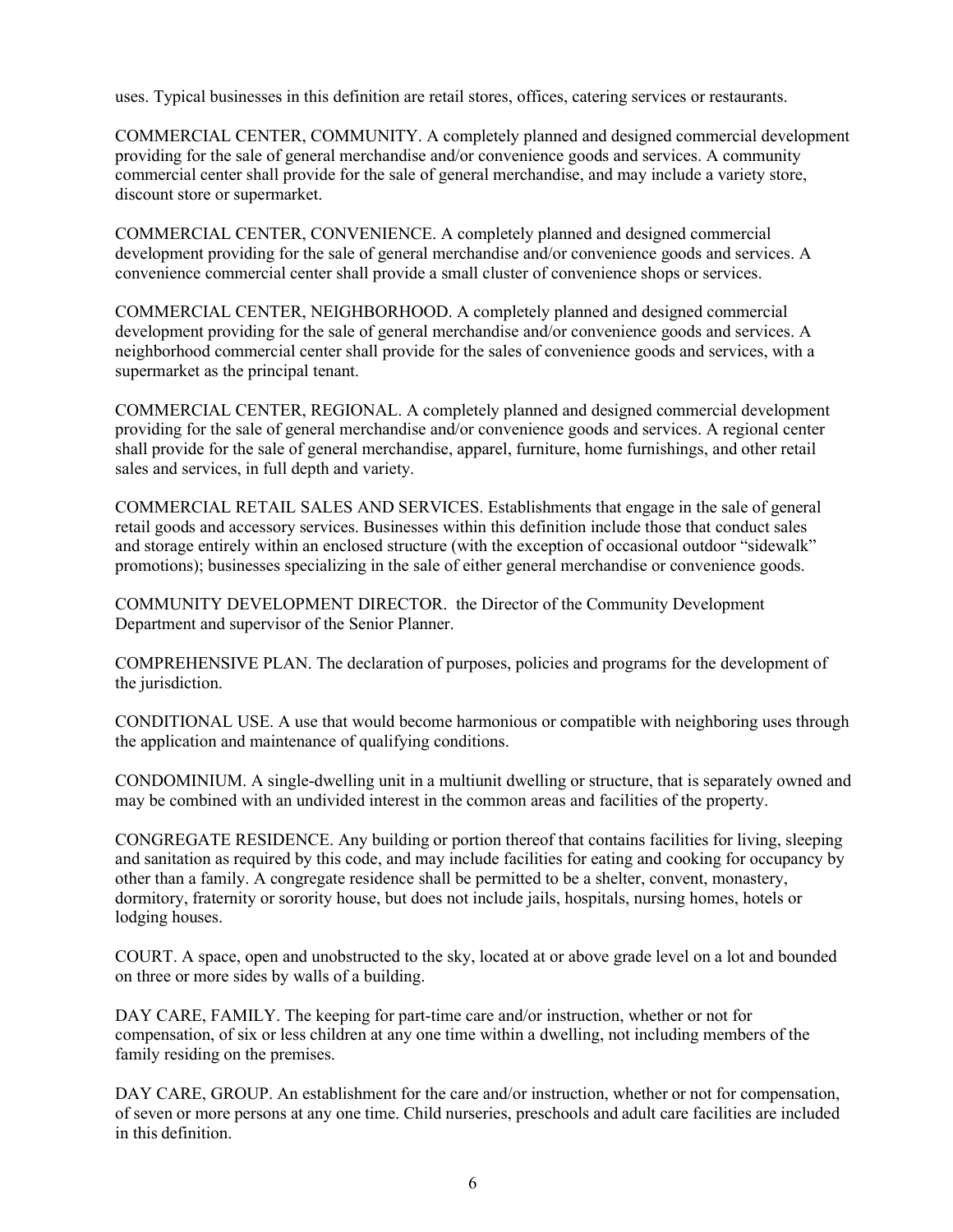uses. Typical businesses in this definition are retail stores, offices, catering services or restaurants.

COMMERCIAL CENTER, COMMUNITY. A completely planned and designed commercial development providing for the sale of general merchandise and/or convenience goods and services. A community commercial center shall provide for the sale of general merchandise, and may include a variety store, discount store or supermarket.

COMMERCIAL CENTER, CONVENIENCE. A completely planned and designed commercial development providing for the sale of general merchandise and/or convenience goods and services. A convenience commercial center shall provide a small cluster of convenience shops or services.

COMMERCIAL CENTER, NEIGHBORHOOD. A completely planned and designed commercial development providing for the sale of general merchandise and/or convenience goods and services. A neighborhood commercial center shall provide for the sales of convenience goods and services, with a supermarket as the principal tenant.

COMMERCIAL CENTER, REGIONAL. A completely planned and designed commercial development providing for the sale of general merchandise and/or convenience goods and services. A regional center shall provide for the sale of general merchandise, apparel, furniture, home furnishings, and other retail sales and services, in full depth and variety.

COMMERCIAL RETAIL SALES AND SERVICES. Establishments that engage in the sale of general retail goods and accessory services. Businesses within this definition include those that conduct sales and storage entirely within an enclosed structure (with the exception of occasional outdoor "sidewalk" promotions); businesses specializing in the sale of either general merchandise or convenience goods.

COMMUNITY DEVELOPMENT DIRECTOR. the Director of the Community Development Department and supervisor of the Senior Planner.

COMPREHENSIVE PLAN. The declaration of purposes, policies and programs for the development of the jurisdiction.

CONDITIONAL USE. A use that would become harmonious or compatible with neighboring uses through the application and maintenance of qualifying conditions.

CONDOMINIUM. A single-dwelling unit in a multiunit dwelling or structure, that is separately owned and may be combined with an undivided interest in the common areas and facilities of the property.

CONGREGATE RESIDENCE. Any building or portion thereof that contains facilities for living, sleeping and sanitation as required by this code, and may include facilities for eating and cooking for occupancy by other than a family. A congregate residence shall be permitted to be a shelter, convent, monastery, dormitory, fraternity or sorority house, but does not include jails, hospitals, nursing homes, hotels or lodging houses.

COURT. A space, open and unobstructed to the sky, located at or above grade level on a lot and bounded on three or more sides by walls of a building.

DAY CARE, FAMILY. The keeping for part-time care and/or instruction, whether or not for compensation, of six or less children at any one time within a dwelling, not including members of the family residing on the premises.

DAY CARE, GROUP. An establishment for the care and/or instruction, whether or not for compensation, of seven or more persons at any one time. Child nurseries, preschools and adult care facilities are included in this definition.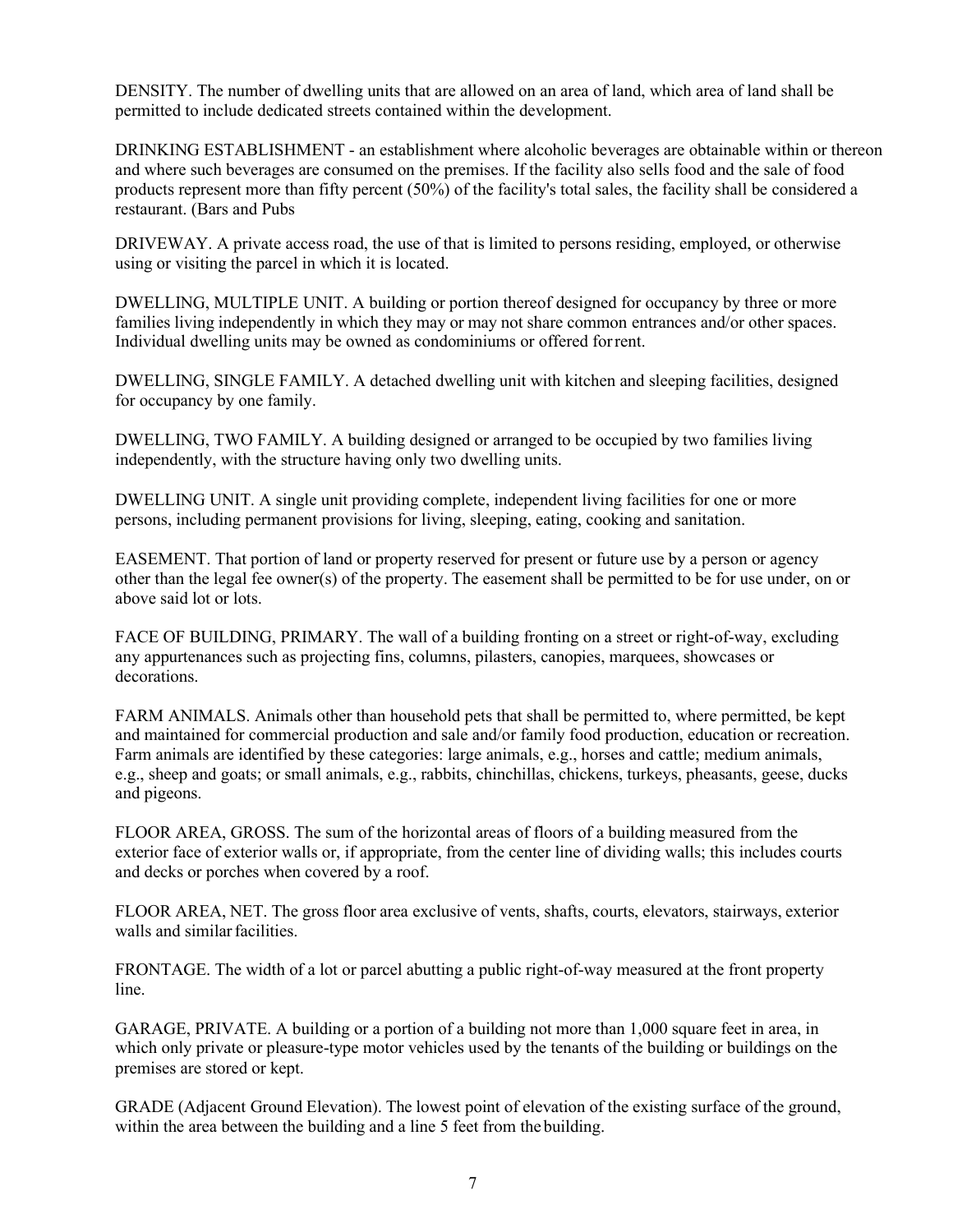DENSITY. The number of dwelling units that are allowed on an area of land, which area of land shall be permitted to include dedicated streets contained within the development.

DRINKING ESTABLISHMENT - an establishment where alcoholic beverages are obtainable within or thereon and where such beverages are consumed on the premises. If the facility also sells food and the sale of food products represent more than fifty percent (50%) of the facility's total sales, the facility shall be considered a restaurant. (Bars and Pubs

DRIVEWAY. A private access road, the use of that is limited to persons residing, employed, or otherwise using or visiting the parcel in which it is located.

DWELLING, MULTIPLE UNIT. A building or portion thereof designed for occupancy by three or more families living independently in which they may or may not share common entrances and/or other spaces. Individual dwelling units may be owned as condominiums or offered forrent.

DWELLING, SINGLE FAMILY. A detached dwelling unit with kitchen and sleeping facilities, designed for occupancy by one family.

DWELLING, TWO FAMILY. A building designed or arranged to be occupied by two families living independently, with the structure having only two dwelling units.

DWELLING UNIT. A single unit providing complete, independent living facilities for one or more persons, including permanent provisions for living, sleeping, eating, cooking and sanitation.

EASEMENT. That portion of land or property reserved for present or future use by a person or agency other than the legal fee owner(s) of the property. The easement shall be permitted to be for use under, on or above said lot or lots.

FACE OF BUILDING, PRIMARY. The wall of a building fronting on a street or right-of-way, excluding any appurtenances such as projecting fins, columns, pilasters, canopies, marquees, showcases or decorations.

FARM ANIMALS. Animals other than household pets that shall be permitted to, where permitted, be kept and maintained for commercial production and sale and/or family food production, education or recreation. Farm animals are identified by these categories: large animals, e.g., horses and cattle; medium animals, e.g., sheep and goats; or small animals, e.g., rabbits, chinchillas, chickens, turkeys, pheasants, geese, ducks and pigeons.

FLOOR AREA, GROSS. The sum of the horizontal areas of floors of a building measured from the exterior face of exterior walls or, if appropriate, from the center line of dividing walls; this includes courts and decks or porches when covered by a roof.

FLOOR AREA, NET. The gross floor area exclusive of vents, shafts, courts, elevators, stairways, exterior walls and similar facilities.

FRONTAGE. The width of a lot or parcel abutting a public right-of-way measured at the front property line.

GARAGE, PRIVATE. A building or a portion of a building not more than 1,000 square feet in area, in which only private or pleasure-type motor vehicles used by the tenants of the building or buildings on the premises are stored or kept.

GRADE (Adjacent Ground Elevation). The lowest point of elevation of the existing surface of the ground, within the area between the building and a line 5 feet from the building.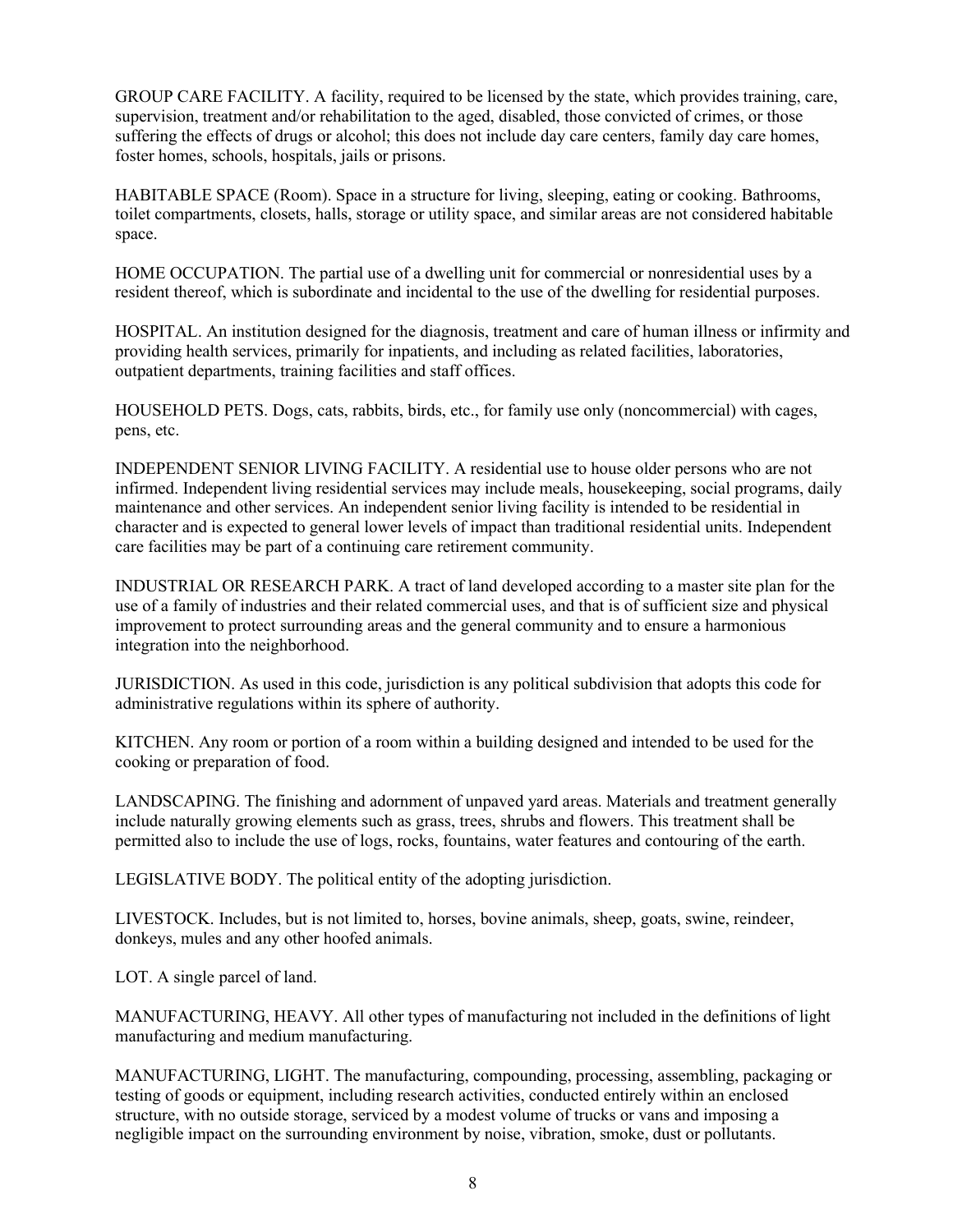GROUP CARE FACILITY. A facility, required to be licensed by the state, which provides training, care, supervision, treatment and/or rehabilitation to the aged, disabled, those convicted of crimes, or those suffering the effects of drugs or alcohol; this does not include day care centers, family day care homes, foster homes, schools, hospitals, jails or prisons.

HABITABLE SPACE (Room). Space in a structure for living, sleeping, eating or cooking. Bathrooms, toilet compartments, closets, halls, storage or utility space, and similar areas are not considered habitable space.

HOME OCCUPATION. The partial use of a dwelling unit for commercial or nonresidential uses by a resident thereof, which is subordinate and incidental to the use of the dwelling for residential purposes.

HOSPITAL. An institution designed for the diagnosis, treatment and care of human illness or infirmity and providing health services, primarily for inpatients, and including as related facilities, laboratories, outpatient departments, training facilities and staff offices.

HOUSEHOLD PETS. Dogs, cats, rabbits, birds, etc., for family use only (noncommercial) with cages, pens, etc.

INDEPENDENT SENIOR LIVING FACILITY. A residential use to house older persons who are not infirmed. Independent living residential services may include meals, housekeeping, social programs, daily maintenance and other services. An independent senior living facility is intended to be residential in character and is expected to general lower levels of impact than traditional residential units. Independent care facilities may be part of a continuing care retirement community.

INDUSTRIAL OR RESEARCH PARK. A tract of land developed according to a master site plan for the use of a family of industries and their related commercial uses, and that is of sufficient size and physical improvement to protect surrounding areas and the general community and to ensure a harmonious integration into the neighborhood.

JURISDICTION. As used in this code, jurisdiction is any political subdivision that adopts this code for administrative regulations within its sphere of authority.

KITCHEN. Any room or portion of a room within a building designed and intended to be used for the cooking or preparation of food.

LANDSCAPING. The finishing and adornment of unpaved yard areas. Materials and treatment generally include naturally growing elements such as grass, trees, shrubs and flowers. This treatment shall be permitted also to include the use of logs, rocks, fountains, water features and contouring of the earth.

LEGISLATIVE BODY. The political entity of the adopting jurisdiction.

LIVESTOCK. Includes, but is not limited to, horses, bovine animals, sheep, goats, swine, reindeer, donkeys, mules and any other hoofed animals.

LOT. A single parcel of land.

MANUFACTURING, HEAVY. All other types of manufacturing not included in the definitions of light manufacturing and medium manufacturing.

MANUFACTURING, LIGHT. The manufacturing, compounding, processing, assembling, packaging or testing of goods or equipment, including research activities, conducted entirely within an enclosed structure, with no outside storage, serviced by a modest volume of trucks or vans and imposing a negligible impact on the surrounding environment by noise, vibration, smoke, dust or pollutants.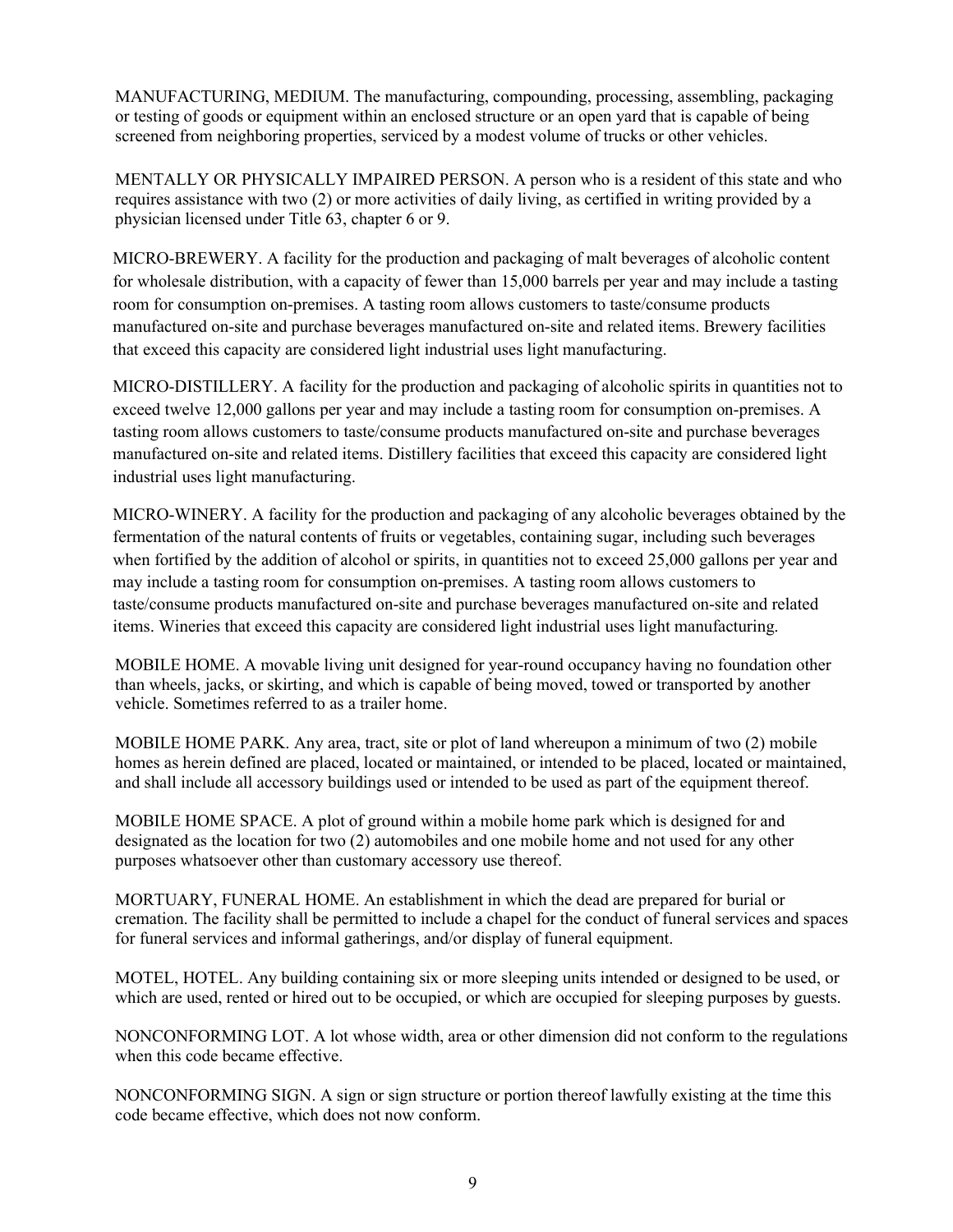MANUFACTURING, MEDIUM. The manufacturing, compounding, processing, assembling, packaging or testing of goods or equipment within an enclosed structure or an open yard that is capable of being screened from neighboring properties, serviced by a modest volume of trucks or other vehicles.

MENTALLY OR PHYSICALLY IMPAIRED PERSON. A person who is a resident of this state and who requires assistance with two (2) or more activities of daily living, as certified in writing provided by a physician licensed under Title 63, chapter 6 or 9.

MICRO-BREWERY. A facility for the production and packaging of malt beverages of alcoholic content for wholesale distribution, with a capacity of fewer than 15,000 barrels per year and may include a tasting room for consumption on-premises. A tasting room allows customers to taste/consume products manufactured on-site and purchase beverages manufactured on-site and related items. Brewery facilities that exceed this capacity are considered light industrial uses light manufacturing.

MICRO-DISTILLERY. A facility for the production and packaging of alcoholic spirits in quantities not to exceed twelve 12,000 gallons per year and may include a tasting room for consumption on-premises. A tasting room allows customers to taste/consume products manufactured on-site and purchase beverages manufactured on-site and related items. Distillery facilities that exceed this capacity are considered light industrial uses light manufacturing.

MICRO-WINERY. A facility for the production and packaging of any alcoholic beverages obtained by the fermentation of the natural contents of fruits or vegetables, containing sugar, including such beverages when fortified by the addition of alcohol or spirits, in quantities not to exceed 25,000 gallons per year and may include a tasting room for consumption on-premises. A tasting room allows customers to taste/consume products manufactured on-site and purchase beverages manufactured on-site and related items. Wineries that exceed this capacity are considered light industrial uses light manufacturing.

MOBILE HOME. A movable living unit designed for year-round occupancy having no foundation other than wheels, jacks, or skirting, and which is capable of being moved, towed or transported by another vehicle. Sometimes referred to as a trailer home.

MOBILE HOME PARK. Any area, tract, site or plot of land whereupon a minimum of two (2) mobile homes as herein defined are placed, located or maintained, or intended to be placed, located or maintained, and shall include all accessory buildings used or intended to be used as part of the equipment thereof.

MOBILE HOME SPACE. A plot of ground within a mobile home park which is designed for and designated as the location for two (2) automobiles and one mobile home and not used for any other purposes whatsoever other than customary accessory use thereof.

MORTUARY, FUNERAL HOME. An establishment in which the dead are prepared for burial or cremation. The facility shall be permitted to include a chapel for the conduct of funeral services and spaces for funeral services and informal gatherings, and/or display of funeral equipment.

MOTEL, HOTEL. Any building containing six or more sleeping units intended or designed to be used, or which are used, rented or hired out to be occupied, or which are occupied for sleeping purposes by guests.

NONCONFORMING LOT. A lot whose width, area or other dimension did not conform to the regulations when this code became effective.

NONCONFORMING SIGN. A sign or sign structure or portion thereof lawfully existing at the time this code became effective, which does not now conform.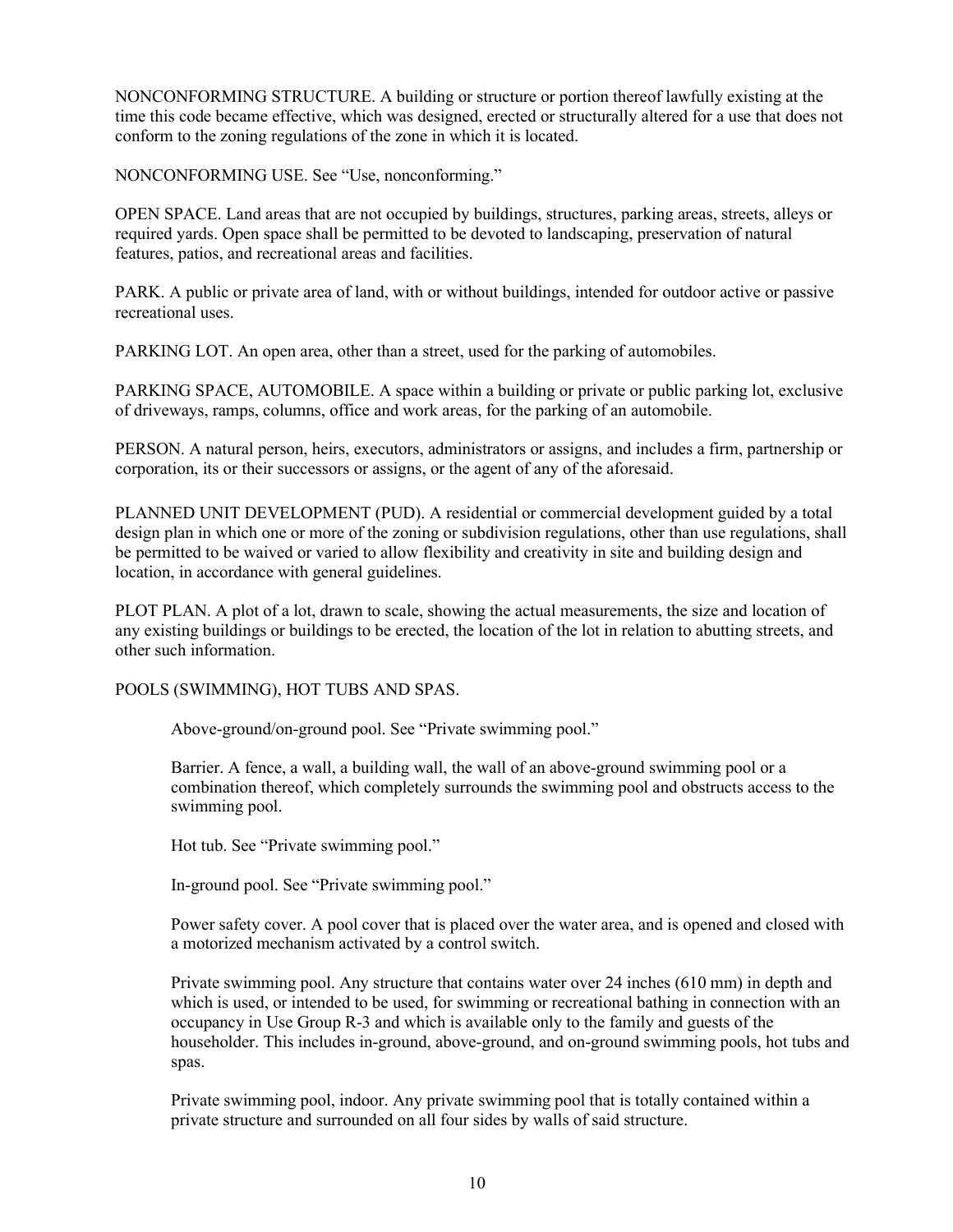NONCONFORMING STRUCTURE. A building or structure or portion thereof lawfully existing at the time this code became effective, which was designed, erected or structurally altered for a use that does not conform to the zoning regulations of the zone in which it is located.

NONCONFORMING USE. See "Use, nonconforming."

OPEN SPACE. Land areas that are not occupied by buildings, structures, parking areas, streets, alleys or required yards. Open space shall be permitted to be devoted to landscaping, preservation of natural features, patios, and recreational areas and facilities.

PARK. A public or private area of land, with or without buildings, intended for outdoor active or passive recreational uses.

PARKING LOT. An open area, other than a street, used for the parking of automobiles.

PARKING SPACE, AUTOMOBILE. A space within a building or private or public parking lot, exclusive of driveways, ramps, columns, office and work areas, for the parking of an automobile.

PERSON. A natural person, heirs, executors, administrators or assigns, and includes a firm, partnership or corporation, its or their successors or assigns, or the agent of any of the aforesaid.

PLANNED UNIT DEVELOPMENT (PUD). A residential or commercial development guided by a total design plan in which one or more of the zoning or subdivision regulations, other than use regulations, shall be permitted to be waived or varied to allow flexibility and creativity in site and building design and location, in accordance with general guidelines.

PLOT PLAN. A plot of a lot, drawn to scale, showing the actual measurements, the size and location of any existing buildings or buildings to be erected, the location of the lot in relation to abutting streets, and other such information.

POOLS (SWIMMING), HOT TUBS AND SPAS.

Above-ground/on-ground pool. See "Private swimming pool."

Barrier. A fence, a wall, a building wall, the wall of an above-ground swimming pool or a combination thereof, which completely surrounds the swimming pool and obstructs access to the swimming pool.

Hot tub. See "Private swimming pool."

In-ground pool. See "Private swimming pool."

Power safety cover. A pool cover that is placed over the water area, and is opened and closed with a motorized mechanism activated by a control switch.

Private swimming pool. Any structure that contains water over 24 inches (610 mm) in depth and which is used, or intended to be used, for swimming or recreational bathing in connection with an occupancy in Use Group R-3 and which is available only to the family and guests of the householder. This includes in-ground, above-ground, and on-ground swimming pools, hot tubs and spas.

Private swimming pool, indoor. Any private swimming pool that is totally contained within a private structure and surrounded on all four sides by walls of said structure.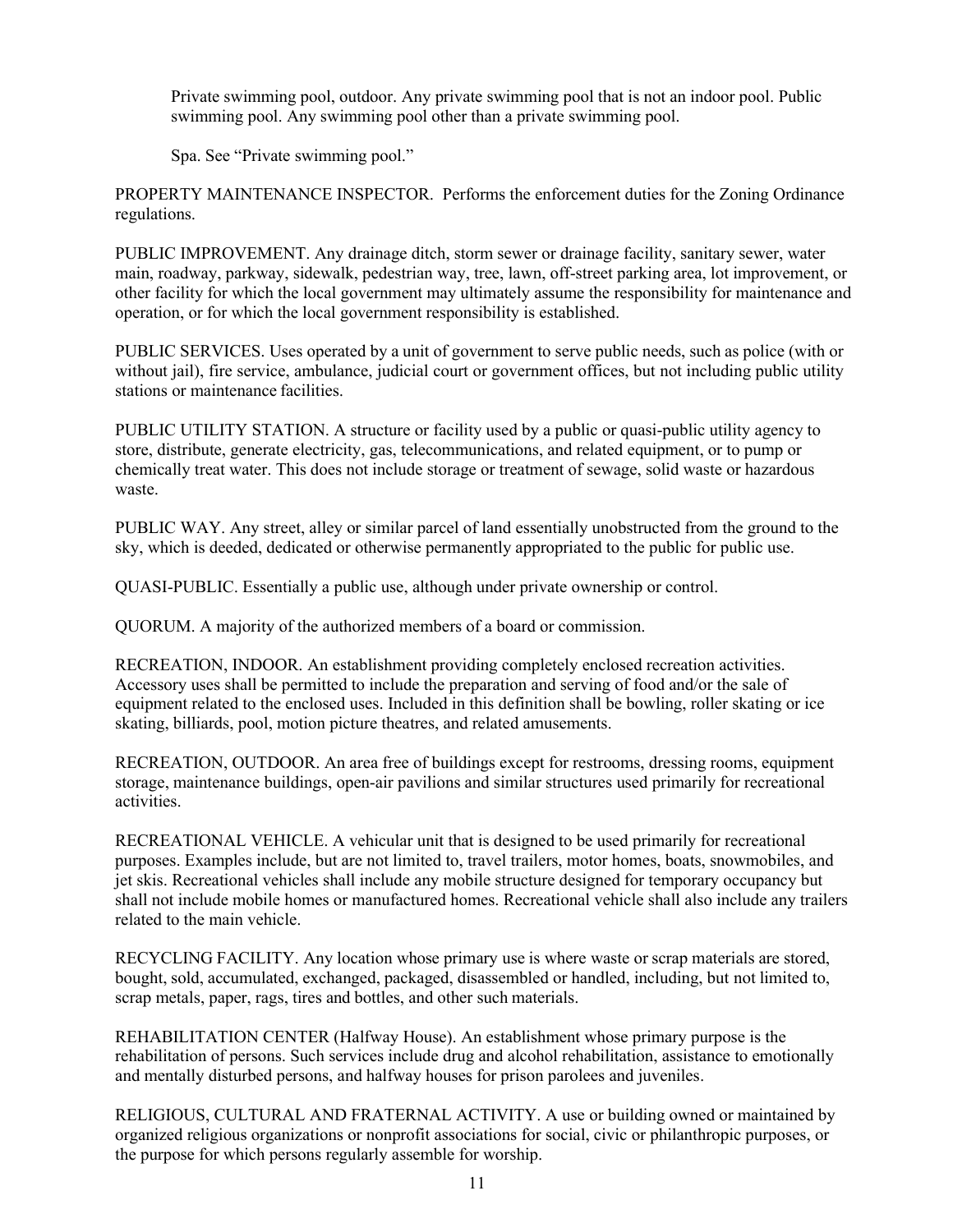Private swimming pool, outdoor. Any private swimming pool that is not an indoor pool. Public swimming pool. Any swimming pool other than a private swimming pool.

Spa. See "Private swimming pool."

PROPERTY MAINTENANCE INSPECTOR. Performs the enforcement duties for the Zoning Ordinance regulations.

PUBLIC IMPROVEMENT. Any drainage ditch, storm sewer or drainage facility, sanitary sewer, water main, roadway, parkway, sidewalk, pedestrian way, tree, lawn, off-street parking area, lot improvement, or other facility for which the local government may ultimately assume the responsibility for maintenance and operation, or for which the local government responsibility is established.

PUBLIC SERVICES. Uses operated by a unit of government to serve public needs, such as police (with or without jail), fire service, ambulance, judicial court or government offices, but not including public utility stations or maintenance facilities.

PUBLIC UTILITY STATION. A structure or facility used by a public or quasi-public utility agency to store, distribute, generate electricity, gas, telecommunications, and related equipment, or to pump or chemically treat water. This does not include storage or treatment of sewage, solid waste or hazardous waste.

PUBLIC WAY. Any street, alley or similar parcel of land essentially unobstructed from the ground to the sky, which is deeded, dedicated or otherwise permanently appropriated to the public for public use.

QUASI-PUBLIC. Essentially a public use, although under private ownership or control.

QUORUM. A majority of the authorized members of a board or commission.

RECREATION, INDOOR. An establishment providing completely enclosed recreation activities. Accessory uses shall be permitted to include the preparation and serving of food and/or the sale of equipment related to the enclosed uses. Included in this definition shall be bowling, roller skating or ice skating, billiards, pool, motion picture theatres, and related amusements.

RECREATION, OUTDOOR. An area free of buildings except for restrooms, dressing rooms, equipment storage, maintenance buildings, open-air pavilions and similar structures used primarily for recreational activities.

RECREATIONAL VEHICLE. A vehicular unit that is designed to be used primarily for recreational purposes. Examples include, but are not limited to, travel trailers, motor homes, boats, snowmobiles, and jet skis. Recreational vehicles shall include any mobile structure designed for temporary occupancy but shall not include mobile homes or manufactured homes. Recreational vehicle shall also include any trailers related to the main vehicle.

RECYCLING FACILITY. Any location whose primary use is where waste or scrap materials are stored, bought, sold, accumulated, exchanged, packaged, disassembled or handled, including, but not limited to, scrap metals, paper, rags, tires and bottles, and other such materials.

REHABILITATION CENTER (Halfway House). An establishment whose primary purpose is the rehabilitation of persons. Such services include drug and alcohol rehabilitation, assistance to emotionally and mentally disturbed persons, and halfway houses for prison parolees and juveniles.

RELIGIOUS, CULTURAL AND FRATERNAL ACTIVITY. A use or building owned or maintained by organized religious organizations or nonprofit associations for social, civic or philanthropic purposes, or the purpose for which persons regularly assemble for worship.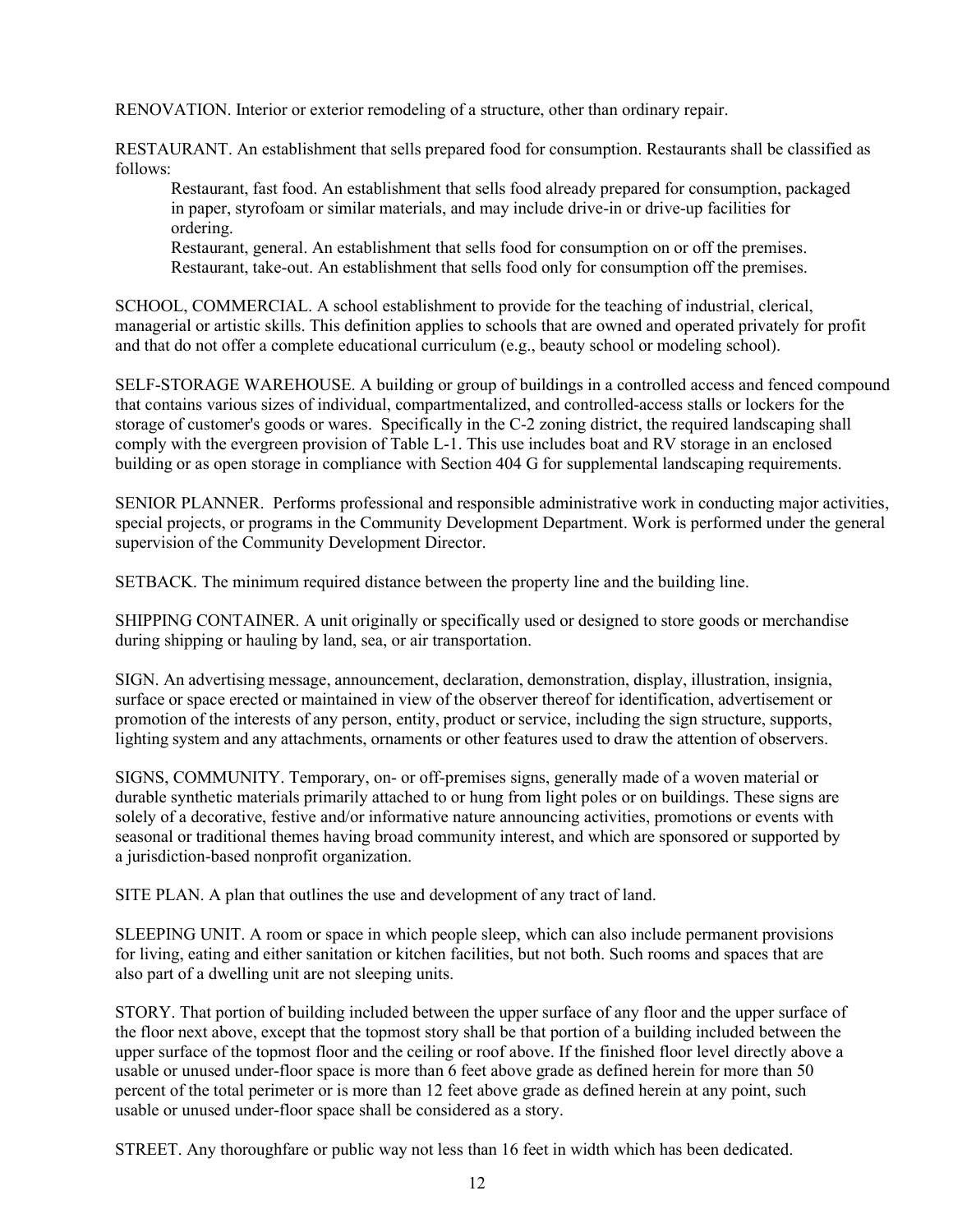RENOVATION. Interior or exterior remodeling of a structure, other than ordinary repair.

RESTAURANT. An establishment that sells prepared food for consumption. Restaurants shall be classified as follows:

Restaurant, fast food. An establishment that sells food already prepared for consumption, packaged in paper, styrofoam or similar materials, and may include drive-in or drive-up facilities for ordering.

Restaurant, general. An establishment that sells food for consumption on or off the premises. Restaurant, take-out. An establishment that sells food only for consumption off the premises.

SCHOOL, COMMERCIAL. A school establishment to provide for the teaching of industrial, clerical, managerial or artistic skills. This definition applies to schools that are owned and operated privately for profit and that do not offer a complete educational curriculum (e.g., beauty school or modeling school).

SELF-STORAGE WAREHOUSE. A building or group of buildings in a controlled access and fenced compound that contains various sizes of individual, compartmentalized, and controlled-access stalls or lockers for the storage of customer's goods or wares. Specifically in the C-2 zoning district, the required landscaping shall comply with the evergreen provision of Table L-1. This use includes boat and RV storage in an enclosed building or as open storage in compliance with Section 404 G for supplemental landscaping requirements.

SENIOR PLANNER. Performs professional and responsible administrative work in conducting major activities, special projects, or programs in the Community Development Department. Work is performed under the general supervision of the Community Development Director.

SETBACK. The minimum required distance between the property line and the building line.

SHIPPING CONTAINER. A unit originally or specifically used or designed to store goods or merchandise during shipping or hauling by land, sea, or air transportation.

SIGN. An advertising message, announcement, declaration, demonstration, display, illustration, insignia, surface or space erected or maintained in view of the observer thereof for identification, advertisement or promotion of the interests of any person, entity, product or service, including the sign structure, supports, lighting system and any attachments, ornaments or other features used to draw the attention of observers.

SIGNS, COMMUNITY. Temporary, on- or off-premises signs, generally made of a woven material or durable synthetic materials primarily attached to or hung from light poles or on buildings. These signs are solely of a decorative, festive and/or informative nature announcing activities, promotions or events with seasonal or traditional themes having broad community interest, and which are sponsored or supported by a jurisdiction-based nonprofit organization.

SITE PLAN. A plan that outlines the use and development of any tract of land.

SLEEPING UNIT. A room or space in which people sleep, which can also include permanent provisions for living, eating and either sanitation or kitchen facilities, but not both. Such rooms and spaces that are also part of a dwelling unit are not sleeping units.

STORY. That portion of building included between the upper surface of any floor and the upper surface of the floor next above, except that the topmost story shall be that portion of a building included between the upper surface of the topmost floor and the ceiling or roof above. If the finished floor level directly above a usable or unused under-floor space is more than 6 feet above grade as defined herein for more than 50 percent of the total perimeter or is more than 12 feet above grade as defined herein at any point, such usable or unused under-floor space shall be considered as a story.

STREET. Any thoroughfare or public way not less than 16 feet in width which has been dedicated.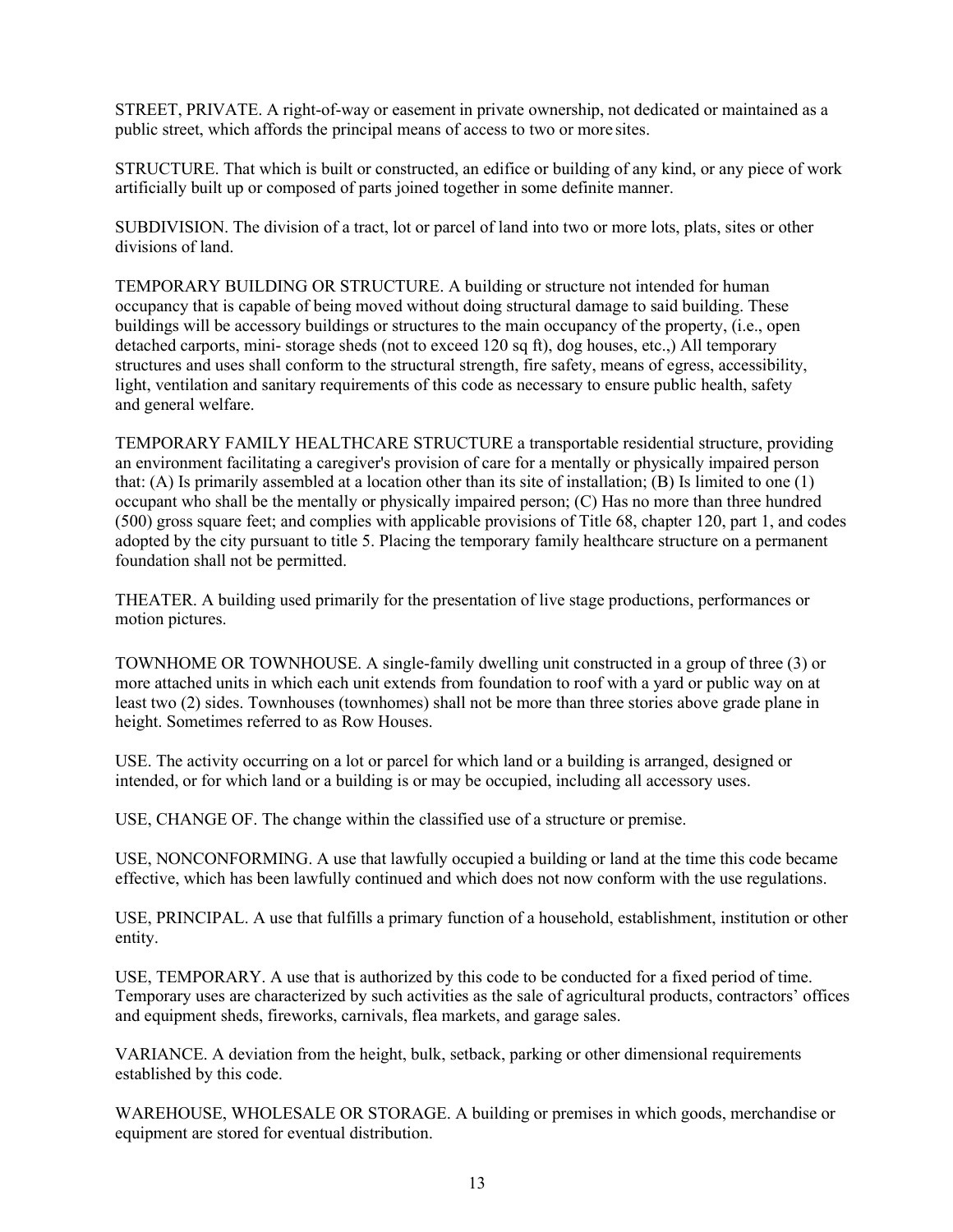STREET, PRIVATE. A right-of-way or easement in private ownership, not dedicated or maintained as a public street, which affords the principal means of access to two or more sites.

STRUCTURE. That which is built or constructed, an edifice or building of any kind, or any piece of work artificially built up or composed of parts joined together in some definite manner.

SUBDIVISION. The division of a tract, lot or parcel of land into two or more lots, plats, sites or other divisions of land.

TEMPORARY BUILDING OR STRUCTURE. A building or structure not intended for human occupancy that is capable of being moved without doing structural damage to said building. These buildings will be accessory buildings or structures to the main occupancy of the property, (i.e., open detached carports, mini- storage sheds (not to exceed 120 sq ft), dog houses, etc.,) All temporary structures and uses shall conform to the structural strength, fire safety, means of egress, accessibility, light, ventilation and sanitary requirements of this code as necessary to ensure public health, safety and general welfare.

TEMPORARY FAMILY HEALTHCARE STRUCTURE a transportable residential structure, providing an environment facilitating a caregiver's provision of care for a mentally or physically impaired person that: (A) Is primarily assembled at a location other than its site of installation; (B) Is limited to one  $(1)$ occupant who shall be the mentally or physically impaired person; (C) Has no more than three hundred (500) gross square feet; and complies with applicable provisions of Title 68, chapter 120, part 1, and codes adopted by the city pursuant to title 5. Placing the temporary family healthcare structure on a permanent foundation shall not be permitted.

THEATER. A building used primarily for the presentation of live stage productions, performances or motion pictures.

TOWNHOME OR TOWNHOUSE. A single-family dwelling unit constructed in a group of three (3) or more attached units in which each unit extends from foundation to roof with a yard or public way on at least two (2) sides. Townhouses (townhomes) shall not be more than three stories above grade plane in height. Sometimes referred to as Row Houses.

USE. The activity occurring on a lot or parcel for which land or a building is arranged, designed or intended, or for which land or a building is or may be occupied, including all accessory uses.

USE, CHANGE OF. The change within the classified use of a structure or premise.

USE, NONCONFORMING. A use that lawfully occupied a building or land at the time this code became effective, which has been lawfully continued and which does not now conform with the use regulations.

USE, PRINCIPAL. A use that fulfills a primary function of a household, establishment, institution or other entity.

USE, TEMPORARY. A use that is authorized by this code to be conducted for a fixed period of time. Temporary uses are characterized by such activities as the sale of agricultural products, contractors' offices and equipment sheds, fireworks, carnivals, flea markets, and garage sales.

VARIANCE. A deviation from the height, bulk, setback, parking or other dimensional requirements established by this code.

WAREHOUSE, WHOLESALE OR STORAGE. A building or premises in which goods, merchandise or equipment are stored for eventual distribution.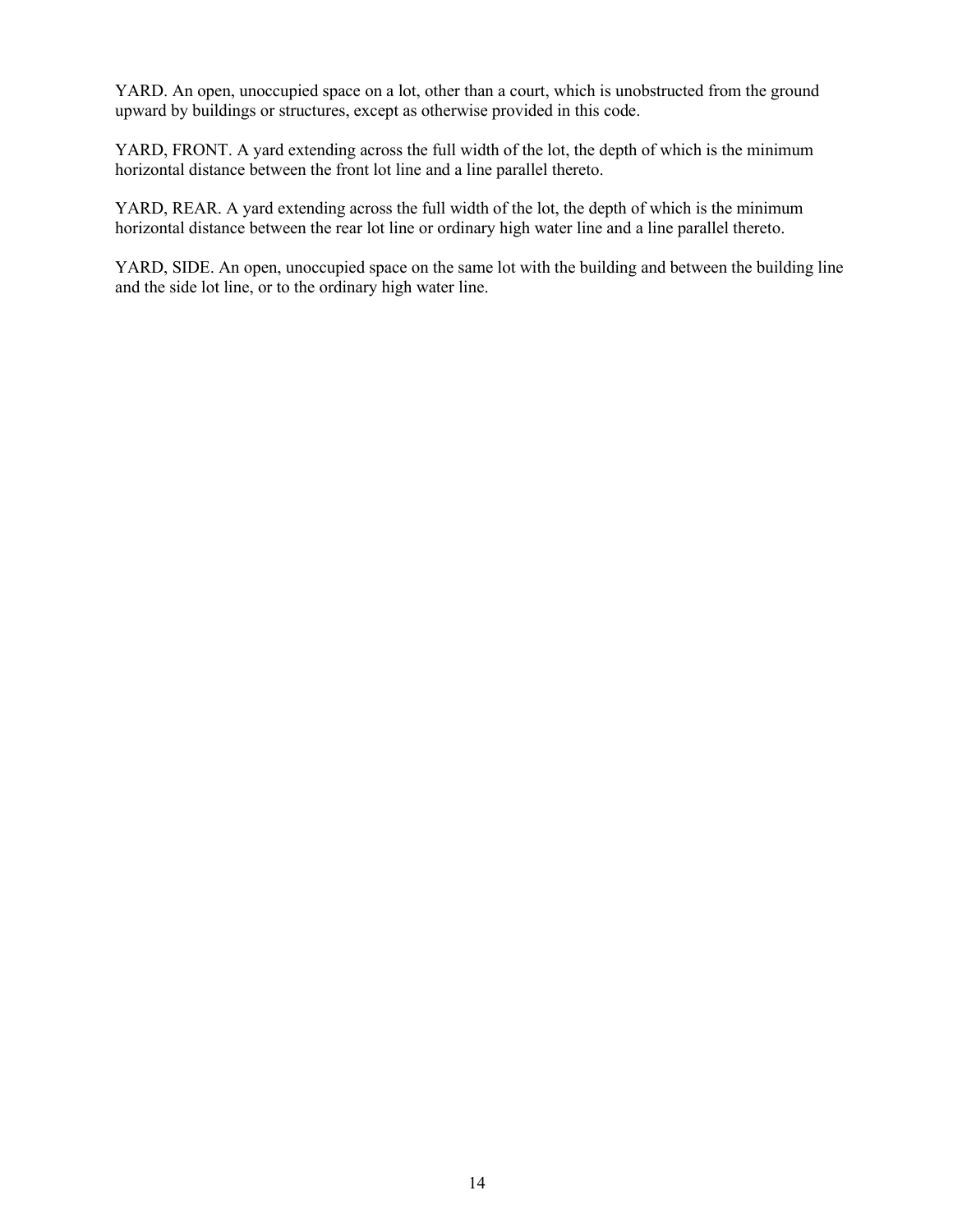YARD. An open, unoccupied space on a lot, other than a court, which is unobstructed from the ground upward by buildings or structures, except as otherwise provided in this code.

YARD, FRONT. A yard extending across the full width of the lot, the depth of which is the minimum horizontal distance between the front lot line and a line parallel thereto.

YARD, REAR. A yard extending across the full width of the lot, the depth of which is the minimum horizontal distance between the rear lot line or ordinary high water line and a line parallel thereto.

YARD, SIDE. An open, unoccupied space on the same lot with the building and between the building line and the side lot line, or to the ordinary high water line.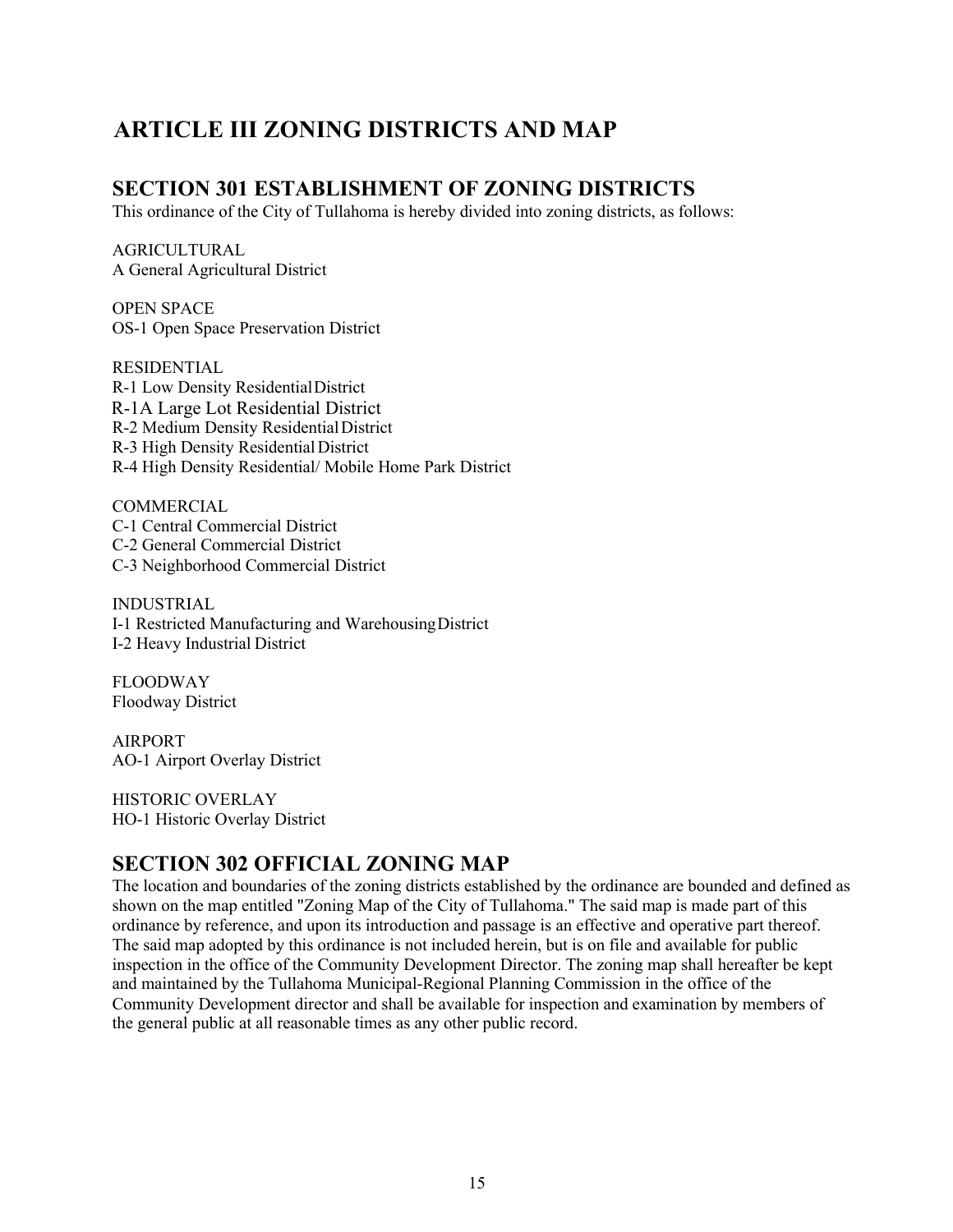## **ARTICLE III ZONING DISTRICTS AND MAP**

#### **SECTION 301 ESTABLISHMENT OF ZONING DISTRICTS**

This ordinance of the City of Tullahoma is hereby divided into zoning districts, as follows:

AGRICULTURAL A General Agricultural District

OPEN SPACE OS-1 Open Space Preservation District

RESIDENTIAL R-1 Low Density ResidentialDistrict R-1A Large Lot Residential District R-2 Medium Density ResidentialDistrict R-3 High Density Residential District R-4 High Density Residential/ Mobile Home Park District

**COMMERCIAL** C-1 Central Commercial District C-2 General Commercial District C-3 Neighborhood Commercial District

INDUSTRIAL I-1 Restricted Manufacturing and WarehousingDistrict I-2 Heavy Industrial District

FLOODWAY Floodway District

AIRPORT AO-1 Airport Overlay District

HISTORIC OVERLAY HO-1 Historic Overlay District

#### **SECTION 302 OFFICIAL ZONING MAP**

The location and boundaries of the zoning districts established by the ordinance are bounded and defined as shown on the map entitled "Zoning Map of the City of Tullahoma." The said map is made part of this ordinance by reference, and upon its introduction and passage is an effective and operative part thereof. The said map adopted by this ordinance is not included herein, but is on file and available for public inspection in the office of the Community Development Director. The zoning map shall hereafter be kept and maintained by the Tullahoma Municipal-Regional Planning Commission in the office of the Community Development director and shall be available for inspection and examination by members of the general public at all reasonable times as any other public record.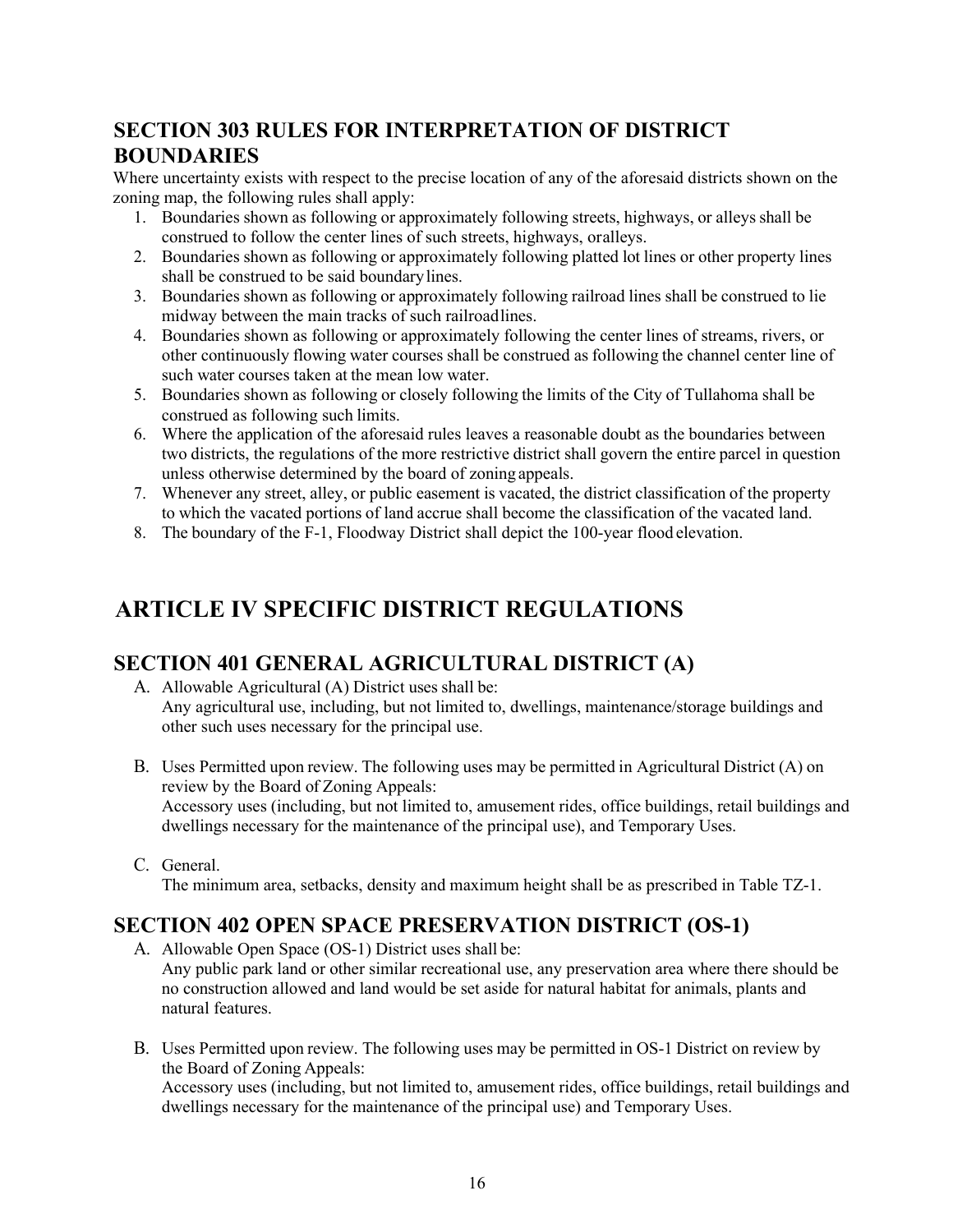## **SECTION 303 RULES FOR INTERPRETATION OF DISTRICT BOUNDARIES**

Where uncertainty exists with respect to the precise location of any of the aforesaid districts shown on the zoning map, the following rules shall apply:

- 1. Boundaries shown as following or approximately following streets, highways, or alleys shall be construed to follow the center lines of such streets, highways, oralleys.
- 2. Boundaries shown as following or approximately following platted lot lines or other property lines shall be construed to be said boundarylines.
- 3. Boundaries shown as following or approximately following railroad lines shall be construed to lie midway between the main tracks of such railroadlines.
- 4. Boundaries shown as following or approximately following the center lines of streams, rivers, or other continuously flowing water courses shall be construed as following the channel center line of such water courses taken at the mean low water.
- 5. Boundaries shown as following or closely following the limits of the City of Tullahoma shall be construed as following such limits.
- 6. Where the application of the aforesaid rules leaves a reasonable doubt as the boundaries between two districts, the regulations of the more restrictive district shall govern the entire parcel in question unless otherwise determined by the board of zoning appeals.
- 7. Whenever any street, alley, or public easement is vacated, the district classification of the property to which the vacated portions of land accrue shall become the classification of the vacated land.
- 8. The boundary of the F-1, Floodway District shall depict the 100-year flood elevation.

## **ARTICLE IV SPECIFIC DISTRICT REGULATIONS**

#### **SECTION 401 GENERAL AGRICULTURAL DISTRICT (A)**

- A. Allowable Agricultural (A) District uses shall be: Any agricultural use, including, but not limited to, dwellings, maintenance/storage buildings and other such uses necessary for the principal use.
- B. Uses Permitted upon review. The following uses may be permitted in Agricultural District (A) on review by the Board of Zoning Appeals: Accessory uses (including, but not limited to, amusement rides, office buildings, retail buildings and dwellings necessary for the maintenance of the principal use), and Temporary Uses.
- C. General.

The minimum area, setbacks, density and maximum height shall be as prescribed in Table TZ-1.

## **SECTION 402 OPEN SPACE PRESERVATION DISTRICT (OS-1)**

A. Allowable Open Space (OS-1) District uses shall be:

Any public park land or other similar recreational use, any preservation area where there should be no construction allowed and land would be set aside for natural habitat for animals, plants and natural features.

B. Uses Permitted upon review. The following uses may be permitted in OS-1 District on review by the Board of Zoning Appeals: Accessory uses (including, but not limited to, amusement rides, office buildings, retail buildings and dwellings necessary for the maintenance of the principal use) and Temporary Uses.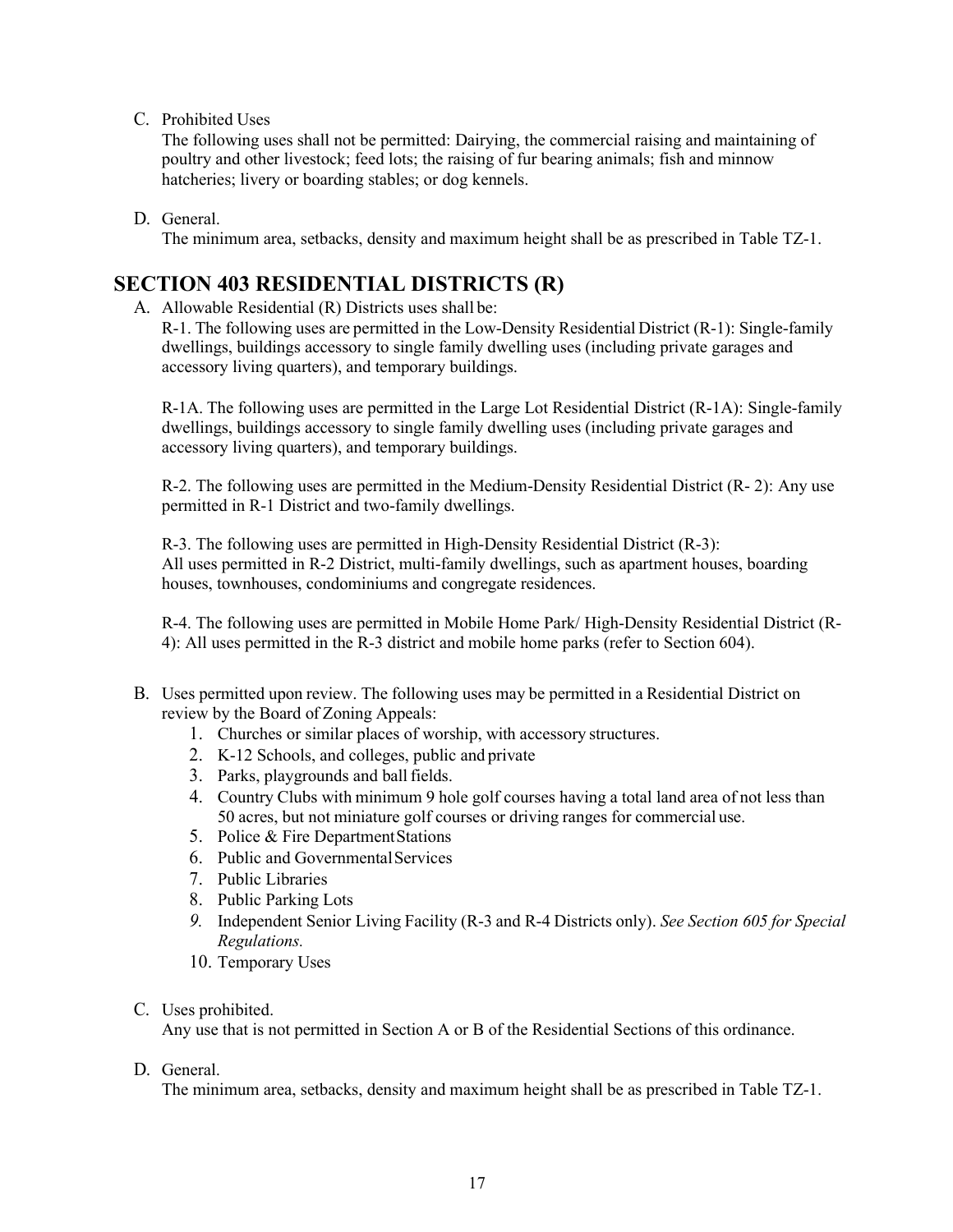C. Prohibited Uses

The following uses shall not be permitted: Dairying, the commercial raising and maintaining of poultry and other livestock; feed lots; the raising of fur bearing animals; fish and minnow hatcheries; livery or boarding stables; or dog kennels.

D. General.

The minimum area, setbacks, density and maximum height shall be as prescribed in Table TZ-1.

#### **SECTION 403 RESIDENTIAL DISTRICTS (R)**

A. Allowable Residential (R) Districts uses shall be:

R-1. The following uses are permitted in the Low-Density Residential District (R-1): Single-family dwellings, buildings accessory to single family dwelling uses (including private garages and accessory living quarters), and temporary buildings.

R-1A. The following uses are permitted in the Large Lot Residential District (R-1A): Single-family dwellings, buildings accessory to single family dwelling uses (including private garages and accessory living quarters), and temporary buildings.

R-2. The following uses are permitted in the Medium-Density Residential District (R- 2): Any use permitted in R-1 District and two-family dwellings.

R-3. The following uses are permitted in High-Density Residential District (R-3): All uses permitted in R-2 District, multi-family dwellings, such as apartment houses, boarding houses, townhouses, condominiums and congregate residences.

R-4. The following uses are permitted in Mobile Home Park/ High-Density Residential District (R-4): All uses permitted in the R-3 district and mobile home parks (refer to Section 604).

- B. Uses permitted upon review. The following uses may be permitted in a Residential District on review by the Board of Zoning Appeals:
	- 1. Churches or similar places of worship, with accessory structures.
	- 2. K-12 Schools, and colleges, public and private
	- 3. Parks, playgrounds and ball fields.
	- 4. Country Clubs with minimum 9 hole golf courses having a total land area of not less than 50 acres, but not miniature golf courses or driving ranges for commercial use.
	- 5. Police & Fire DepartmentStations
	- 6. Public and Governmental Services
	- 7. Public Libraries
	- 8. Public Parking Lots
	- *9.* Independent Senior Living Facility (R-3 and R-4 Districts only). *See Section 605 for Special Regulations.*
	- 10. Temporary Uses
- C. Uses prohibited.

Any use that is not permitted in Section A or B of the Residential Sections of this ordinance.

D. General.

The minimum area, setbacks, density and maximum height shall be as prescribed in Table TZ-1.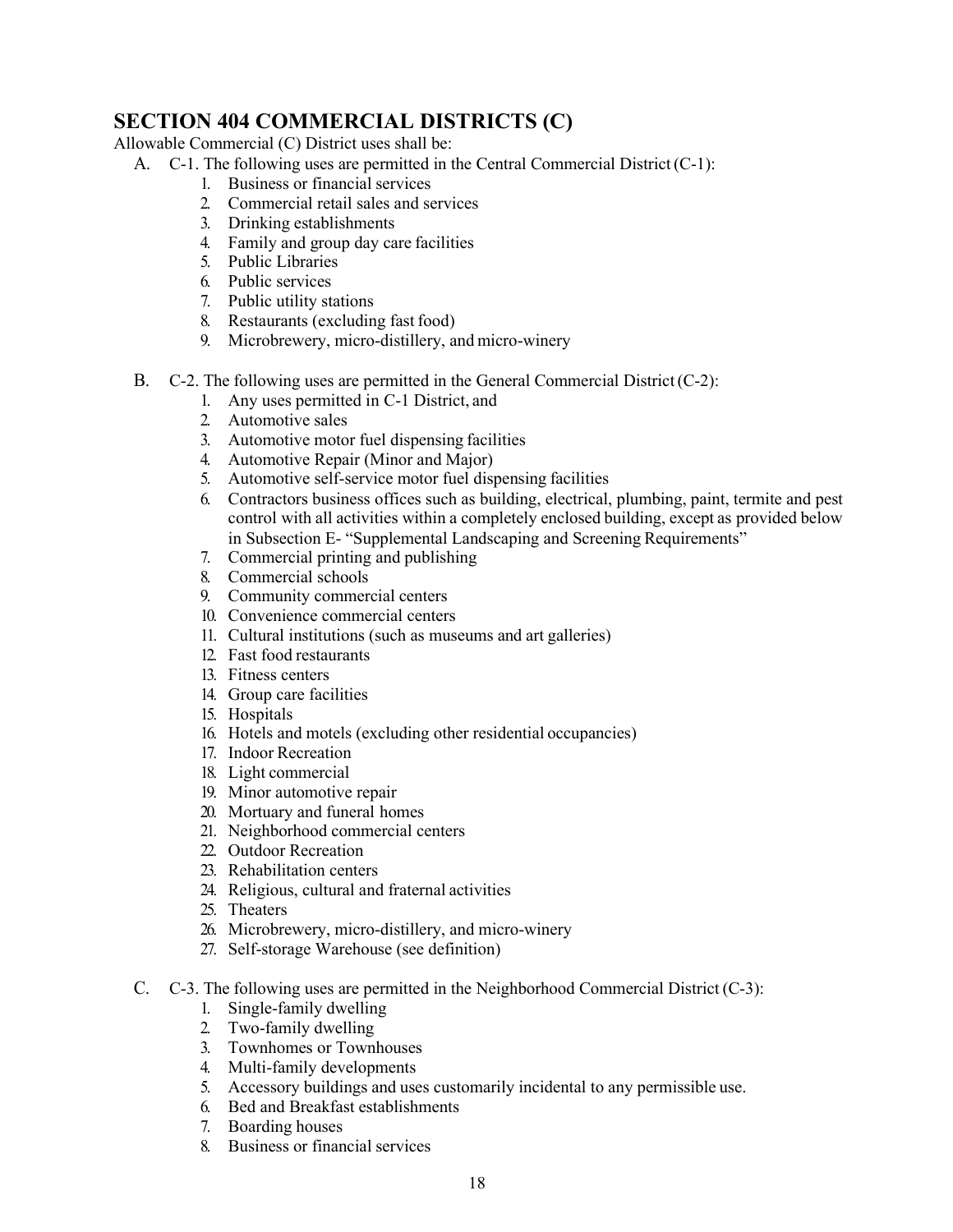## **SECTION 404 COMMERCIAL DISTRICTS (C)**

Allowable Commercial (C) District uses shall be:

- A.  $C-1$ . The following uses are permitted in the Central Commercial District  $(C-1)$ :
	- 1. Business or financial services
	- 2. Commercial retail sales and services
	- 3. Drinking establishments
	- 4. Family and group day care facilities
	- 5. Public Libraries
	- 6. Public services
	- 7. Public utility stations
	- 8. Restaurants (excluding fast food)
	- 9. Microbrewery, micro-distillery, and micro-winery
- B.  $C-2$ . The following uses are permitted in the General Commercial District  $(C-2)$ :
	- 1. Any uses permitted in C-1 District, and
	- 2. Automotive sales
	- 3. Automotive motor fuel dispensing facilities
	- 4. Automotive Repair (Minor and Major)
	- 5. Automotive self-service motor fuel dispensing facilities
	- 6. Contractors business offices such as building, electrical, plumbing, paint, termite and pest control with all activities within a completely enclosed building, except as provided below in Subsection E- "Supplemental Landscaping and Screening Requirements"
	- 7. Commercial printing and publishing
	- 8. Commercial schools
	- 9. Community commercial centers
	- 10. Convenience commercial centers
	- 11. Cultural institutions (such as museums and art galleries)
	- 12. Fast food restaurants
	- 13. Fitness centers
	- 14. Group care facilities
	- 15. Hospitals
	- 16. Hotels and motels (excluding other residential occupancies)
	- 17. Indoor Recreation
	- 18. Light commercial
	- 19. Minor automotive repair
	- 20. Mortuary and funeral homes
	- 21. Neighborhood commercial centers
	- 22. Outdoor Recreation
	- 23. Rehabilitation centers
	- 24. Religious, cultural and fraternal activities
	- 25. Theaters
	- 26. Microbrewery, micro-distillery, and micro-winery
	- 27. Self-storage Warehouse (see definition)
- C.  $C-3$ . The following uses are permitted in the Neighborhood Commercial District  $(C-3)$ :
	- 1. Single-family dwelling
	- 2. Two-family dwelling
	- 3. Townhomes or Townhouses
	- 4. Multi-family developments
	- 5. Accessory buildings and uses customarily incidental to any permissible use.
	- 6. Bed and Breakfast establishments
	- 7. Boarding houses
	- 8. Business or financial services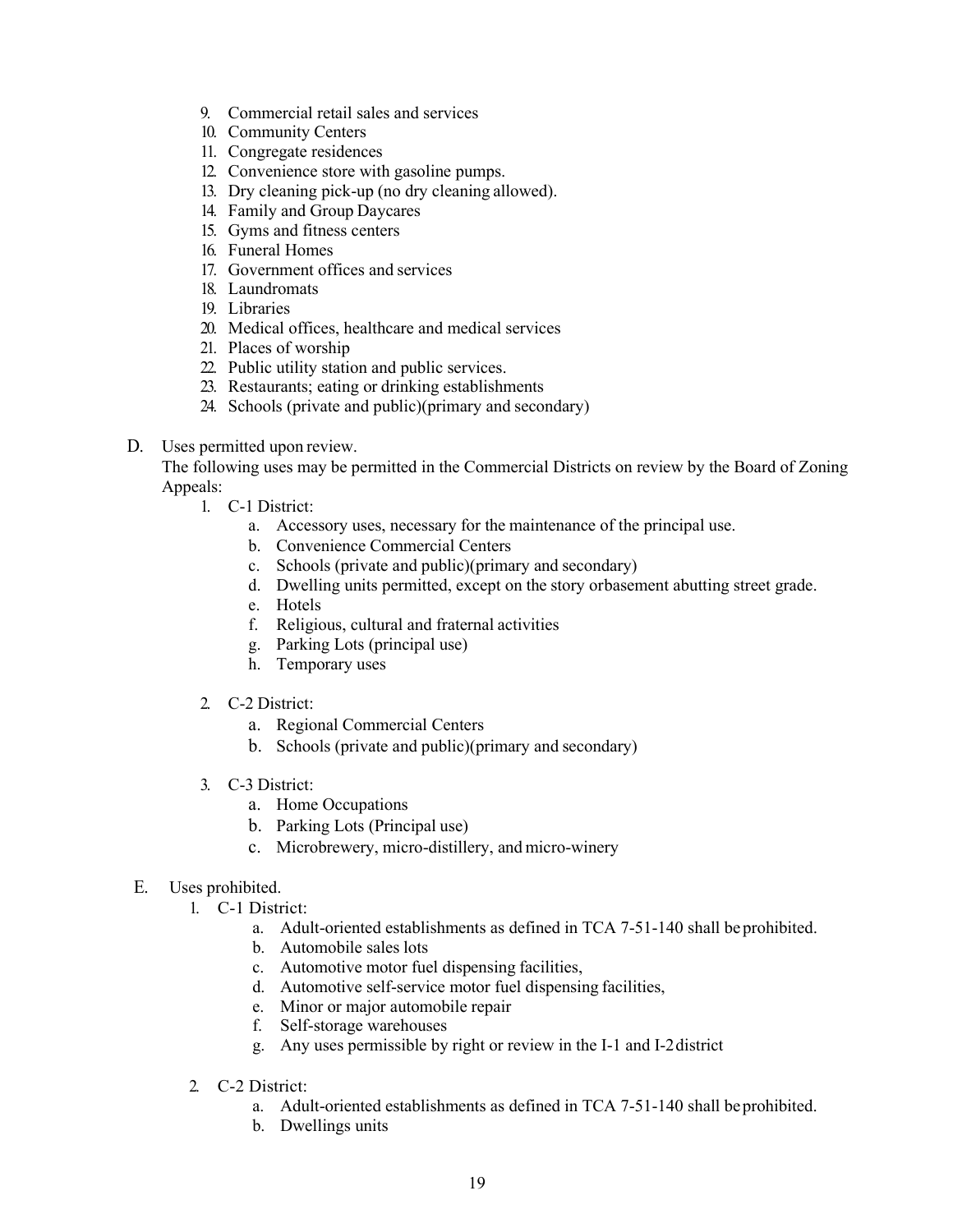- 9. Commercial retail sales and services
- 10. Community Centers
- 11. Congregate residences
- 12. Convenience store with gasoline pumps.
- 13. Dry cleaning pick-up (no dry cleaning allowed).
- 14. Family and Group Daycares
- 15. Gyms and fitness centers
- 16. Funeral Homes
- 17. Government offices and services
- 18. Laundromats
- 19. Libraries
- 20. Medical offices, healthcare and medical services
- 21. Places of worship
- 22. Public utility station and public services.
- 23. Restaurants; eating or drinking establishments
- 24. Schools (private and public)(primary and secondary)
- D. Uses permitted upon review.

The following uses may be permitted in the Commercial Districts on review by the Board of Zoning Appeals:

- 1. C-1 District:
	- a. Accessory uses, necessary for the maintenance of the principal use.
	- b. Convenience Commercial Centers
	- c. Schools (private and public)(primary and secondary)
	- d. Dwelling units permitted, except on the story orbasement abutting street grade.
	- e. Hotels
	- f. Religious, cultural and fraternal activities
	- g. Parking Lots (principal use)
	- h. Temporary uses
	- 2. C-2 District:
		- a. Regional Commercial Centers
		- b. Schools (private and public)(primary and secondary)
	- 3. C-3 District:
		- a. Home Occupations
		- b. Parking Lots (Principal use)
		- c. Microbrewery, micro-distillery, and micro-winery
- E. Uses prohibited.
	- 1. C-1 District:
		- a. Adult-oriented establishments as defined in TCA 7-51-140 shall beprohibited.
		- b. Automobile sales lots
		- c. Automotive motor fuel dispensing facilities,
		- d. Automotive self-service motor fuel dispensing facilities,
		- e. Minor or major automobile repair
		- f. Self-storage warehouses
		- g. Any uses permissible by right or review in the I-1 and I-2district
	- 2. C-2 District:
		- a. Adult-oriented establishments as defined in TCA 7-51-140 shall beprohibited.
		- b. Dwellings units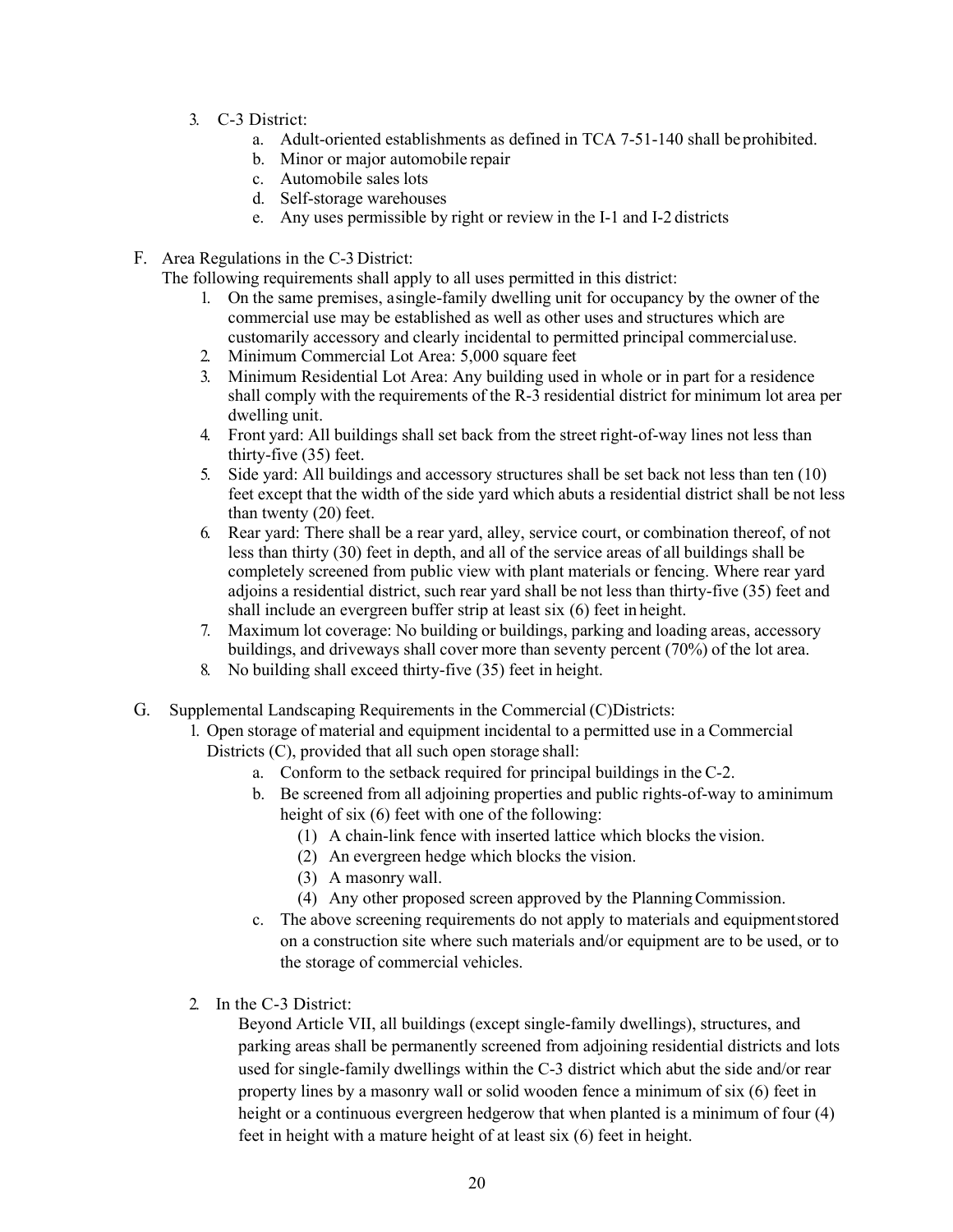- 3. C-3 District:
	- a. Adult-oriented establishments as defined in TCA 7-51-140 shall beprohibited.
	- b. Minor or major automobile repair
	- c. Automobile sales lots
	- d. Self-storage warehouses
	- e. Any uses permissible by right or review in the I-1 and I-2 districts
- F. Area Regulations in the C-3 District:
	- The following requirements shall apply to all uses permitted in this district:
		- 1. On the same premises, asingle-family dwelling unit for occupancy by the owner of the commercial use may be established as well as other uses and structures which are customarily accessory and clearly incidental to permitted principal commercialuse.
		- 2. Minimum Commercial Lot Area: 5,000 square feet
		- 3. Minimum Residential Lot Area: Any building used in whole or in part for a residence shall comply with the requirements of the R-3 residential district for minimum lot area per dwelling unit.
		- 4. Front yard: All buildings shall set back from the street right-of-way lines not less than thirty-five (35) feet.
		- 5. Side yard: All buildings and accessory structures shall be set back not less than ten (10) feet except that the width of the side yard which abuts a residential district shall be not less than twenty (20) feet.
		- 6. Rear yard: There shall be a rear yard, alley, service court, or combination thereof, of not less than thirty (30) feet in depth, and all of the service areas of all buildings shall be completely screened from public view with plant materials or fencing. Where rear yard adjoins a residential district, such rear yard shall be not less than thirty-five (35) feet and shall include an evergreen buffer strip at least six (6) feet in height.
		- 7. Maximum lot coverage: No building or buildings, parking and loading areas, accessory buildings, and driveways shall cover more than seventy percent (70%) of the lot area.
		- 8. No building shall exceed thirty-five (35) feet in height.
- G. Supplemental Landscaping Requirements in the Commercial (C)Districts:
	- 1. Open storage of material and equipment incidental to a permitted use in a Commercial Districts (C), provided that all such open storage shall:
		- a. Conform to the setback required for principal buildings in the C-2.
		- b. Be screened from all adjoining properties and public rights-of-way to aminimum height of six (6) feet with one of the following:
			- (1) A chain-link fence with inserted lattice which blocks the vision.
			- (2) An evergreen hedge which blocks the vision.
			- (3) A masonry wall.
			- (4) Any other proposed screen approved by the PlanningCommission.
		- c. The above screening requirements do not apply to materials and equipmentstored on a construction site where such materials and/or equipment are to be used, or to the storage of commercial vehicles.
	- 2. In the C-3 District:

Beyond Article VII, all buildings (except single-family dwellings), structures, and parking areas shall be permanently screened from adjoining residential districts and lots used for single-family dwellings within the C-3 district which abut the side and/or rear property lines by a masonry wall or solid wooden fence a minimum of six (6) feet in height or a continuous evergreen hedgerow that when planted is a minimum of four (4) feet in height with a mature height of at least six (6) feet in height.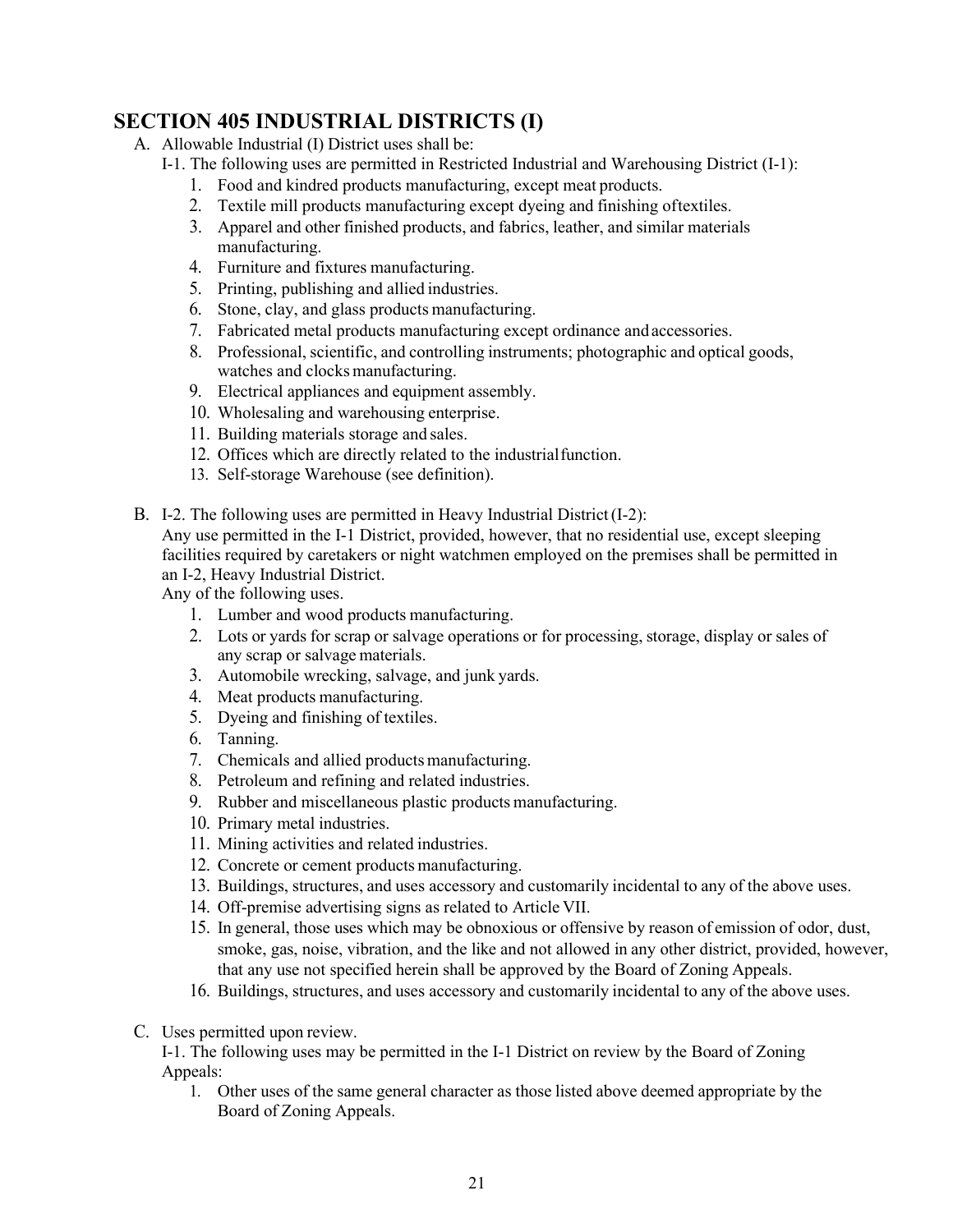## **SECTION 405 INDUSTRIAL DISTRICTS (I)**

- A. Allowable Industrial (I) District uses shall be:
	- I-1. The following uses are permitted in Restricted Industrial and Warehousing District (I-1):
		- 1. Food and kindred products manufacturing, except meat products.
		- 2. Textile mill products manufacturing except dyeing and finishing oftextiles.
		- 3. Apparel and other finished products, and fabrics, leather, and similar materials manufacturing.
		- 4. Furniture and fixtures manufacturing.
		- 5. Printing, publishing and allied industries.
		- 6. Stone, clay, and glass products manufacturing.
		- 7. Fabricated metal products manufacturing except ordinance and accessories.
		- 8. Professional, scientific, and controlling instruments; photographic and optical goods, watches and clocks manufacturing.
		- 9. Electrical appliances and equipment assembly.
		- 10. Wholesaling and warehousing enterprise.
		- 11. Building materials storage and sales.
		- 12. Offices which are directly related to the industrialfunction.
		- 13. Self-storage Warehouse (see definition).
- B. I-2. The following uses are permitted in Heavy Industrial District(I-2):

Any use permitted in the I-1 District, provided, however, that no residential use, except sleeping facilities required by caretakers or night watchmen employed on the premises shall be permitted in an I-2, Heavy Industrial District.

Any of the following uses.

- 1. Lumber and wood products manufacturing.
- 2. Lots or yards for scrap or salvage operations or for processing, storage, display or sales of any scrap or salvage materials.
- 3. Automobile wrecking, salvage, and junk yards.
- 4. Meat products manufacturing.
- 5. Dyeing and finishing of textiles.
- 6. Tanning.
- 7. Chemicals and allied productsmanufacturing.
- 8. Petroleum and refining and related industries.
- 9. Rubber and miscellaneous plastic products manufacturing.
- 10. Primary metal industries.
- 11. Mining activities and related industries.
- 12. Concrete or cement products manufacturing.
- 13. Buildings, structures, and uses accessory and customarily incidental to any of the above uses.
- 14. Off-premise advertising signs as related to Article VII.
- 15. In general, those uses which may be obnoxious or offensive by reason of emission of odor, dust, smoke, gas, noise, vibration, and the like and not allowed in any other district, provided, however, that any use not specified herein shall be approved by the Board of Zoning Appeals.
- 16. Buildings, structures, and uses accessory and customarily incidental to any of the above uses.
- C. Uses permitted upon review.

I-1. The following uses may be permitted in the I-1 District on review by the Board of Zoning Appeals:

1. Other uses of the same general character as those listed above deemed appropriate by the Board of Zoning Appeals.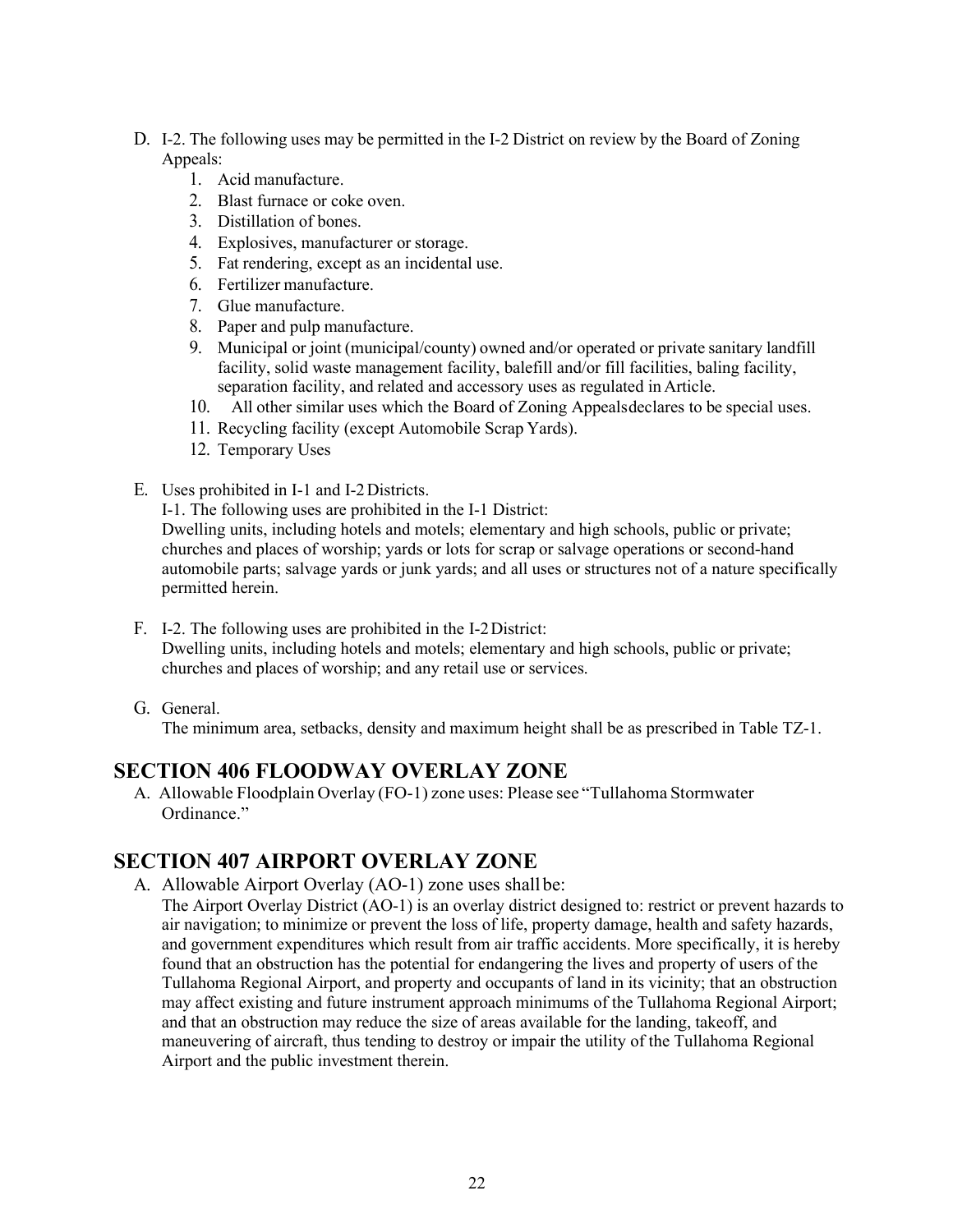- D. I-2. The following uses may be permitted in the I-2 District on review by the Board of Zoning Appeals:
	- 1. Acid manufacture.
	- 2. Blast furnace or coke oven.
	- 3. Distillation of bones.
	- 4. Explosives, manufacturer or storage.
	- 5. Fat rendering, except as an incidental use.
	- 6. Fertilizer manufacture.
	- 7. Glue manufacture.
	- 8. Paper and pulp manufacture.
	- 9. Municipal or joint (municipal/county) owned and/or operated or private sanitary landfill facility, solid waste management facility, balefill and/or fill facilities, baling facility, separation facility, and related and accessory uses as regulated in Article.
	- 10. All other similar uses which the Board of Zoning Appealsdeclares to be special uses.
	- 11. Recycling facility (except Automobile Scrap Yards).
	- 12. Temporary Uses
- E. Uses prohibited in I-1 and I-2Districts.
	- I-1. The following uses are prohibited in the I-1 District:

Dwelling units, including hotels and motels; elementary and high schools, public or private; churches and places of worship; yards or lots for scrap or salvage operations or second-hand automobile parts; salvage yards or junk yards; and all uses or structures not of a nature specifically permitted herein.

- F. I-2. The following uses are prohibited in the I-2District: Dwelling units, including hotels and motels; elementary and high schools, public or private; churches and places of worship; and any retail use or services.
- G. General.

The minimum area, setbacks, density and maximum height shall be as prescribed in Table TZ-1.

#### **SECTION 406 FLOODWAY OVERLAY ZONE**

A. Allowable Floodplain Overlay (FO-1) zone uses: Please see "Tullahoma Stormwater Ordinance."

#### **SECTION 407 AIRPORT OVERLAY ZONE**

A. Allowable Airport Overlay (AO-1) zone uses shall be:

The Airport Overlay District (AO-1) is an overlay district designed to: restrict or prevent hazards to air navigation; to minimize or prevent the loss of life, property damage, health and safety hazards, and government expenditures which result from air traffic accidents. More specifically, it is hereby found that an obstruction has the potential for endangering the lives and property of users of the Tullahoma Regional Airport, and property and occupants of land in its vicinity; that an obstruction may affect existing and future instrument approach minimums of the Tullahoma Regional Airport; and that an obstruction may reduce the size of areas available for the landing, takeoff, and maneuvering of aircraft, thus tending to destroy or impair the utility of the Tullahoma Regional Airport and the public investment therein.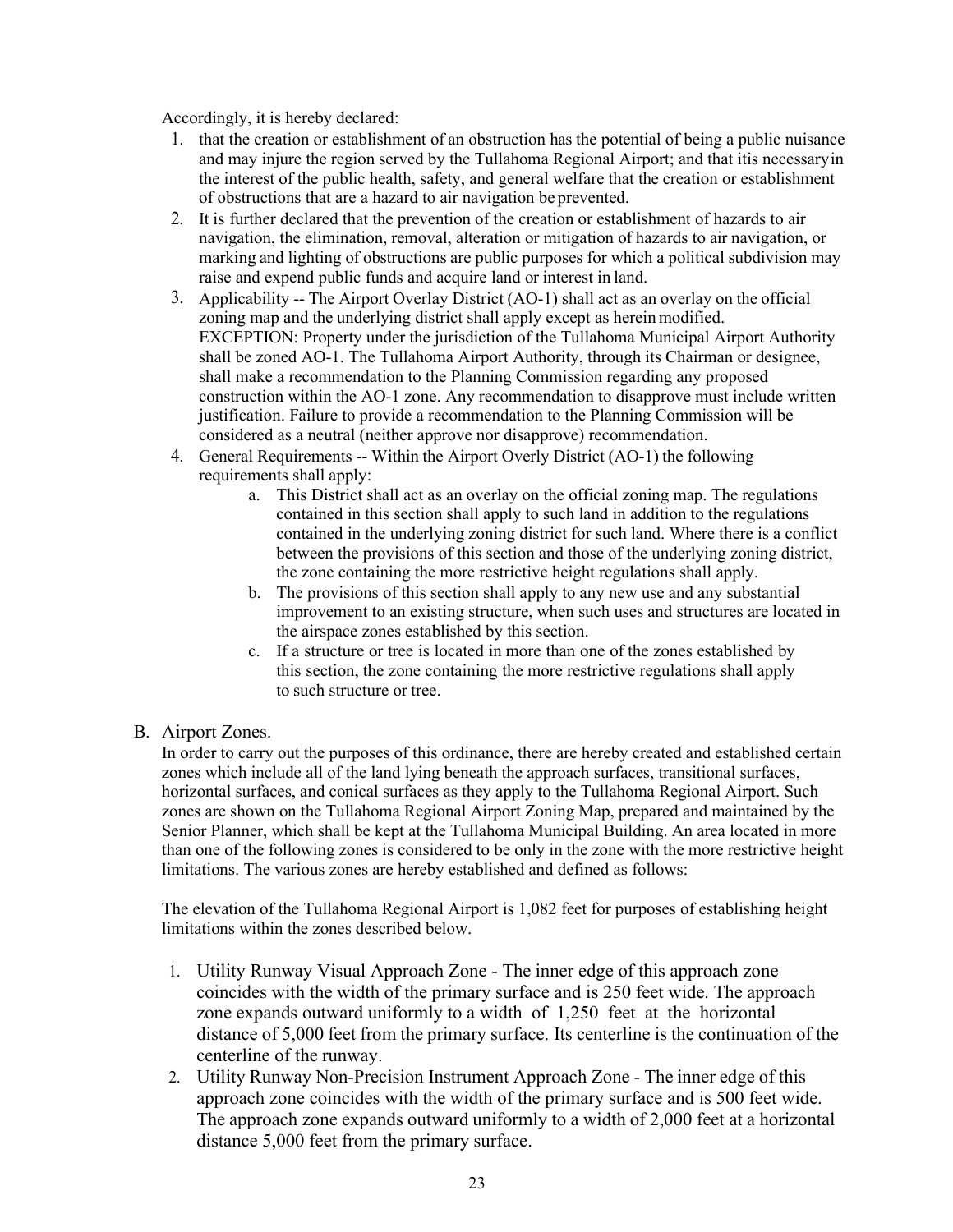Accordingly, it is hereby declared:

- 1. that the creation or establishment of an obstruction has the potential of being a public nuisance and may injure the region served by the Tullahoma Regional Airport; and that itis necessaryin the interest of the public health, safety, and general welfare that the creation or establishment of obstructions that are a hazard to air navigation be prevented.
- 2. It is further declared that the prevention of the creation or establishment of hazards to air navigation, the elimination, removal, alteration or mitigation of hazards to air navigation, or marking and lighting of obstructions are public purposes for which a political subdivision may raise and expend public funds and acquire land or interest in land.
- 3. Applicability -- The Airport Overlay District (AO-1) shall act as an overlay on the official zoning map and the underlying district shall apply except as herein modified. EXCEPTION: Property under the jurisdiction of the Tullahoma Municipal Airport Authority shall be zoned AO-1. The Tullahoma Airport Authority, through its Chairman or designee, shall make a recommendation to the Planning Commission regarding any proposed construction within the AO-1 zone. Any recommendation to disapprove must include written justification. Failure to provide a recommendation to the Planning Commission will be considered as a neutral (neither approve nor disapprove) recommendation.
- 4. General Requirements -- Within the Airport Overly District (AO-1) the following requirements shall apply:
	- a. This District shall act as an overlay on the official zoning map. The regulations contained in this section shall apply to such land in addition to the regulations contained in the underlying zoning district for such land. Where there is a conflict between the provisions of this section and those of the underlying zoning district, the zone containing the more restrictive height regulations shall apply.
	- b. The provisions of this section shall apply to any new use and any substantial improvement to an existing structure, when such uses and structures are located in the airspace zones established by this section.
	- c. If a structure or tree is located in more than one of the zones established by this section, the zone containing the more restrictive regulations shall apply to such structure or tree.
- B. Airport Zones.

In order to carry out the purposes of this ordinance, there are hereby created and established certain zones which include all of the land lying beneath the approach surfaces, transitional surfaces, horizontal surfaces, and conical surfaces as they apply to the Tullahoma Regional Airport. Such zones are shown on the Tullahoma Regional Airport Zoning Map, prepared and maintained by the Senior Planner, which shall be kept at the Tullahoma Municipal Building. An area located in more than one of the following zones is considered to be only in the zone with the more restrictive height limitations. The various zones are hereby established and defined as follows:

The elevation of the Tullahoma Regional Airport is 1,082 feet for purposes of establishing height limitations within the zones described below.

- 1. Utility Runway Visual Approach Zone The inner edge of this approach zone coincides with the width of the primary surface and is 250 feet wide. The approach zone expands outward uniformly to a width of 1,250 feet at the horizontal distance of 5,000 feet from the primary surface. Its centerline is the continuation of the centerline of the runway.
- 2. Utility Runway Non-Precision Instrument Approach Zone The inner edge of this approach zone coincides with the width of the primary surface and is 500 feet wide. The approach zone expands outward uniformly to a width of 2,000 feet at a horizontal distance 5,000 feet from the primary surface.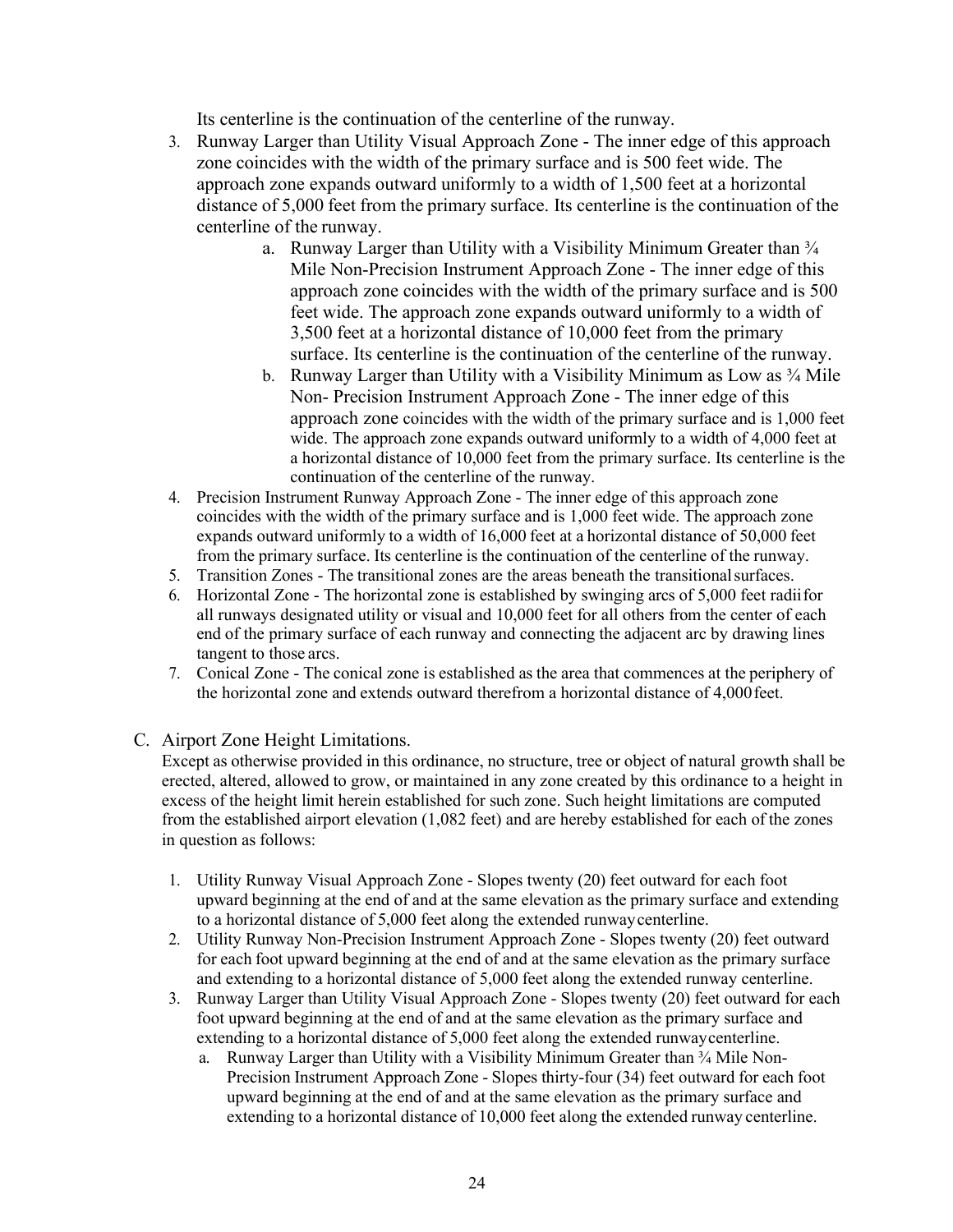Its centerline is the continuation of the centerline of the runway.

- 3. Runway Larger than Utility Visual Approach Zone The inner edge of this approach zone coincides with the width of the primary surface and is 500 feet wide. The approach zone expands outward uniformly to a width of 1,500 feet at a horizontal distance of 5,000 feet from the primary surface. Its centerline is the continuation of the centerline of the runway.
	- a. Runway Larger than Utility with a Visibility Minimum Greater than  $\frac{3}{4}$ Mile Non-Precision Instrument Approach Zone - The inner edge of this approach zone coincides with the width of the primary surface and is 500 feet wide. The approach zone expands outward uniformly to a width of 3,500 feet at a horizontal distance of 10,000 feet from the primary surface. Its centerline is the continuation of the centerline of the runway.
	- b. Runway Larger than Utility with a Visibility Minimum as Low as  $\frac{3}{4}$  Mile Non- Precision Instrument Approach Zone - The inner edge of this approach zone coincides with the width of the primary surface and is 1,000 feet wide. The approach zone expands outward uniformly to a width of 4,000 feet at a horizontal distance of 10,000 feet from the primary surface. Its centerline is the continuation of the centerline of the runway.
- 4. Precision Instrument Runway Approach Zone The inner edge of this approach zone coincides with the width of the primary surface and is 1,000 feet wide. The approach zone expands outward uniformly to a width of 16,000 feet at a horizontal distance of 50,000 feet from the primary surface. Its centerline is the continuation of the centerline of the runway.
- 5. Transition Zones The transitional zones are the areas beneath the transitionalsurfaces.
- 6. Horizontal Zone The horizontal zone is established by swinging arcs of 5,000 feet radiifor all runways designated utility or visual and 10,000 feet for all others from the center of each end of the primary surface of each runway and connecting the adjacent arc by drawing lines tangent to those arcs.
- 7. Conical Zone The conical zone is established as the area that commences at the periphery of the horizontal zone and extends outward therefrom a horizontal distance of 4,000 feet.
- C. Airport Zone Height Limitations.

Except as otherwise provided in this ordinance, no structure, tree or object of natural growth shall be erected, altered, allowed to grow, or maintained in any zone created by this ordinance to a height in excess of the height limit herein established for such zone. Such height limitations are computed from the established airport elevation (1,082 feet) and are hereby established for each of the zones in question as follows:

- 1. Utility Runway Visual Approach Zone Slopes twenty (20) feet outward for each foot upward beginning at the end of and at the same elevation as the primary surface and extending to a horizontal distance of 5,000 feet along the extended runwaycenterline.
- 2. Utility Runway Non-Precision Instrument Approach Zone Slopes twenty (20) feet outward for each foot upward beginning at the end of and at the same elevation as the primary surface and extending to a horizontal distance of 5,000 feet along the extended runway centerline.
- 3. Runway Larger than Utility Visual Approach Zone Slopes twenty (20) feet outward for each foot upward beginning at the end of and at the same elevation as the primary surface and extending to a horizontal distance of 5,000 feet along the extended runwaycenterline.
	- a. Runway Larger than Utility with a Visibility Minimum Greater than  $\frac{3}{4}$  Mile Non-Precision Instrument Approach Zone - Slopes thirty-four (34) feet outward for each foot upward beginning at the end of and at the same elevation as the primary surface and extending to a horizontal distance of 10,000 feet along the extended runway centerline.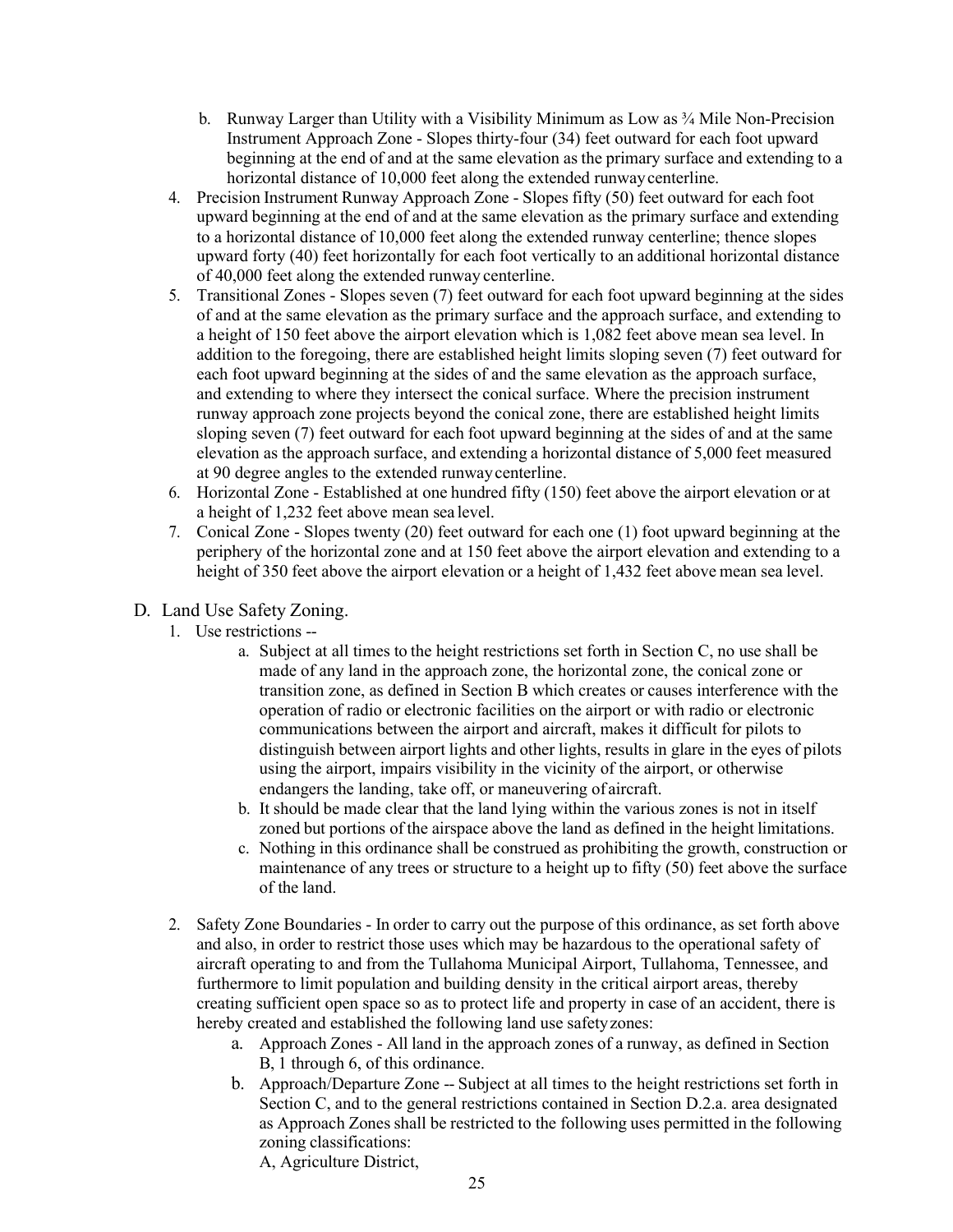- b. Runway Larger than Utility with a Visibility Minimum as Low as  $\frac{3}{4}$  Mile Non-Precision Instrument Approach Zone - Slopes thirty-four (34) feet outward for each foot upward beginning at the end of and at the same elevation as the primary surface and extending to a horizontal distance of 10,000 feet along the extended runway centerline.
- 4. Precision Instrument Runway Approach Zone Slopes fifty (50) feet outward for each foot upward beginning at the end of and at the same elevation as the primary surface and extending to a horizontal distance of 10,000 feet along the extended runway centerline; thence slopes upward forty (40) feet horizontally for each foot vertically to an additional horizontal distance of 40,000 feet along the extended runway centerline.
- 5. Transitional Zones Slopes seven (7) feet outward for each foot upward beginning at the sides of and at the same elevation as the primary surface and the approach surface, and extending to a height of 150 feet above the airport elevation which is 1,082 feet above mean sea level. In addition to the foregoing, there are established height limits sloping seven (7) feet outward for each foot upward beginning at the sides of and the same elevation as the approach surface, and extending to where they intersect the conical surface. Where the precision instrument runway approach zone projects beyond the conical zone, there are established height limits sloping seven (7) feet outward for each foot upward beginning at the sides of and at the same elevation as the approach surface, and extending a horizontal distance of 5,000 feet measured at 90 degree angles to the extended runwaycenterline.
- 6. Horizontal Zone Established at one hundred fifty (150) feet above the airport elevation or at a height of 1,232 feet above mean sea level.
- 7. Conical Zone Slopes twenty (20) feet outward for each one (1) foot upward beginning at the periphery of the horizontal zone and at 150 feet above the airport elevation and extending to a height of 350 feet above the airport elevation or a height of 1,432 feet above mean sea level.
- D. Land Use Safety Zoning.
	- 1. Use restrictions
		- a. Subject at all times to the height restrictions set forth in Section C, no use shall be made of any land in the approach zone, the horizontal zone, the conical zone or transition zone, as defined in Section B which creates or causes interference with the operation of radio or electronic facilities on the airport or with radio or electronic communications between the airport and aircraft, makes it difficult for pilots to distinguish between airport lights and other lights, results in glare in the eyes of pilots using the airport, impairs visibility in the vicinity of the airport, or otherwise endangers the landing, take off, or maneuvering of aircraft.
		- b. It should be made clear that the land lying within the various zones is not in itself zoned but portions of the airspace above the land as defined in the height limitations.
		- c. Nothing in this ordinance shall be construed as prohibiting the growth, construction or maintenance of any trees or structure to a height up to fifty (50) feet above the surface of the land.
	- 2. Safety Zone Boundaries In order to carry out the purpose of this ordinance, as set forth above and also, in order to restrict those uses which may be hazardous to the operational safety of aircraft operating to and from the Tullahoma Municipal Airport, Tullahoma, Tennessee, and furthermore to limit population and building density in the critical airport areas, thereby creating sufficient open space so as to protect life and property in case of an accident, there is hereby created and established the following land use safetyzones:
		- a. Approach Zones All land in the approach zones of a runway, as defined in Section B, 1 through 6, of this ordinance.
		- b. Approach/Departure Zone -- Subject at all times to the height restrictions set forth in Section C, and to the general restrictions contained in Section D.2.a. area designated as Approach Zones shall be restricted to the following uses permitted in the following zoning classifications:

A, Agriculture District,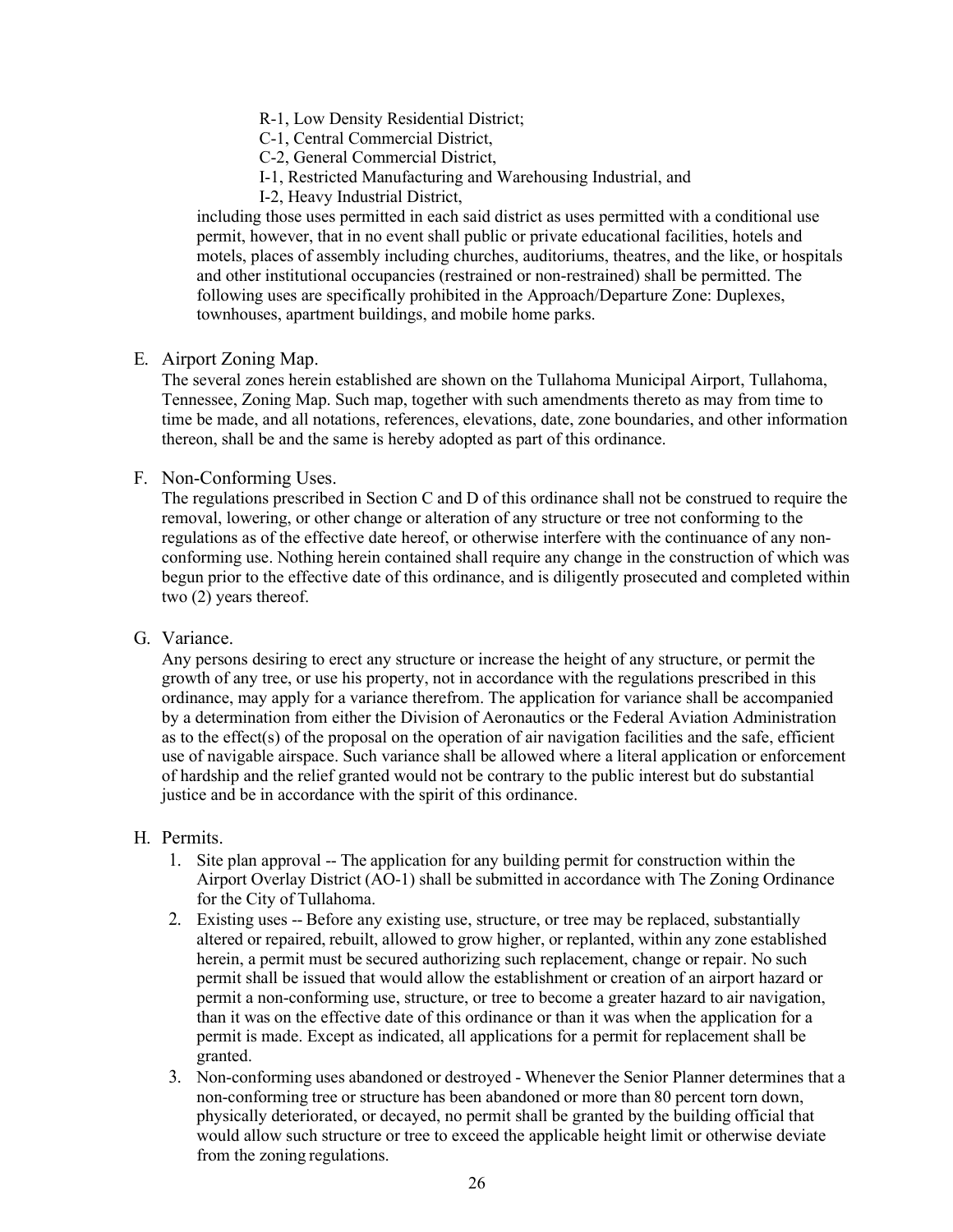R-1, Low Density Residential District;

C-1, Central Commercial District,

C-2, General Commercial District,

- I-1, Restricted Manufacturing and Warehousing Industrial, and
- I-2, Heavy Industrial District,

including those uses permitted in each said district as uses permitted with a conditional use permit, however, that in no event shall public or private educational facilities, hotels and motels, places of assembly including churches, auditoriums, theatres, and the like, or hospitals and other institutional occupancies (restrained or non-restrained) shall be permitted. The following uses are specifically prohibited in the Approach/Departure Zone: Duplexes, townhouses, apartment buildings, and mobile home parks.

E. Airport Zoning Map.

The several zones herein established are shown on the Tullahoma Municipal Airport, Tullahoma, Tennessee, Zoning Map. Such map, together with such amendments thereto as may from time to time be made, and all notations, references, elevations, date, zone boundaries, and other information thereon, shall be and the same is hereby adopted as part of this ordinance.

#### F. Non-Conforming Uses.

The regulations prescribed in Section C and D of this ordinance shall not be construed to require the removal, lowering, or other change or alteration of any structure or tree not conforming to the regulations as of the effective date hereof, or otherwise interfere with the continuance of any nonconforming use. Nothing herein contained shall require any change in the construction of which was begun prior to the effective date of this ordinance, and is diligently prosecuted and completed within two (2) years thereof.

#### G. Variance.

Any persons desiring to erect any structure or increase the height of any structure, or permit the growth of any tree, or use his property, not in accordance with the regulations prescribed in this ordinance, may apply for a variance therefrom. The application for variance shall be accompanied by a determination from either the Division of Aeronautics or the Federal Aviation Administration as to the effect(s) of the proposal on the operation of air navigation facilities and the safe, efficient use of navigable airspace. Such variance shall be allowed where a literal application or enforcement of hardship and the relief granted would not be contrary to the public interest but do substantial justice and be in accordance with the spirit of this ordinance.

#### H. Permits.

- 1. Site plan approval -- The application for any building permit for construction within the Airport Overlay District (AO-1) shall be submitted in accordance with The Zoning Ordinance for the City of Tullahoma.
- 2. Existing uses -- Before any existing use, structure, or tree may be replaced, substantially altered or repaired, rebuilt, allowed to grow higher, or replanted, within any zone established herein, a permit must be secured authorizing such replacement, change or repair. No such permit shall be issued that would allow the establishment or creation of an airport hazard or permit a non-conforming use, structure, or tree to become a greater hazard to air navigation, than it was on the effective date of this ordinance or than it was when the application for a permit is made. Except as indicated, all applications for a permit for replacement shall be granted.
- 3. Non-conforming uses abandoned or destroyed Whenever the Senior Planner determines that a non-conforming tree or structure has been abandoned or more than 80 percent torn down, physically deteriorated, or decayed, no permit shall be granted by the building official that would allow such structure or tree to exceed the applicable height limit or otherwise deviate from the zoning regulations.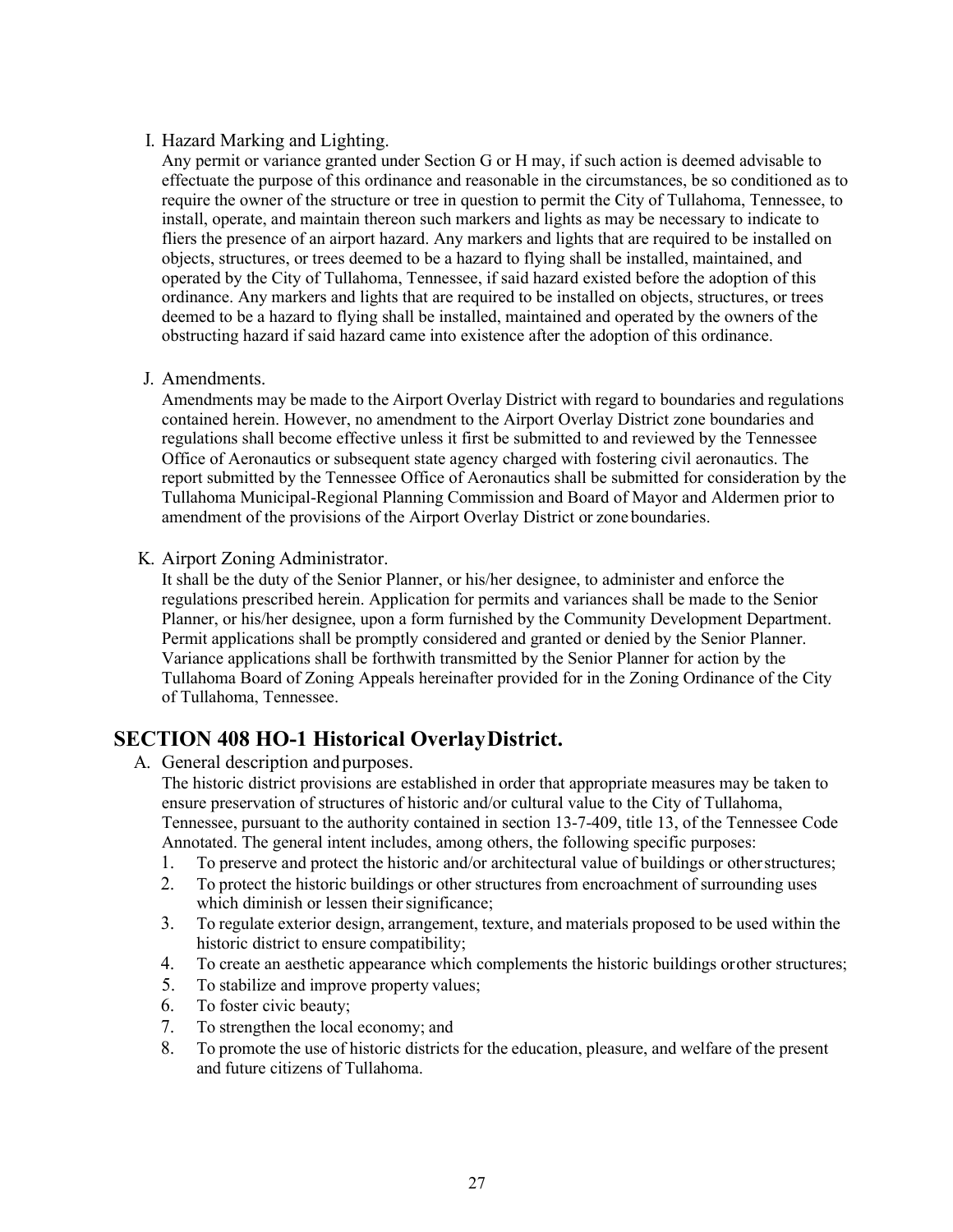#### I. Hazard Marking and Lighting.

Any permit or variance granted under Section G or H may, if such action is deemed advisable to effectuate the purpose of this ordinance and reasonable in the circumstances, be so conditioned as to require the owner of the structure or tree in question to permit the City of Tullahoma, Tennessee, to install, operate, and maintain thereon such markers and lights as may be necessary to indicate to fliers the presence of an airport hazard. Any markers and lights that are required to be installed on objects, structures, or trees deemed to be a hazard to flying shall be installed, maintained, and operated by the City of Tullahoma, Tennessee, if said hazard existed before the adoption of this ordinance. Any markers and lights that are required to be installed on objects, structures, or trees deemed to be a hazard to flying shall be installed, maintained and operated by the owners of the obstructing hazard if said hazard came into existence after the adoption of this ordinance.

#### J. Amendments.

Amendments may be made to the Airport Overlay District with regard to boundaries and regulations contained herein. However, no amendment to the Airport Overlay District zone boundaries and regulations shall become effective unless it first be submitted to and reviewed by the Tennessee Office of Aeronautics or subsequent state agency charged with fostering civil aeronautics. The report submitted by the Tennessee Office of Aeronautics shall be submitted for consideration by the Tullahoma Municipal-Regional Planning Commission and Board of Mayor and Aldermen prior to amendment of the provisions of the Airport Overlay District or zone boundaries.

#### K. Airport Zoning Administrator.

It shall be the duty of the Senior Planner, or his/her designee, to administer and enforce the regulations prescribed herein. Application for permits and variances shall be made to the Senior Planner, or his/her designee, upon a form furnished by the Community Development Department. Permit applications shall be promptly considered and granted or denied by the Senior Planner. Variance applications shall be forthwith transmitted by the Senior Planner for action by the Tullahoma Board of Zoning Appeals hereinafter provided for in the Zoning Ordinance of the City of Tullahoma, Tennessee.

## **SECTION 408 HO-1 Historical OverlayDistrict.**

A. General description and purposes.

The historic district provisions are established in order that appropriate measures may be taken to ensure preservation of structures of historic and/or cultural value to the City of Tullahoma, Tennessee, pursuant to the authority contained in section 13-7-409, title 13, of the Tennessee Code Annotated. The general intent includes, among others, the following specific purposes:

- 1. To preserve and protect the historic and/or architectural value of buildings or otherstructures;
- 2. To protect the historic buildings or other structures from encroachment of surrounding uses which diminish or lessen their significance;
- 3. To regulate exterior design, arrangement, texture, and materials proposed to be used within the historic district to ensure compatibility;
- 4. To create an aesthetic appearance which complements the historic buildings orother structures;
- 5. To stabilize and improve property values;
- 6. To foster civic beauty;
- 7. To strengthen the local economy; and
- 8. To promote the use of historic districts for the education, pleasure, and welfare of the present and future citizens of Tullahoma.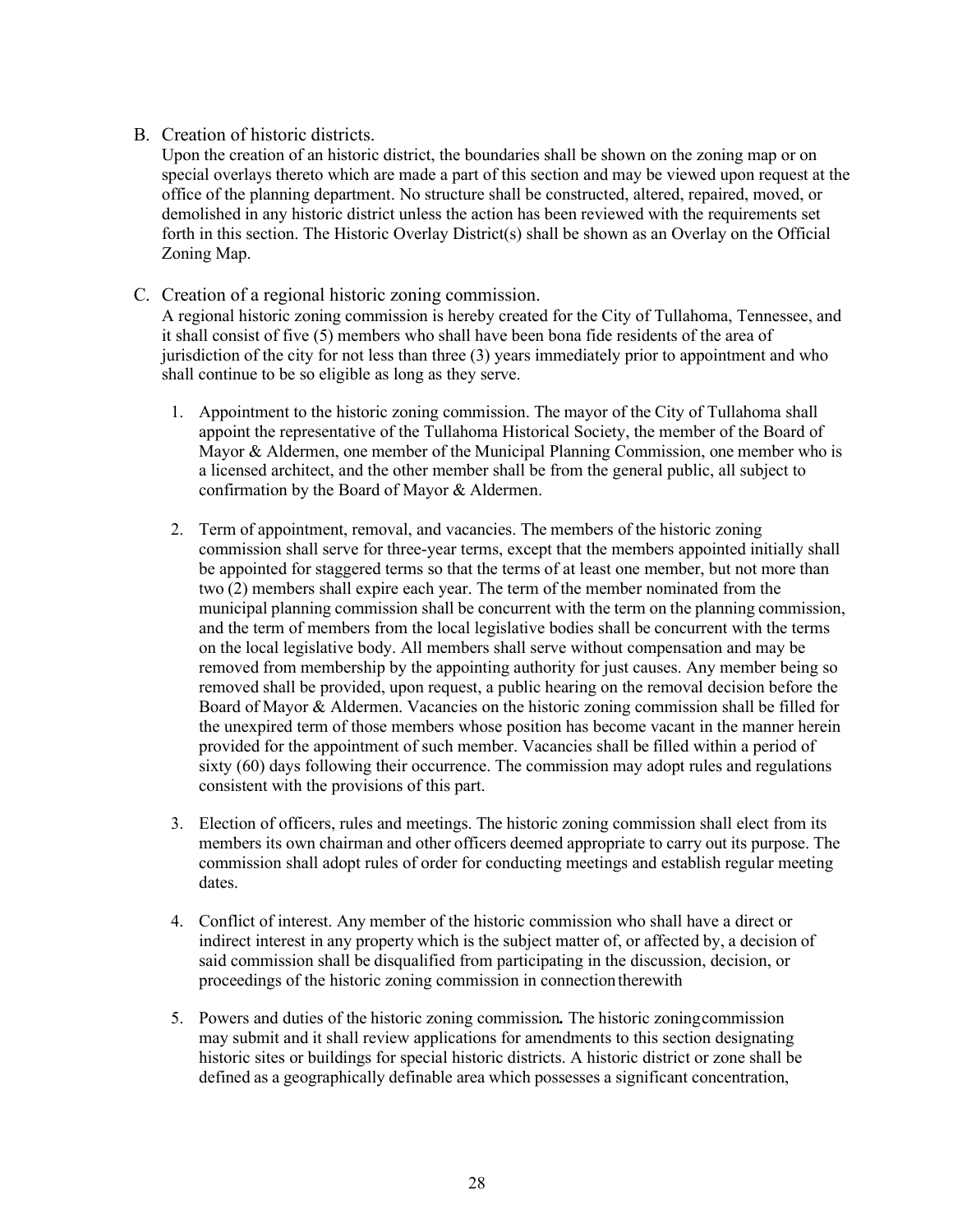#### B. Creation of historic districts.

Upon the creation of an historic district, the boundaries shall be shown on the zoning map or on special overlays thereto which are made a part of this section and may be viewed upon request at the office of the planning department. No structure shall be constructed, altered, repaired, moved, or demolished in any historic district unless the action has been reviewed with the requirements set forth in this section. The Historic Overlay District(s) shall be shown as an Overlay on the Official Zoning Map.

#### C. Creation of a regional historic zoning commission.

A regional historic zoning commission is hereby created for the City of Tullahoma, Tennessee, and it shall consist of five (5) members who shall have been bona fide residents of the area of jurisdiction of the city for not less than three (3) years immediately prior to appointment and who shall continue to be so eligible as long as they serve.

- 1. Appointment to the historic zoning commission. The mayor of the City of Tullahoma shall appoint the representative of the Tullahoma Historical Society, the member of the Board of Mayor & Aldermen, one member of the Municipal Planning Commission, one member who is a licensed architect, and the other member shall be from the general public, all subject to confirmation by the Board of Mayor & Aldermen.
- 2. Term of appointment, removal, and vacancies. The members of the historic zoning commission shall serve for three-year terms, except that the members appointed initially shall be appointed for staggered terms so that the terms of at least one member, but not more than two (2) members shall expire each year. The term of the member nominated from the municipal planning commission shall be concurrent with the term on the planning commission, and the term of members from the local legislative bodies shall be concurrent with the terms on the local legislative body. All members shall serve without compensation and may be removed from membership by the appointing authority for just causes. Any member being so removed shall be provided, upon request, a public hearing on the removal decision before the Board of Mayor & Aldermen. Vacancies on the historic zoning commission shall be filled for the unexpired term of those members whose position has become vacant in the manner herein provided for the appointment of such member. Vacancies shall be filled within a period of sixty (60) days following their occurrence. The commission may adopt rules and regulations consistent with the provisions of this part.
- 3. Election of officers, rules and meetings. The historic zoning commission shall elect from its members its own chairman and other officers deemed appropriate to carry out its purpose. The commission shall adopt rules of order for conducting meetings and establish regular meeting dates.
- 4. Conflict of interest. Any member of the historic commission who shall have a direct or indirect interest in any property which is the subject matter of, or affected by, a decision of said commission shall be disqualified from participating in the discussion, decision, or proceedings of the historic zoning commission in connectiontherewith
- 5. Powers and duties of the historic zoning commission*.* The historic zoningcommission may submit and it shall review applications for amendments to this section designating historic sites or buildings for special historic districts. A historic district or zone shall be defined as a geographically definable area which possesses a significant concentration,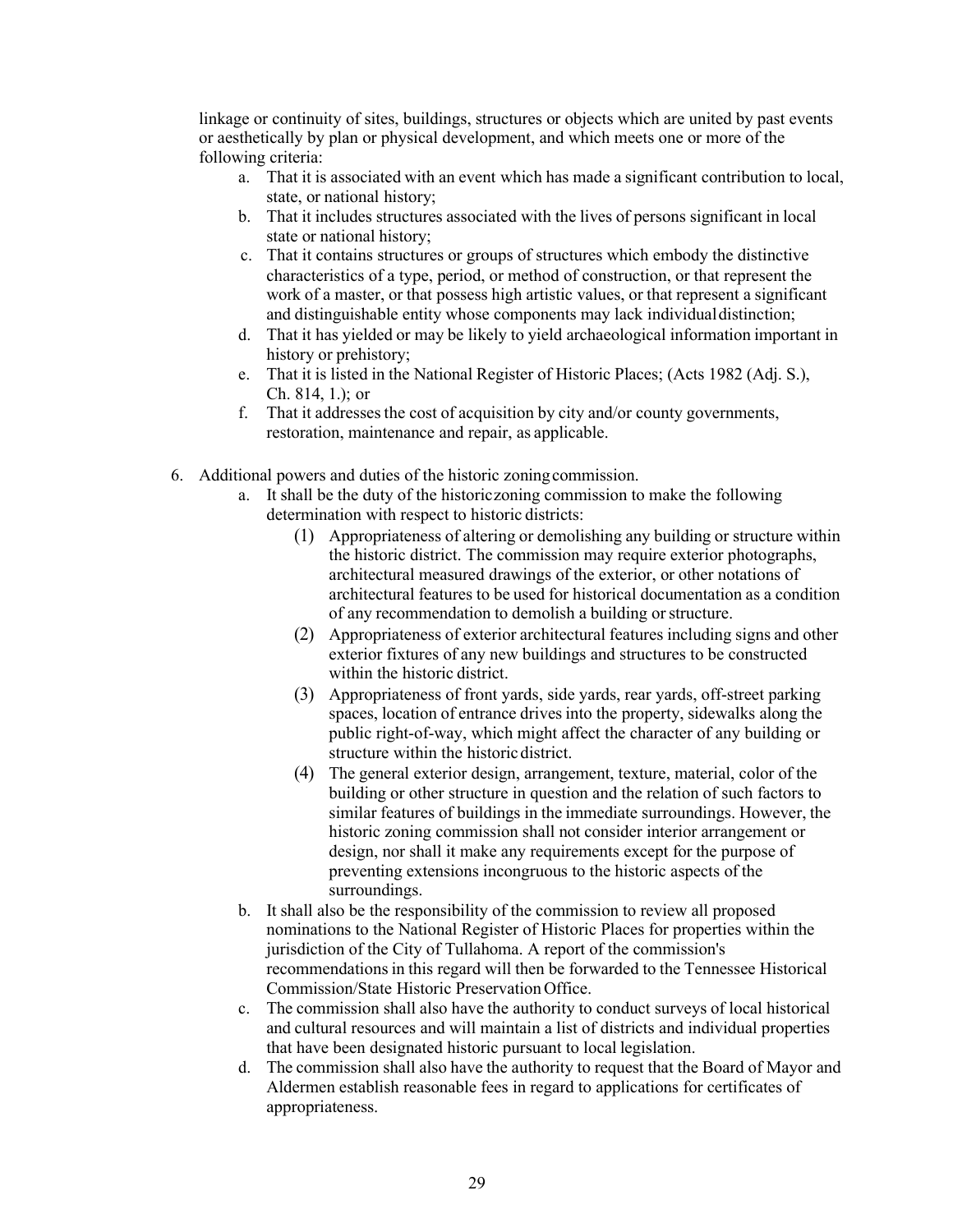linkage or continuity of sites, buildings, structures or objects which are united by past events or aesthetically by plan or physical development, and which meets one or more of the following criteria:

- a. That it is associated with an event which has made a significant contribution to local, state, or national history;
- b. That it includes structures associated with the lives of persons significant in local state or national history;
- c. That it contains structures or groups of structures which embody the distinctive characteristics of a type, period, or method of construction, or that represent the work of a master, or that possess high artistic values, or that represent a significant and distinguishable entity whose components may lack individual distinction;
- d. That it has yielded or may be likely to yield archaeological information important in history or prehistory;
- e. That it is listed in the National Register of Historic Places; (Acts 1982 (Adj. S.), Ch. 814, 1.); or
- f. That it addressesthe cost of acquisition by city and/or county governments, restoration, maintenance and repair, as applicable.
- 6. Additional powers and duties of the historic zoningcommission.
	- a. It shall be the duty of the historiczoning commission to make the following determination with respect to historic districts:
		- (1) Appropriateness of altering or demolishing any building or structure within the historic district. The commission may require exterior photographs, architectural measured drawings of the exterior, or other notations of architectural features to be used for historical documentation as a condition of any recommendation to demolish a building orstructure.
		- (2) Appropriateness of exterior architectural features including signs and other exterior fixtures of any new buildings and structures to be constructed within the historic district.
		- (3) Appropriateness of front yards, side yards, rear yards, off-street parking spaces, location of entrance drives into the property, sidewalks along the public right-of-way, which might affect the character of any building or structure within the historic district.
		- (4) The general exterior design, arrangement, texture, material, color of the building or other structure in question and the relation of such factors to similar features of buildings in the immediate surroundings. However, the historic zoning commission shall not consider interior arrangement or design, nor shall it make any requirements except for the purpose of preventing extensions incongruous to the historic aspects of the surroundings.
	- b. It shall also be the responsibility of the commission to review all proposed nominations to the National Register of Historic Places for properties within the jurisdiction of the City of Tullahoma. A report of the commission's recommendations in this regard will then be forwarded to the Tennessee Historical Commission/State Historic PreservationOffice.
	- c. The commission shall also have the authority to conduct surveys of local historical and cultural resources and will maintain a list of districts and individual properties that have been designated historic pursuant to local legislation.
	- d. The commission shall also have the authority to request that the Board of Mayor and Aldermen establish reasonable fees in regard to applications for certificates of appropriateness.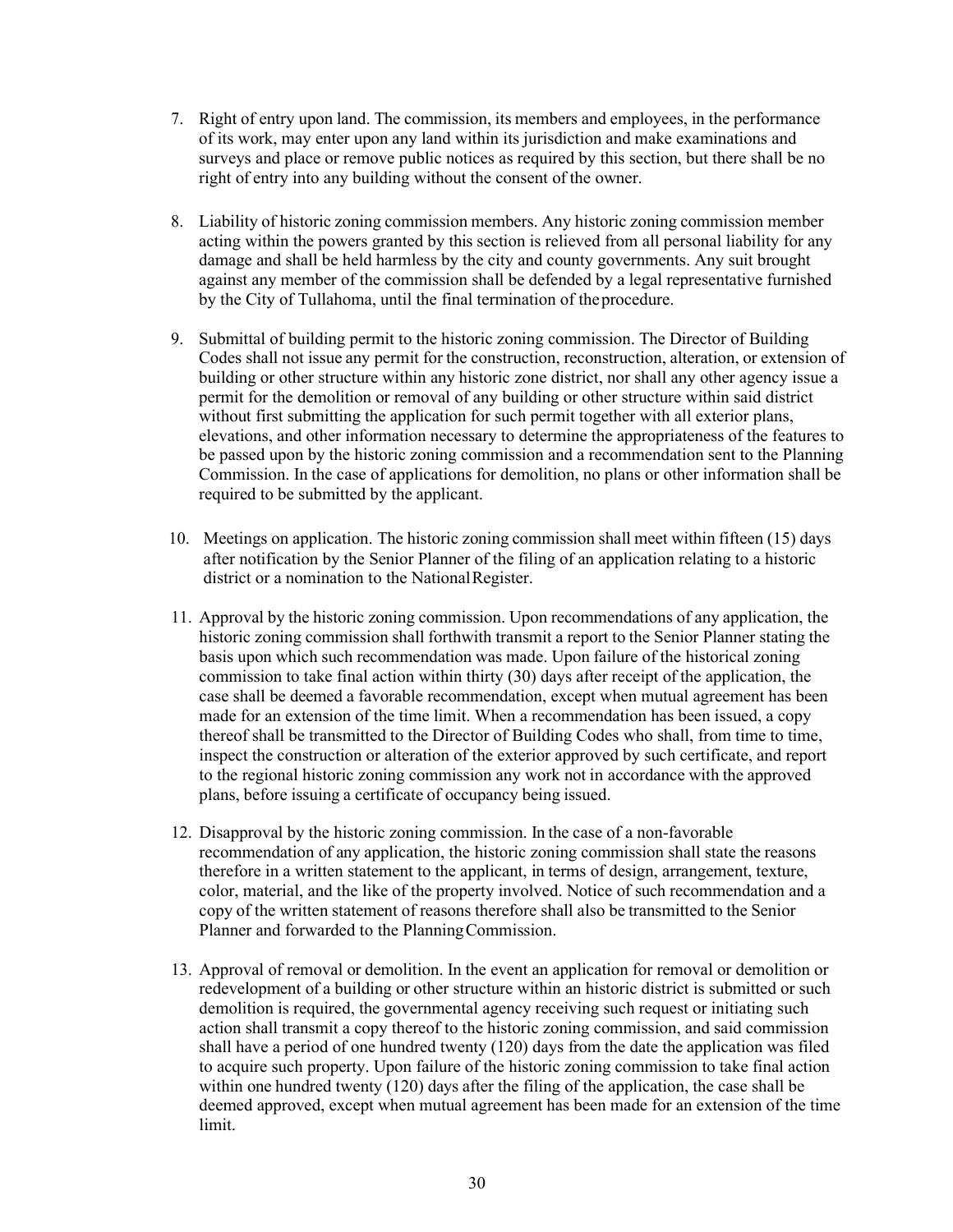- 7. Right of entry upon land. The commission, its members and employees, in the performance of its work, may enter upon any land within its jurisdiction and make examinations and surveys and place or remove public notices as required by this section, but there shall be no right of entry into any building without the consent of the owner.
- 8. Liability of historic zoning commission members. Any historic zoning commission member acting within the powers granted by this section is relieved from all personal liability for any damage and shall be held harmless by the city and county governments. Any suit brought against any member of the commission shall be defended by a legal representative furnished by the City of Tullahoma, until the final termination of theprocedure.
- 9. Submittal of building permit to the historic zoning commission. The Director of Building Codes shall not issue any permit for the construction, reconstruction, alteration, or extension of building or other structure within any historic zone district, nor shall any other agency issue a permit for the demolition or removal of any building or other structure within said district without first submitting the application for such permit together with all exterior plans, elevations, and other information necessary to determine the appropriateness of the features to be passed upon by the historic zoning commission and a recommendation sent to the Planning Commission. In the case of applications for demolition, no plans or other information shall be required to be submitted by the applicant.
- 10. Meetings on application. The historic zoning commission shall meet within fifteen (15) days after notification by the Senior Planner of the filing of an application relating to a historic district or a nomination to the NationalRegister.
- 11. Approval by the historic zoning commission. Upon recommendations of any application, the historic zoning commission shall forthwith transmit a report to the Senior Planner stating the basis upon which such recommendation was made. Upon failure of the historical zoning commission to take final action within thirty (30) days after receipt of the application, the case shall be deemed a favorable recommendation, except when mutual agreement has been made for an extension of the time limit. When a recommendation has been issued, a copy thereof shall be transmitted to the Director of Building Codes who shall, from time to time, inspect the construction or alteration of the exterior approved by such certificate, and report to the regional historic zoning commission any work not in accordance with the approved plans, before issuing a certificate of occupancy being issued.
- 12. Disapproval by the historic zoning commission. In the case of a non-favorable recommendation of any application, the historic zoning commission shall state the reasons therefore in a written statement to the applicant, in terms of design, arrangement, texture, color, material, and the like of the property involved. Notice of such recommendation and a copy of the written statement of reasons therefore shall also be transmitted to the Senior Planner and forwarded to the Planning Commission.
- 13. Approval of removal or demolition. In the event an application for removal or demolition or redevelopment of a building or other structure within an historic district is submitted or such demolition is required, the governmental agency receiving such request or initiating such action shall transmit a copy thereof to the historic zoning commission, and said commission shall have a period of one hundred twenty (120) days from the date the application was filed to acquire such property. Upon failure of the historic zoning commission to take final action within one hundred twenty (120) days after the filing of the application, the case shall be deemed approved, except when mutual agreement has been made for an extension of the time limit.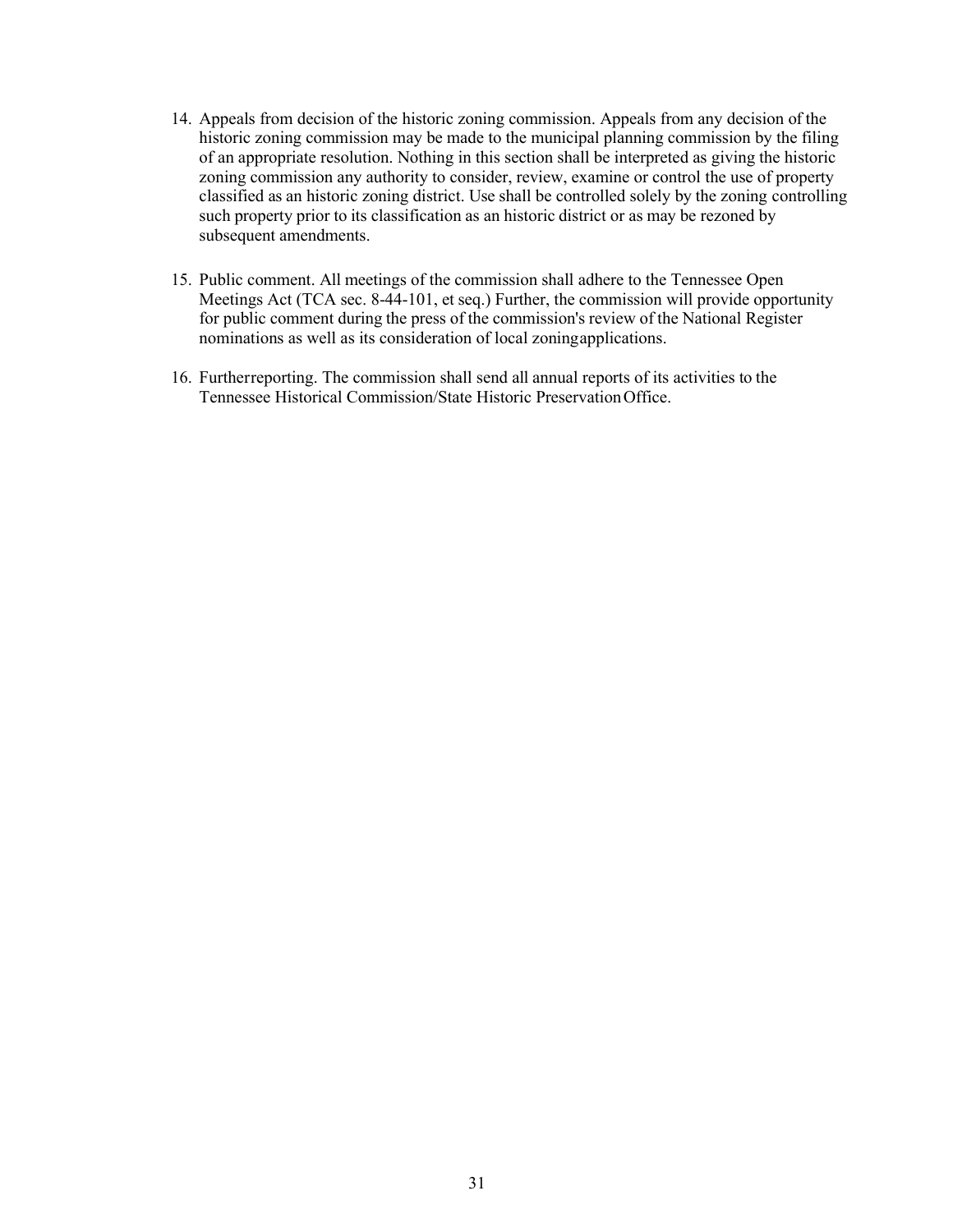- 14. Appeals from decision of the historic zoning commission. Appeals from any decision of the historic zoning commission may be made to the municipal planning commission by the filing of an appropriate resolution. Nothing in this section shall be interpreted as giving the historic zoning commission any authority to consider, review, examine or control the use of property classified as an historic zoning district. Use shall be controlled solely by the zoning controlling such property prior to its classification as an historic district or as may be rezoned by subsequent amendments.
- 15. Public comment. All meetings of the commission shall adhere to the Tennessee Open Meetings Act (TCA sec. 8-44-101, et seq.) Further, the commission will provide opportunity for public comment during the press of the commission's review of the National Register nominations as well as its consideration of local zoningapplications.
- 16. Furtherreporting. The commission shall send all annual reports of its activities to the Tennessee Historical Commission/State Historic PreservationOffice.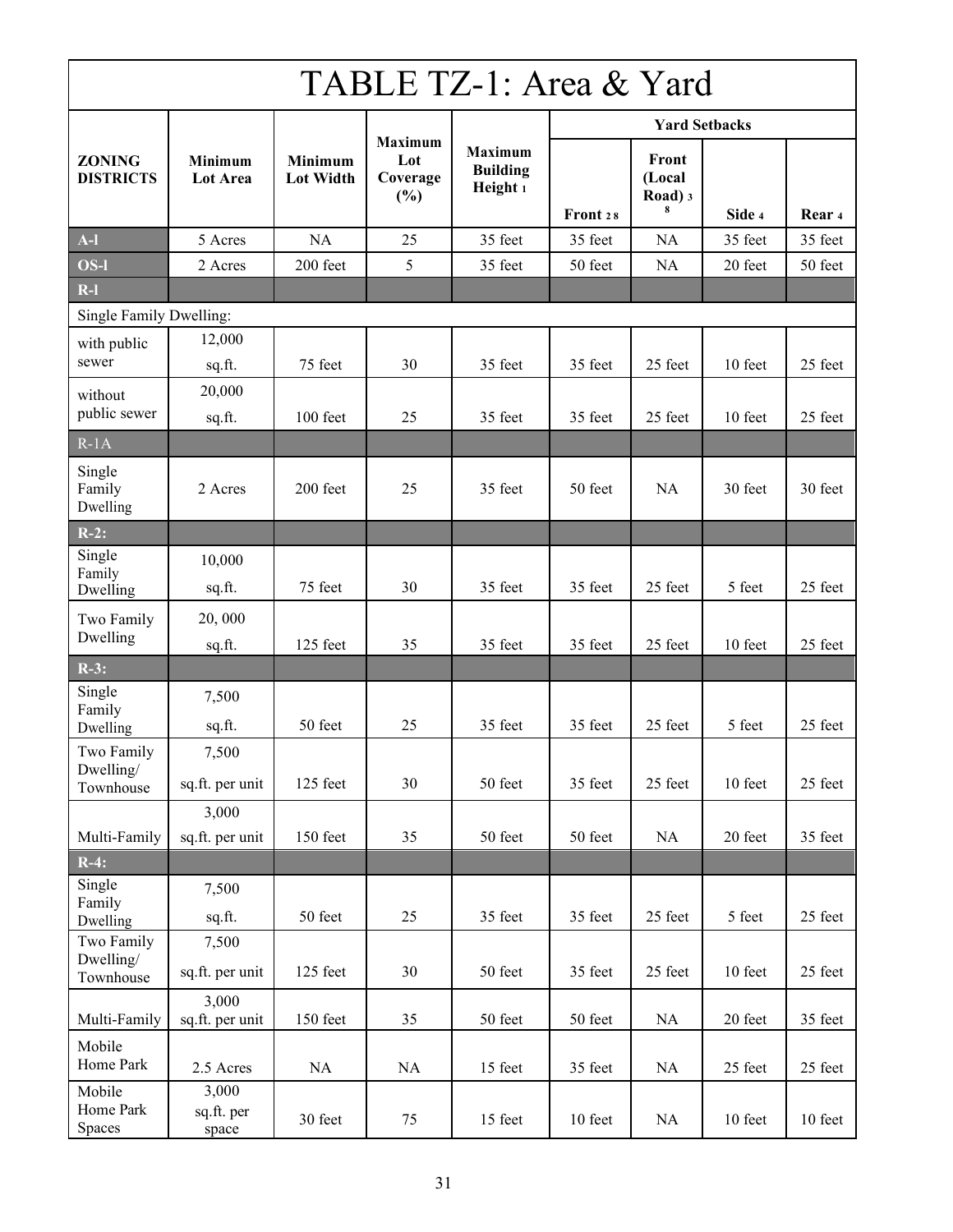## TABLE TZ-1: Area & Yard

|                                   |                              |                             |                                          |                                               |          | <b>Yard Setbacks</b>            |         |         |
|-----------------------------------|------------------------------|-----------------------------|------------------------------------------|-----------------------------------------------|----------|---------------------------------|---------|---------|
| <b>ZONING</b><br><b>DISTRICTS</b> | Minimum<br><b>Lot Area</b>   | Minimum<br><b>Lot Width</b> | <b>Maximum</b><br>Lot<br>Coverage<br>(%) | <b>Maximum</b><br><b>Building</b><br>Height 1 | Front 28 | Front<br>(Local<br>Road) 3<br>8 | Side 4  | Rear 4  |
| $A-I$                             | 5 Acres                      | <b>NA</b>                   | 25                                       | 35 feet                                       | 35 feet  | <b>NA</b>                       | 35 feet | 35 feet |
| OS-l                              | 2 Acres                      | 200 feet                    | 5                                        | 35 feet                                       | 50 feet  | <b>NA</b>                       | 20 feet | 50 feet |
| $R-I$                             |                              |                             |                                          |                                               |          |                                 |         |         |
| Single Family Dwelling:           |                              |                             |                                          |                                               |          |                                 |         |         |
| with public<br>sewer              | 12,000<br>sq.ft.             | 75 feet                     | 30                                       | 35 feet                                       | 35 feet  | 25 feet                         | 10 feet | 25 feet |
| without<br>public sewer           | 20,000<br>sq.ft.             | 100 feet                    | 25                                       | 35 feet                                       | 35 feet  | 25 feet                         | 10 feet | 25 feet |
| $R-1A$                            |                              |                             |                                          |                                               |          |                                 |         |         |
| Single<br>Family<br>Dwelling      | 2 Acres                      | 200 feet                    | 25                                       | 35 feet                                       | 50 feet  | <b>NA</b>                       | 30 feet | 30 feet |
| $R-2$ :                           |                              |                             |                                          |                                               |          |                                 |         |         |
| Single<br>Family<br>Dwelling      | 10,000<br>sq.ft.             | 75 feet                     | 30                                       | 35 feet                                       | 35 feet  | 25 feet                         | 5 feet  | 25 feet |
| Two Family                        | 20,000                       |                             |                                          |                                               |          |                                 |         |         |
| Dwelling                          | sq.ft.                       | 125 feet                    | 35                                       | 35 feet                                       | 35 feet  | 25 feet                         | 10 feet | 25 feet |
| $R-3$ :                           |                              |                             |                                          |                                               |          |                                 |         |         |
| Single<br>Family<br>Dwelling      | 7,500<br>sq.ft.              | 50 feet                     | 25                                       | 35 feet                                       | 35 feet  | 25 feet                         | 5 feet  | 25 feet |
| Two Family                        | 7,500                        |                             |                                          |                                               |          |                                 |         |         |
| Dwelling/<br>Townhouse            | sq.ft. per unit              | 125 feet                    | 30                                       | 50 feet                                       | 35 feet  | 25 feet                         | 10 feet | 25 feet |
|                                   | 3,000                        |                             |                                          |                                               |          |                                 |         |         |
| Multi-Family                      | sq.ft. per unit              | 150 feet                    | 35                                       | 50 feet                                       | 50 feet  | NA                              | 20 feet | 35 feet |
| $R-4$ :                           |                              |                             |                                          |                                               |          |                                 |         |         |
| Single<br>Family<br>Dwelling      | 7,500<br>sq.ft.              | 50 feet                     | 25                                       | 35 feet                                       | 35 feet  | 25 feet                         | 5 feet  | 25 feet |
| Two Family<br>Dwelling/           | 7,500<br>sq.ft. per unit     | 125 feet                    | 30                                       | 50 feet                                       | 35 feet  | 25 feet                         | 10 feet | 25 feet |
| Townhouse                         |                              |                             |                                          |                                               |          |                                 |         |         |
| Multi-Family                      | 3,000<br>sq.ft. per unit     | 150 feet                    | 35                                       | 50 feet                                       | 50 feet  | NA                              | 20 feet | 35 feet |
| Mobile<br>Home Park               | 2.5 Acres                    | NA                          | NA                                       | 15 feet                                       | 35 feet  | NA                              | 25 feet | 25 feet |
| Mobile<br>Home Park<br>Spaces     | 3,000<br>sq.ft. per<br>space | 30 feet                     | 75                                       | 15 feet                                       | 10 feet  | NA                              | 10 feet | 10 feet |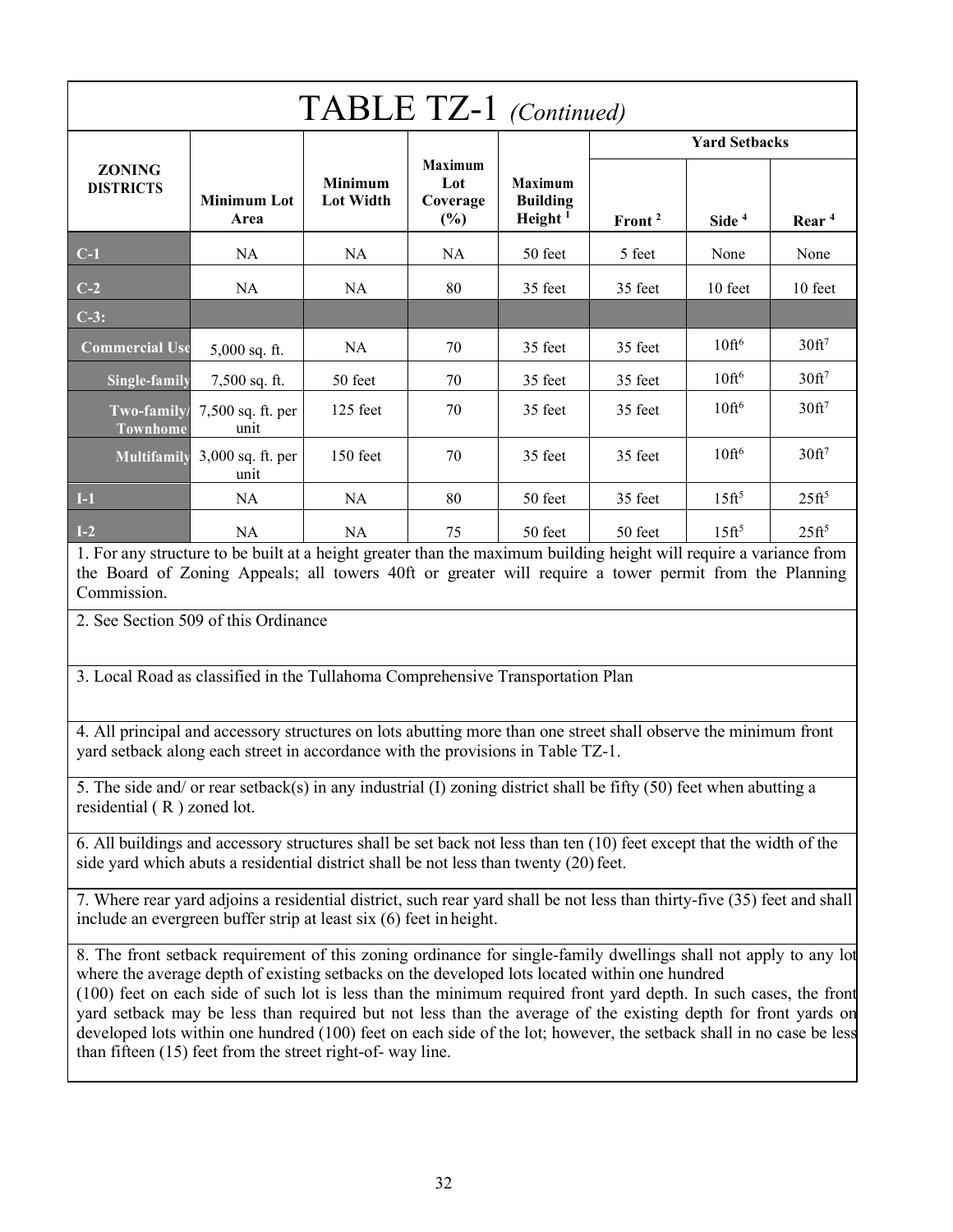| TABLE TZ-1 (Continued)            |                            |                                    |                                             |                                                 |                      |                      |                   |  |
|-----------------------------------|----------------------------|------------------------------------|---------------------------------------------|-------------------------------------------------|----------------------|----------------------|-------------------|--|
|                                   |                            | <b>Minimum</b><br><b>Lot Width</b> | <b>Maximum</b><br>Lot<br>Coverage<br>$(\%)$ | <b>Maximum</b><br><b>Building</b><br>Height $1$ | <b>Yard Setbacks</b> |                      |                   |  |
| <b>ZONING</b><br><b>DISTRICTS</b> | <b>Minimum Lot</b><br>Area |                                    |                                             |                                                 | Front <sup>2</sup>   | Side <sup>4</sup>    | Rear <sup>4</sup> |  |
| $C-1$                             | NA                         | NA                                 | <b>NA</b>                                   | 50 feet                                         | 5 feet               | None                 | None              |  |
| $C-2$                             | <b>NA</b>                  | NA.                                | 80                                          | 35 feet                                         | 35 feet              | 10 feet              | 10 feet           |  |
| $C-3$ :                           |                            |                                    |                                             |                                                 |                      |                      |                   |  |
| <b>Commercial Use</b>             | 5,000 sq. ft.              | <b>NA</b>                          | 70                                          | 35 feet                                         | 35 feet              | 10 <sup>ft6</sup>    | 30 <sup>ft</sup>  |  |
| Single-family                     | $7,500$ sq. ft.            | 50 feet                            | 70                                          | 35 feet                                         | 35 feet              | $10$ ft <sup>6</sup> | 30ft <sup>7</sup> |  |
| Two-family/<br><b>Townhome</b>    | 7,500 sq. ft. per<br>unit  | $125$ feet                         | 70                                          | 35 feet                                         | 35 feet              | 10 <sup>ft6</sup>    | 30 <sup>ft</sup>  |  |
| <b>Multifamily</b>                | 3,000 sq. ft. per<br>unit  | 150 feet                           | 70                                          | 35 feet                                         | 35 feet              | 10 <sup>ft6</sup>    | 30ft <sup>7</sup> |  |
| $\vert$ I-1                       | <b>NA</b>                  | <b>NA</b>                          | 80                                          | 50 feet                                         | 35 feet              | $15 \text{ft}^5$     | $25 \text{ft}^5$  |  |
| $\blacksquare$                    | <b>NA</b>                  | <b>NA</b>                          | 75                                          | 50 feet                                         | 50 feet              | $15 \text{ft}^5$     | $25 \text{ft}^5$  |  |

1. For any structure to be built at a height greater than the maximum building height will require a variance from the Board of Zoning Appeals; all towers 40ft or greater will require a tower permit from the Planning Commission.

2. See Section 509 of this Ordinance

3. Local Road as classified in the Tullahoma Comprehensive Transportation Plan

4. All principal and accessory structures on lots abutting more than one street shall observe the minimum front yard setback along each street in accordance with the provisions in Table TZ-1.

5. The side and/ or rear setback(s) in any industrial (I) zoning district shall be fifty (50) feet when abutting a residential ( R ) zoned lot.

6. All buildings and accessory structures shall be set back not less than ten (10) feet except that the width of the side yard which abuts a residential district shall be not less than twenty (20) feet.

7. Where rear yard adjoins a residential district, such rear yard shall be not less than thirty-five (35) feet and shall include an evergreen buffer strip at least six (6) feet in height.

8. The front setback requirement of this zoning ordinance for single-family dwellings shall not apply to any lot where the average depth of existing setbacks on the developed lots located within one hundred (100) feet on each side of such lot is less than the minimum required front yard depth. In such cases, the front yard setback may be less than required but not less than the average of the existing depth for front yards on developed lots within one hundred (100) feet on each side of the lot; however, the setback shall in no case be less than fifteen (15) feet from the street right-of- way line.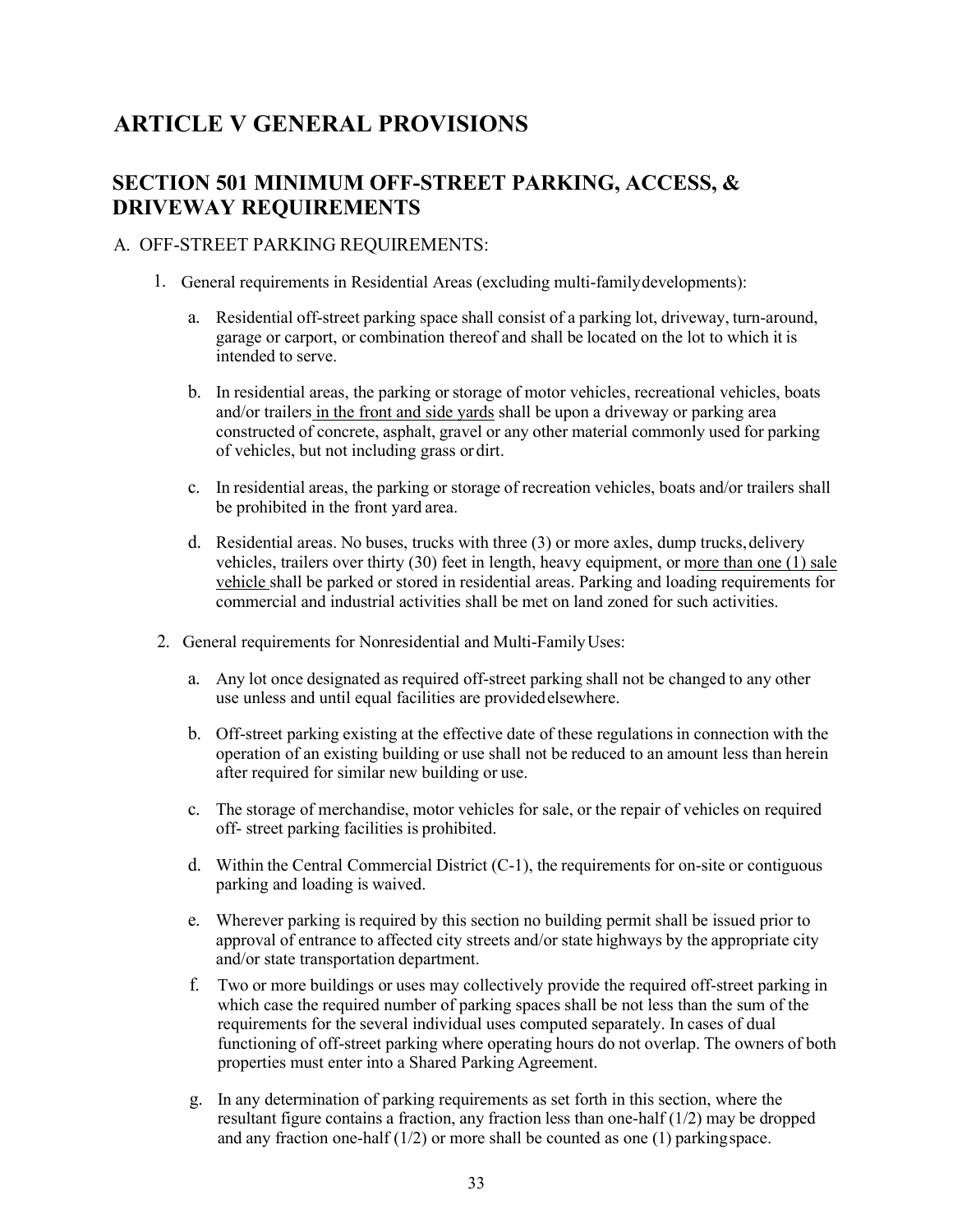## **ARTICLE V GENERAL PROVISIONS**

#### **SECTION 501 MINIMUM OFF-STREET PARKING, ACCESS, & DRIVEWAY REQUIREMENTS**

#### A. OFF-STREET PARKING REQUIREMENTS:

- 1. General requirements in Residential Areas (excluding multi-familydevelopments):
	- a. Residential off-street parking space shall consist of a parking lot, driveway, turn-around, garage or carport, or combination thereof and shall be located on the lot to which it is intended to serve.
	- b. In residential areas, the parking or storage of motor vehicles, recreational vehicles, boats and/or trailers in the front and side yards shall be upon a driveway or parking area constructed of concrete, asphalt, gravel or any other material commonly used for parking of vehicles, but not including grass or dirt.
	- c. In residential areas, the parking or storage of recreation vehicles, boats and/or trailers shall be prohibited in the front yard area.
	- d. Residential areas. No buses, trucks with three (3) or more axles, dump trucks, delivery vehicles, trailers over thirty (30) feet in length, heavy equipment, or more than one (1) sale vehicle shall be parked or stored in residential areas. Parking and loading requirements for commercial and industrial activities shall be met on land zoned for such activities.
- 2. General requirements for Nonresidential and Multi-Family Uses:
	- a. Any lot once designated as required off-street parking shall not be changed to any other use unless and until equal facilities are providedelsewhere.
	- b. Off-street parking existing at the effective date of these regulations in connection with the operation of an existing building or use shall not be reduced to an amount less than herein after required for similar new building or use.
	- c. The storage of merchandise, motor vehicles for sale, or the repair of vehicles on required off- street parking facilities is prohibited.
	- d. Within the Central Commercial District (C-1), the requirements for on-site or contiguous parking and loading is waived.
	- e. Wherever parking is required by this section no building permit shall be issued prior to approval of entrance to affected city streets and/or state highways by the appropriate city and/or state transportation department.
	- f. Two or more buildings or uses may collectively provide the required off-street parking in which case the required number of parking spaces shall be not less than the sum of the requirements for the several individual uses computed separately. In cases of dual functioning of off-street parking where operating hours do not overlap. The owners of both properties must enter into a Shared Parking Agreement.
	- g. In any determination of parking requirements as set forth in this section, where the resultant figure contains a fraction, any fraction less than one-half  $(1/2)$  may be dropped and any fraction one-half (1/2) or more shall be counted as one (1) parkingspace.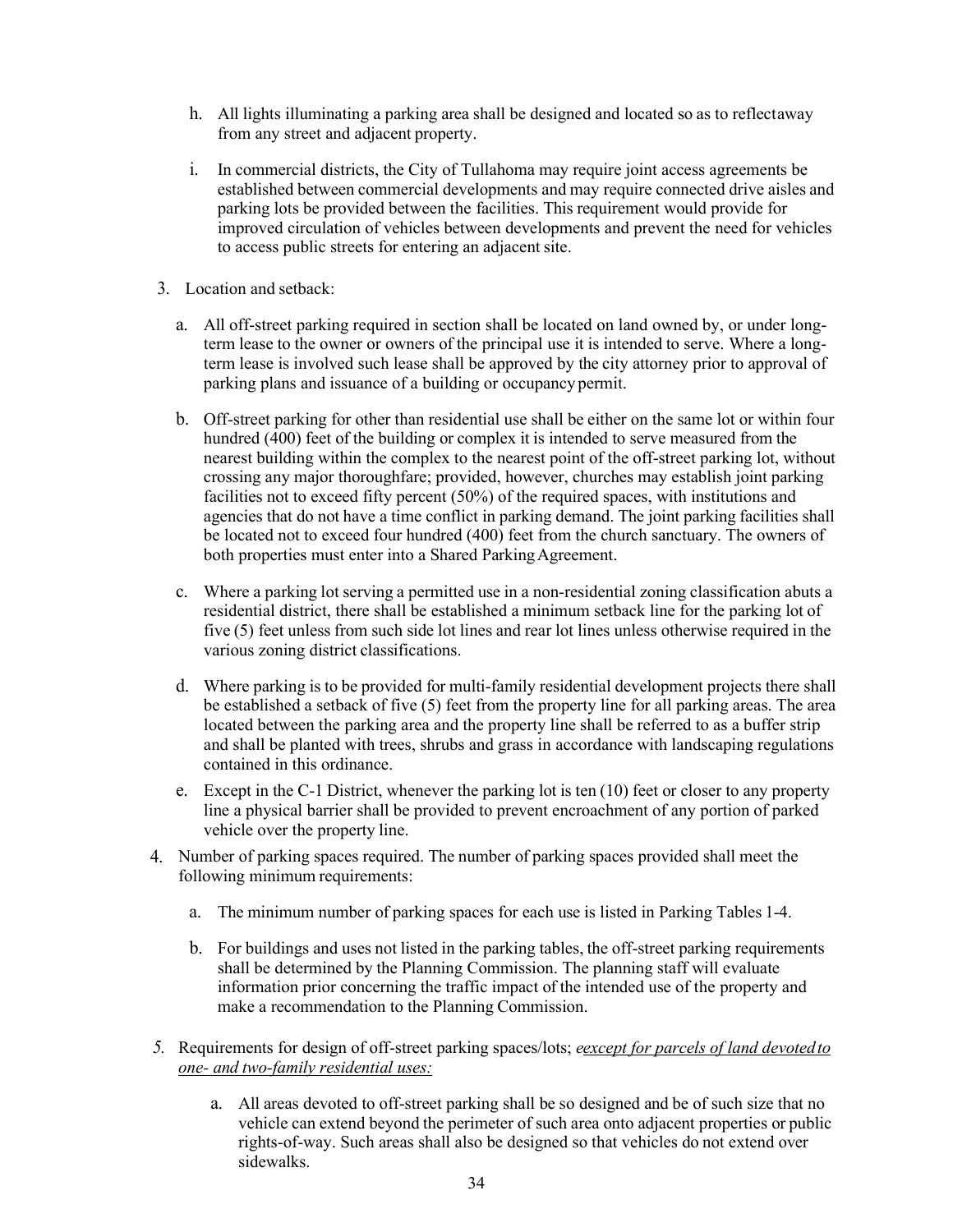- h. All lights illuminating a parking area shall be designed and located so as to reflectaway from any street and adjacent property.
- i. In commercial districts, the City of Tullahoma may require joint access agreements be established between commercial developments and may require connected drive aisles and parking lots be provided between the facilities. This requirement would provide for improved circulation of vehicles between developments and prevent the need for vehicles to access public streets for entering an adjacent site.
- 3. Location and setback:
	- a. All off-street parking required in section shall be located on land owned by, or under longterm lease to the owner or owners of the principal use it is intended to serve. Where a longterm lease is involved such lease shall be approved by the city attorney prior to approval of parking plans and issuance of a building or occupancy permit.
	- b. Off-street parking for other than residential use shall be either on the same lot or within four hundred (400) feet of the building or complex it is intended to serve measured from the nearest building within the complex to the nearest point of the off-street parking lot, without crossing any major thoroughfare; provided, however, churches may establish joint parking facilities not to exceed fifty percent (50%) of the required spaces, with institutions and agencies that do not have a time conflict in parking demand. The joint parking facilities shall be located not to exceed four hundred (400) feet from the church sanctuary. The owners of both properties must enter into a Shared Parking Agreement.
	- c. Where a parking lot serving a permitted use in a non-residential zoning classification abuts a residential district, there shall be established a minimum setback line for the parking lot of five (5) feet unless from such side lot lines and rear lot lines unless otherwise required in the various zoning district classifications.
	- d. Where parking is to be provided for multi-family residential development projects there shall be established a setback of five (5) feet from the property line for all parking areas. The area located between the parking area and the property line shall be referred to as a buffer strip and shall be planted with trees, shrubs and grass in accordance with landscaping regulations contained in this ordinance.
	- e. Except in the C-1 District, whenever the parking lot is ten (10) feet or closer to any property line a physical barrier shall be provided to prevent encroachment of any portion of parked vehicle over the property line.
- 4. Number of parking spaces required. The number of parking spaces provided shall meet the following minimum requirements:
	- a. The minimum number of parking spaces for each use is listed in Parking Tables 1-4.
	- b. For buildings and uses not listed in the parking tables, the off-street parking requirements shall be determined by the Planning Commission. The planning staff will evaluate information prior concerning the traffic impact of the intended use of the property and make a recommendation to the Planning Commission.
- *5.* Requirements for design of off-street parking spaces/lots; *eexcept for parcels of land devotedto one- and two-family residential uses:*
	- a. All areas devoted to off-street parking shall be so designed and be of such size that no vehicle can extend beyond the perimeter of such area onto adjacent properties or public rights-of-way. Such areas shall also be designed so that vehicles do not extend over sidewalks.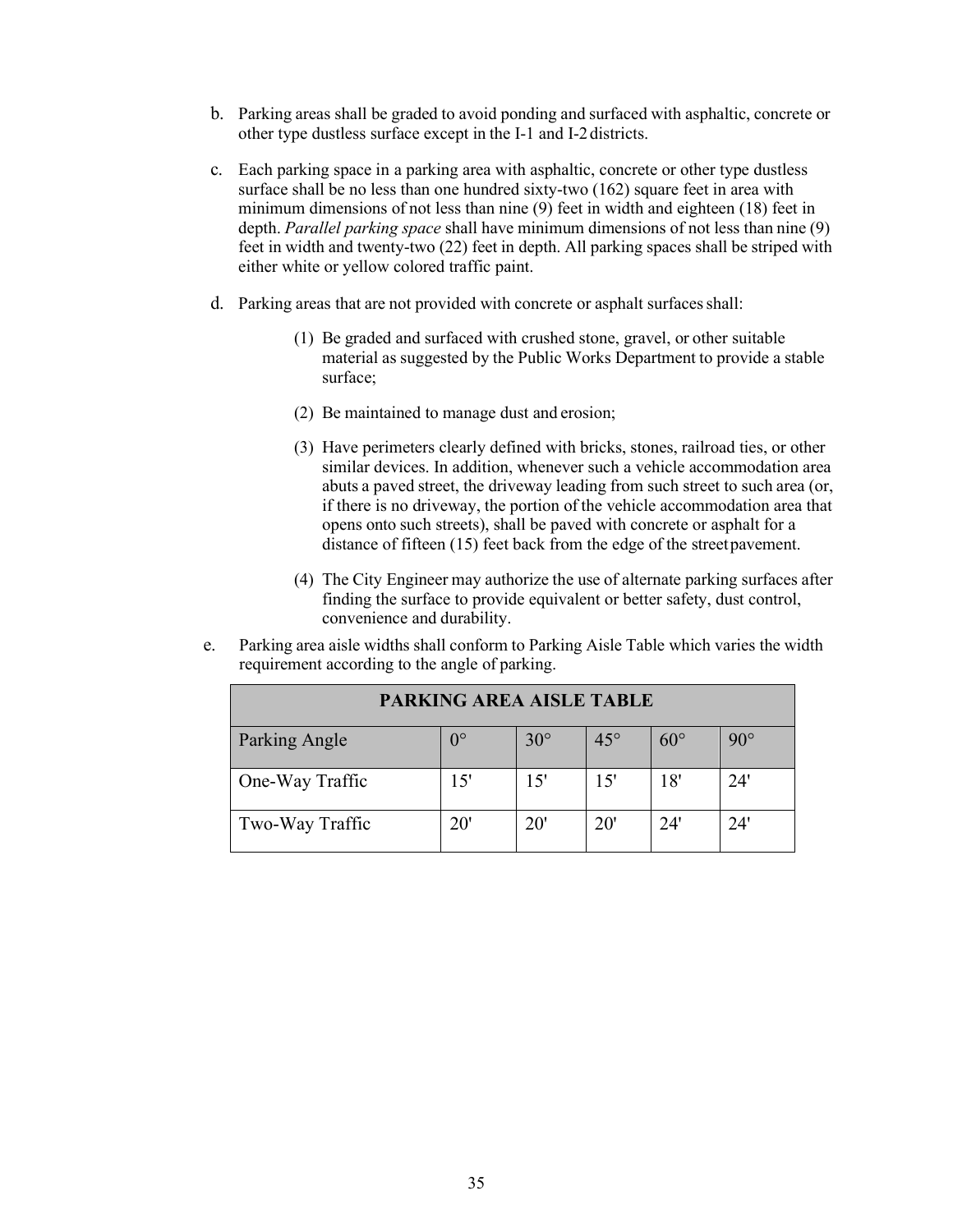- b. Parking areas shall be graded to avoid ponding and surfaced with asphaltic, concrete or other type dustless surface except in the I-1 and I-2districts.
- c. Each parking space in a parking area with asphaltic, concrete or other type dustless surface shall be no less than one hundred sixty-two (162) square feet in area with minimum dimensions of not less than nine (9) feet in width and eighteen (18) feet in depth. *Parallel parking space* shall have minimum dimensions of not less than nine (9) feet in width and twenty-two (22) feet in depth. All parking spaces shall be striped with either white or yellow colored traffic paint.
- d. Parking areas that are not provided with concrete or asphalt surfaces shall:
	- (1) Be graded and surfaced with crushed stone, gravel, or other suitable material as suggested by the Public Works Department to provide a stable surface;
	- (2) Be maintained to manage dust and erosion;
	- (3) Have perimeters clearly defined with bricks, stones, railroad ties, or other similar devices. In addition, whenever such a vehicle accommodation area abuts a paved street, the driveway leading from such street to such area (or, if there is no driveway, the portion of the vehicle accommodation area that opens onto such streets), shall be paved with concrete or asphalt for a distance of fifteen (15) feet back from the edge of the street pavement.
	- (4) The City Engineer may authorize the use of alternate parking surfaces after finding the surface to provide equivalent or better safety, dust control, convenience and durability.
- e. Parking area aisle widths shall conform to Parking Aisle Table which varies the width requirement according to the angle of parking.

| <b>PARKING AREA AISLE TABLE</b> |              |            |            |            |            |  |
|---------------------------------|--------------|------------|------------|------------|------------|--|
| Parking Angle                   | $0^{\circ}$  | $30^\circ$ | $45^\circ$ | $60^\circ$ | $90^\circ$ |  |
| One-Way Traffic                 | 15'          | 15'        | 15'        | 18'        | 24'        |  |
| Two-Way Traffic                 | $20^{\circ}$ | 20'        | 20'        | 24'        | 24'        |  |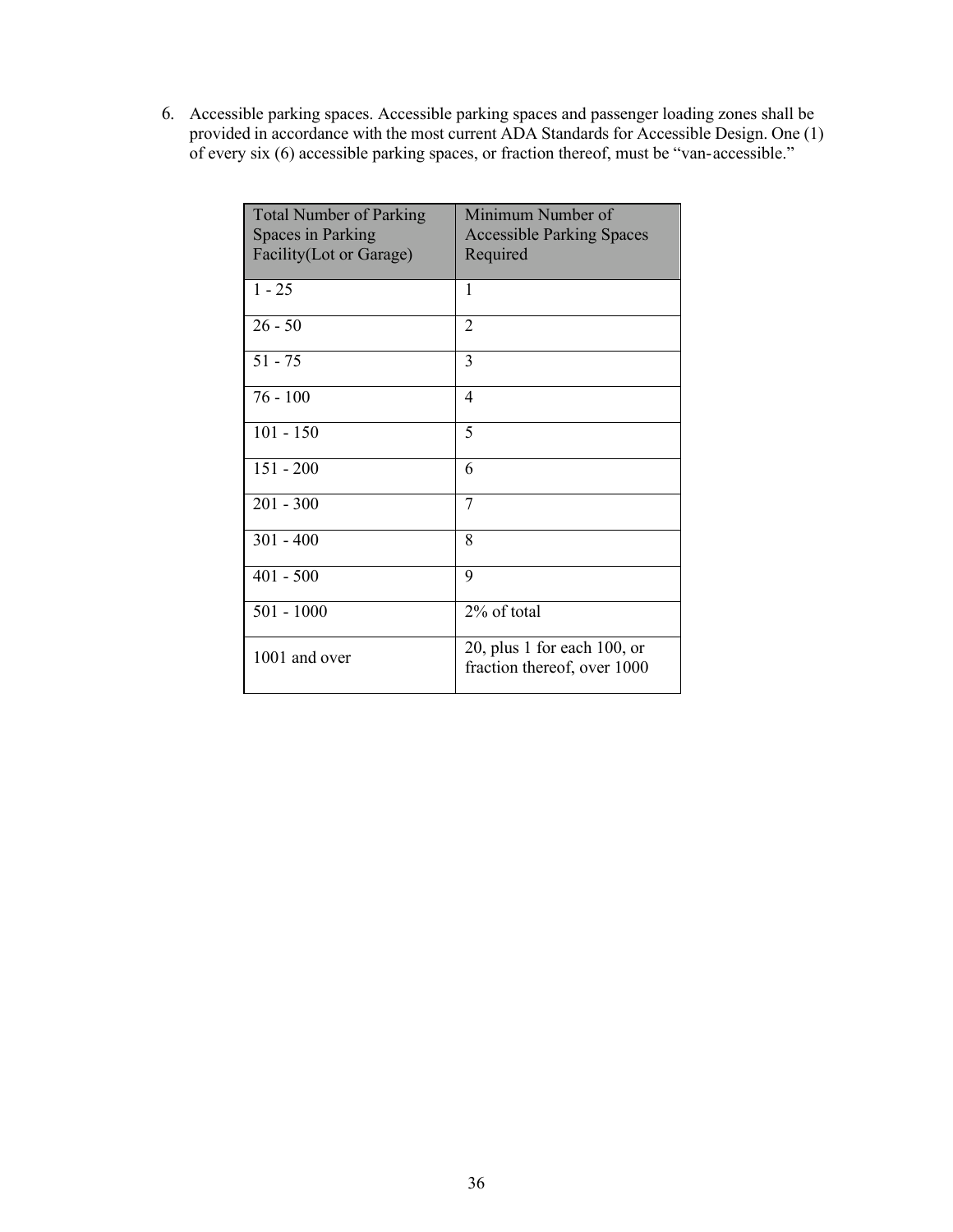6. Accessible parking spaces. Accessible parking spaces and passenger loading zones shall be provided in accordance with the most current ADA Standards for Accessible Design. One (1) of every six (6) accessible parking spaces, or fraction thereof, must be "van-accessible."

| <b>Total Number of Parking</b><br>Spaces in Parking | Minimum Number of<br><b>Accessible Parking Spaces</b>         |
|-----------------------------------------------------|---------------------------------------------------------------|
| Facility(Lot or Garage)                             | Required                                                      |
| $1 - 25$                                            | 1                                                             |
| $26 - 50$                                           | $\overline{2}$                                                |
| $51 - 75$                                           | 3                                                             |
| $76 - 100$                                          | 4                                                             |
| $101 - 150$                                         | 5                                                             |
| $151 - 200$                                         | 6                                                             |
| $201 - 300$                                         | 7                                                             |
| $301 - 400$                                         | 8                                                             |
| $401 - 500$                                         | 9                                                             |
| $501 - 1000$                                        | 2% of total                                                   |
| 1001 and over                                       | 20, plus 1 for each $100$ , or<br>fraction thereof, over 1000 |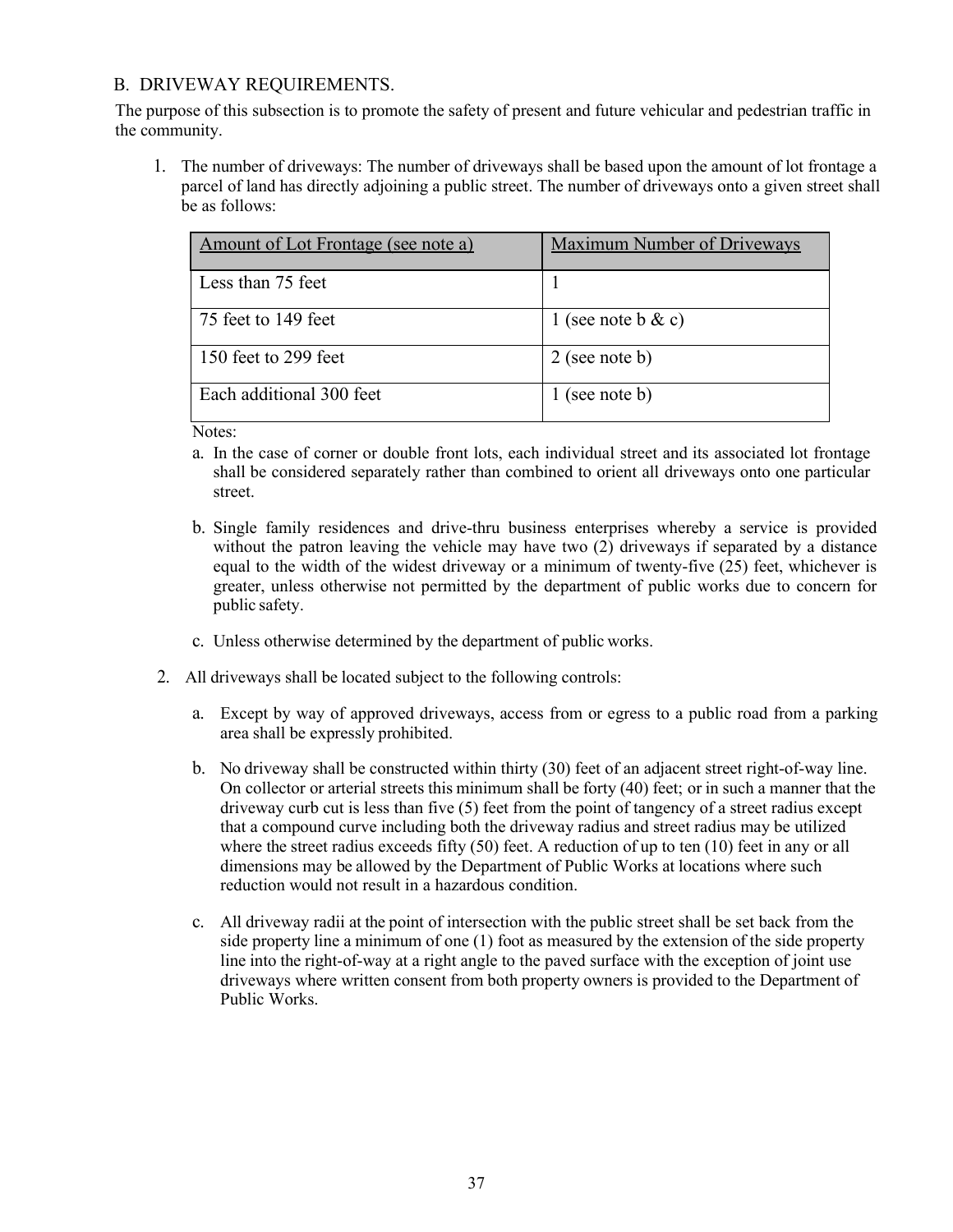### B. DRIVEWAY REQUIREMENTS.

The purpose of this subsection is to promote the safety of present and future vehicular and pedestrian traffic in the community.

1. The number of driveways: The number of driveways shall be based upon the amount of lot frontage a parcel of land has directly adjoining a public street. The number of driveways onto a given street shall be as follows:

| Amount of Lot Frontage (see note a) | <b>Maximum Number of Driveways</b> |
|-------------------------------------|------------------------------------|
| Less than 75 feet                   |                                    |
| 75 feet to 149 feet                 | (see note b $\& c)$                |
| 150 feet to 299 feet                | $2$ (see note b)                   |
| Each additional 300 feet            | (see note b)                       |

Notes:

- a. In the case of corner or double front lots, each individual street and its associated lot frontage shall be considered separately rather than combined to orient all driveways onto one particular street.
- b. Single family residences and drive-thru business enterprises whereby a service is provided without the patron leaving the vehicle may have two (2) driveways if separated by a distance equal to the width of the widest driveway or a minimum of twenty-five (25) feet, whichever is greater, unless otherwise not permitted by the department of public works due to concern for public safety.
- c. Unless otherwise determined by the department of public works.
- 2. All driveways shall be located subject to the following controls:
	- a. Except by way of approved driveways, access from or egress to a public road from a parking area shall be expressly prohibited.
	- b. No driveway shall be constructed within thirty (30) feet of an adjacent street right-of-way line. On collector or arterial streets this minimum shall be forty (40) feet; or in such a manner that the driveway curb cut is less than five (5) feet from the point of tangency of a street radius except that a compound curve including both the driveway radius and street radius may be utilized where the street radius exceeds fifty (50) feet. A reduction of up to ten (10) feet in any or all dimensions may be allowed by the Department of Public Works at locations where such reduction would not result in a hazardous condition.
	- c. All driveway radii at the point of intersection with the public street shall be set back from the side property line a minimum of one (1) foot as measured by the extension of the side property line into the right-of-way at a right angle to the paved surface with the exception of joint use driveways where written consent from both property owners is provided to the Department of Public Works.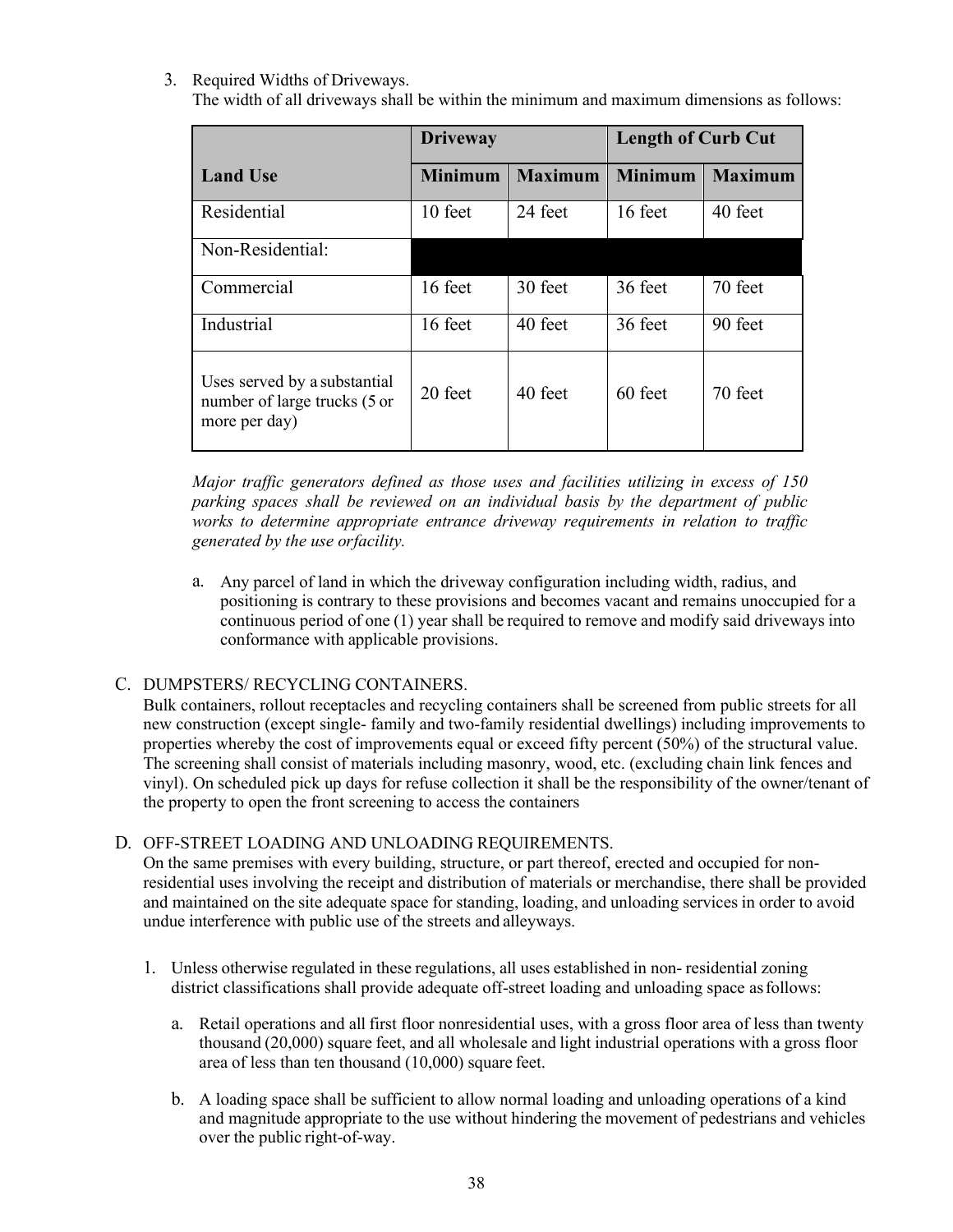### 3. Required Widths of Driveways.

The width of all driveways shall be within the minimum and maximum dimensions as follows:

|                                                                               | <b>Driveway</b> |                | <b>Length of Curb Cut</b> |                |  |
|-------------------------------------------------------------------------------|-----------------|----------------|---------------------------|----------------|--|
| <b>Land Use</b>                                                               | <b>Minimum</b>  | <b>Maximum</b> | <b>Minimum</b>            | <b>Maximum</b> |  |
| Residential                                                                   | 10 feet         | 24 feet        | 16 feet                   | 40 feet        |  |
| Non-Residential:                                                              |                 |                |                           |                |  |
| Commercial                                                                    | 16 feet         | 30 feet        | 36 feet                   | 70 feet        |  |
| Industrial                                                                    | 16 feet         | 40 feet        | 36 feet                   | 90 feet        |  |
| Uses served by a substantial<br>number of large trucks (5 or<br>more per day) | 20 feet         | 40 feet        | 60 feet                   | 70 feet        |  |

*Major traffic generators defined as those uses and facilities utilizing in excess of 150 parking spaces shall be reviewed on an individual basis by the department of public works to determine appropriate entrance driveway requirements in relation to traffic generated by the use orfacility.*

a. Any parcel of land in which the driveway configuration including width, radius, and positioning is contrary to these provisions and becomes vacant and remains unoccupied for a continuous period of one (1) year shall be required to remove and modify said driveways into conformance with applicable provisions.

### C. DUMPSTERS/ RECYCLING CONTAINERS.

Bulk containers, rollout receptacles and recycling containers shall be screened from public streets for all new construction (except single- family and two-family residential dwellings) including improvements to properties whereby the cost of improvements equal or exceed fifty percent (50%) of the structural value. The screening shall consist of materials including masonry, wood, etc. (excluding chain link fences and vinyl). On scheduled pick up days for refuse collection it shall be the responsibility of the owner/tenant of the property to open the front screening to access the containers

#### D. OFF-STREET LOADING AND UNLOADING REQUIREMENTS.

On the same premises with every building, structure, or part thereof, erected and occupied for nonresidential uses involving the receipt and distribution of materials or merchandise, there shall be provided and maintained on the site adequate space for standing, loading, and unloading services in order to avoid undue interference with public use of the streets and alleyways.

- 1. Unless otherwise regulated in these regulations, all uses established in non- residential zoning district classifications shall provide adequate off-street loading and unloading space asfollows:
	- a. Retail operations and all first floor nonresidential uses, with a gross floor area of less than twenty thousand (20,000) square feet, and all wholesale and light industrial operations with a gross floor area of less than ten thousand (10,000) square feet.
	- b. A loading space shall be sufficient to allow normal loading and unloading operations of a kind and magnitude appropriate to the use without hindering the movement of pedestrians and vehicles over the public right-of-way.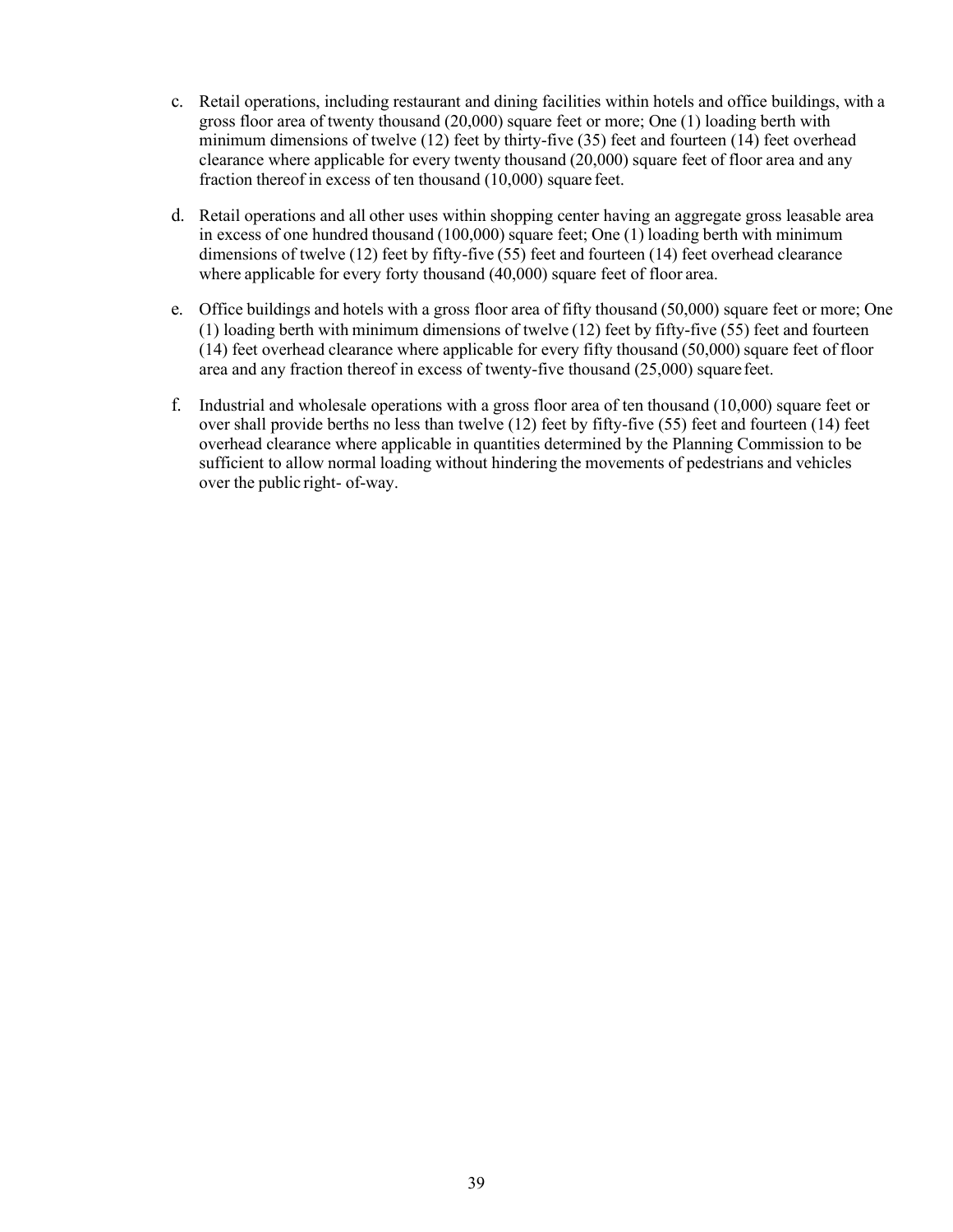- c. Retail operations, including restaurant and dining facilities within hotels and office buildings, with a gross floor area of twenty thousand (20,000) square feet or more; One (1) loading berth with minimum dimensions of twelve (12) feet by thirty-five (35) feet and fourteen (14) feet overhead clearance where applicable for every twenty thousand (20,000) square feet of floor area and any fraction thereof in excess of ten thousand (10,000) square feet.
- d. Retail operations and all other uses within shopping center having an aggregate gross leasable area in excess of one hundred thousand (100,000) square feet; One (1) loading berth with minimum dimensions of twelve (12) feet by fifty-five (55) feet and fourteen (14) feet overhead clearance where applicable for every forty thousand (40,000) square feet of floor area.
- e. Office buildings and hotels with a gross floor area of fifty thousand (50,000) square feet or more; One (1) loading berth with minimum dimensions of twelve (12) feet by fifty-five (55) feet and fourteen (14) feet overhead clearance where applicable for every fifty thousand (50,000) square feet of floor area and any fraction thereof in excess of twenty-five thousand (25,000) square feet.
- f. Industrial and wholesale operations with a gross floor area of ten thousand (10,000) square feet or over shall provide berths no less than twelve (12) feet by fifty-five (55) feet and fourteen (14) feet overhead clearance where applicable in quantities determined by the Planning Commission to be sufficient to allow normal loading without hindering the movements of pedestrians and vehicles over the public right- of-way.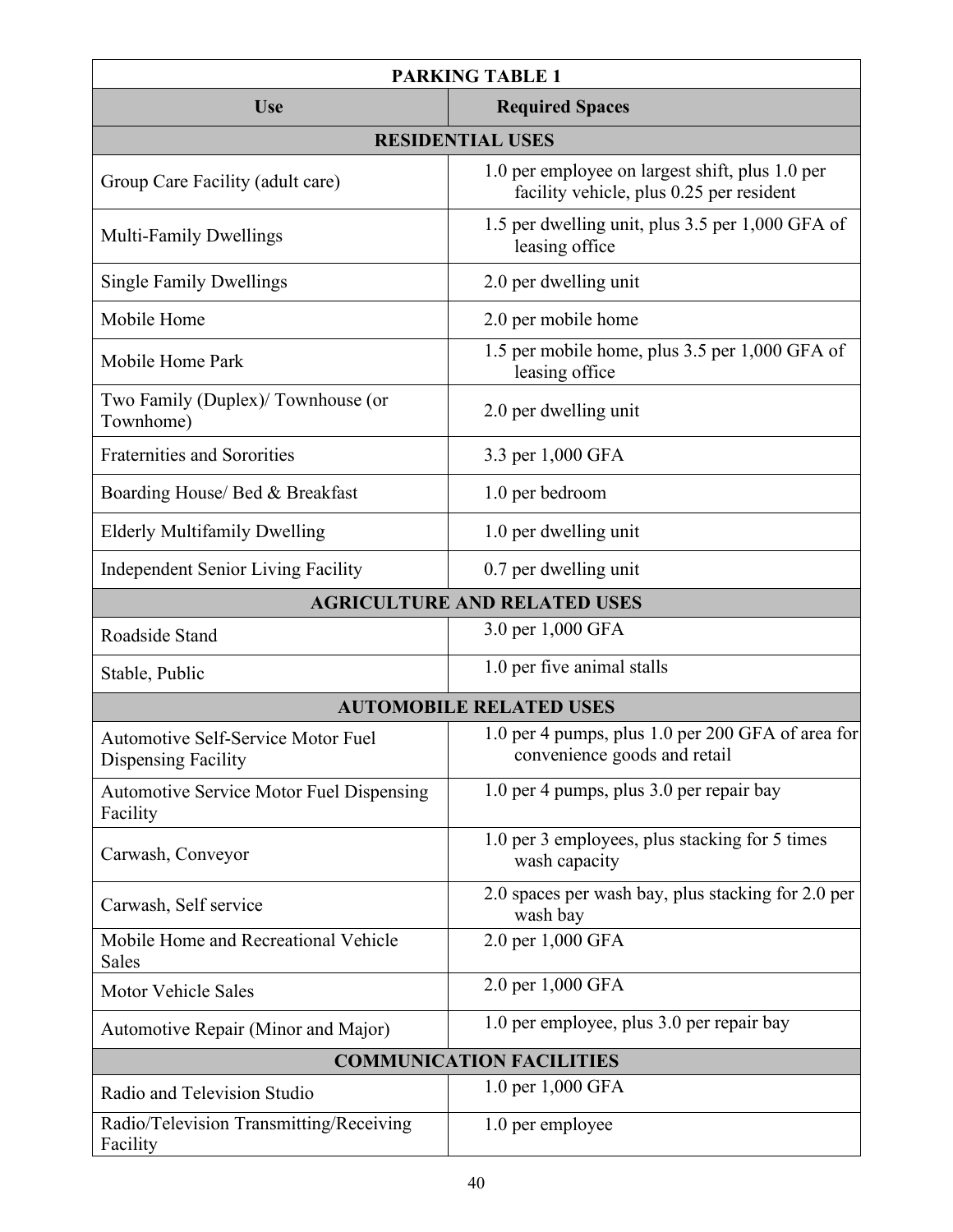| <b>PARKING TABLE 1</b>                                           |                                                                                             |  |  |  |
|------------------------------------------------------------------|---------------------------------------------------------------------------------------------|--|--|--|
| <b>Required Spaces</b><br><b>Use</b>                             |                                                                                             |  |  |  |
| <b>RESIDENTIAL USES</b>                                          |                                                                                             |  |  |  |
| Group Care Facility (adult care)                                 | 1.0 per employee on largest shift, plus 1.0 per<br>facility vehicle, plus 0.25 per resident |  |  |  |
| <b>Multi-Family Dwellings</b>                                    | 1.5 per dwelling unit, plus 3.5 per 1,000 GFA of<br>leasing office                          |  |  |  |
| <b>Single Family Dwellings</b>                                   | 2.0 per dwelling unit                                                                       |  |  |  |
| Mobile Home                                                      | 2.0 per mobile home                                                                         |  |  |  |
| Mobile Home Park                                                 | 1.5 per mobile home, plus 3.5 per 1,000 GFA of<br>leasing office                            |  |  |  |
| Two Family (Duplex)/ Townhouse (or<br>Townhome)                  | 2.0 per dwelling unit                                                                       |  |  |  |
| <b>Fraternities and Sororities</b>                               | 3.3 per 1,000 GFA                                                                           |  |  |  |
| Boarding House/ Bed & Breakfast                                  | 1.0 per bedroom                                                                             |  |  |  |
| <b>Elderly Multifamily Dwelling</b>                              | 1.0 per dwelling unit                                                                       |  |  |  |
| <b>Independent Senior Living Facility</b>                        | 0.7 per dwelling unit                                                                       |  |  |  |
|                                                                  | <b>AGRICULTURE AND RELATED USES</b>                                                         |  |  |  |
| Roadside Stand                                                   | 3.0 per 1,000 GFA                                                                           |  |  |  |
| Stable, Public                                                   | 1.0 per five animal stalls                                                                  |  |  |  |
|                                                                  | <b>AUTOMOBILE RELATED USES</b>                                                              |  |  |  |
| <b>Automotive Self-Service Motor Fuel</b><br>Dispensing Facility | 1.0 per 4 pumps, plus 1.0 per 200 GFA of area for<br>convenience goods and retail           |  |  |  |
| Automotive Service Motor Fuel Dispensing<br>Facility             | 1.0 per 4 pumps, plus 3.0 per repair bay                                                    |  |  |  |
| Carwash, Conveyor                                                | 1.0 per 3 employees, plus stacking for 5 times<br>wash capacity                             |  |  |  |
| Carwash, Self service                                            | 2.0 spaces per wash bay, plus stacking for 2.0 per<br>wash bay                              |  |  |  |
| Mobile Home and Recreational Vehicle<br>Sales                    | 2.0 per 1,000 GFA                                                                           |  |  |  |
| <b>Motor Vehicle Sales</b>                                       | 2.0 per 1,000 GFA                                                                           |  |  |  |
| Automotive Repair (Minor and Major)                              | 1.0 per employee, plus 3.0 per repair bay                                                   |  |  |  |
| <b>COMMUNICATION FACILITIES</b>                                  |                                                                                             |  |  |  |
| Radio and Television Studio                                      | 1.0 per 1,000 GFA                                                                           |  |  |  |
| Radio/Television Transmitting/Receiving<br>Facility              | 1.0 per employee                                                                            |  |  |  |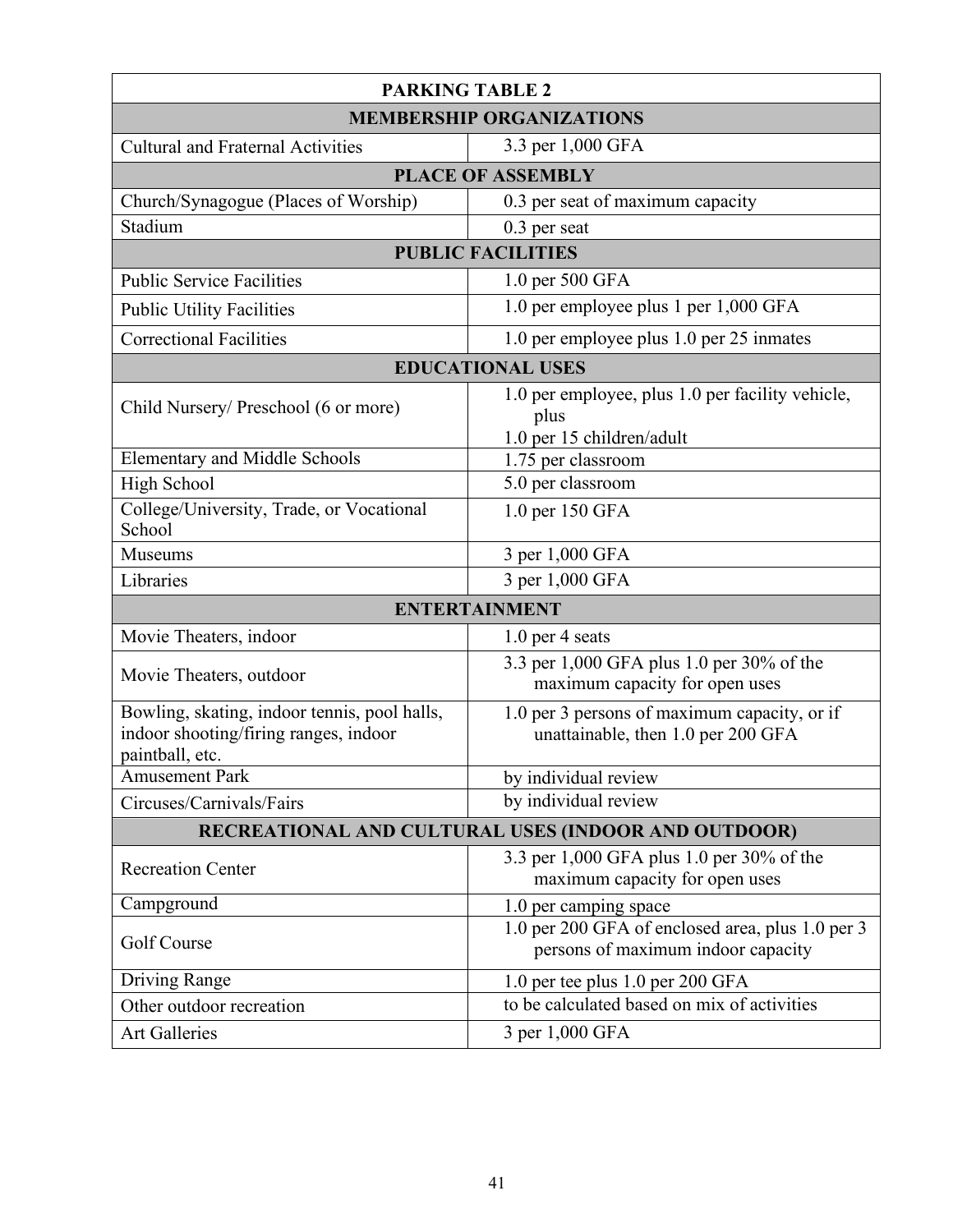| <b>PARKING TABLE 2</b>                                                                                   |                                                                                        |  |  |  |
|----------------------------------------------------------------------------------------------------------|----------------------------------------------------------------------------------------|--|--|--|
| <b>MEMBERSHIP ORGANIZATIONS</b>                                                                          |                                                                                        |  |  |  |
| 3.3 per 1,000 GFA<br><b>Cultural and Fraternal Activities</b>                                            |                                                                                        |  |  |  |
| <b>PLACE OF ASSEMBLY</b>                                                                                 |                                                                                        |  |  |  |
| Church/Synagogue (Places of Worship)                                                                     | 0.3 per seat of maximum capacity                                                       |  |  |  |
| Stadium                                                                                                  | 0.3 per seat                                                                           |  |  |  |
|                                                                                                          | <b>PUBLIC FACILITIES</b>                                                               |  |  |  |
| <b>Public Service Facilities</b>                                                                         | 1.0 per 500 GFA                                                                        |  |  |  |
| <b>Public Utility Facilities</b>                                                                         | 1.0 per employee plus 1 per 1,000 GFA                                                  |  |  |  |
| <b>Correctional Facilities</b>                                                                           | 1.0 per employee plus 1.0 per 25 inmates                                               |  |  |  |
|                                                                                                          | <b>EDUCATIONAL USES</b>                                                                |  |  |  |
| Child Nursery/ Preschool (6 or more)                                                                     | 1.0 per employee, plus 1.0 per facility vehicle,<br>plus                               |  |  |  |
| <b>Elementary and Middle Schools</b>                                                                     | 1.0 per 15 children/adult<br>1.75 per classroom                                        |  |  |  |
| High School                                                                                              | 5.0 per classroom                                                                      |  |  |  |
| College/University, Trade, or Vocational<br>School                                                       | 1.0 per 150 GFA                                                                        |  |  |  |
| Museums                                                                                                  | 3 per 1,000 GFA                                                                        |  |  |  |
| Libraries                                                                                                | 3 per 1,000 GFA                                                                        |  |  |  |
| <b>ENTERTAINMENT</b>                                                                                     |                                                                                        |  |  |  |
| Movie Theaters, indoor                                                                                   | $1.0$ per 4 seats                                                                      |  |  |  |
| Movie Theaters, outdoor                                                                                  | 3.3 per 1,000 GFA plus 1.0 per 30% of the<br>maximum capacity for open uses            |  |  |  |
| Bowling, skating, indoor tennis, pool halls,<br>indoor shooting/firing ranges, indoor<br>paintball, etc. | 1.0 per 3 persons of maximum capacity, or if<br>unattainable, then 1.0 per 200 GFA     |  |  |  |
| Amusement Park                                                                                           | $\overline{by}$ individual review                                                      |  |  |  |
| Circuses/Carnivals/Fairs                                                                                 | by individual review                                                                   |  |  |  |
| RECREATIONAL AND CULTURAL USES (INDOOR AND OUTDOOR)                                                      |                                                                                        |  |  |  |
| <b>Recreation Center</b>                                                                                 | 3.3 per 1,000 GFA plus 1.0 per 30% of the<br>maximum capacity for open uses            |  |  |  |
| Campground                                                                                               | 1.0 per camping space                                                                  |  |  |  |
| Golf Course                                                                                              | 1.0 per 200 GFA of enclosed area, plus 1.0 per 3<br>persons of maximum indoor capacity |  |  |  |
| Driving Range                                                                                            | 1.0 per tee plus 1.0 per 200 GFA                                                       |  |  |  |
| Other outdoor recreation                                                                                 | to be calculated based on mix of activities                                            |  |  |  |
| <b>Art Galleries</b>                                                                                     | 3 per 1,000 GFA                                                                        |  |  |  |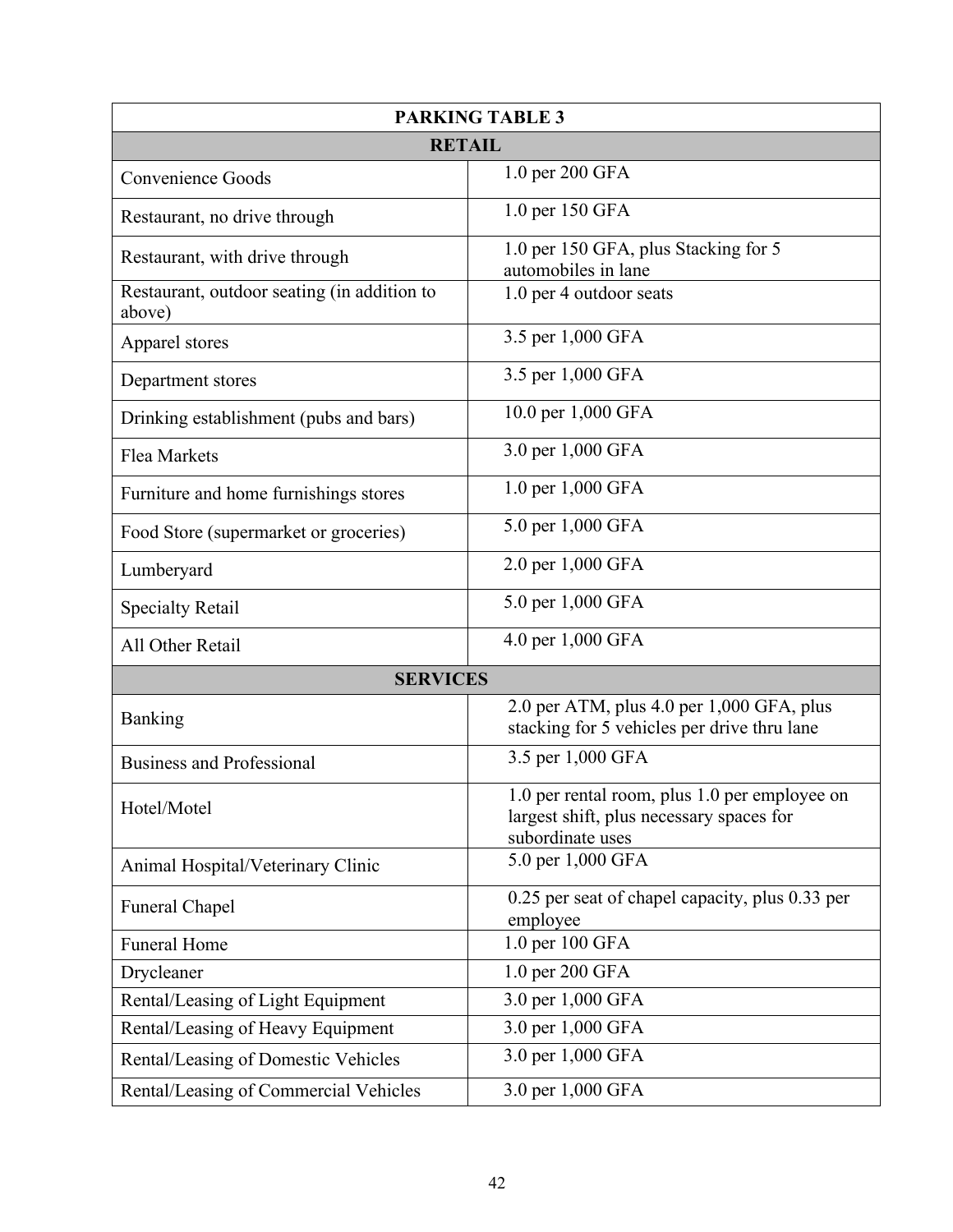| <b>PARKING TABLE 3</b>                                |                                                                                                               |  |  |  |
|-------------------------------------------------------|---------------------------------------------------------------------------------------------------------------|--|--|--|
| <b>RETAIL</b>                                         |                                                                                                               |  |  |  |
| Convenience Goods                                     | 1.0 per 200 GFA                                                                                               |  |  |  |
| Restaurant, no drive through                          | 1.0 per 150 GFA                                                                                               |  |  |  |
| Restaurant, with drive through                        | 1.0 per 150 GFA, plus Stacking for 5<br>automobiles in lane                                                   |  |  |  |
| Restaurant, outdoor seating (in addition to<br>above) | 1.0 per 4 outdoor seats                                                                                       |  |  |  |
| Apparel stores                                        | 3.5 per 1,000 GFA                                                                                             |  |  |  |
| Department stores                                     | 3.5 per 1,000 GFA                                                                                             |  |  |  |
| Drinking establishment (pubs and bars)                | 10.0 per 1,000 GFA                                                                                            |  |  |  |
| Flea Markets                                          | 3.0 per 1,000 GFA                                                                                             |  |  |  |
| Furniture and home furnishings stores                 | 1.0 per 1,000 GFA                                                                                             |  |  |  |
| Food Store (supermarket or groceries)                 | 5.0 per 1,000 GFA                                                                                             |  |  |  |
| Lumberyard                                            | 2.0 per 1,000 GFA                                                                                             |  |  |  |
| <b>Specialty Retail</b>                               | 5.0 per 1,000 GFA                                                                                             |  |  |  |
| All Other Retail                                      | 4.0 per 1,000 GFA                                                                                             |  |  |  |
| <b>SERVICES</b>                                       |                                                                                                               |  |  |  |
| Banking                                               | 2.0 per ATM, plus 4.0 per 1,000 GFA, plus<br>stacking for 5 vehicles per drive thru lane                      |  |  |  |
| <b>Business and Professional</b>                      | 3.5 per 1,000 GFA                                                                                             |  |  |  |
| Hotel/Motel                                           | 1.0 per rental room, plus 1.0 per employee on<br>largest shift, plus necessary spaces for<br>subordinate uses |  |  |  |
| Animal Hospital/Veterinary Clinic                     | 5.0 per 1,000 GFA                                                                                             |  |  |  |
| Funeral Chapel                                        | 0.25 per seat of chapel capacity, plus 0.33 per<br>employee                                                   |  |  |  |
| <b>Funeral Home</b>                                   | 1.0 per 100 GFA                                                                                               |  |  |  |
| Drycleaner                                            | 1.0 per 200 GFA                                                                                               |  |  |  |
| Rental/Leasing of Light Equipment                     | 3.0 per 1,000 GFA                                                                                             |  |  |  |
| Rental/Leasing of Heavy Equipment                     | 3.0 per 1,000 GFA                                                                                             |  |  |  |
| Rental/Leasing of Domestic Vehicles                   | 3.0 per 1,000 GFA                                                                                             |  |  |  |
| Rental/Leasing of Commercial Vehicles                 | 3.0 per 1,000 GFA                                                                                             |  |  |  |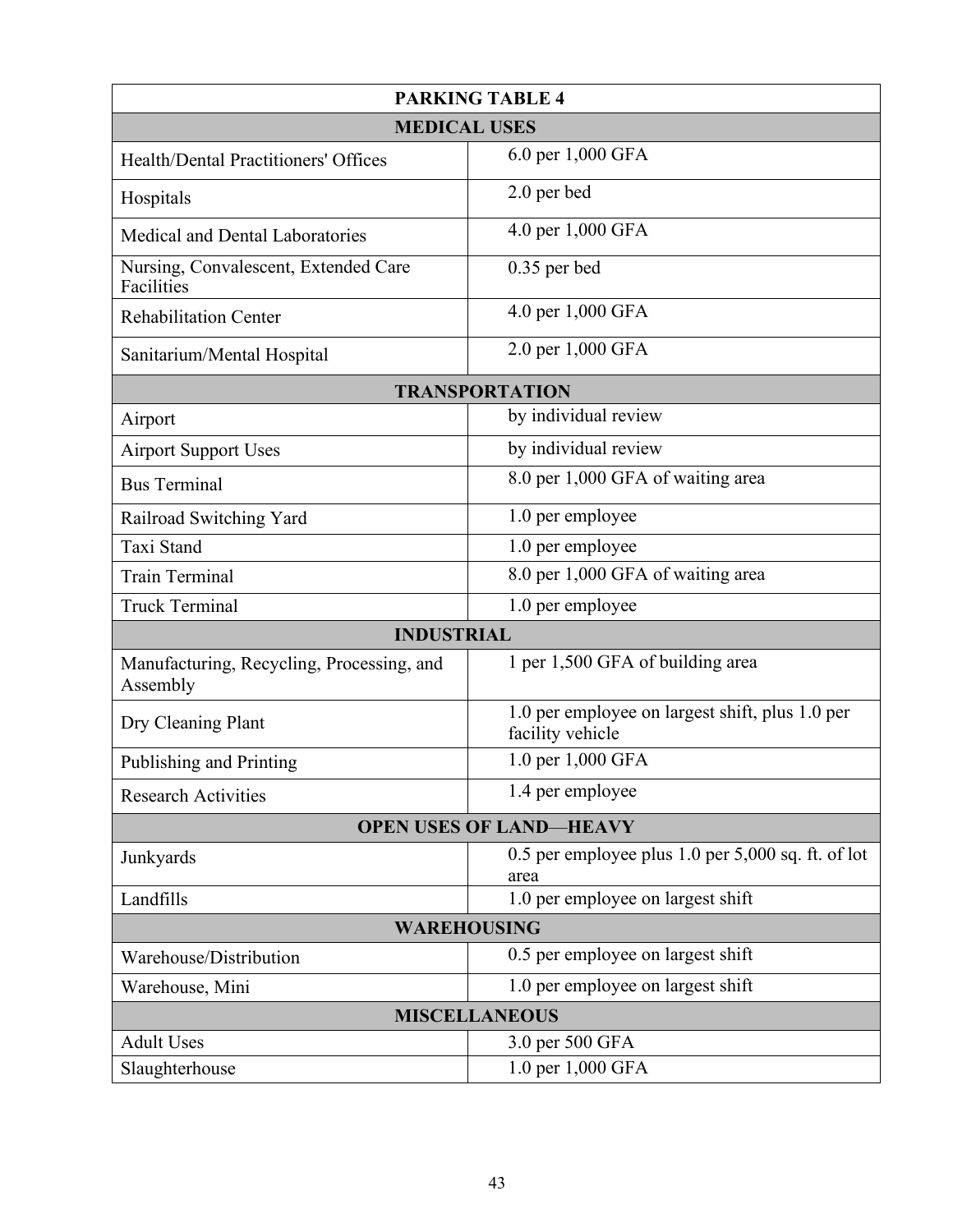| <b>PARKING TABLE 4</b>                                    |                                                                     |  |  |  |  |
|-----------------------------------------------------------|---------------------------------------------------------------------|--|--|--|--|
|                                                           | <b>MEDICAL USES</b>                                                 |  |  |  |  |
| <b>Health/Dental Practitioners' Offices</b>               | 6.0 per 1,000 GFA                                                   |  |  |  |  |
| Hospitals                                                 | 2.0 per bed                                                         |  |  |  |  |
| Medical and Dental Laboratories                           | 4.0 per 1,000 GFA                                                   |  |  |  |  |
| Nursing, Convalescent, Extended Care<br><b>Facilities</b> | $0.35$ per bed                                                      |  |  |  |  |
| <b>Rehabilitation Center</b>                              | 4.0 per 1,000 GFA                                                   |  |  |  |  |
| Sanitarium/Mental Hospital                                | 2.0 per 1,000 GFA                                                   |  |  |  |  |
|                                                           | <b>TRANSPORTATION</b>                                               |  |  |  |  |
| Airport                                                   | by individual review                                                |  |  |  |  |
| <b>Airport Support Uses</b>                               | by individual review                                                |  |  |  |  |
| <b>Bus Terminal</b>                                       | 8.0 per 1,000 GFA of waiting area                                   |  |  |  |  |
| Railroad Switching Yard                                   | 1.0 per employee                                                    |  |  |  |  |
| Taxi Stand                                                | 1.0 per employee                                                    |  |  |  |  |
| <b>Train Terminal</b>                                     | 8.0 per 1,000 GFA of waiting area                                   |  |  |  |  |
| <b>Truck Terminal</b>                                     | 1.0 per employee                                                    |  |  |  |  |
| <b>INDUSTRIAL</b>                                         |                                                                     |  |  |  |  |
| Manufacturing, Recycling, Processing, and<br>Assembly     | 1 per 1,500 GFA of building area                                    |  |  |  |  |
| Dry Cleaning Plant                                        | 1.0 per employee on largest shift, plus 1.0 per<br>facility vehicle |  |  |  |  |
| Publishing and Printing                                   | 1.0 per 1,000 GFA                                                   |  |  |  |  |
| <b>Research Activities</b>                                | 1.4 per employee                                                    |  |  |  |  |
| <b>OPEN USES OF LAND-HEAVY</b>                            |                                                                     |  |  |  |  |
| Junkyards                                                 | $0.5$ per employee plus 1.0 per 5,000 sq. ft. of lot<br>area        |  |  |  |  |
| Landfills                                                 | 1.0 per employee on largest shift                                   |  |  |  |  |
| <b>WAREHOUSING</b>                                        |                                                                     |  |  |  |  |
| Warehouse/Distribution                                    | 0.5 per employee on largest shift                                   |  |  |  |  |
| Warehouse, Mini                                           | 1.0 per employee on largest shift                                   |  |  |  |  |
| <b>MISCELLANEOUS</b>                                      |                                                                     |  |  |  |  |
| <b>Adult Uses</b>                                         | 3.0 per 500 GFA                                                     |  |  |  |  |
| Slaughterhouse                                            | 1.0 per 1,000 GFA                                                   |  |  |  |  |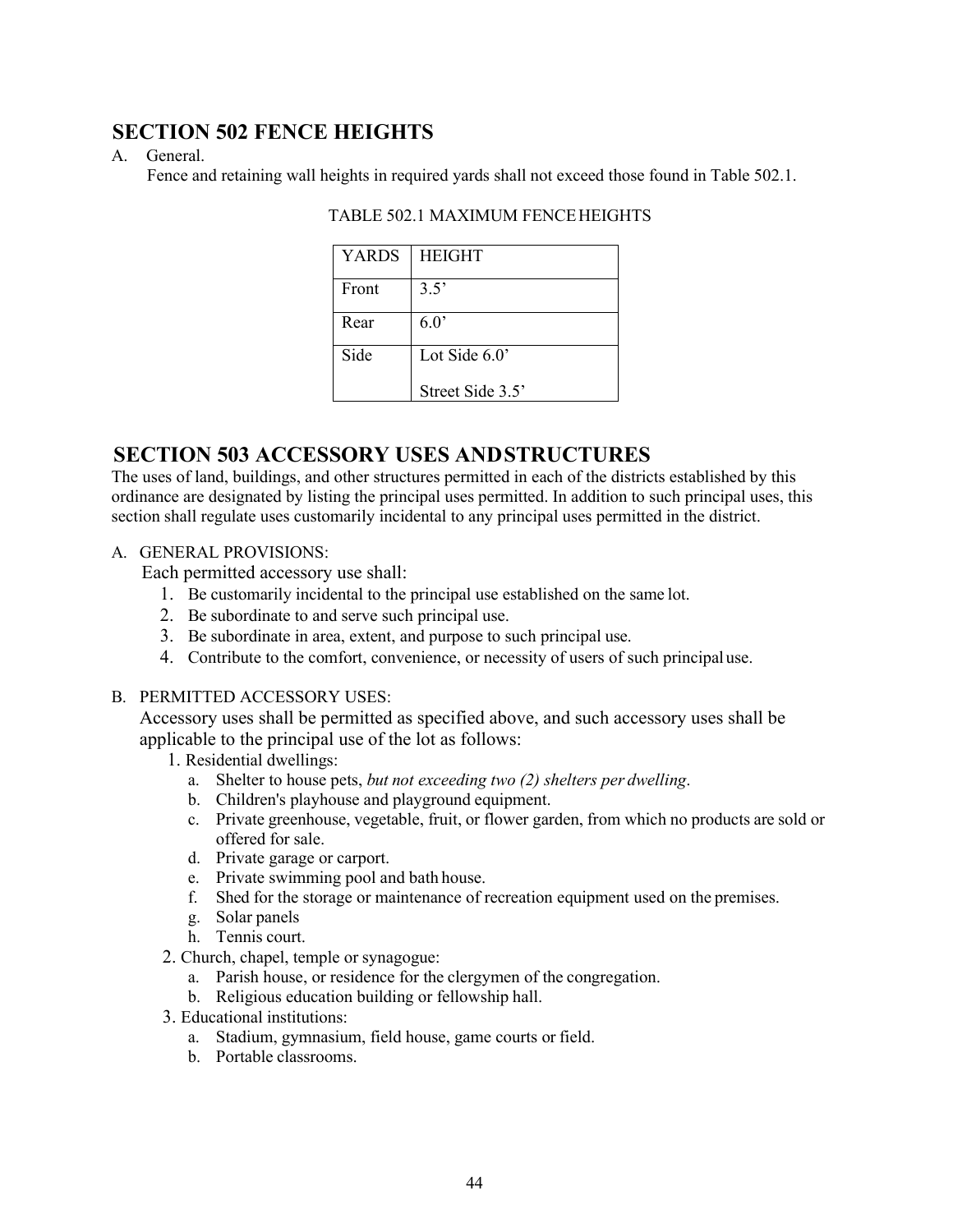# **SECTION 502 FENCE HEIGHTS**

### A. General.

Fence and retaining wall heights in required yards shall not exceed those found in Table 502.1.

| <b>YARDS</b> | <b>HEIGHT</b>    |
|--------------|------------------|
| Front        | 3.5'             |
| Rear         | 6.0              |
| Side         | Lot Side $6.0$ ' |
|              | Street Side 3.5' |

### TABLE 502.1 MAXIMUM FENCEHEIGHTS

# **SECTION 503 ACCESSORY USES ANDSTRUCTURES**

The uses of land, buildings, and other structures permitted in each of the districts established by this ordinance are designated by listing the principal uses permitted. In addition to such principal uses, this section shall regulate uses customarily incidental to any principal uses permitted in the district.

### A. GENERAL PROVISIONS:

Each permitted accessory use shall:

- 1. Be customarily incidental to the principal use established on the same lot.
- 2. Be subordinate to and serve such principal use.
- 3. Be subordinate in area, extent, and purpose to such principal use.
- 4. Contribute to the comfort, convenience, or necessity of users of such principaluse.

#### B. PERMITTED ACCESSORY USES:

Accessory uses shall be permitted as specified above, and such accessory uses shall be applicable to the principal use of the lot as follows:

- 1. Residential dwellings:
	- a. Shelter to house pets, *but not exceeding two (2) shelters per dwelling*.
	- b. Children's playhouse and playground equipment.
	- c. Private greenhouse, vegetable, fruit, or flower garden, from which no products are sold or offered for sale.
	- d. Private garage or carport.
	- e. Private swimming pool and bath house.
	- f. Shed for the storage or maintenance of recreation equipment used on the premises.
	- g. Solar panels
	- h. Tennis court.
- 2. Church, chapel, temple or synagogue:
	- a. Parish house, or residence for the clergymen of the congregation.
	- b. Religious education building or fellowship hall.
- 3. Educational institutions:
	- a. Stadium, gymnasium, field house, game courts or field.
	- b. Portable classrooms.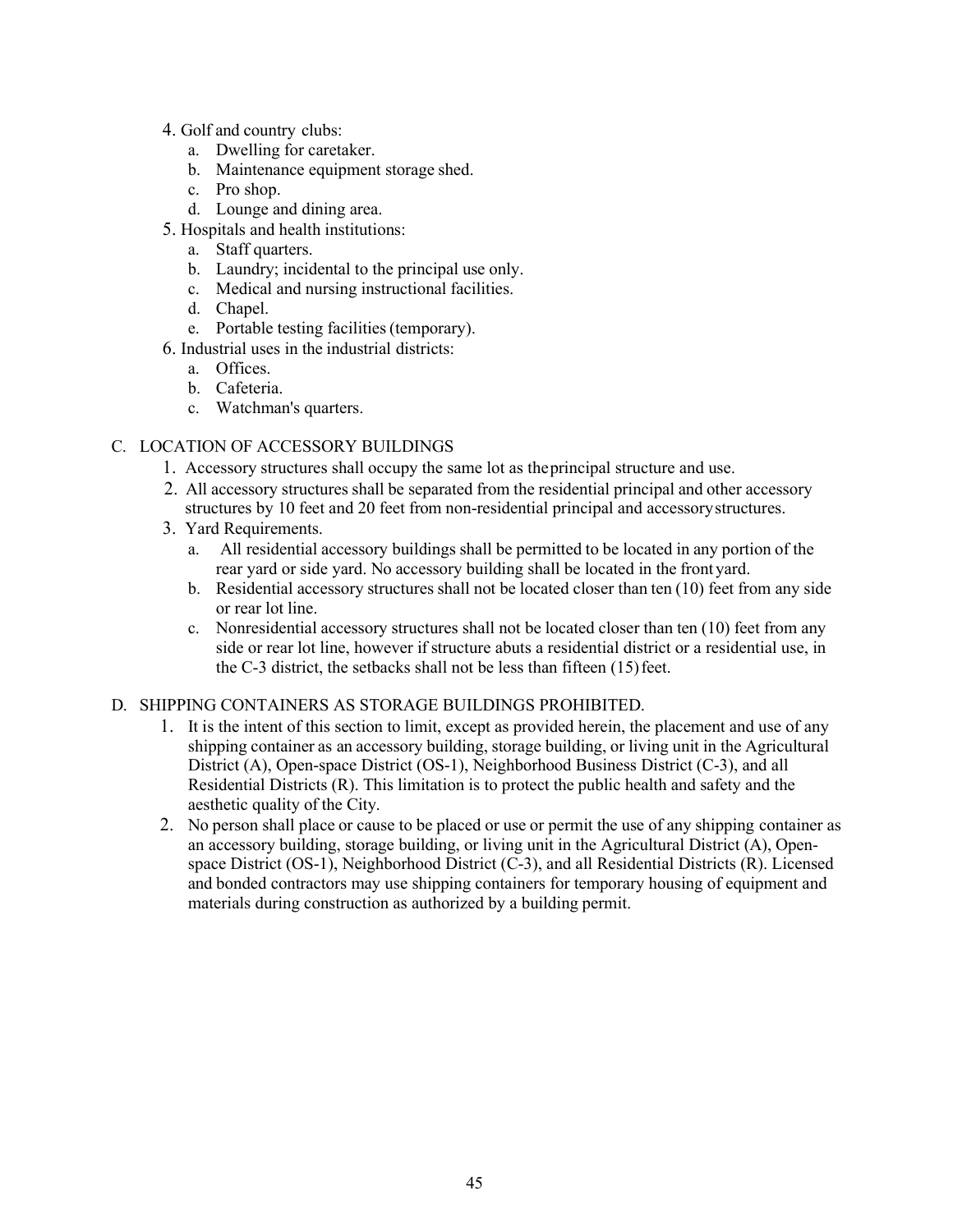- 4. Golf and country clubs:
	- a. Dwelling for caretaker.
	- b. Maintenance equipment storage shed.
	- c. Pro shop.
	- d. Lounge and dining area.
- 5. Hospitals and health institutions:
	- a. Staff quarters.
	- b. Laundry; incidental to the principal use only.
	- c. Medical and nursing instructional facilities.
	- d. Chapel.
	- e. Portable testing facilities(temporary).
- 6. Industrial uses in the industrial districts:
	- a. Offices.
	- b. Cafeteria.
	- c. Watchman's quarters.

### C. LOCATION OF ACCESSORY BUILDINGS

- 1. Accessory structures shall occupy the same lot as theprincipal structure and use.
- 2. All accessory structures shall be separated from the residential principal and other accessory structures by 10 feet and 20 feet from non-residential principal and accessorystructures.
- 3. Yard Requirements.
	- a. All residential accessory buildings shall be permitted to be located in any portion of the rear yard or side yard. No accessory building shall be located in the frontyard.
	- b. Residential accessory structures shall not be located closer than ten (10) feet from any side or rear lot line.
	- c. Nonresidential accessory structures shall not be located closer than ten (10) feet from any side or rear lot line, however if structure abuts a residential district or a residential use, in the C-3 district, the setbacks shall not be less than fifteen (15) feet.

#### D. SHIPPING CONTAINERS AS STORAGE BUILDINGS PROHIBITED.

- 1. It is the intent of this section to limit, except as provided herein, the placement and use of any shipping container as an accessory building, storage building, or living unit in the Agricultural District (A), Open-space District (OS-1), Neighborhood Business District (C-3), and all Residential Districts (R). This limitation is to protect the public health and safety and the aesthetic quality of the City.
- 2. No person shall place or cause to be placed or use or permit the use of any shipping container as an accessory building, storage building, or living unit in the Agricultural District (A), Openspace District (OS-1), Neighborhood District (C-3), and all Residential Districts (R). Licensed and bonded contractors may use shipping containers for temporary housing of equipment and materials during construction as authorized by a building permit.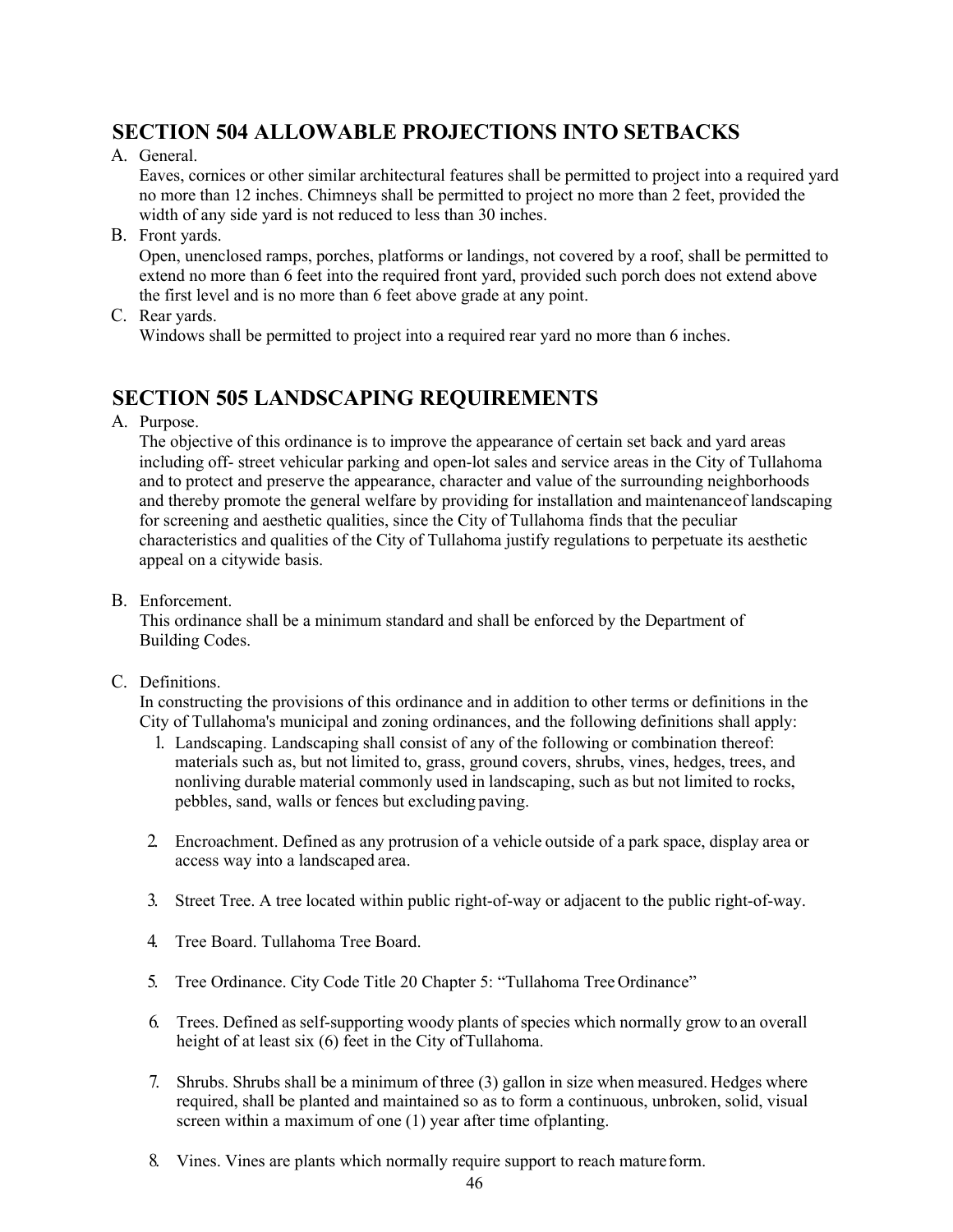# **SECTION 504 ALLOWABLE PROJECTIONS INTO SETBACKS**

A. General.

Eaves, cornices or other similar architectural features shall be permitted to project into a required yard no more than 12 inches. Chimneys shall be permitted to project no more than 2 feet, provided the width of any side yard is not reduced to less than 30 inches.

B. Front yards.

Open, unenclosed ramps, porches, platforms or landings, not covered by a roof, shall be permitted to extend no more than 6 feet into the required front yard, provided such porch does not extend above the first level and is no more than 6 feet above grade at any point.

C. Rear yards.

Windows shall be permitted to project into a required rear yard no more than 6 inches.

### **SECTION 505 LANDSCAPING REQUIREMENTS**

A. Purpose.

The objective of this ordinance is to improve the appearance of certain set back and yard areas including off- street vehicular parking and open-lot sales and service areas in the City of Tullahoma and to protect and preserve the appearance, character and value of the surrounding neighborhoods and thereby promote the general welfare by providing for installation and maintenanceof landscaping for screening and aesthetic qualities, since the City of Tullahoma finds that the peculiar characteristics and qualities of the City of Tullahoma justify regulations to perpetuate its aesthetic appeal on a citywide basis.

B. Enforcement.

This ordinance shall be a minimum standard and shall be enforced by the Department of Building Codes.

C. Definitions.

In constructing the provisions of this ordinance and in addition to other terms or definitions in the City of Tullahoma's municipal and zoning ordinances, and the following definitions shall apply:

- 1. Landscaping. Landscaping shall consist of any of the following or combination thereof: materials such as, but not limited to, grass, ground covers, shrubs, vines, hedges, trees, and nonliving durable material commonly used in landscaping, such as but not limited to rocks, pebbles, sand, walls or fences but excluding paving.
- 2. Encroachment. Defined as any protrusion of a vehicle outside of a park space, display area or access way into a landscaped area.
- 3. Street Tree. A tree located within public right-of-way or adjacent to the public right-of-way.
- 4. Tree Board. Tullahoma Tree Board.
- 5. Tree Ordinance. City Code Title 20 Chapter 5: "Tullahoma Tree Ordinance"
- 6. Trees. Defined as self-supporting woody plants of species which normally grow to an overall height of at least six (6) feet in the City of Tullahoma.
- 7. Shrubs. Shrubs shall be a minimum of three (3) gallon in size when measured. Hedges where required, shall be planted and maintained so as to form a continuous, unbroken, solid, visual screen within a maximum of one (1) year after time ofplanting.
- 8. Vines. Vines are plants which normally require support to reach matureform.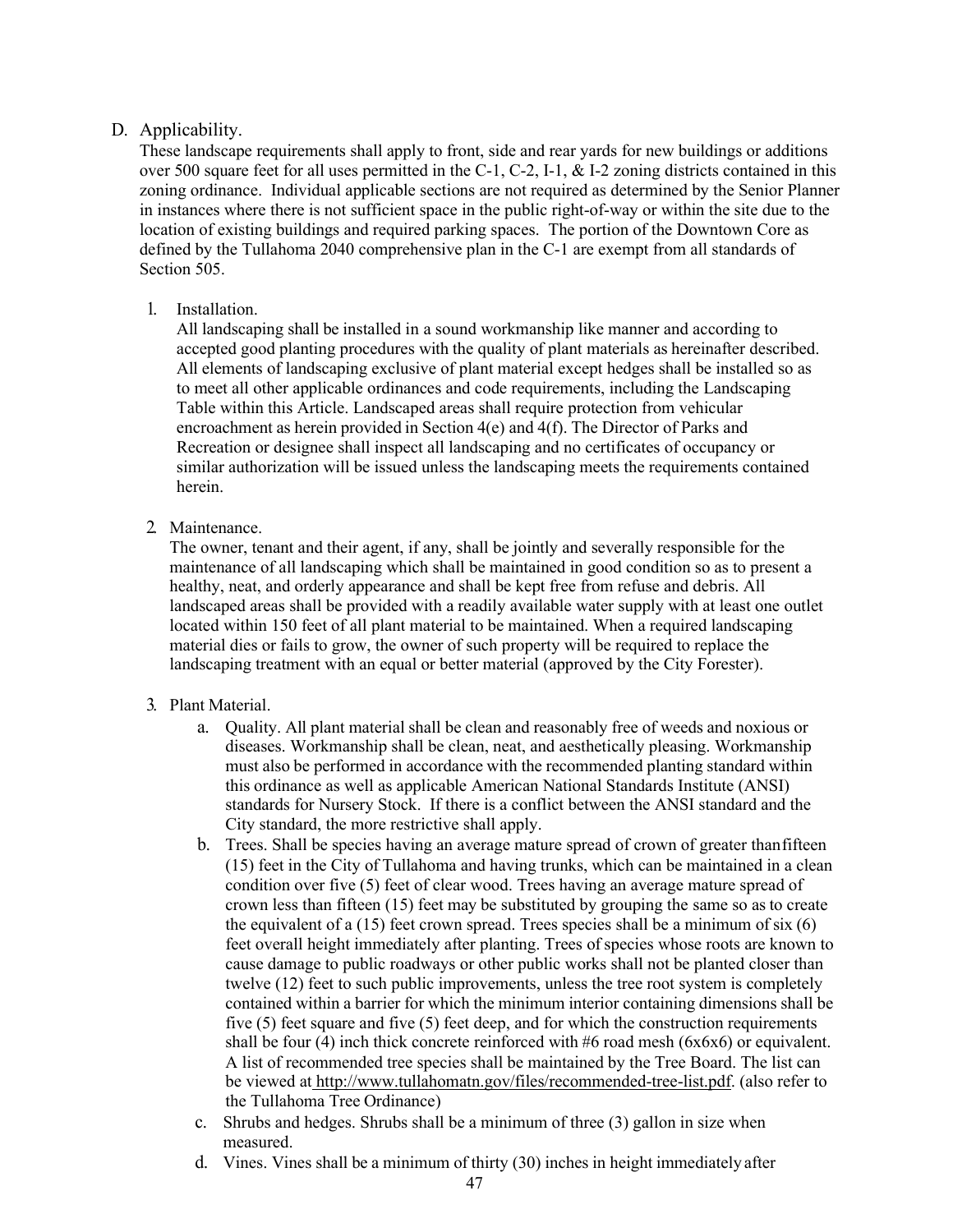### D. Applicability.

These landscape requirements shall apply to front, side and rear yards for new buildings or additions over 500 square feet for all uses permitted in the C-1, C-2, I-1, & I-2 zoning districts contained in this zoning ordinance. Individual applicable sections are not required as determined by the Senior Planner in instances where there is not sufficient space in the public right-of-way or within the site due to the location of existing buildings and required parking spaces. The portion of the Downtown Core as defined by the Tullahoma 2040 comprehensive plan in the C-1 are exempt from all standards of Section 505.

### 1. Installation.

All landscaping shall be installed in a sound workmanship like manner and according to accepted good planting procedures with the quality of plant materials as hereinafter described. All elements of landscaping exclusive of plant material except hedges shall be installed so as to meet all other applicable ordinances and code requirements, including the Landscaping Table within this Article. Landscaped areas shall require protection from vehicular encroachment as herein provided in Section 4(e) and 4(f). The Director of Parks and Recreation or designee shall inspect all landscaping and no certificates of occupancy or similar authorization will be issued unless the landscaping meets the requirements contained herein.

2. Maintenance.

The owner, tenant and their agent, if any, shall be jointly and severally responsible for the maintenance of all landscaping which shall be maintained in good condition so as to present a healthy, neat, and orderly appearance and shall be kept free from refuse and debris. All landscaped areas shall be provided with a readily available water supply with at least one outlet located within 150 feet of all plant material to be maintained. When a required landscaping material dies or fails to grow, the owner of such property will be required to replace the landscaping treatment with an equal or better material (approved by the City Forester).

- 3. Plant Material.
	- a. Quality. All plant material shall be clean and reasonably free of weeds and noxious or diseases. Workmanship shall be clean, neat, and aesthetically pleasing. Workmanship must also be performed in accordance with the recommended planting standard within this ordinance as well as applicable American National Standards Institute (ANSI) standards for Nursery Stock. If there is a conflict between the ANSI standard and the City standard, the more restrictive shall apply.
	- b. Trees. Shall be species having an average mature spread of crown of greater thanfifteen (15) feet in the City of Tullahoma and having trunks, which can be maintained in a clean condition over five (5) feet of clear wood. Trees having an average mature spread of crown less than fifteen (15) feet may be substituted by grouping the same so as to create the equivalent of a  $(15)$  feet crown spread. Trees species shall be a minimum of six  $(6)$ feet overall height immediately after planting. Trees of species whose roots are known to cause damage to public roadways or other public works shall not be planted closer than twelve (12) feet to such public improvements, unless the tree root system is completely contained within a barrier for which the minimum interior containing dimensions shall be five (5) feet square and five (5) feet deep, and for which the construction requirements shall be four (4) inch thick concrete reinforced with #6 road mesh ( $6x6x6$ ) or equivalent. A list of recommended tree species shall be maintained by the Tree Board. The list can be viewed at http://www.tullahomatn.gov/files/recommended-tree-list.pdf. (also refer to the Tullahoma Tree Ordinance)
	- c. Shrubs and hedges. Shrubs shall be a minimum of three (3) gallon in size when measured.
	- d. Vines. Vines shall be a minimum of thirty (30) inches in height immediately after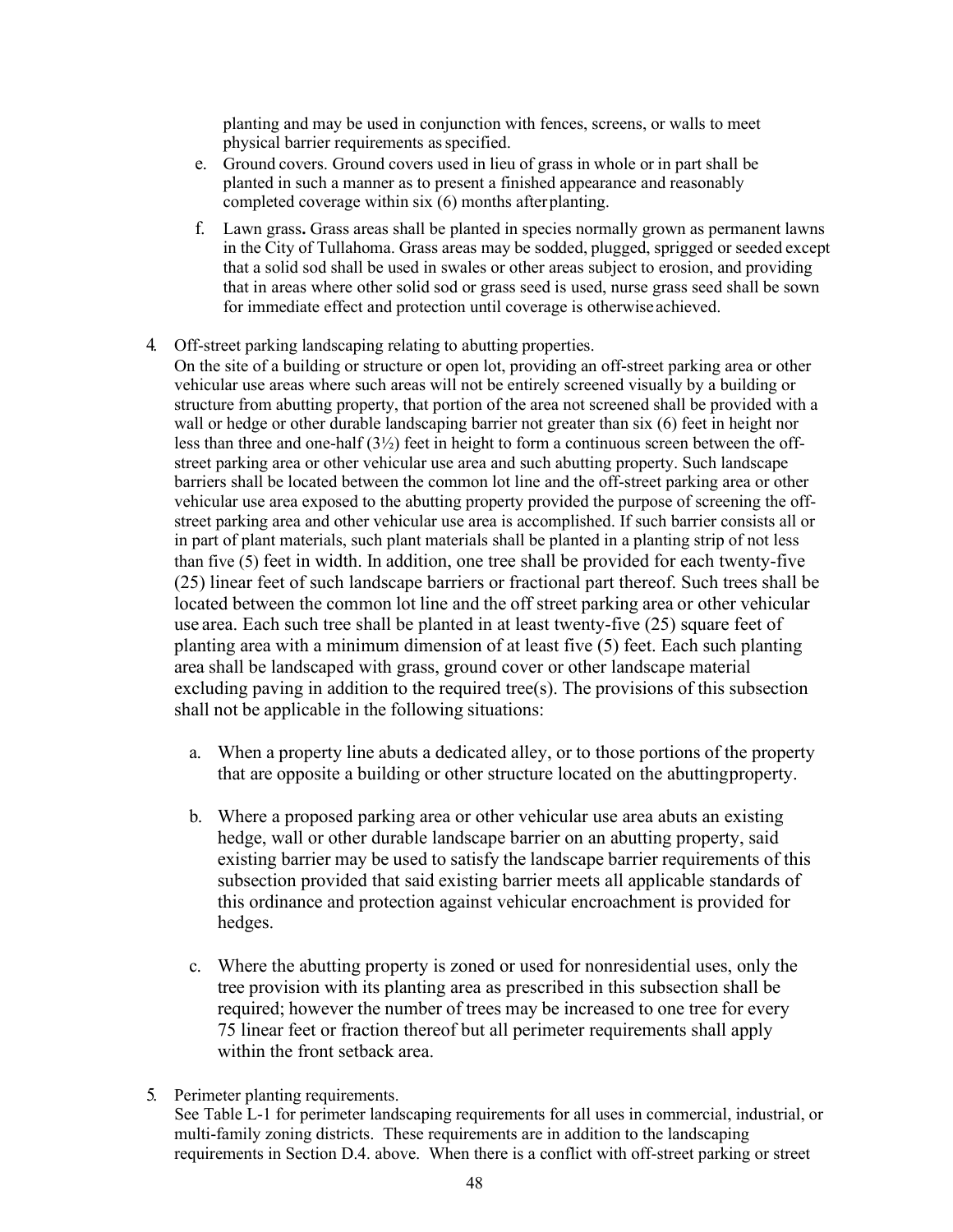planting and may be used in conjunction with fences, screens, or walls to meet physical barrier requirements as specified.

- e. Ground covers. Ground covers used in lieu of grass in whole or in part shall be planted in such a manner as to present a finished appearance and reasonably completed coverage within six (6) months afterplanting.
- f. Lawn grass**.** Grass areas shall be planted in species normally grown as permanent lawns in the City of Tullahoma. Grass areas may be sodded, plugged, sprigged or seeded except that a solid sod shall be used in swales or other areas subject to erosion, and providing that in areas where other solid sod or grass seed is used, nurse grass seed shall be sown for immediate effect and protection until coverage is otherwiseachieved.
- 4. Off-street parking landscaping relating to abutting properties.
	- On the site of a building or structure or open lot, providing an off-street parking area or other vehicular use areas where such areas will not be entirely screened visually by a building or structure from abutting property, that portion of the area not screened shall be provided with a wall or hedge or other durable landscaping barrier not greater than six (6) feet in height nor less than three and one-half  $(3\frac{1}{2})$  feet in height to form a continuous screen between the offstreet parking area or other vehicular use area and such abutting property. Such landscape barriers shall be located between the common lot line and the off-street parking area or other vehicular use area exposed to the abutting property provided the purpose of screening the offstreet parking area and other vehicular use area is accomplished. If such barrier consists all or in part of plant materials, such plant materials shall be planted in a planting strip of not less than five (5) feet in width. In addition, one tree shall be provided for each twenty-five (25) linear feet of such landscape barriers or fractional part thereof. Such trees shall be located between the common lot line and the off street parking area or other vehicular use area. Each such tree shall be planted in at least twenty-five (25) square feet of planting area with a minimum dimension of at least five (5) feet. Each such planting area shall be landscaped with grass, ground cover or other landscape material excluding paving in addition to the required tree(s). The provisions of this subsection shall not be applicable in the following situations:
		- a. When a property line abuts a dedicated alley, or to those portions of the property that are opposite a building or other structure located on the abuttingproperty.
		- b. Where a proposed parking area or other vehicular use area abuts an existing hedge, wall or other durable landscape barrier on an abutting property, said existing barrier may be used to satisfy the landscape barrier requirements of this subsection provided that said existing barrier meets all applicable standards of this ordinance and protection against vehicular encroachment is provided for hedges.
		- c. Where the abutting property is zoned or used for nonresidential uses, only the tree provision with its planting area as prescribed in this subsection shall be required; however the number of trees may be increased to one tree for every 75 linear feet or fraction thereof but all perimeter requirements shall apply within the front setback area.
- 5. Perimeter planting requirements.

See Table L-1 for perimeter landscaping requirements for all uses in commercial, industrial, or multi-family zoning districts. These requirements are in addition to the landscaping requirements in Section D.4. above. When there is a conflict with off-street parking or street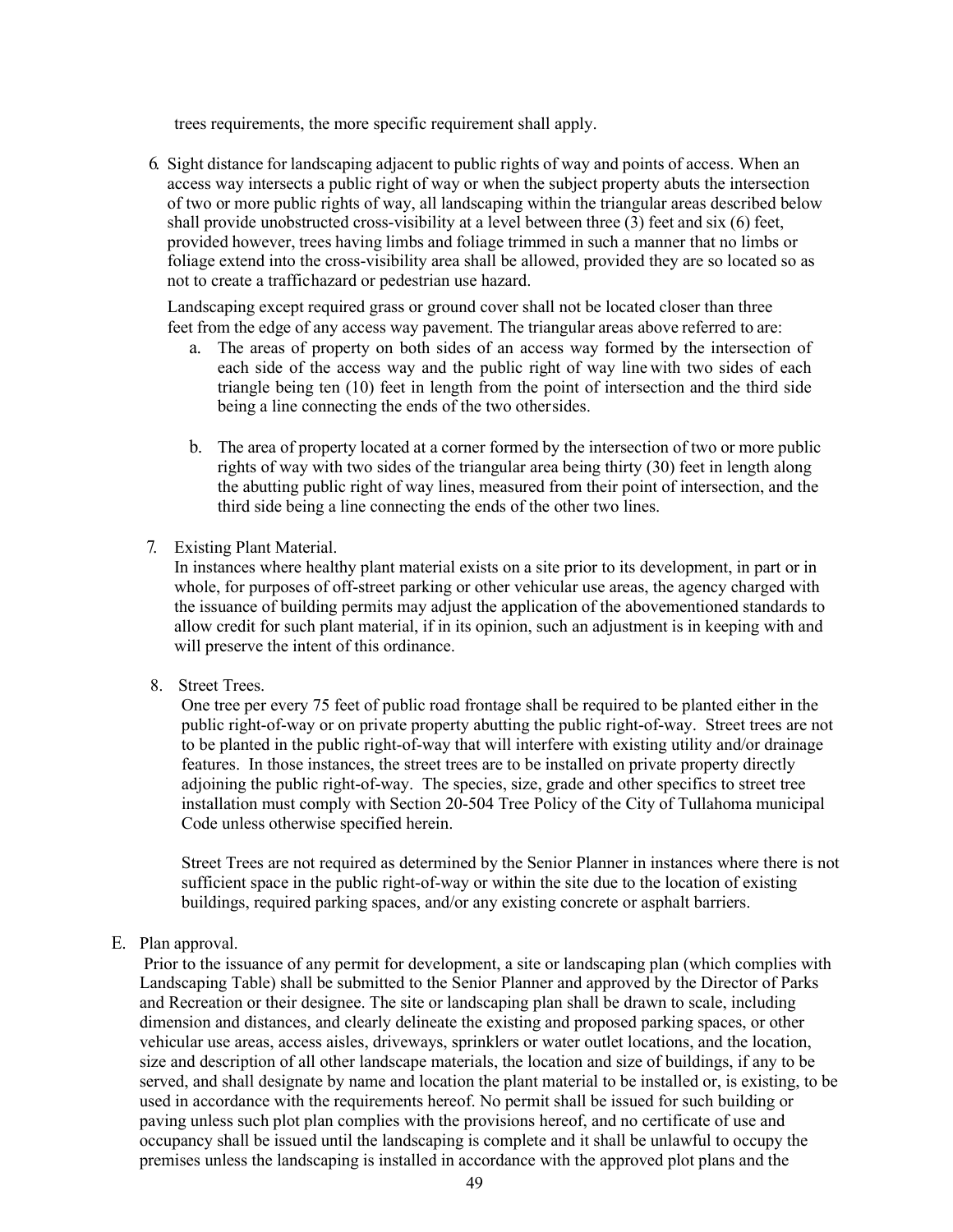trees requirements, the more specific requirement shall apply.

6. Sight distance for landscaping adjacent to public rights of way and points of access. When an access way intersects a public right of way or when the subject property abuts the intersection of two or more public rights of way, all landscaping within the triangular areas described below shall provide unobstructed cross-visibility at a level between three (3) feet and six (6) feet, provided however, trees having limbs and foliage trimmed in such a manner that no limbs or foliage extend into the cross-visibility area shall be allowed, provided they are so located so as not to create a traffichazard or pedestrian use hazard.

Landscaping except required grass or ground cover shall not be located closer than three feet from the edge of any access way pavement. The triangular areas above referred to are:

- a. The areas of property on both sides of an access way formed by the intersection of each side of the access way and the public right of way line with two sides of each triangle being ten (10) feet in length from the point of intersection and the third side being a line connecting the ends of the two othersides.
- b. The area of property located at a corner formed by the intersection of two or more public rights of way with two sides of the triangular area being thirty (30) feet in length along the abutting public right of way lines, measured from their point of intersection, and the third side being a line connecting the ends of the other two lines.
- 7. Existing Plant Material.

In instances where healthy plant material exists on a site prior to its development, in part or in whole, for purposes of off-street parking or other vehicular use areas, the agency charged with the issuance of building permits may adjust the application of the abovementioned standards to allow credit for such plant material, if in its opinion, such an adjustment is in keeping with and will preserve the intent of this ordinance.

8. Street Trees.

One tree per every 75 feet of public road frontage shall be required to be planted either in the public right-of-way or on private property abutting the public right-of-way. Street trees are not to be planted in the public right-of-way that will interfere with existing utility and/or drainage features. In those instances, the street trees are to be installed on private property directly adjoining the public right-of-way. The species, size, grade and other specifics to street tree installation must comply with Section 20-504 Tree Policy of the City of Tullahoma municipal Code unless otherwise specified herein.

Street Trees are not required as determined by the Senior Planner in instances where there is not sufficient space in the public right-of-way or within the site due to the location of existing buildings, required parking spaces, and/or any existing concrete or asphalt barriers.

E. Plan approval.

Prior to the issuance of any permit for development, a site or landscaping plan (which complies with Landscaping Table) shall be submitted to the Senior Planner and approved by the Director of Parks and Recreation or their designee. The site or landscaping plan shall be drawn to scale, including dimension and distances, and clearly delineate the existing and proposed parking spaces, or other vehicular use areas, access aisles, driveways, sprinklers or water outlet locations, and the location, size and description of all other landscape materials, the location and size of buildings, if any to be served, and shall designate by name and location the plant material to be installed or, is existing, to be used in accordance with the requirements hereof. No permit shall be issued for such building or paving unless such plot plan complies with the provisions hereof, and no certificate of use and occupancy shall be issued until the landscaping is complete and it shall be unlawful to occupy the premises unless the landscaping is installed in accordance with the approved plot plans and the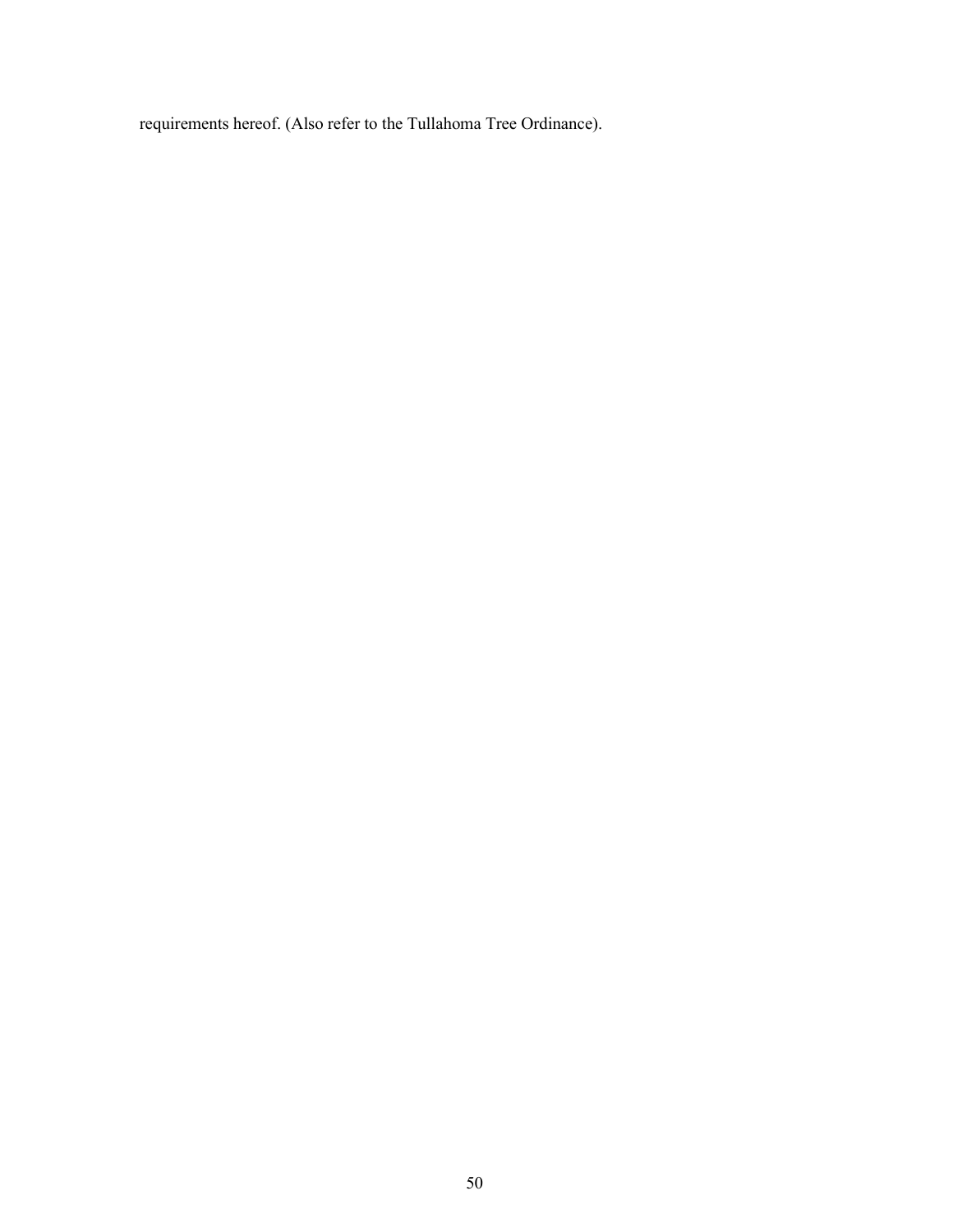requirements hereof. (Also refer to the Tullahoma Tree Ordinance).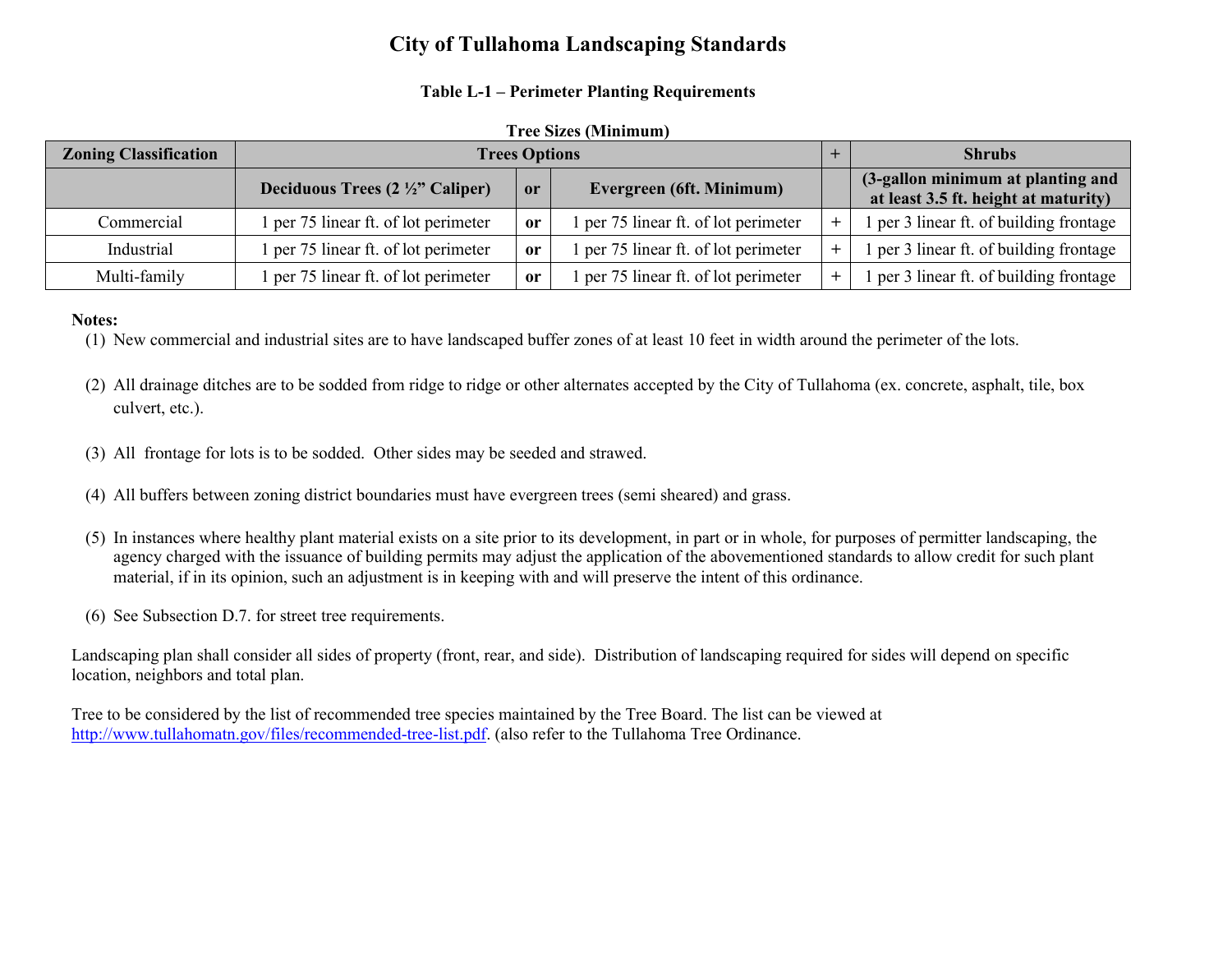# **City of Tullahoma Landscaping Standards**

### **Table L-1 – Perimeter Planting Requirements**

#### **Tree Sizes (Minimum)**

| <b>Zoning Classification</b> | <b>Trees Options</b>                       |               |                                      | <b>Shrubs</b>                                                             |
|------------------------------|--------------------------------------------|---------------|--------------------------------------|---------------------------------------------------------------------------|
|                              | Deciduous Trees $(2 \frac{1}{2})$ Caliper) | <b>or</b>     | Evergreen (6ft. Minimum)             | (3-gallon minimum at planting and<br>at least 3.5 ft. height at maturity) |
| Commercial                   | l per 75 linear ft. of lot perimeter       | <sub>or</sub> | l per 75 linear ft. of lot perimeter | 1 per 3 linear ft. of building frontage                                   |
| Industrial                   | l per 75 linear ft. of lot perimeter       | <sub>or</sub> | l per 75 linear ft. of lot perimeter | 1 per 3 linear ft. of building frontage                                   |
| Multi-family                 | 1 per 75 linear ft. of lot perimeter       | <sub>or</sub> | l per 75 linear ft. of lot perimeter | 1 per 3 linear ft. of building frontage                                   |

#### **Notes:**

(1) New commercial and industrial sites are to have landscaped buffer zones of at least 10 feet in width around the perimeter of the lots.

- (2) All drainage ditches are to be sodded from ridge to ridge or other alternates accepted by the City of Tullahoma (ex. concrete, asphalt, tile, box culvert, etc.).
- (3) All frontage for lots is to be sodded. Other sides may be seeded and strawed.
- (4) All buffers between zoning district boundaries must have evergreen trees (semi sheared) and grass.
- (5) In instances where healthy plant material exists on a site prior to its development, in part or in whole, for purposes of permitter landscaping, the agency charged with the issuance of building permits may adjust the application of the abovementioned standards to allow credit for such plant material, if in its opinion, such an adjustment is in keeping with and will preserve the intent of this ordinance.
- (6) See Subsection D.7. for street tree requirements.

Landscaping plan shall consider all sides of property (front, rear, and side). Distribution of landscaping required for sides will depend on specific location, neighbors and total plan.

Tree to be considered by the list of recommended tree species maintained by the Tree Board. The list can be viewed at http://www.tullahomatn.gov/files/recommended-tree-list.pdf. (also refer to the Tullahoma Tree Ordinance.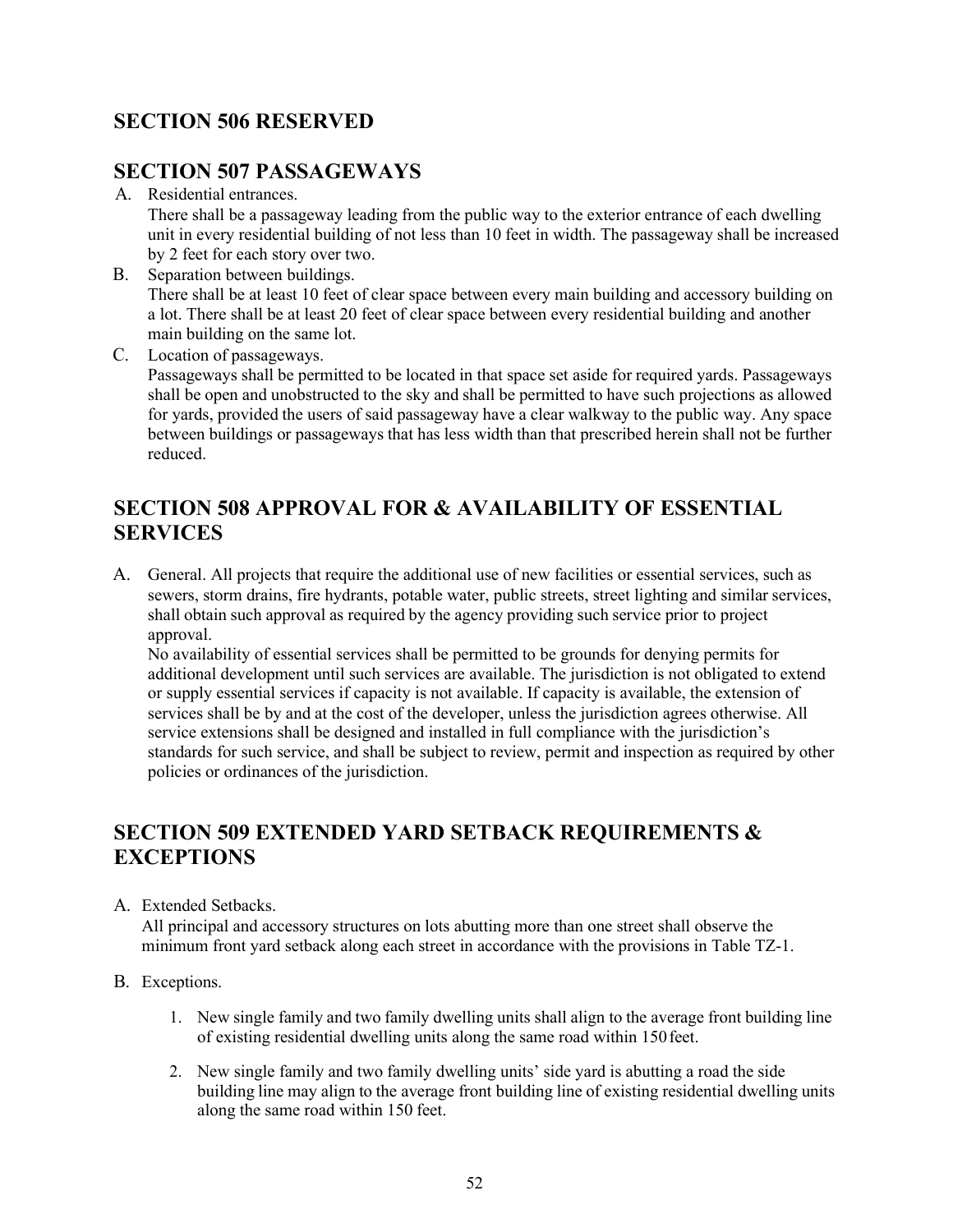# **SECTION 506 RESERVED**

### **SECTION 507 PASSAGEWAYS**

A. Residential entrances.

There shall be a passageway leading from the public way to the exterior entrance of each dwelling unit in every residential building of not less than 10 feet in width. The passageway shall be increased by 2 feet for each story over two.

- B. Separation between buildings. There shall be at least 10 feet of clear space between every main building and accessory building on a lot. There shall be at least 20 feet of clear space between every residential building and another main building on the same lot.
- C. Location of passageways.

Passageways shall be permitted to be located in that space set aside for required yards. Passageways shall be open and unobstructed to the sky and shall be permitted to have such projections as allowed for yards, provided the users of said passageway have a clear walkway to the public way. Any space between buildings or passageways that has less width than that prescribed herein shall not be further reduced.

# **SECTION 508 APPROVAL FOR & AVAILABILITY OF ESSENTIAL SERVICES**

A. General. All projects that require the additional use of new facilities or essential services, such as sewers, storm drains, fire hydrants, potable water, public streets, street lighting and similar services, shall obtain such approval as required by the agency providing such service prior to project approval.

No availability of essential services shall be permitted to be grounds for denying permits for additional development until such services are available. The jurisdiction is not obligated to extend or supply essential services if capacity is not available. If capacity is available, the extension of services shall be by and at the cost of the developer, unless the jurisdiction agrees otherwise. All service extensions shall be designed and installed in full compliance with the jurisdiction's standards for such service, and shall be subject to review, permit and inspection as required by other policies or ordinances of the jurisdiction.

# **SECTION 509 EXTENDED YARD SETBACK REQUIREMENTS & EXCEPTIONS**

A. Extended Setbacks.

All principal and accessory structures on lots abutting more than one street shall observe the minimum front yard setback along each street in accordance with the provisions in Table TZ-1.

- B. Exceptions.
	- 1. New single family and two family dwelling units shall align to the average front building line of existing residential dwelling units along the same road within 150feet.
	- 2. New single family and two family dwelling units' side yard is abutting a road the side building line may align to the average front building line of existing residential dwelling units along the same road within 150 feet.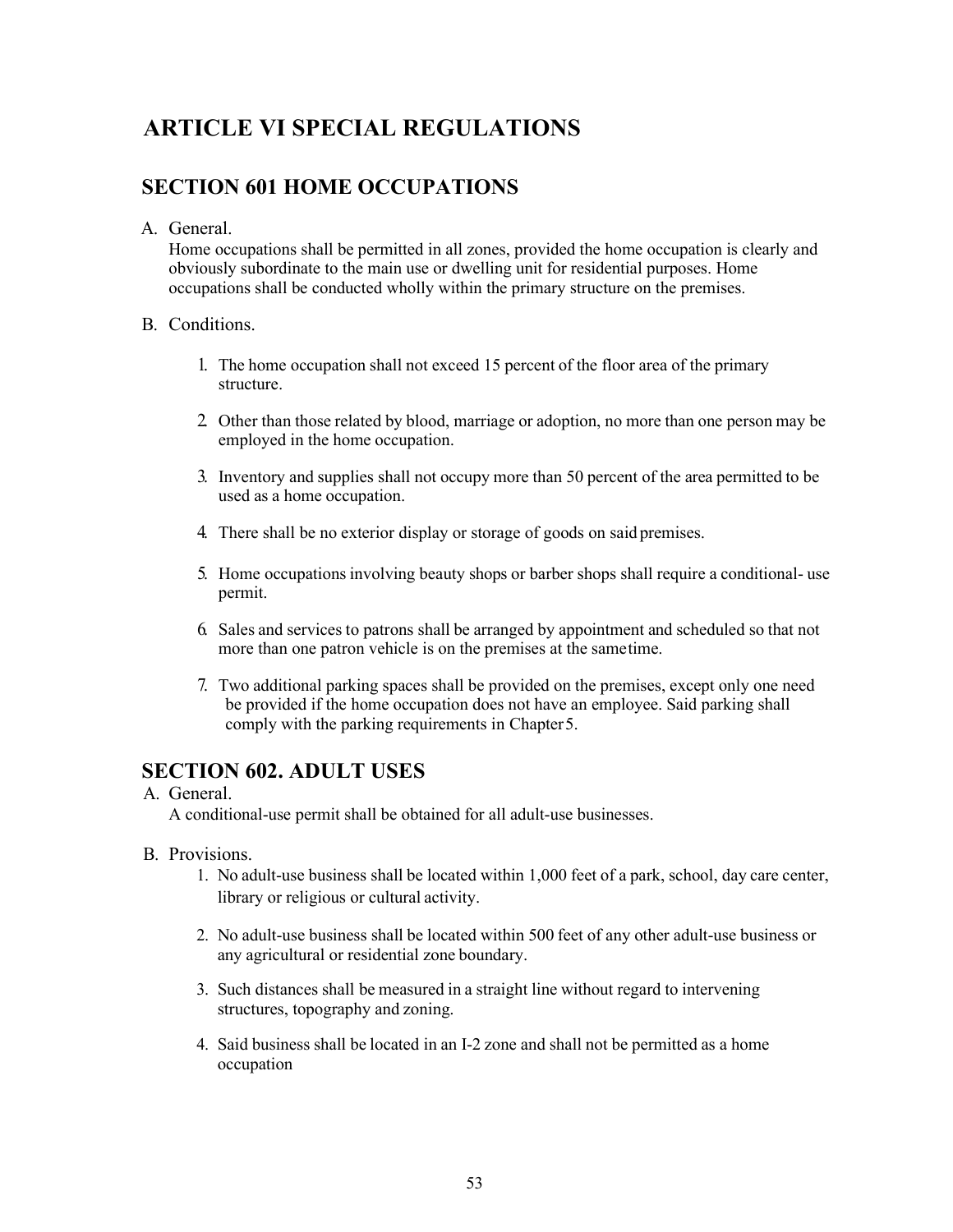# **ARTICLE VI SPECIAL REGULATIONS**

### **SECTION 601 HOME OCCUPATIONS**

### A. General.

Home occupations shall be permitted in all zones, provided the home occupation is clearly and obviously subordinate to the main use or dwelling unit for residential purposes. Home occupations shall be conducted wholly within the primary structure on the premises.

### B. Conditions.

- 1. The home occupation shall not exceed 15 percent of the floor area of the primary structure.
- 2. Other than those related by blood, marriage or adoption, no more than one person may be employed in the home occupation.
- 3. Inventory and supplies shall not occupy more than 50 percent of the area permitted to be used as a home occupation.
- 4. There shall be no exterior display or storage of goods on said premises.
- 5. Home occupations involving beauty shops or barber shops shall require a conditional- use permit.
- 6. Sales and services to patrons shall be arranged by appointment and scheduled so that not more than one patron vehicle is on the premises at the sametime.
- 7. Two additional parking spaces shall be provided on the premises, except only one need be provided if the home occupation does not have an employee. Said parking shall comply with the parking requirements in Chapter5.

### **SECTION 602. ADULT USES**

### A. General.

A conditional-use permit shall be obtained for all adult-use businesses.

- B. Provisions.
	- 1. No adult-use business shall be located within 1,000 feet of a park, school, day care center, library or religious or cultural activity.
	- 2. No adult-use business shall be located within 500 feet of any other adult-use business or any agricultural or residential zone boundary.
	- 3. Such distances shall be measured in a straight line without regard to intervening structures, topography and zoning.
	- 4. Said business shall be located in an I-2 zone and shall not be permitted as a home occupation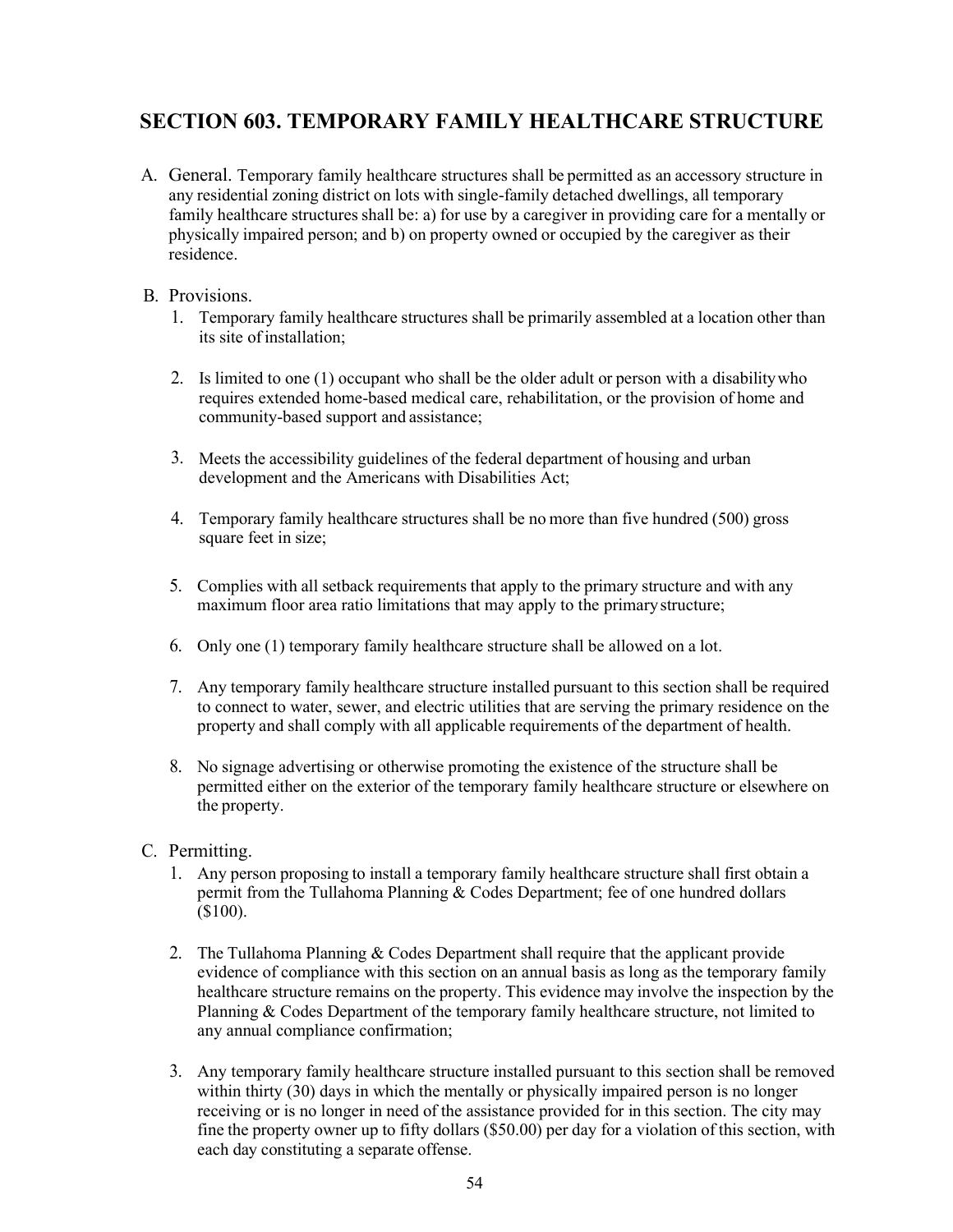# **SECTION 603. TEMPORARY FAMILY HEALTHCARE STRUCTURE**

A. General. Temporary family healthcare structures shall be permitted as an accessory structure in any residential zoning district on lots with single-family detached dwellings, all temporary family healthcare structures shall be: a) for use by a caregiver in providing care for a mentally or physically impaired person; and b) on property owned or occupied by the caregiver as their residence.

### B. Provisions.

- 1. Temporary family healthcare structures shall be primarily assembled at a location other than its site ofinstallation;
- 2. Is limited to one (1) occupant who shall be the older adult or person with a disabilitywho requires extended home-based medical care, rehabilitation, or the provision of home and community-based support and assistance;
- 3. Meets the accessibility guidelines of the federal department of housing and urban development and the Americans with Disabilities Act;
- 4. Temporary family healthcare structures shall be no more than five hundred (500) gross square feet in size;
- 5. Complies with all setback requirements that apply to the primary structure and with any maximum floor area ratio limitations that may apply to the primarystructure;
- 6. Only one (1) temporary family healthcare structure shall be allowed on a lot.
- 7. Any temporary family healthcare structure installed pursuant to this section shall be required to connect to water, sewer, and electric utilities that are serving the primary residence on the property and shall comply with all applicable requirements of the department of health.
- 8. No signage advertising or otherwise promoting the existence of the structure shall be permitted either on the exterior of the temporary family healthcare structure or elsewhere on the property.
- C. Permitting.
	- 1. Any person proposing to install a temporary family healthcare structure shall first obtain a permit from the Tullahoma Planning & Codes Department; fee of one hundred dollars (\$100).
	- 2. The Tullahoma Planning  $& Codes$  Department shall require that the applicant provide evidence of compliance with this section on an annual basis as long as the temporary family healthcare structure remains on the property. This evidence may involve the inspection by the Planning & Codes Department of the temporary family healthcare structure, not limited to any annual compliance confirmation;
	- 3. Any temporary family healthcare structure installed pursuant to this section shall be removed within thirty (30) days in which the mentally or physically impaired person is no longer receiving or is no longer in need of the assistance provided for in this section. The city may fine the property owner up to fifty dollars (\$50.00) per day for a violation of this section, with each day constituting a separate offense.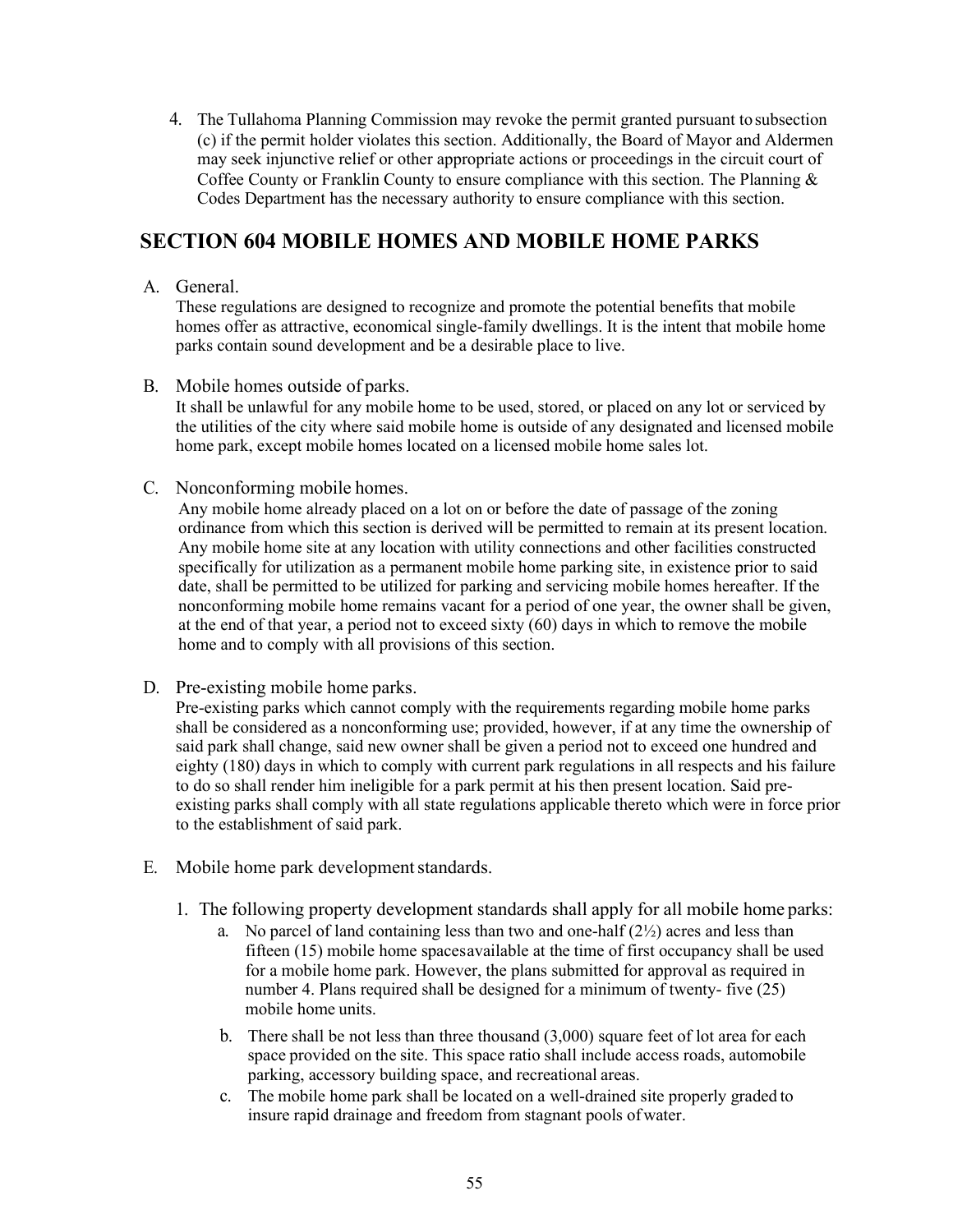4. The Tullahoma Planning Commission may revoke the permit granted pursuant tosubsection (c) if the permit holder violates this section. Additionally, the Board of Mayor and Aldermen may seek injunctive relief or other appropriate actions or proceedings in the circuit court of Coffee County or Franklin County to ensure compliance with this section. The Planning & Codes Department has the necessary authority to ensure compliance with this section.

### **SECTION 604 MOBILE HOMES AND MOBILE HOME PARKS**

A. General.

These regulations are designed to recognize and promote the potential benefits that mobile homes offer as attractive, economical single-family dwellings. It is the intent that mobile home parks contain sound development and be a desirable place to live.

B. Mobile homes outside of parks.

It shall be unlawful for any mobile home to be used, stored, or placed on any lot or serviced by the utilities of the city where said mobile home is outside of any designated and licensed mobile home park, except mobile homes located on a licensed mobile home sales lot.

C. Nonconforming mobile homes.

Any mobile home already placed on a lot on or before the date of passage of the zoning ordinance from which this section is derived will be permitted to remain at its present location. Any mobile home site at any location with utility connections and other facilities constructed specifically for utilization as a permanent mobile home parking site, in existence prior to said date, shall be permitted to be utilized for parking and servicing mobile homes hereafter. If the nonconforming mobile home remains vacant for a period of one year, the owner shall be given, at the end of that year, a period not to exceed sixty  $(60)$  days in which to remove the mobile home and to comply with all provisions of this section.

D. Pre-existing mobile home parks.

Pre-existing parks which cannot comply with the requirements regarding mobile home parks shall be considered as a nonconforming use; provided, however, if at any time the ownership of said park shall change, said new owner shall be given a period not to exceed one hundred and eighty (180) days in which to comply with current park regulations in all respects and his failure to do so shall render him ineligible for a park permit at his then present location. Said preexisting parks shall comply with all state regulations applicable thereto which were in force prior to the establishment of said park.

- E. Mobile home park development standards.
	- 1. The following property development standards shall apply for all mobile home parks:
		- a. No parcel of land containing less than two and one-half  $(2\frac{1}{2})$  acres and less than fifteen (15) mobile home spacesavailable at the time of first occupancy shall be used for a mobile home park. However, the plans submitted for approval as required in number 4. Plans required shall be designed for a minimum of twenty- five (25) mobile home units.
		- b. There shall be not less than three thousand (3,000) square feet of lot area for each space provided on the site. This space ratio shall include access roads, automobile parking, accessory building space, and recreational areas.
		- c. The mobile home park shall be located on a well-drained site properly graded to insure rapid drainage and freedom from stagnant pools ofwater.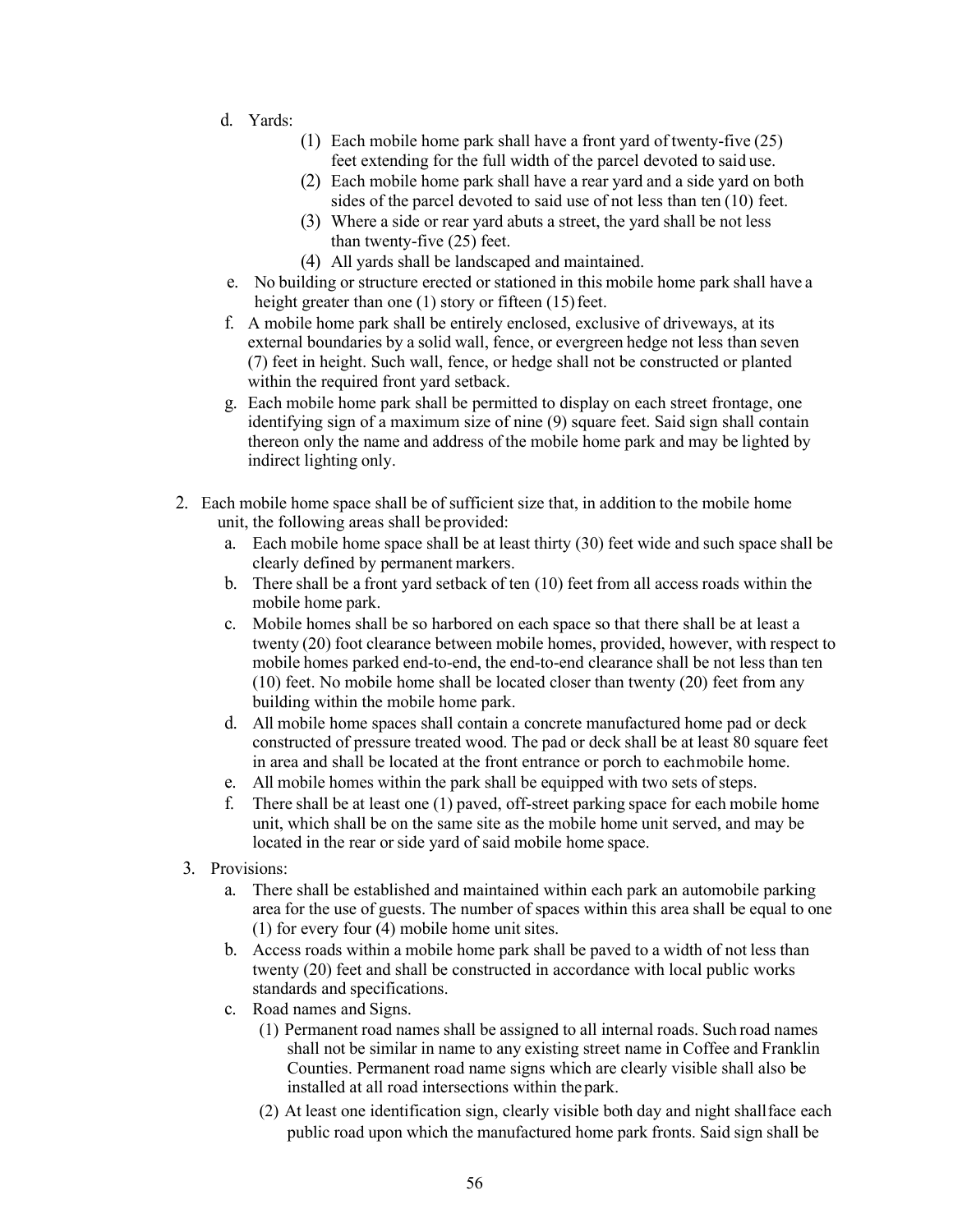- d. Yards:
	- (1) Each mobile home park shall have a front yard of twenty-five (25) feet extending for the full width of the parcel devoted to said use.
	- (2) Each mobile home park shall have a rear yard and a side yard on both sides of the parcel devoted to said use of not less than ten (10) feet.
	- (3) Where a side or rear yard abuts a street, the yard shall be not less than twenty-five (25) feet.
	- (4) All yards shall be landscaped and maintained.
- e. No building or structure erected or stationed in this mobile home park shall have a height greater than one  $(1)$  story or fifteen  $(15)$  feet.
- f. A mobile home park shall be entirely enclosed, exclusive of driveways, at its external boundaries by a solid wall, fence, or evergreen hedge not less than seven (7) feet in height. Such wall, fence, or hedge shall not be constructed or planted within the required front yard setback.
- g. Each mobile home park shall be permitted to display on each street frontage, one identifying sign of a maximum size of nine (9) square feet. Said sign shall contain thereon only the name and address of the mobile home park and may be lighted by indirect lighting only.
- 2. Each mobile home space shall be of sufficient size that, in addition to the mobile home unit, the following areas shall be provided:
	- a. Each mobile home space shall be at least thirty (30) feet wide and such space shall be clearly defined by permanent markers.
	- b. There shall be a front yard setback of ten (10) feet from all access roads within the mobile home park.
	- c. Mobile homes shall be so harbored on each space so that there shall be at least a twenty (20) foot clearance between mobile homes, provided, however, with respect to mobile homes parked end-to-end, the end-to-end clearance shall be not less than ten (10) feet. No mobile home shall be located closer than twenty (20) feet from any building within the mobile home park.
	- d. All mobile home spaces shall contain a concrete manufactured home pad or deck constructed of pressure treated wood. The pad or deck shall be at least 80 square feet in area and shall be located at the front entrance or porch to eachmobile home.
	- e. All mobile homes within the park shall be equipped with two sets of steps.
	- f. There shall be at least one (1) paved, off-street parking space for each mobile home unit, which shall be on the same site as the mobile home unit served, and may be located in the rear or side yard of said mobile home space.
- 3. Provisions:
	- a. There shall be established and maintained within each park an automobile parking area for the use of guests. The number of spaces within this area shall be equal to one (1) for every four (4) mobile home unit sites.
	- b. Access roads within a mobile home park shall be paved to a width of not less than twenty (20) feet and shall be constructed in accordance with local public works standards and specifications.
	- c. Road names and Signs.
		- (1) Permanent road names shall be assigned to all internal roads. Such road names shall not be similar in name to any existing street name in Coffee and Franklin Counties. Permanent road name signs which are clearly visible shall also be installed at all road intersections within the park.
		- (2) At least one identification sign, clearly visible both day and night shallface each public road upon which the manufactured home park fronts. Said sign shall be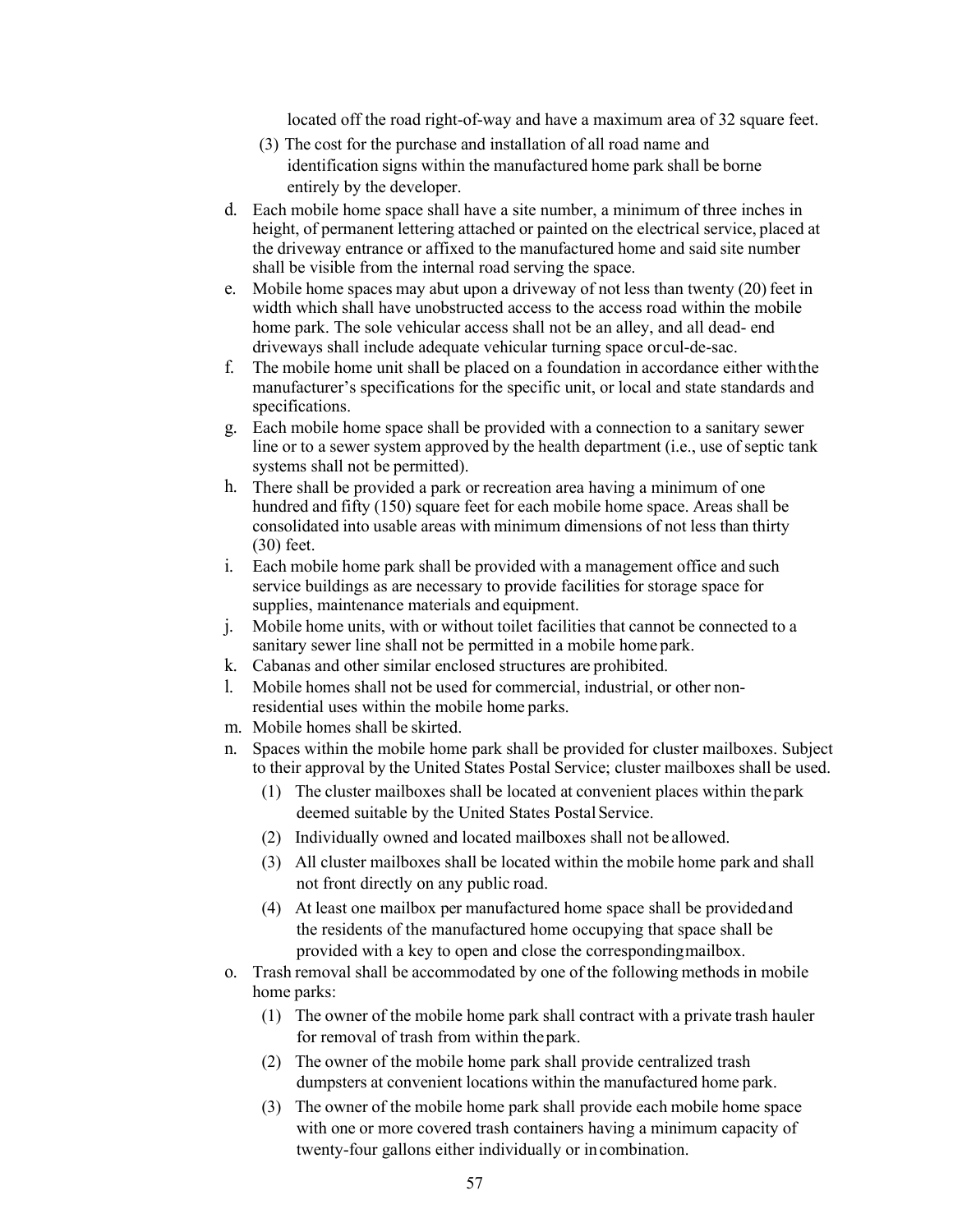located off the road right-of-way and have a maximum area of 32 square feet.

- (3) The cost for the purchase and installation of all road name and identification signs within the manufactured home park shall be borne entirely by the developer.
- d. Each mobile home space shall have a site number, a minimum of three inches in height, of permanent lettering attached or painted on the electrical service, placed at the driveway entrance or affixed to the manufactured home and said site number shall be visible from the internal road serving the space.
- e. Mobile home spaces may abut upon a driveway of not less than twenty  $(20)$  feet in width which shall have unobstructed access to the access road within the mobile home park. The sole vehicular access shall not be an alley, and all dead- end driveways shall include adequate vehicular turning space orcul-de-sac.
- f. The mobile home unit shall be placed on a foundation in accordance either withthe manufacturer's specifications for the specific unit, or local and state standards and specifications.
- g. Each mobile home space shall be provided with a connection to a sanitary sewer line or to a sewer system approved by the health department (i.e., use of septic tank systems shall not be permitted).
- h. There shall be provided a park or recreation area having a minimum of one hundred and fifty (150) square feet for each mobile home space. Areas shall be consolidated into usable areas with minimum dimensions of not less than thirty (30) feet.
- i. Each mobile home park shall be provided with a management office and such service buildings as are necessary to provide facilities for storage space for supplies, maintenance materials and equipment.
- j. Mobile home units, with or without toilet facilities that cannot be connected to a sanitary sewer line shall not be permitted in a mobile home park.
- k. Cabanas and other similar enclosed structures are prohibited.
- l. Mobile homes shall not be used for commercial, industrial, or other nonresidential uses within the mobile home parks.
- m. Mobile homes shall be skirted.
- n. Spaces within the mobile home park shall be provided for cluster mailboxes. Subject to their approval by the United States Postal Service; cluster mailboxes shall be used.
	- (1) The cluster mailboxes shall be located at convenient places within thepark deemed suitable by the United States Postal Service.
	- (2) Individually owned and located mailboxes shall not be allowed.
	- (3) All cluster mailboxes shall be located within the mobile home park and shall not front directly on any public road.
	- (4) At least one mailbox per manufactured home space shall be providedand the residents of the manufactured home occupying that space shall be provided with a key to open and close the correspondingmailbox.
- o. Trash removal shall be accommodated by one of the following methods in mobile home parks:
	- (1) The owner of the mobile home park shall contract with a private trash hauler for removal of trash from within thepark.
	- (2) The owner of the mobile home park shall provide centralized trash dumpsters at convenient locations within the manufactured home park.
	- (3) The owner of the mobile home park shall provide each mobile home space with one or more covered trash containers having a minimum capacity of twenty-four gallons either individually or incombination.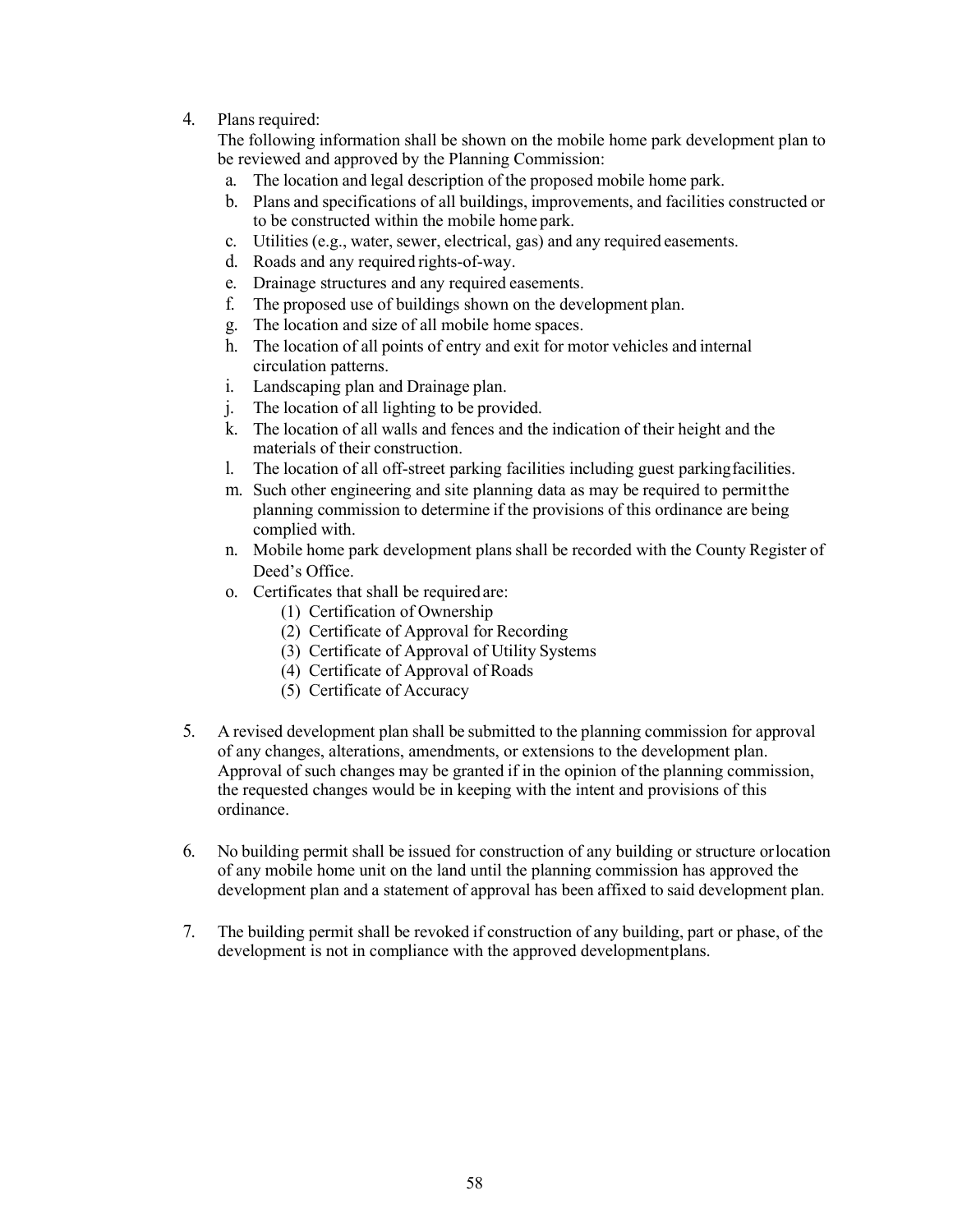### 4. Plans required:

The following information shall be shown on the mobile home park development plan to be reviewed and approved by the Planning Commission:

- a. The location and legal description of the proposed mobile home park.
- b. Plans and specifications of all buildings, improvements, and facilities constructed or to be constructed within the mobile home park.
- c. Utilities (e.g., water, sewer, electrical, gas) and any required easements.
- d. Roads and any required rights-of-way.
- e. Drainage structures and any required easements.
- f. The proposed use of buildings shown on the development plan.
- g. The location and size of all mobile home spaces.
- h. The location of all points of entry and exit for motor vehicles and internal circulation patterns.
- i. Landscaping plan and Drainage plan.
- j. The location of all lighting to be provided.
- k. The location of all walls and fences and the indication of their height and the materials of their construction.
- l. The location of all off-street parking facilities including guest parkingfacilities.
- m. Such other engineering and site planning data as may be required to permitthe planning commission to determine if the provisions of this ordinance are being complied with.
- n. Mobile home park development plans shall be recorded with the County Register of Deed's Office.
- o. Certificates that shall be required are:
	- (1) Certification of Ownership
	- (2) Certificate of Approval for Recording
	- (3) Certificate of Approval of Utility Systems
	- (4) Certificate of Approval of Roads
	- (5) Certificate of Accuracy
- 5. A revised development plan shall be submitted to the planning commission for approval of any changes, alterations, amendments, or extensions to the development plan. Approval of such changes may be granted if in the opinion of the planning commission, the requested changes would be in keeping with the intent and provisions of this ordinance.
- 6. No building permit shall be issued for construction of any building or structure orlocation of any mobile home unit on the land until the planning commission has approved the development plan and a statement of approval has been affixed to said development plan.
- 7. The building permit shall be revoked if construction of any building, part or phase, of the development is not in compliance with the approved developmentplans.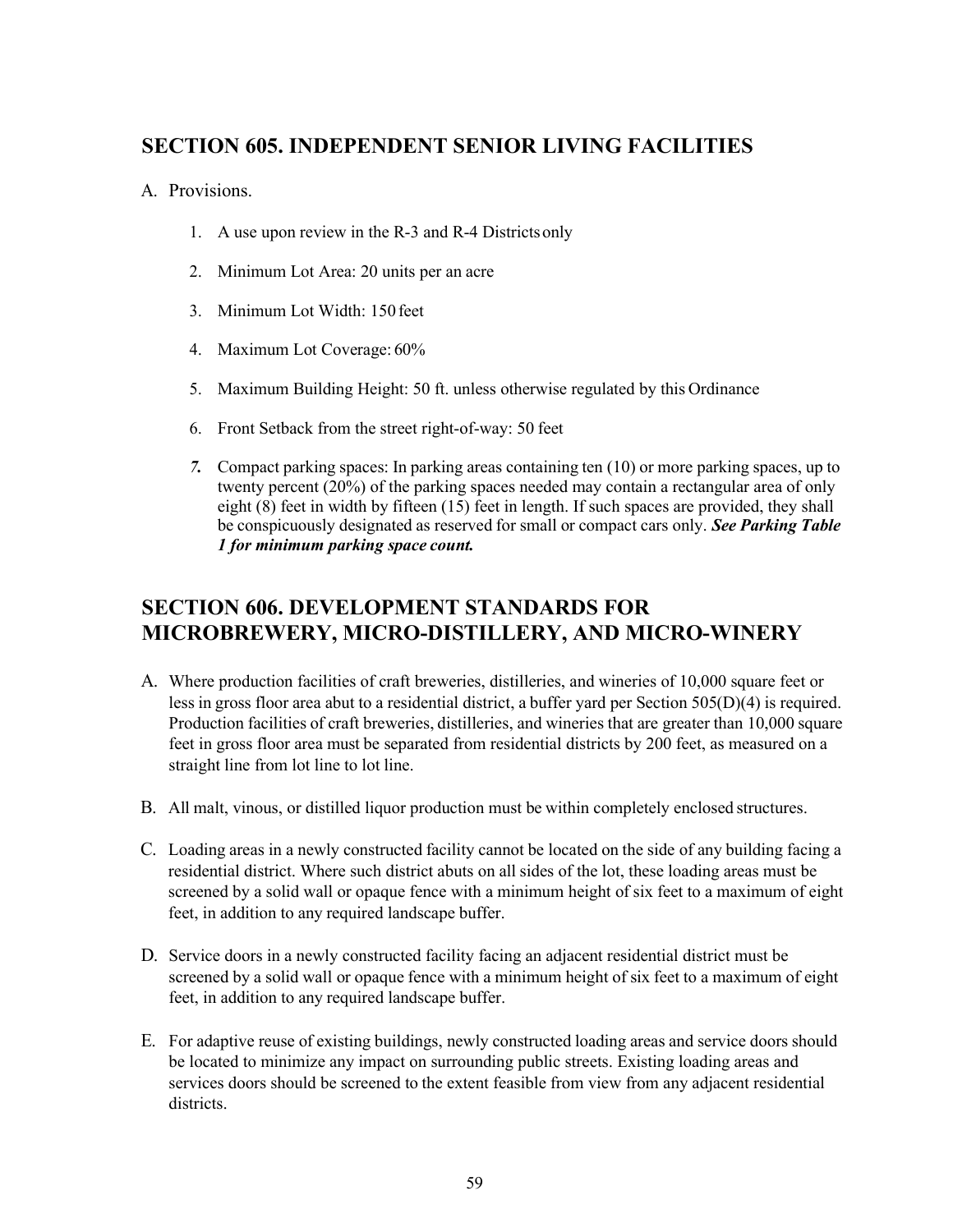### **SECTION 605. INDEPENDENT SENIOR LIVING FACILITIES**

### A. Provisions.

- 1. A use upon review in the R-3 and R-4 Districtsonly
- 2. Minimum Lot Area: 20 units per an acre
- 3. Minimum Lot Width: 150 feet
- 4. Maximum Lot Coverage: 60%
- 5. Maximum Building Height: 50 ft. unless otherwise regulated by this Ordinance
- 6. Front Setback from the street right-of-way: 50 feet
- *7.* Compact parking spaces: In parking areas containing ten (10) or more parking spaces, up to twenty percent (20%) of the parking spaces needed may contain a rectangular area of only eight (8) feet in width by fifteen (15) feet in length. If such spaces are provided, they shall be conspicuously designated as reserved for small or compact cars only. *See Parking Table 1 for minimum parking space count.*

### **SECTION 606. DEVELOPMENT STANDARDS FOR MICROBREWERY, MICRO-DISTILLERY, AND MICRO-WINERY**

- A. Where production facilities of craft breweries, distilleries, and wineries of 10,000 square feet or less in gross floor area abut to a residential district, a buffer yard per Section 505(D)(4) is required. Production facilities of craft breweries, distilleries, and wineries that are greater than 10,000 square feet in gross floor area must be separated from residential districts by 200 feet, as measured on a straight line from lot line to lot line.
- B. All malt, vinous, or distilled liquor production must be within completely enclosed structures.
- C. Loading areas in a newly constructed facility cannot be located on the side of any building facing a residential district. Where such district abuts on all sides of the lot, these loading areas must be screened by a solid wall or opaque fence with a minimum height of six feet to a maximum of eight feet, in addition to any required landscape buffer.
- D. Service doors in a newly constructed facility facing an adjacent residential district must be screened by a solid wall or opaque fence with a minimum height of six feet to a maximum of eight feet, in addition to any required landscape buffer.
- E. For adaptive reuse of existing buildings, newly constructed loading areas and service doors should be located to minimize any impact on surrounding public streets. Existing loading areas and services doors should be screened to the extent feasible from view from any adjacent residential districts.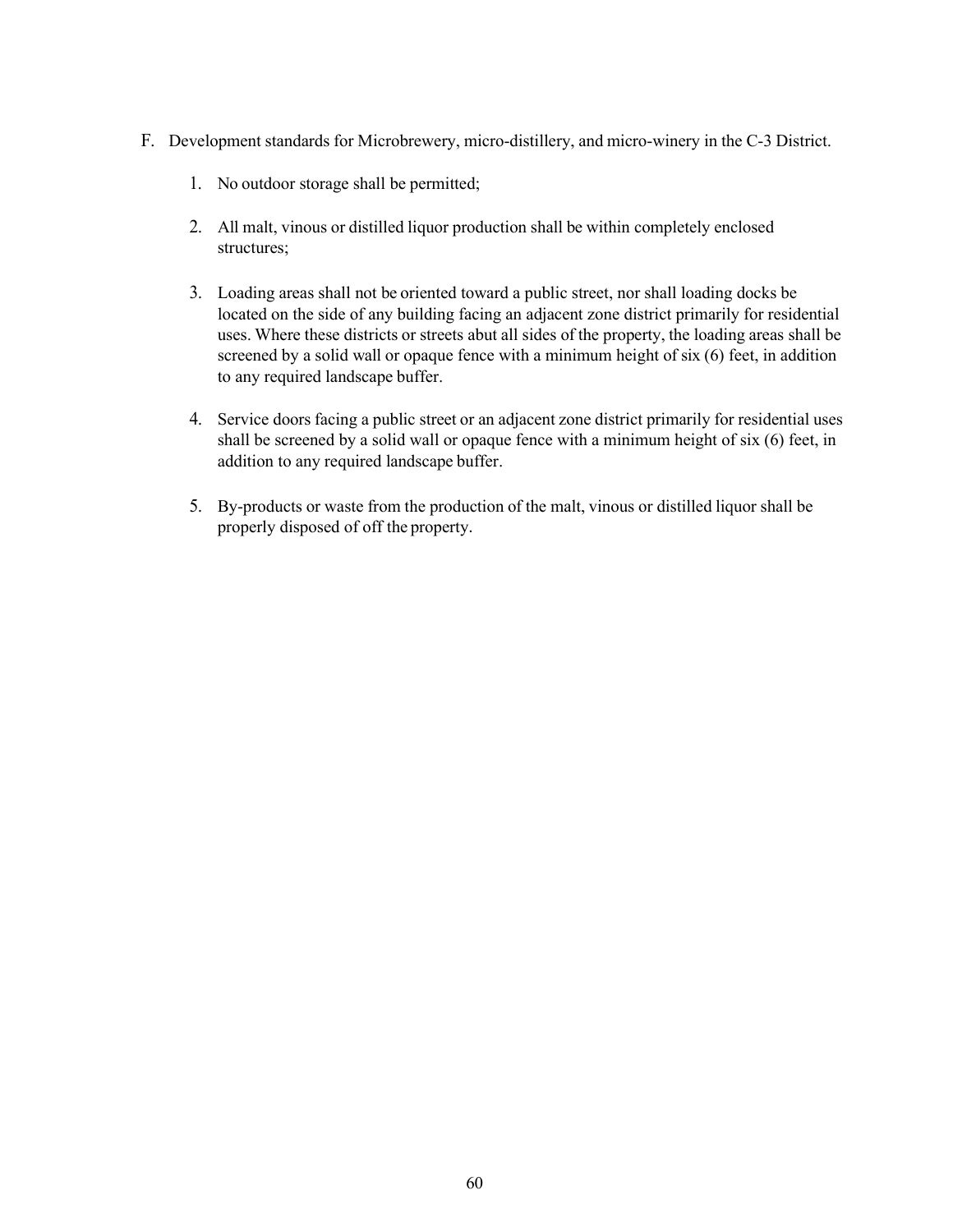- F. Development standards for Microbrewery, micro-distillery, and micro-winery in the C-3 District.
	- 1. No outdoor storage shall be permitted;
	- 2. All malt, vinous or distilled liquor production shall be within completely enclosed structures;
	- 3. Loading areas shall not be oriented toward a public street, nor shall loading docks be located on the side of any building facing an adjacent zone district primarily for residential uses. Where these districts or streets abut all sides of the property, the loading areas shall be screened by a solid wall or opaque fence with a minimum height of six (6) feet, in addition to any required landscape buffer.
	- 4. Service doors facing a public street or an adjacent zone district primarily for residential uses shall be screened by a solid wall or opaque fence with a minimum height of six (6) feet, in addition to any required landscape buffer.
	- 5. By-products or waste from the production of the malt, vinous or distilled liquor shall be properly disposed of off the property.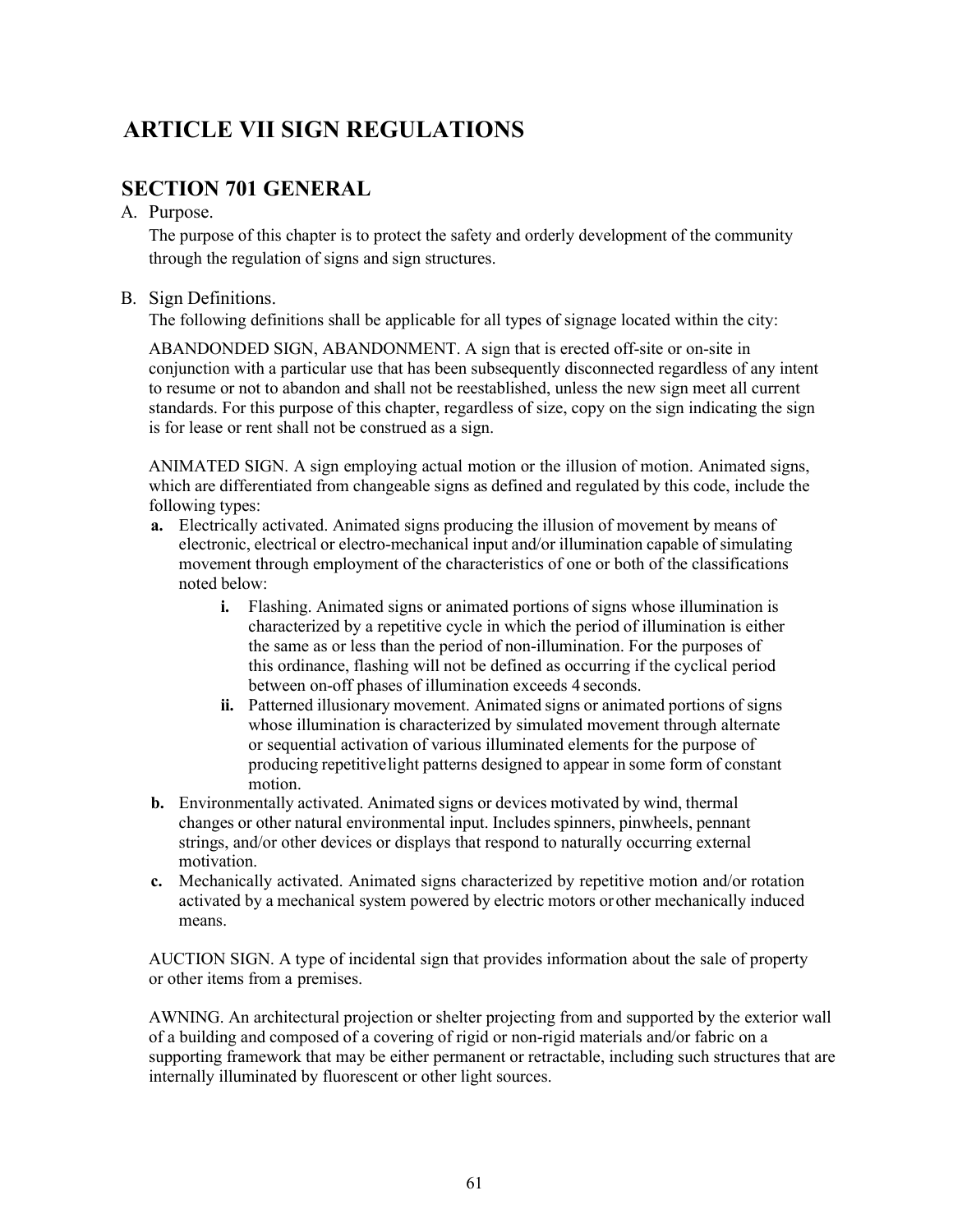# **ARTICLE VII SIGN REGULATIONS**

### **SECTION 701 GENERAL**

#### A. Purpose.

The purpose of this chapter is to protect the safety and orderly development of the community through the regulation of signs and sign structures.

### B. Sign Definitions.

The following definitions shall be applicable for all types of signage located within the city:

ABANDONDED SIGN, ABANDONMENT. A sign that is erected off-site or on-site in conjunction with a particular use that has been subsequently disconnected regardless of any intent to resume or not to abandon and shall not be reestablished, unless the new sign meet all current standards. For this purpose of this chapter, regardless of size, copy on the sign indicating the sign is for lease or rent shall not be construed as a sign.

ANIMATED SIGN. A sign employing actual motion or the illusion of motion. Animated signs, which are differentiated from changeable signs as defined and regulated by this code, include the following types:

- **a.** Electrically activated. Animated signs producing the illusion of movement by means of electronic, electrical or electro-mechanical input and/or illumination capable of simulating movement through employment of the characteristics of one or both of the classifications noted below:
	- **i.** Flashing. Animated signs or animated portions of signs whose illumination is characterized by a repetitive cycle in which the period of illumination is either the same as or less than the period of non-illumination. For the purposes of this ordinance, flashing will not be defined as occurring if the cyclical period between on-off phases of illumination exceeds 4 seconds.
	- **ii.** Patterned illusionary movement. Animated signs or animated portions of signs whose illumination is characterized by simulated movement through alternate or sequential activation of various illuminated elements for the purpose of producing repetitivelight patterns designed to appear in some form of constant motion.
- **b.** Environmentally activated. Animated signs or devices motivated by wind, thermal changes or other natural environmental input. Includes spinners, pinwheels, pennant strings, and/or other devices or displays that respond to naturally occurring external motivation.
- **c.** Mechanically activated. Animated signs characterized by repetitive motion and/or rotation activated by a mechanical system powered by electric motors orother mechanically induced means.

AUCTION SIGN. A type of incidental sign that provides information about the sale of property or other items from a premises.

AWNING. An architectural projection or shelter projecting from and supported by the exterior wall of a building and composed of a covering of rigid or non-rigid materials and/or fabric on a supporting framework that may be either permanent or retractable, including such structures that are internally illuminated by fluorescent or other light sources.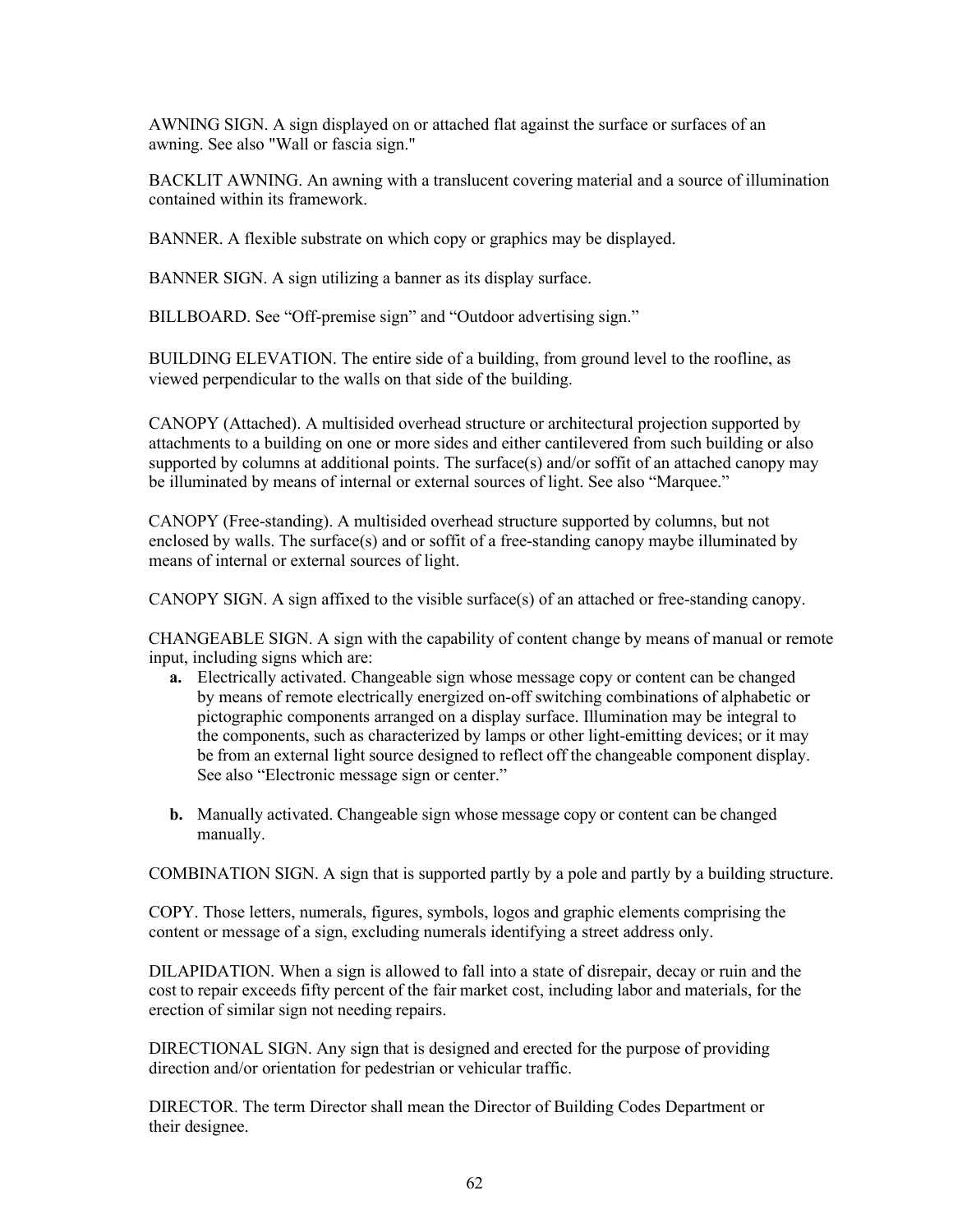AWNING SIGN. A sign displayed on or attached flat against the surface or surfaces of an awning. See also "Wall or fascia sign."

BACKLIT AWNING. An awning with a translucent covering material and a source of illumination contained within its framework.

BANNER. A flexible substrate on which copy or graphics may be displayed.

BANNER SIGN. A sign utilizing a banner as its display surface.

BILLBOARD. See "Off-premise sign" and "Outdoor advertising sign."

BUILDING ELEVATION. The entire side of a building, from ground level to the roofline, as viewed perpendicular to the walls on that side of the building.

CANOPY (Attached). A multisided overhead structure or architectural projection supported by attachments to a building on one or more sides and either cantilevered from such building or also supported by columns at additional points. The surface(s) and/or soffit of an attached canopy may be illuminated by means of internal or external sources of light. See also "Marquee."

CANOPY (Free-standing). A multisided overhead structure supported by columns, but not enclosed by walls. The surface(s) and or soffit of a free-standing canopy maybe illuminated by means of internal or external sources of light.

CANOPY SIGN. A sign affixed to the visible surface(s) of an attached or free-standing canopy.

CHANGEABLE SIGN. A sign with the capability of content change by means of manual or remote input, including signs which are:

- **a.** Electrically activated. Changeable sign whose message copy or content can be changed by means of remote electrically energized on-off switching combinations of alphabetic or pictographic components arranged on a display surface. Illumination may be integral to the components, such as characterized by lamps or other light-emitting devices; or it may be from an external light source designed to reflect off the changeable component display. See also "Electronic message sign or center."
- **b.** Manually activated. Changeable sign whose message copy or content can be changed manually.

COMBINATION SIGN. A sign that is supported partly by a pole and partly by a building structure.

COPY. Those letters, numerals, figures, symbols, logos and graphic elements comprising the content or message of a sign, excluding numerals identifying a street address only.

DILAPIDATION. When a sign is allowed to fall into a state of disrepair, decay or ruin and the cost to repair exceeds fifty percent of the fair market cost, including labor and materials, for the erection of similar sign not needing repairs.

DIRECTIONAL SIGN. Any sign that is designed and erected for the purpose of providing direction and/or orientation for pedestrian or vehicular traffic.

DIRECTOR. The term Director shall mean the Director of Building Codes Department or their designee.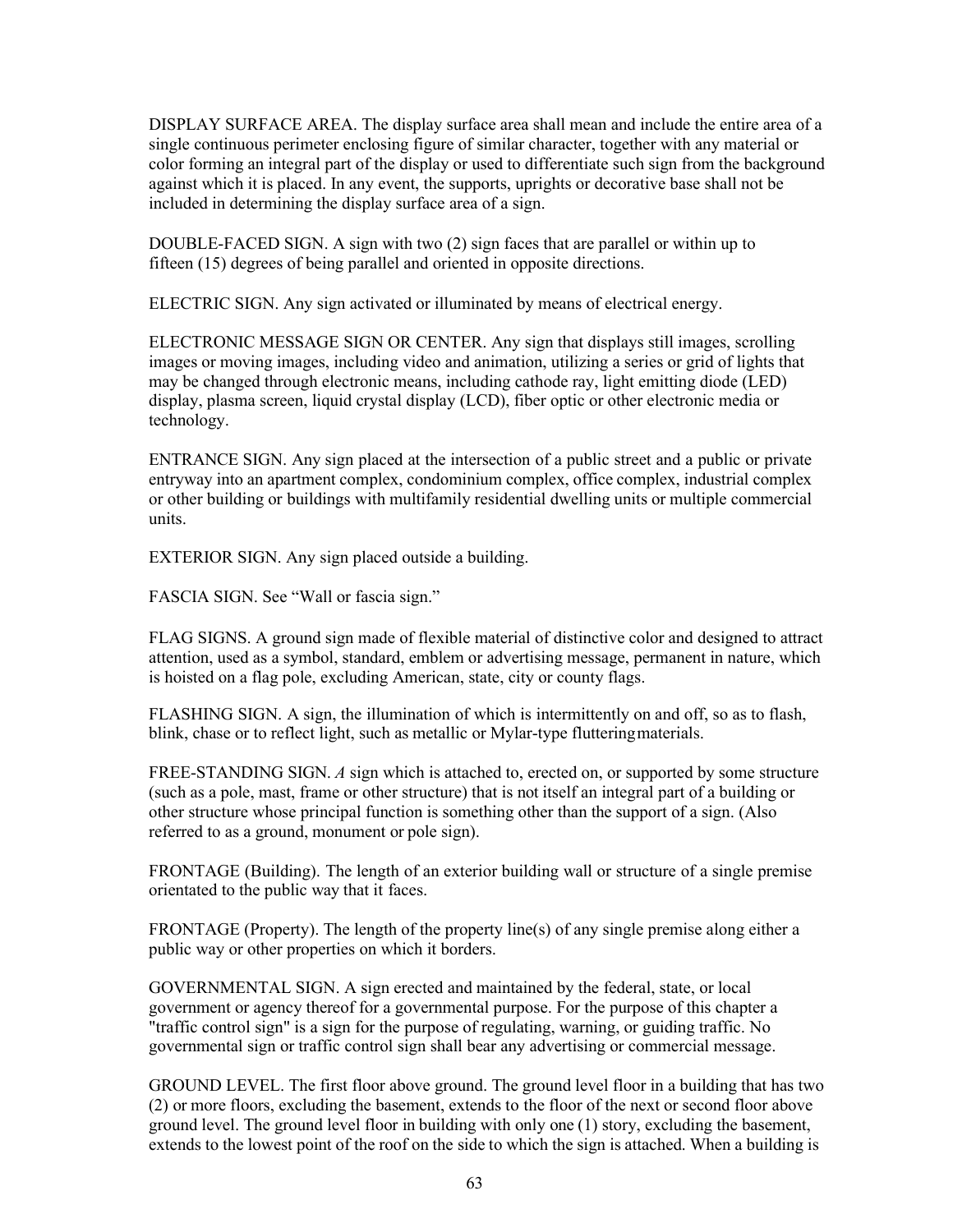DISPLAY SURFACE AREA. The display surface area shall mean and include the entire area of a single continuous perimeter enclosing figure of similar character, together with any material or color forming an integral part of the display or used to differentiate such sign from the background against which it is placed. In any event, the supports, uprights or decorative base shall not be included in determining the display surface area of a sign.

DOUBLE-FACED SIGN. A sign with two (2) sign faces that are parallel or within up to fifteen (15) degrees of being parallel and oriented in opposite directions.

ELECTRIC SIGN. Any sign activated or illuminated by means of electrical energy.

ELECTRONIC MESSAGE SIGN OR CENTER. Any sign that displays still images, scrolling images or moving images, including video and animation, utilizing a series or grid of lights that may be changed through electronic means, including cathode ray, light emitting diode (LED) display, plasma screen, liquid crystal display (LCD), fiber optic or other electronic media or technology.

ENTRANCE SIGN. Any sign placed at the intersection of a public street and a public or private entryway into an apartment complex, condominium complex, office complex, industrial complex or other building or buildings with multifamily residential dwelling units or multiple commercial units.

EXTERIOR SIGN. Any sign placed outside a building.

FASCIA SIGN. See "Wall or fascia sign."

FLAG SIGNS. A ground sign made of flexible material of distinctive color and designed to attract attention, used as a symbol, standard, emblem or advertising message, permanent in nature, which is hoisted on a flag pole, excluding American, state, city or county flags.

FLASHING SIGN. A sign, the illumination of which is intermittently on and off, so as to flash, blink, chase or to reflect light, such as metallic or Mylar-type flutteringmaterials.

FREE-STANDING SIGN. *A* sign which is attached to, erected on, or supported by some structure (such as a pole, mast, frame or other structure) that is not itself an integral part of a building or other structure whose principal function is something other than the support of a sign. (Also referred to as a ground, monument or pole sign).

FRONTAGE (Building). The length of an exterior building wall or structure of a single premise orientated to the public way that it faces.

FRONTAGE (Property). The length of the property line(s) of any single premise along either a public way or other properties on which it borders.

GOVERNMENTAL SIGN. A sign erected and maintained by the federal, state, or local government or agency thereof for a governmental purpose. For the purpose of this chapter a "traffic control sign" is a sign for the purpose of regulating, warning, or guiding traffic. No governmental sign or traffic control sign shall bear any advertising or commercial message.

GROUND LEVEL. The first floor above ground. The ground level floor in a building that has two (2) or more floors, excluding the basement, extends to the floor of the next or second floor above ground level. The ground level floor in building with only one (1) story, excluding the basement, extends to the lowest point of the roof on the side to which the sign is attached. When a building is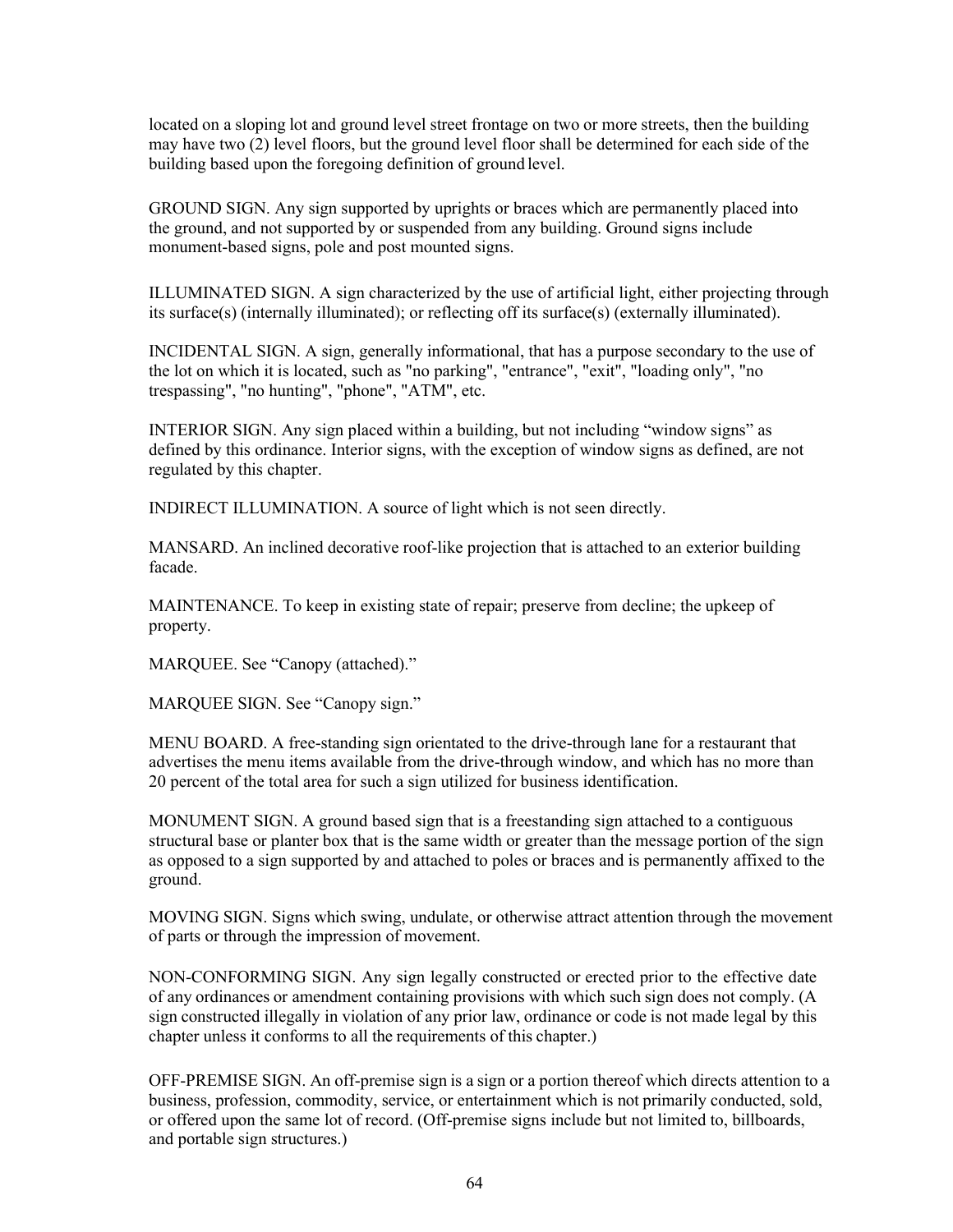located on a sloping lot and ground level street frontage on two or more streets, then the building may have two (2) level floors, but the ground level floor shall be determined for each side of the building based upon the foregoing definition of ground level.

GROUND SIGN. Any sign supported by uprights or braces which are permanently placed into the ground, and not supported by or suspended from any building. Ground signs include monument-based signs, pole and post mounted signs.

ILLUMINATED SIGN. A sign characterized by the use of artificial light, either projecting through its surface(s) (internally illuminated); or reflecting off its surface(s) (externally illuminated).

INCIDENTAL SIGN. A sign, generally informational, that has a purpose secondary to the use of the lot on which it is located, such as "no parking", "entrance", "exit", "loading only", "no trespassing", "no hunting", "phone", "ATM", etc.

INTERIOR SIGN. Any sign placed within a building, but not including "window signs" as defined by this ordinance. Interior signs, with the exception of window signs as defined, are not regulated by this chapter.

INDIRECT ILLUMINATION. A source of light which is not seen directly.

MANSARD. An inclined decorative roof-like projection that is attached to an exterior building facade.

MAINTENANCE. To keep in existing state of repair; preserve from decline; the upkeep of property.

MARQUEE. See "Canopy (attached)."

MARQUEE SIGN. See "Canopy sign."

MENU BOARD. A free-standing sign orientated to the drive-through lane for a restaurant that advertises the menu items available from the drive-through window, and which has no more than 20 percent of the total area for such a sign utilized for business identification.

MONUMENT SIGN. A ground based sign that is a freestanding sign attached to a contiguous structural base or planter box that is the same width or greater than the message portion of the sign as opposed to a sign supported by and attached to poles or braces and is permanently affixed to the ground.

MOVING SIGN. Signs which swing, undulate, or otherwise attract attention through the movement of parts or through the impression of movement.

NON-CONFORMING SIGN. Any sign legally constructed or erected prior to the effective date of any ordinances or amendment containing provisions with which such sign does not comply. (A sign constructed illegally in violation of any prior law, ordinance or code is not made legal by this chapter unless it conforms to all the requirements of this chapter.)

OFF-PREMISE SIGN. An off-premise sign is a sign or a portion thereof which directs attention to a business, profession, commodity, service, or entertainment which is not primarily conducted, sold, or offered upon the same lot of record. (Off-premise signs include but not limited to, billboards, and portable sign structures.)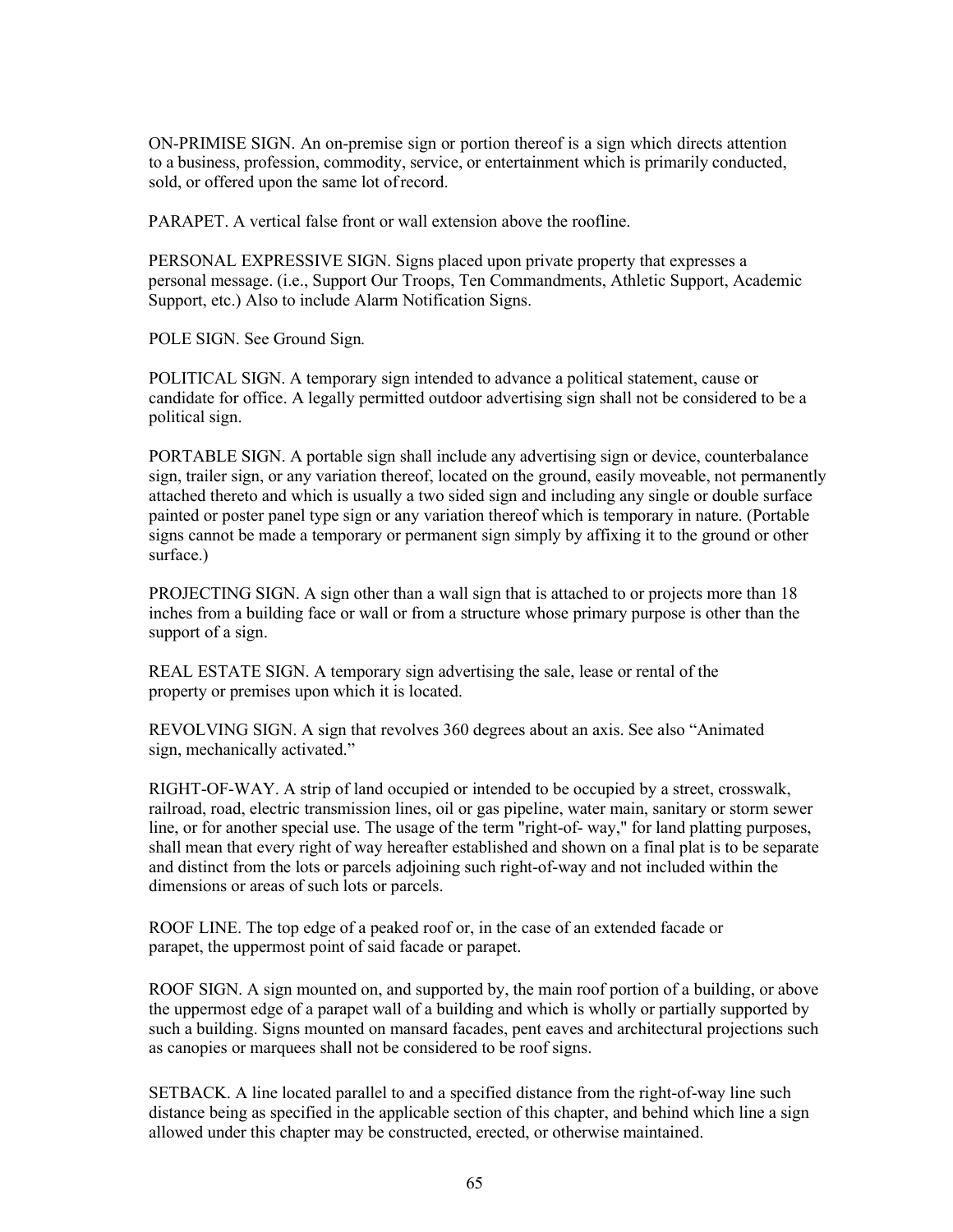ON-PRIMISE SIGN. An on-premise sign or portion thereof is a sign which directs attention to a business, profession, commodity, service, or entertainment which is primarily conducted, sold, or offered upon the same lot ofrecord.

PARAPET. A vertical false front or wall extension above the roofline.

PERSONAL EXPRESSIVE SIGN. Signs placed upon private property that expresses a personal message. (i.e., Support Our Troops, Ten Commandments, Athletic Support, Academic Support, etc.) Also to include Alarm Notification Signs.

POLE SIGN. See Ground Sign*.*

POLITICAL SIGN. A temporary sign intended to advance a political statement, cause or candidate for office. A legally permitted outdoor advertising sign shall not be considered to be a political sign.

PORTABLE SIGN. A portable sign shall include any advertising sign or device, counterbalance sign, trailer sign, or any variation thereof, located on the ground, easily moveable, not permanently attached thereto and which is usually a two sided sign and including any single or double surface painted or poster panel type sign or any variation thereof which is temporary in nature. (Portable signs cannot be made a temporary or permanent sign simply by affixing it to the ground or other surface.)

PROJECTING SIGN. A sign other than a wall sign that is attached to or projects more than 18 inches from a building face or wall or from a structure whose primary purpose is other than the support of a sign.

REAL ESTATE SIGN. A temporary sign advertising the sale, lease or rental of the property or premises upon which it is located.

REVOLVING SIGN. A sign that revolves 360 degrees about an axis. See also "Animated sign, mechanically activated."

RIGHT-OF-WAY. A strip of land occupied or intended to be occupied by a street, crosswalk, railroad, road, electric transmission lines, oil or gas pipeline, water main, sanitary or storm sewer line, or for another special use. The usage of the term "right-of- way," for land platting purposes, shall mean that every right of way hereafter established and shown on a final plat is to be separate and distinct from the lots or parcels adjoining such right-of-way and not included within the dimensions or areas of such lots or parcels.

ROOF LINE. The top edge of a peaked roof or, in the case of an extended facade or parapet, the uppermost point of said facade or parapet.

ROOF SIGN. A sign mounted on, and supported by, the main roof portion of a building, or above the uppermost edge of a parapet wall of a building and which is wholly or partially supported by such a building. Signs mounted on mansard facades, pent eaves and architectural projections such as canopies or marquees shall not be considered to be roof signs.

SETBACK. A line located parallel to and a specified distance from the right-of-way line such distance being as specified in the applicable section of this chapter, and behind which line a sign allowed under this chapter may be constructed, erected, or otherwise maintained.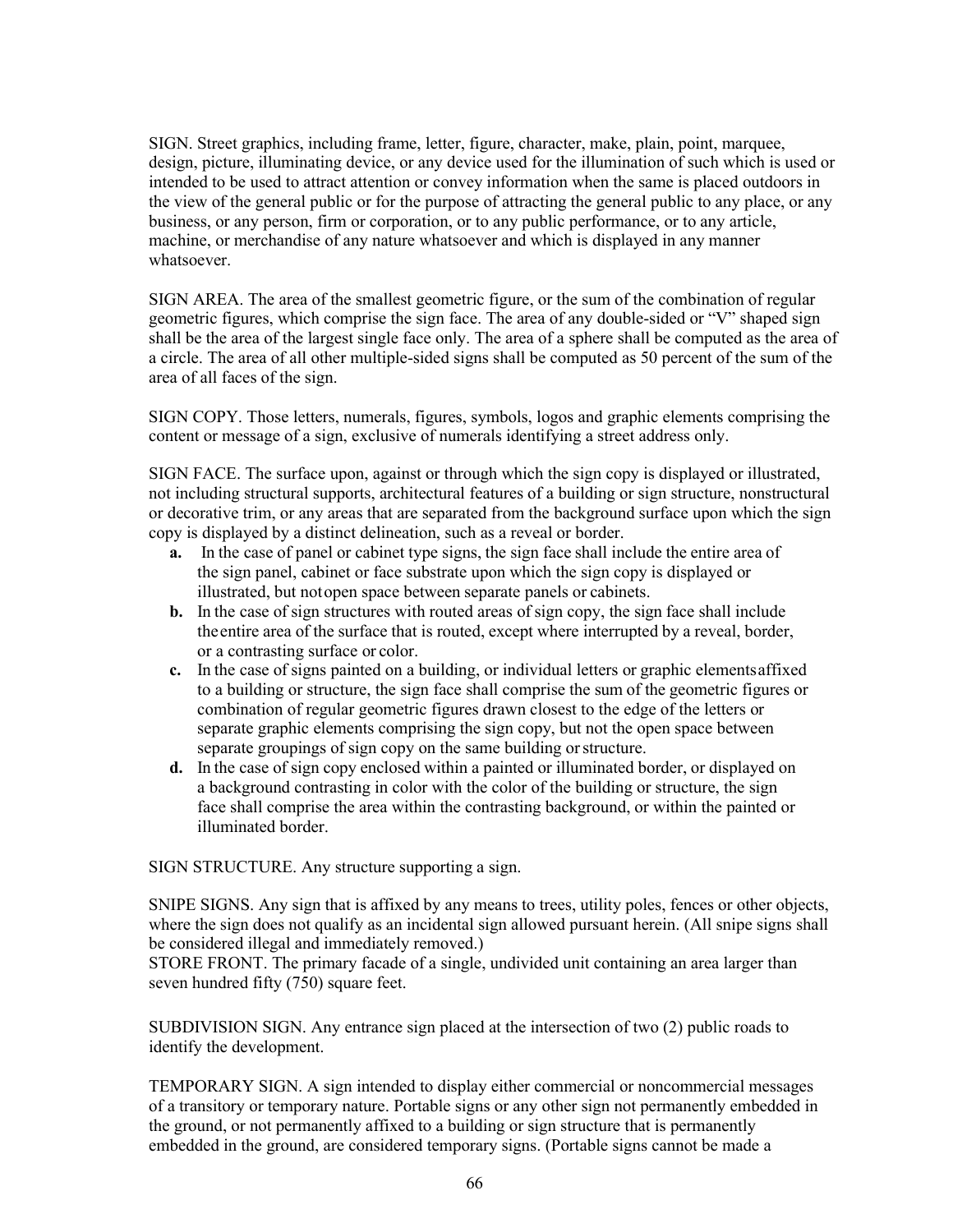SIGN. Street graphics, including frame, letter, figure, character, make, plain, point, marquee, design, picture, illuminating device, or any device used for the illumination of such which is used or intended to be used to attract attention or convey information when the same is placed outdoors in the view of the general public or for the purpose of attracting the general public to any place, or any business, or any person, firm or corporation, or to any public performance, or to any article, machine, or merchandise of any nature whatsoever and which is displayed in any manner whatsoever.

SIGN AREA. The area of the smallest geometric figure, or the sum of the combination of regular geometric figures, which comprise the sign face. The area of any double-sided or "V" shaped sign shall be the area of the largest single face only. The area of a sphere shall be computed as the area of a circle. The area of all other multiple-sided signs shall be computed as 50 percent of the sum of the area of all faces of the sign.

SIGN COPY. Those letters, numerals, figures, symbols, logos and graphic elements comprising the content or message of a sign, exclusive of numerals identifying a street address only.

SIGN FACE. The surface upon, against or through which the sign copy is displayed or illustrated, not including structural supports, architectural features of a building or sign structure, nonstructural or decorative trim, or any areas that are separated from the background surface upon which the sign copy is displayed by a distinct delineation, such as a reveal or border.

- **a.** In the case of panel or cabinet type signs, the sign face shall include the entire area of the sign panel, cabinet or face substrate upon which the sign copy is displayed or illustrated, but notopen space between separate panels or cabinets.
- **b.** In the case of sign structures with routed areas of sign copy, the sign face shall include theentire area of the surface that is routed, except where interrupted by a reveal, border, or a contrasting surface or color.
- **c.** In the case of signs painted on a building, or individual letters or graphic elementsaffixed to a building or structure, the sign face shall comprise the sum of the geometric figures or combination of regular geometric figures drawn closest to the edge of the letters or separate graphic elements comprising the sign copy, but not the open space between separate groupings of sign copy on the same building or structure.
- **d.** In the case of sign copy enclosed within a painted or illuminated border, or displayed on a background contrasting in color with the color of the building or structure, the sign face shall comprise the area within the contrasting background, or within the painted or illuminated border.

SIGN STRUCTURE. Any structure supporting a sign.

SNIPE SIGNS. Any sign that is affixed by any means to trees, utility poles, fences or other objects, where the sign does not qualify as an incidental sign allowed pursuant herein. (All snipe signs shall be considered illegal and immediately removed.)

STORE FRONT. The primary facade of a single, undivided unit containing an area larger than seven hundred fifty (750) square feet.

SUBDIVISION SIGN. Any entrance sign placed at the intersection of two (2) public roads to identify the development.

TEMPORARY SIGN. A sign intended to display either commercial or noncommercial messages of a transitory or temporary nature. Portable signs or any other sign not permanently embedded in the ground, or not permanently affixed to a building or sign structure that is permanently embedded in the ground, are considered temporary signs. (Portable signs cannot be made a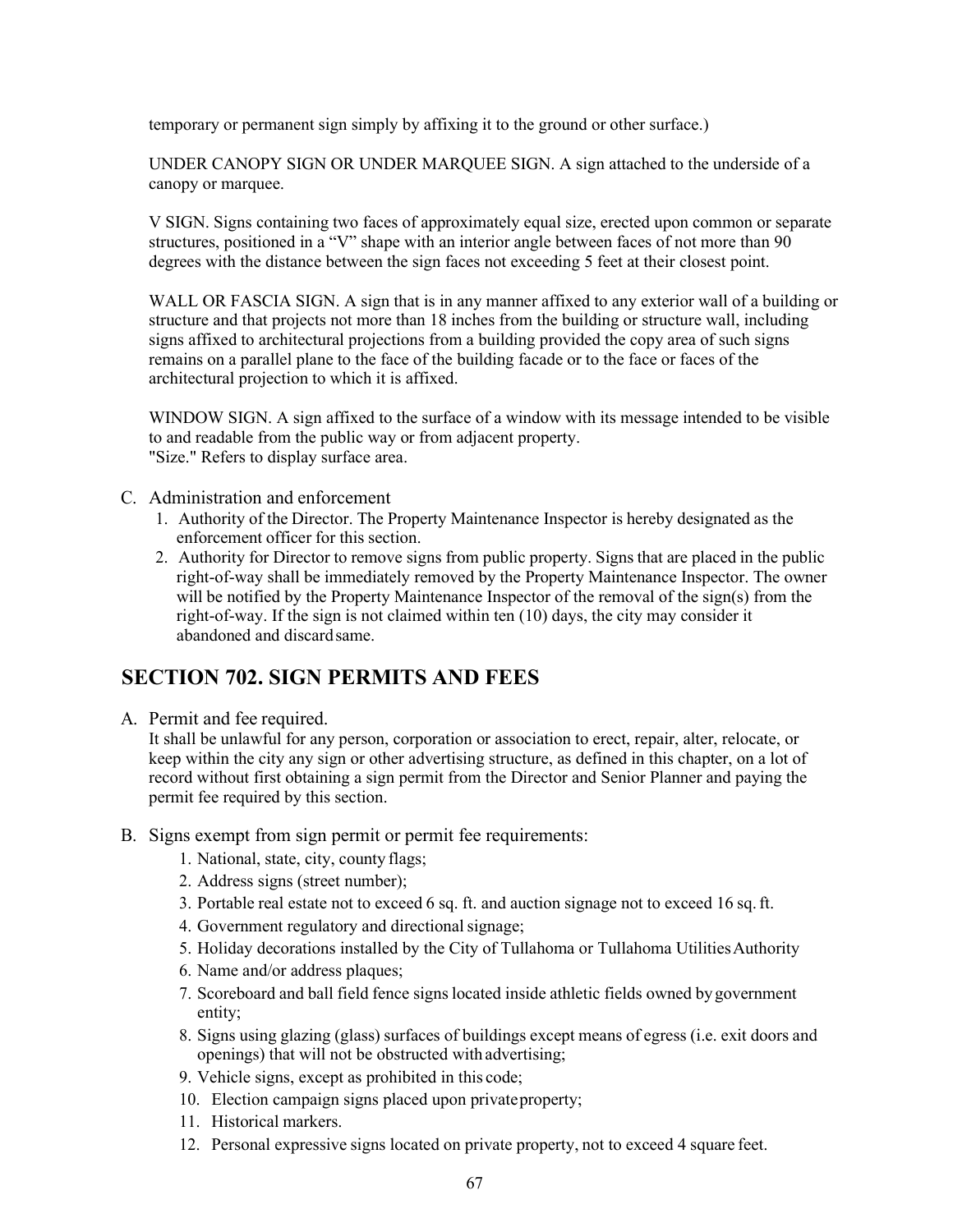temporary or permanent sign simply by affixing it to the ground or other surface.)

UNDER CANOPY SIGN OR UNDER MARQUEE SIGN. A sign attached to the underside of a canopy or marquee.

V SIGN. Signs containing two faces of approximately equal size, erected upon common or separate structures, positioned in a "V" shape with an interior angle between faces of not more than 90 degrees with the distance between the sign faces not exceeding 5 feet at their closest point.

WALL OR FASCIA SIGN. A sign that is in any manner affixed to any exterior wall of a building or structure and that projects not more than 18 inches from the building or structure wall, including signs affixed to architectural projections from a building provided the copy area of such signs remains on a parallel plane to the face of the building facade or to the face or faces of the architectural projection to which it is affixed.

WINDOW SIGN. A sign affixed to the surface of a window with its message intended to be visible to and readable from the public way or from adjacent property. "Size." Refers to display surface area.

- C. Administration and enforcement
	- 1. Authority of the Director. The Property Maintenance Inspector is hereby designated as the enforcement officer for this section.
	- 2. Authority for Director to remove signs from public property. Signsthat are placed in the public right-of-way shall be immediately removed by the Property Maintenance Inspector. The owner will be notified by the Property Maintenance Inspector of the removal of the sign(s) from the right-of-way. If the sign is not claimed within ten (10) days, the city may consider it abandoned and discardsame.

### **SECTION 702. SIGN PERMITS AND FEES**

A. Permit and fee required.

It shall be unlawful for any person, corporation or association to erect, repair, alter, relocate, or keep within the city any sign or other advertising structure, as defined in this chapter, on a lot of record without first obtaining a sign permit from the Director and Senior Planner and paying the permit fee required by this section.

- B. Signs exempt from sign permit or permit fee requirements:
	- 1. National, state, city, county flags;
	- 2. Address signs (street number);
	- 3. Portable real estate not to exceed 6 sq. ft. and auction signage not to exceed 16 sq.ft.
	- 4. Government regulatory and directional signage;
	- 5. Holiday decorations installed by the City of Tullahoma or Tullahoma UtilitiesAuthority
	- 6. Name and/or address plaques;
	- 7. Scoreboard and ball field fence signs located inside athletic fields owned by government entity;
	- 8. Signs using glazing (glass) surfaces of buildings except means of egress (i.e. exit doors and openings) that will not be obstructed with advertising;
	- 9. Vehicle signs, except as prohibited in this code;
	- 10. Election campaign signs placed upon privateproperty;
	- 11. Historical markers.
	- 12. Personal expressive signs located on private property, not to exceed 4 square feet.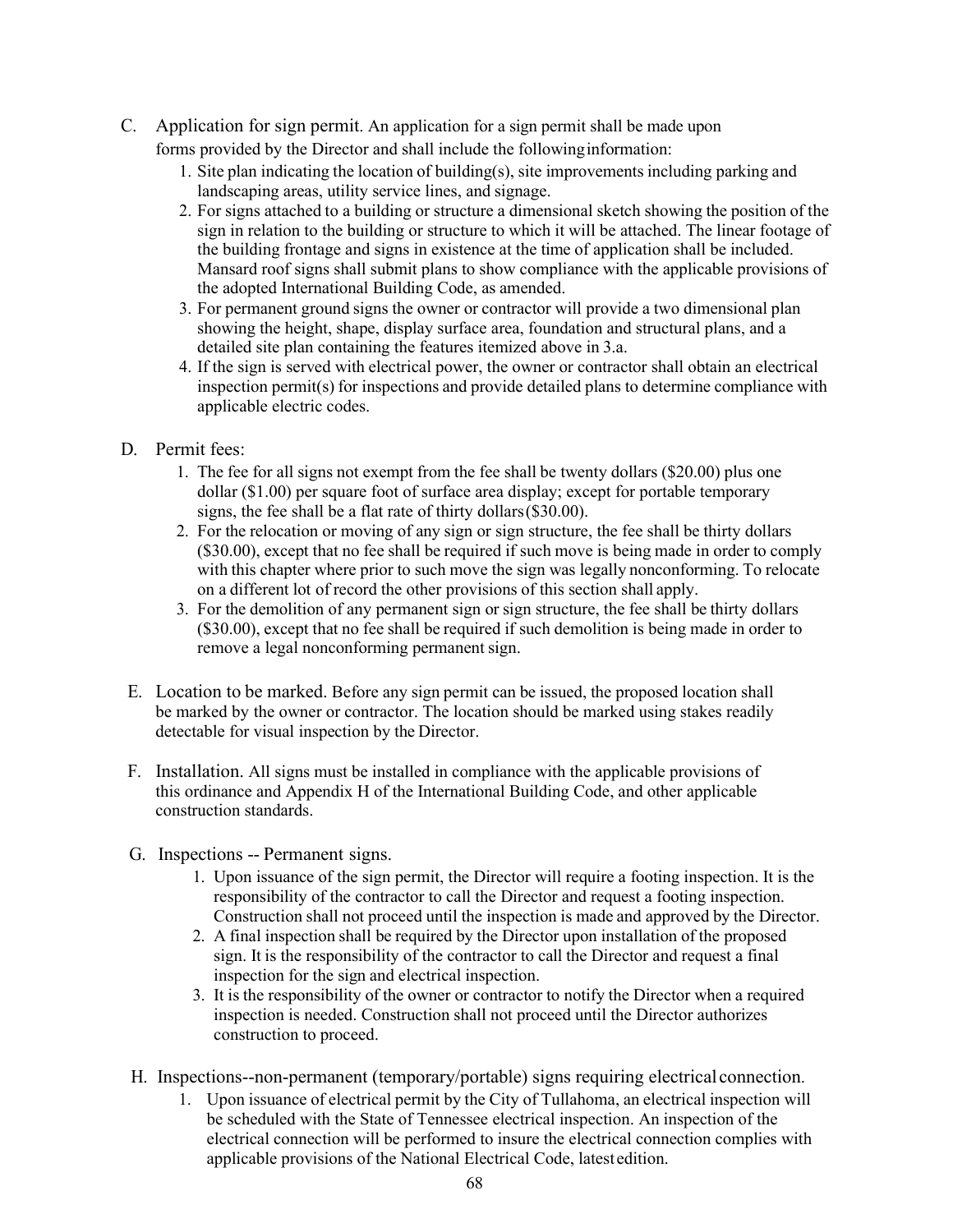- C. Application for sign permit. An application for a sign permit shall be made upon forms provided by the Director and shall include the followinginformation:
	- 1. Site plan indicating the location of building(s), site improvements including parking and landscaping areas, utility service lines, and signage.
	- 2. For signs attached to a building or structure a dimensional sketch showing the position of the sign in relation to the building or structure to which it will be attached. The linear footage of the building frontage and signs in existence at the time of application shall be included. Mansard roof signs shall submit plans to show compliance with the applicable provisions of the adopted International Building Code, as amended.
	- 3. For permanent ground signs the owner or contractor will provide a two dimensional plan showing the height, shape, display surface area, foundation and structural plans, and a detailed site plan containing the features itemized above in 3.a.
	- 4. If the sign is served with electrical power, the owner or contractor shall obtain an electrical inspection permit(s) for inspections and provide detailed plans to determine compliance with applicable electric codes.
- D. Permit fees:
	- 1. The fee for all signs not exempt from the fee shall be twenty dollars (\$20.00) plus one dollar (\$1.00) per square foot of surface area display; except for portable temporary signs, the fee shall be a flat rate of thirty dollars(\$30.00).
	- 2. For the relocation or moving of any sign or sign structure, the fee shall be thirty dollars (\$30.00), except that no fee shall be required if such move is being made in order to comply with this chapter where prior to such move the sign was legally nonconforming. To relocate on a different lot of record the other provisions of this section shall apply.
	- 3. For the demolition of any permanent sign or sign structure, the fee shall be thirty dollars (\$30.00), except that no fee shall be required if such demolition is being made in order to remove a legal nonconforming permanent sign.
- E. Location to be marked. Before any sign permit can be issued, the proposed location shall be marked by the owner or contractor. The location should be marked using stakes readily detectable for visual inspection by the Director.
- F. Installation. All signs must be installed in compliance with the applicable provisions of this ordinance and Appendix H of the International Building Code, and other applicable construction standards.
- G. Inspections -- Permanent signs.
	- 1. Upon issuance of the sign permit, the Director will require a footing inspection. It is the responsibility of the contractor to call the Director and request a footing inspection. Construction shall not proceed until the inspection is made and approved by the Director.
	- 2. A final inspection shall be required by the Director upon installation of the proposed sign. It is the responsibility of the contractor to call the Director and request a final inspection for the sign and electrical inspection.
	- 3. It is the responsibility of the owner or contractor to notify the Director when a required inspection is needed. Construction shall not proceed until the Director authorizes construction to proceed.
- H. Inspections--non-permanent (temporary/portable) signs requiring electrical connection.
	- 1. Upon issuance of electrical permit by the City of Tullahoma, an electrical inspection will be scheduled with the State of Tennessee electrical inspection. An inspection of the electrical connection will be performed to insure the electrical connection complies with applicable provisions of the National Electrical Code, latest edition.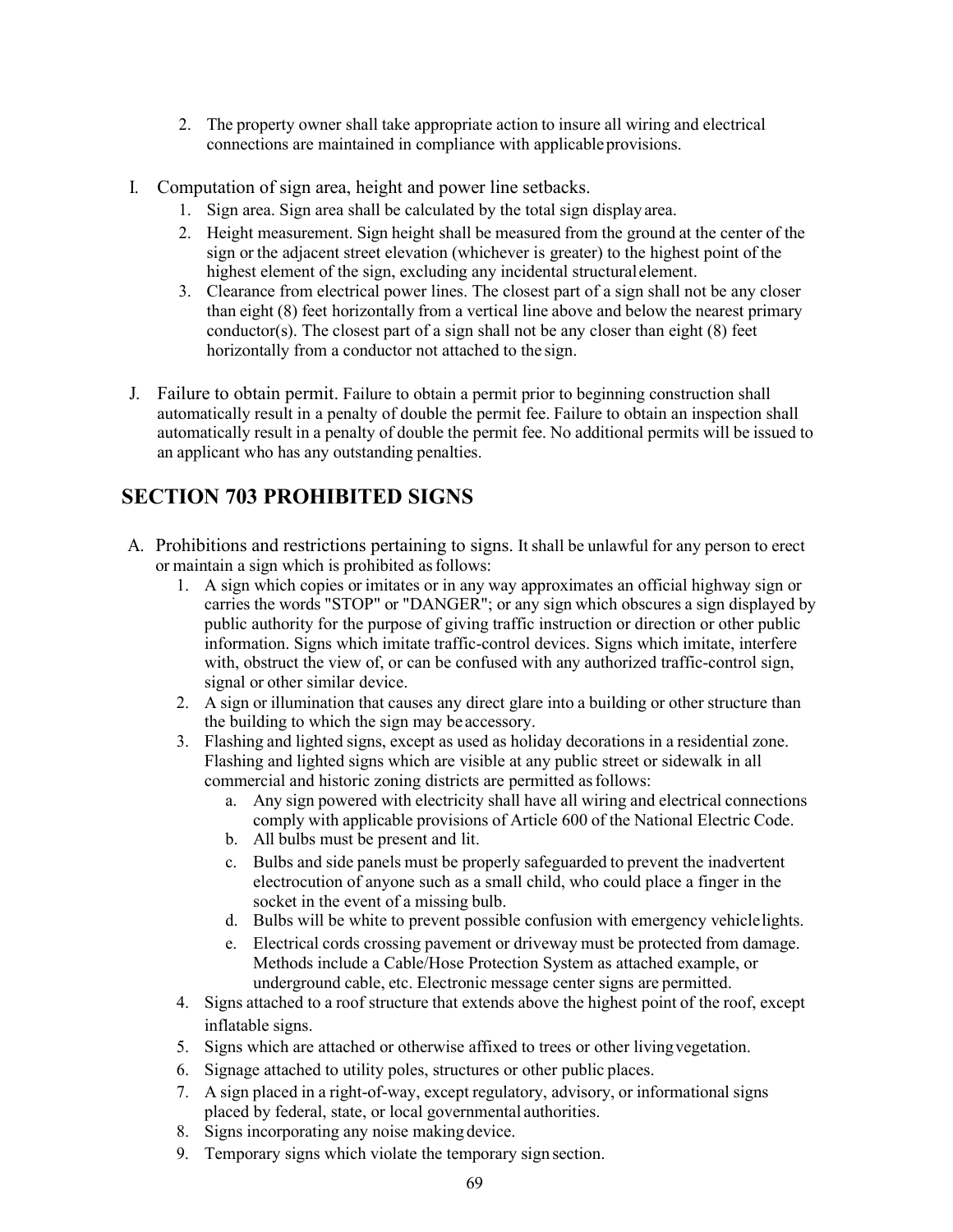- 2. The property owner shall take appropriate action to insure all wiring and electrical connections are maintained in compliance with applicable provisions.
- I. Computation of sign area, height and power line setbacks.
	- 1. Sign area. Sign area shall be calculated by the total sign displayarea.
	- 2. Height measurement. Sign height shall be measured from the ground at the center of the sign or the adjacent street elevation (whichever is greater) to the highest point of the highest element of the sign, excluding any incidental structural element.
	- 3. Clearance from electrical power lines. The closest part of a sign shall not be any closer than eight (8) feet horizontally from a vertical line above and below the nearest primary conductor(s). The closest part of a sign shall not be any closer than eight (8) feet horizontally from a conductor not attached to the sign.
- J. Failure to obtain permit. Failure to obtain a permit prior to beginning construction shall automatically result in a penalty of double the permit fee. Failure to obtain an inspection shall automatically result in a penalty of double the permit fee. No additional permits will be issued to an applicant who has any outstanding penalties.

# **SECTION 703 PROHIBITED SIGNS**

- A. Prohibitions and restrictions pertaining to signs. It shall be unlawful for any person to erect or maintain a sign which is prohibited as follows:
	- 1. A sign which copies or imitates or in any way approximates an official highway sign or carries the words "STOP" or "DANGER"; or any sign which obscures a sign displayed by public authority for the purpose of giving traffic instruction or direction or other public information. Signs which imitate traffic-control devices. Signs which imitate, interfere with, obstruct the view of, or can be confused with any authorized traffic-control sign, signal or other similar device.
	- 2. A sign or illumination that causes any direct glare into a building or other structure than the building to which the sign may be accessory.
	- 3. Flashing and lighted signs, except as used as holiday decorations in a residential zone. Flashing and lighted signs which are visible at any public street or sidewalk in all commercial and historic zoning districts are permitted asfollows:
		- a. Any sign powered with electricity shall have all wiring and electrical connections comply with applicable provisions of Article 600 of the National Electric Code.
		- b. All bulbs must be present and lit.
		- c. Bulbs and side panels must be properly safeguarded to prevent the inadvertent electrocution of anyone such as a small child, who could place a finger in the socket in the event of a missing bulb.
		- d. Bulbs will be white to prevent possible confusion with emergency vehiclelights.
		- e. Electrical cords crossing pavement or driveway must be protected from damage. Methods include a Cable/Hose Protection System as attached example, or underground cable, etc. Electronic message center signs are permitted.
	- 4. Signs attached to a roof structure that extends above the highest point of the roof, except inflatable signs.
	- 5. Signs which are attached or otherwise affixed to trees or other livingvegetation.
	- 6. Signage attached to utility poles, structures or other public places.
	- 7. A sign placed in a right-of-way, except regulatory, advisory, or informational signs placed by federal, state, or local governmental authorities.
	- 8. Signs incorporating any noise making device.
	- 9. Temporary signs which violate the temporary sign section.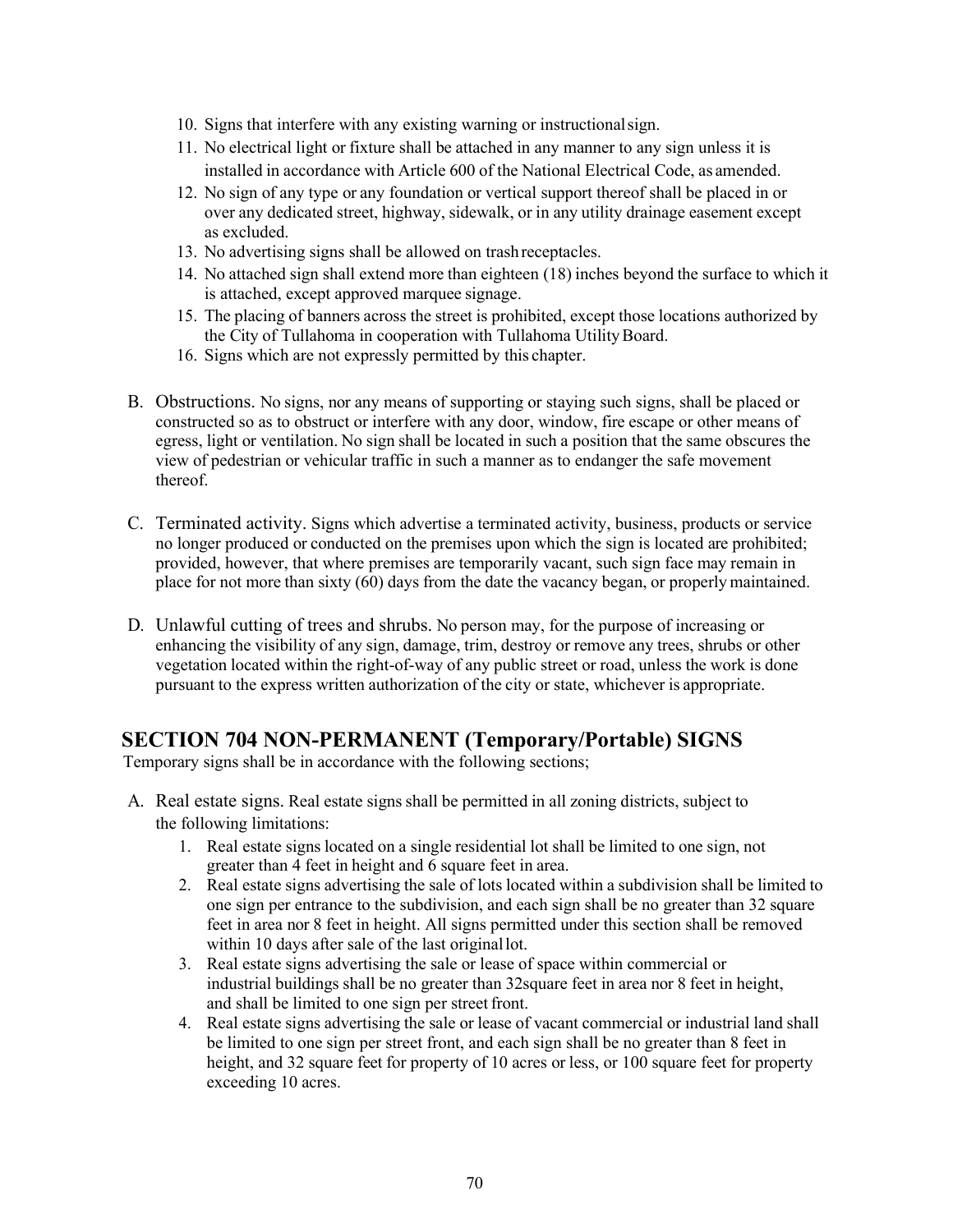- 10. Signs that interfere with any existing warning or instructionalsign.
- 11. No electrical light or fixture shall be attached in any manner to any sign unless it is installed in accordance with Article 600 of the National Electrical Code, as amended.
- 12. No sign of any type or any foundation or vertical support thereof shall be placed in or over any dedicated street, highway, sidewalk, or in any utility drainage easement except as excluded.
- 13. No advertising signs shall be allowed on trashreceptacles.
- 14. No attached sign shall extend more than eighteen (18) inches beyond the surface to which it is attached, except approved marquee signage.
- 15. The placing of banners across the street is prohibited, except those locations authorized by the City of Tullahoma in cooperation with Tullahoma Utility Board.
- 16. Signs which are not expressly permitted by this chapter.
- B. Obstructions. No signs, nor any means of supporting or staying such signs, shall be placed or constructed so as to obstruct or interfere with any door, window, fire escape or other means of egress, light or ventilation. No sign shall be located in such a position that the same obscures the view of pedestrian or vehicular traffic in such a manner as to endanger the safe movement thereof.
- C. Terminated activity. Signs which advertise a terminated activity, business, products or service no longer produced or conducted on the premises upon which the sign is located are prohibited; provided, however, that where premises are temporarily vacant, such sign face may remain in place for not more than sixty (60) days from the date the vacancy began, or properly maintained.
- D. Unlawful cutting of trees and shrubs. No person may, for the purpose of increasing or enhancing the visibility of any sign, damage, trim, destroy or remove any trees, shrubs or other vegetation located within the right-of-way of any public street or road, unless the work is done pursuant to the express written authorization of the city or state, whichever is appropriate.

### **SECTION 704 NON-PERMANENT (Temporary/Portable) SIGNS**

Temporary signs shall be in accordance with the following sections;

- A. Real estate signs. Real estate signs shall be permitted in all zoning districts, subject to the following limitations:
	- 1. Real estate signs located on a single residential lot shall be limited to one sign, not greater than 4 feet in height and 6 square feet in area.
	- 2. Real estate signs advertising the sale of lots located within a subdivision shall be limited to one sign per entrance to the subdivision, and each sign shall be no greater than 32 square feet in area nor 8 feet in height. All signs permitted under this section shall be removed within 10 days after sale of the last originallot.
	- 3. Real estate signs advertising the sale or lease of space within commercial or industrial buildings shall be no greater than 32square feet in area nor 8 feet in height, and shall be limited to one sign per street front.
	- 4. Real estate signs advertising the sale or lease of vacant commercial or industrial land shall be limited to one sign per street front, and each sign shall be no greater than 8 feet in height, and 32 square feet for property of 10 acres or less, or 100 square feet for property exceeding 10 acres.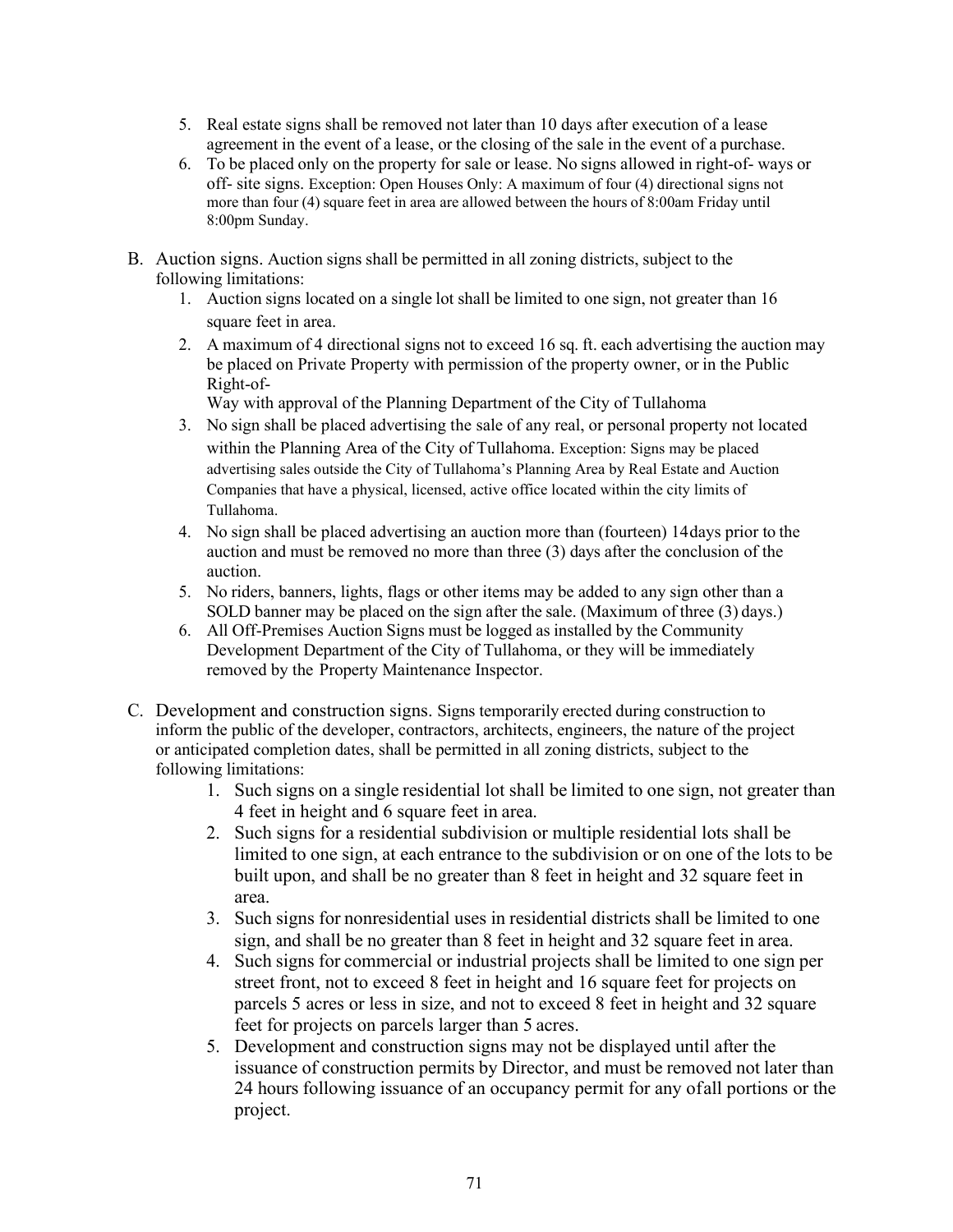- 5. Real estate signs shall be removed not later than 10 days after execution of a lease agreement in the event of a lease, or the closing of the sale in the event of a purchase.
- 6. To be placed only on the property for sale or lease. No signs allowed in right-of- ways or off- site signs. Exception: Open Houses Only: A maximum of four (4) directional signs not more than four (4) square feet in area are allowed between the hours of 8:00am Friday until 8:00pm Sunday.
- B. Auction signs. Auction signs shall be permitted in all zoning districts, subject to the following limitations:
	- 1. Auction signs located on a single lot shall be limited to one sign, not greater than 16 square feet in area.
	- 2. A maximum of 4 directional signs not to exceed 16 sq. ft. each advertising the auction may be placed on Private Property with permission of the property owner, or in the Public Right-of-

Way with approval of the Planning Department of the City of Tullahoma

- 3. No sign shall be placed advertising the sale of any real, or personal property not located within the Planning Area of the City of Tullahoma. Exception: Signs may be placed advertising sales outside the City of Tullahoma's Planning Area by Real Estate and Auction Companies that have a physical, licensed, active office located within the city limits of Tullahoma.
- 4. No sign shall be placed advertising an auction more than (fourteen) 14days prior to the auction and must be removed no more than three (3) days after the conclusion of the auction.
- 5. No riders, banners, lights, flags or other items may be added to any sign other than a SOLD banner may be placed on the sign after the sale. (Maximum of three (3) days.)
- 6. All Off-Premises Auction Signs must be logged as installed by the Community Development Department of the City of Tullahoma, or they will be immediately removed by the Property Maintenance Inspector.
- C. Development and construction signs. Signs temporarily erected during construction to inform the public of the developer, contractors, architects, engineers, the nature of the project or anticipated completion dates, shall be permitted in all zoning districts, subject to the following limitations:
	- 1. Such signs on a single residential lot shall be limited to one sign, not greater than 4 feet in height and 6 square feet in area.
	- 2. Such signs for a residential subdivision or multiple residential lots shall be limited to one sign, at each entrance to the subdivision or on one of the lots to be built upon, and shall be no greater than 8 feet in height and 32 square feet in area.
	- 3. Such signs for nonresidential uses in residential districts shall be limited to one sign, and shall be no greater than 8 feet in height and 32 square feet in area.
	- 4. Such signs for commercial or industrial projects shall be limited to one sign per street front, not to exceed 8 feet in height and 16 square feet for projects on parcels 5 acres or less in size, and not to exceed 8 feet in height and 32 square feet for projects on parcels larger than 5 acres.
	- 5. Development and construction signs may not be displayed until after the issuance of construction permits by Director, and must be removed not later than 24 hours following issuance of an occupancy permit for any ofall portions or the project.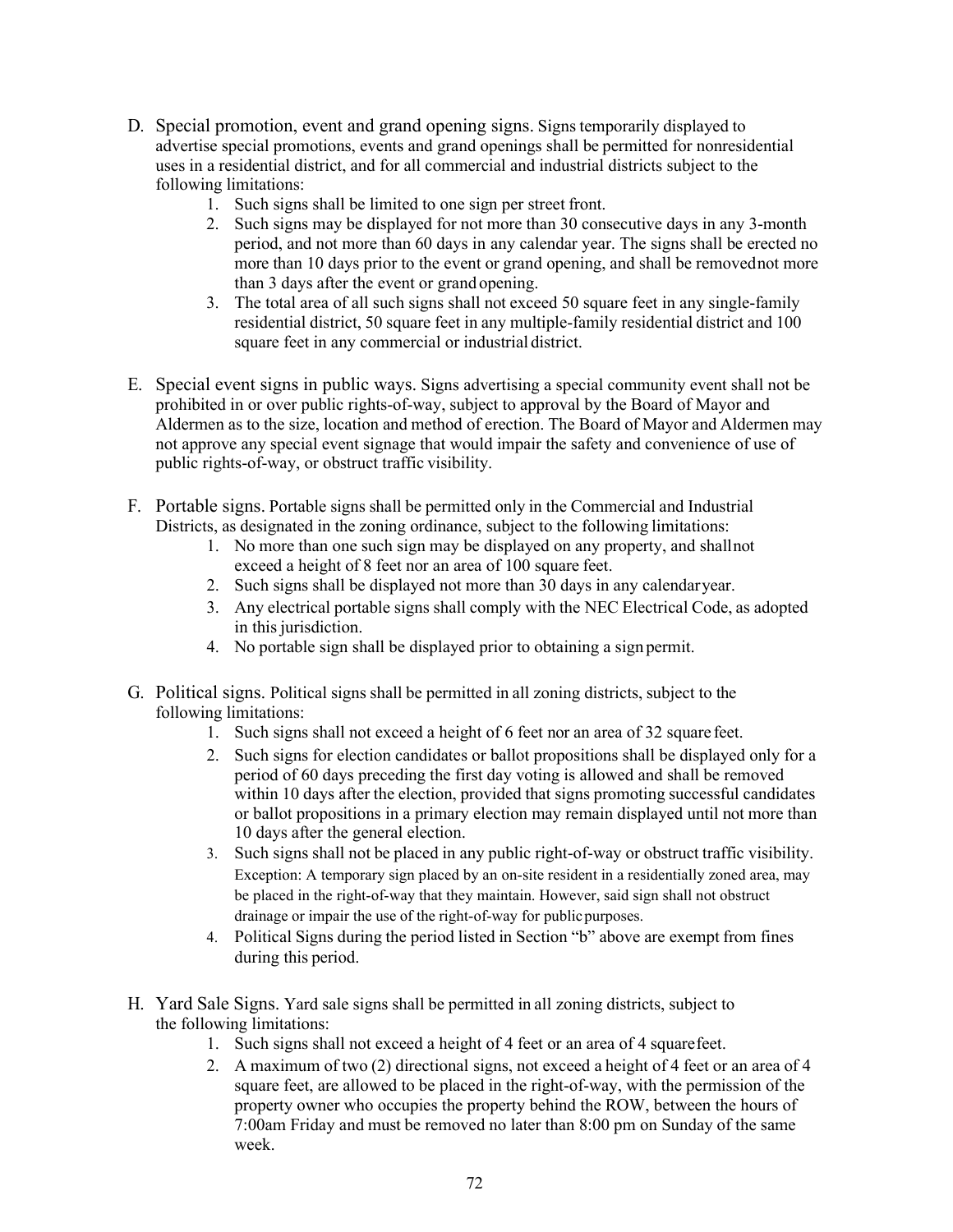- D. Special promotion, event and grand opening signs. Signs temporarily displayed to advertise special promotions, events and grand openings shall be permitted for nonresidential uses in a residential district, and for all commercial and industrial districts subject to the following limitations:
	- 1. Such signs shall be limited to one sign per street front.
	- 2. Such signs may be displayed for not more than 30 consecutive days in any 3-month period, and not more than 60 days in any calendar year. The signs shall be erected no more than 10 days prior to the event or grand opening, and shall be removednot more than 3 days after the event or grand opening.
	- 3. The total area of all such signs shall not exceed 50 square feet in any single-family residential district, 50 square feet in any multiple-family residential district and 100 square feet in any commercial or industrial district.
- E. Special event signs in public ways. Signs advertising a special community event shall not be prohibited in or over public rights-of-way, subject to approval by the Board of Mayor and Aldermen as to the size, location and method of erection. The Board of Mayor and Aldermen may not approve any special event signage that would impair the safety and convenience of use of public rights-of-way, or obstruct traffic visibility.
- F. Portable signs. Portable signs shall be permitted only in the Commercial and Industrial Districts, as designated in the zoning ordinance, subject to the following limitations:
	- 1. No more than one such sign may be displayed on any property, and shallnot exceed a height of 8 feet nor an area of 100 square feet.
	- 2. Such signs shall be displayed not more than 30 days in any calendaryear.
	- 3. Any electrical portable signs shall comply with the NEC Electrical Code, as adopted in this jurisdiction.
	- 4. No portable sign shall be displayed prior to obtaining a sign permit.
- G. Political signs. Political signs shall be permitted in all zoning districts, subject to the following limitations:
	- 1. Such signs shall not exceed a height of 6 feet nor an area of 32 square feet.
	- 2. Such signs for election candidates or ballot propositions shall be displayed only for a period of 60 days preceding the first day voting is allowed and shall be removed within 10 days after the election, provided that signs promoting successful candidates or ballot propositions in a primary election may remain displayed until not more than 10 days after the general election.
	- 3. Such signs shall not be placed in any public right-of-way or obstruct traffic visibility. Exception: A temporary sign placed by an on-site resident in a residentially zoned area, may be placed in the right-of-way that they maintain. However, said sign shall not obstruct drainage or impair the use of the right-of-way for publicpurposes.
	- 4. Political Signs during the period listed in Section "b" above are exempt from fines during this period.
- H. Yard Sale Signs. Yard sale signs shall be permitted in all zoning districts, subject to the following limitations:
	- 1. Such signs shall not exceed a height of 4 feet or an area of 4 squarefeet.
	- 2. A maximum of two (2) directional signs, not exceed a height of 4 feet or an area of 4 square feet, are allowed to be placed in the right-of-way, with the permission of the property owner who occupies the property behind the ROW, between the hours of 7:00am Friday and must be removed no later than 8:00 pm on Sunday of the same week.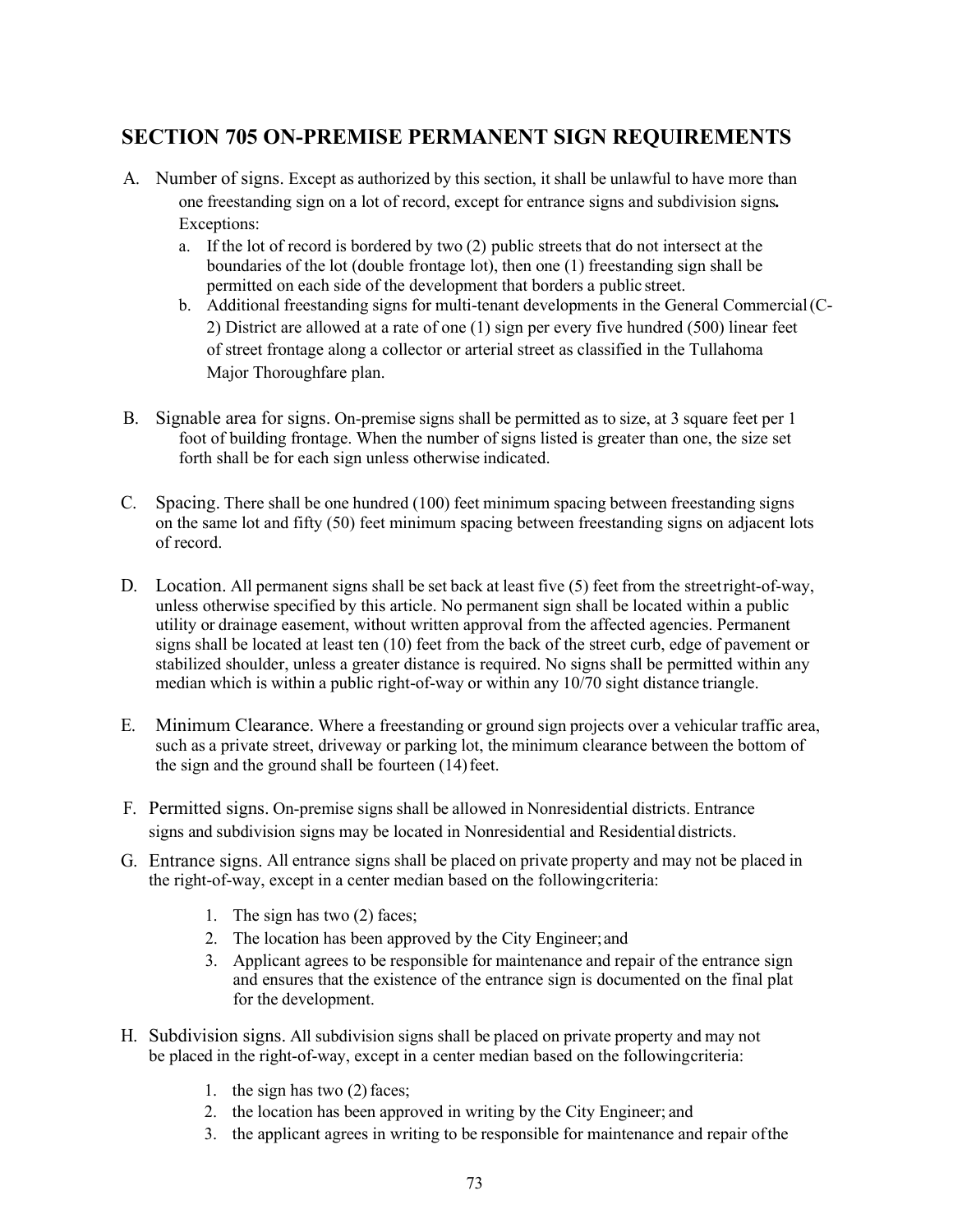## **SECTION 705 ON-PREMISE PERMANENT SIGN REQUIREMENTS**

- A. Number of signs. Except as authorized by this section, it shall be unlawful to have more than one freestanding sign on a lot of record, except for entrance signs and subdivision signs*.*  Exceptions:
	- a. If the lot of record is bordered by two (2) public streets that do not intersect at the boundaries of the lot (double frontage lot), then one (1) freestanding sign shall be permitted on each side of the development that borders a public street.
	- b. Additional freestanding signs for multi-tenant developments in the General Commercial(C-2) District are allowed at a rate of one (1) sign per every five hundred (500) linear feet of street frontage along a collector or arterial street as classified in the Tullahoma Major Thoroughfare plan.
- B. Signable area for signs. On-premise signs shall be permitted as to size, at 3 square feet per 1 foot of building frontage. When the number of signs listed is greater than one, the size set forth shall be for each sign unless otherwise indicated.
- C. Spacing. There shall be one hundred (100) feet minimum spacing between freestanding signs on the same lot and fifty (50) feet minimum spacing between freestanding signs on adjacent lots of record.
- D. Location. All permanent signs shall be set back at least five (5) feet from the streetright-of-way, unless otherwise specified by this article. No permanent sign shall be located within a public utility or drainage easement, without written approval from the affected agencies. Permanent signs shall be located at least ten (10) feet from the back of the street curb, edge of pavement or stabilized shoulder, unless a greater distance is required. No signs shall be permitted within any median which is within a public right-of-way or within any 10/70 sight distance triangle.
- E. Minimum Clearance. Where a freestanding or ground sign projects over a vehicular traffic area, such as a private street, driveway or parking lot, the minimum clearance between the bottom of the sign and the ground shall be fourteen  $(14)$  feet.
- F. Permitted signs. On-premise signs shall be allowed in Nonresidential districts. Entrance signs and subdivision signs may be located in Nonresidential and Residential districts.
- G. Entrance signs. All entrance signs shall be placed on private property and may not be placed in the right-of-way, except in a center median based on the followingcriteria:
	- 1. The sign has two (2) faces;
	- 2. The location has been approved by the City Engineer;and
	- 3. Applicant agrees to be responsible for maintenance and repair of the entrance sign and ensures that the existence of the entrance sign is documented on the final plat for the development.
- H. Subdivision signs. All subdivision signs shall be placed on private property and may not be placed in the right-of-way, except in a center median based on the followingcriteria:
	- 1. the sign has two (2) faces;
	- 2. the location has been approved in writing by the City Engineer; and
	- 3. the applicant agrees in writing to be responsible for maintenance and repair ofthe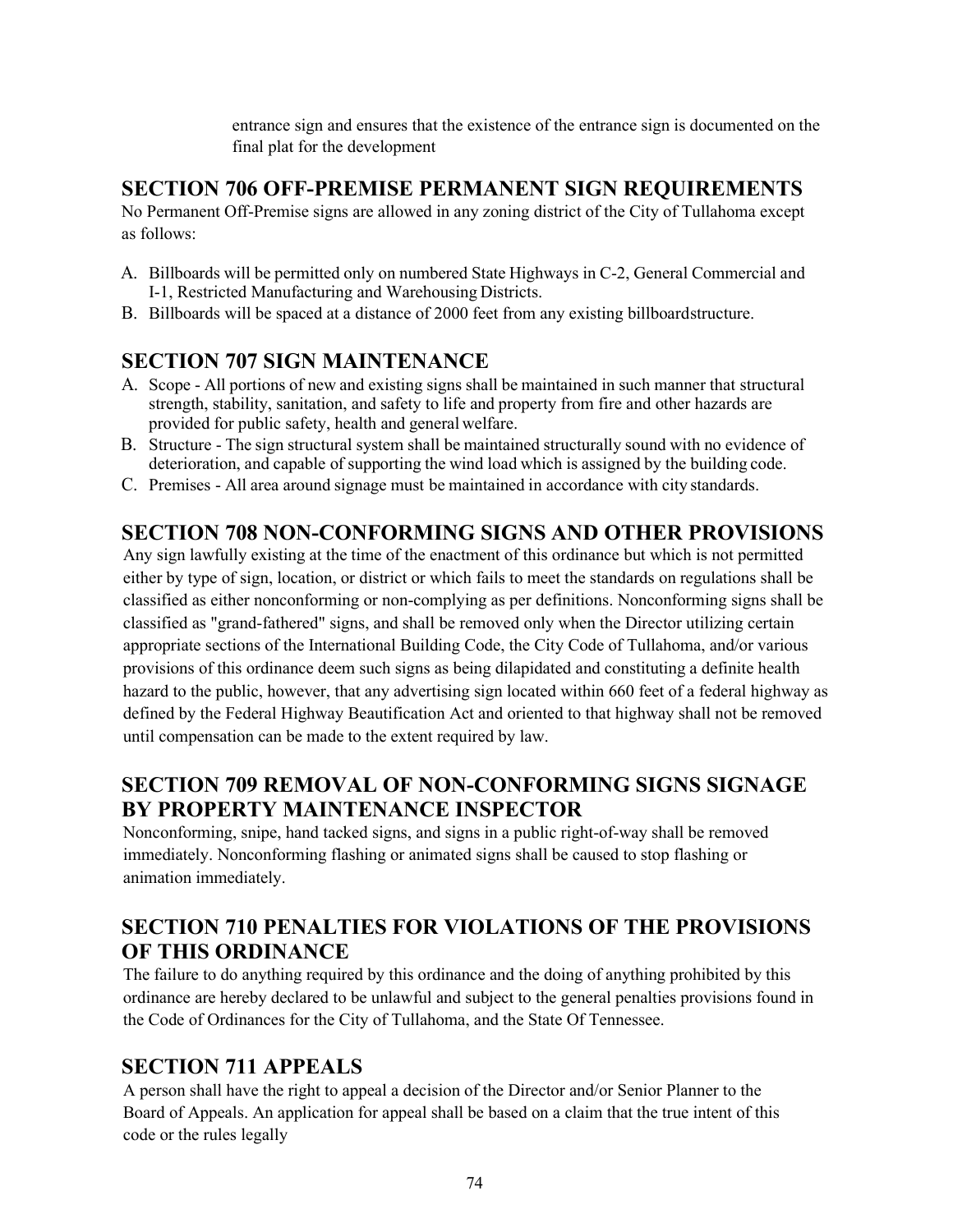entrance sign and ensures that the existence of the entrance sign is documented on the final plat for the development

#### **SECTION 706 OFF-PREMISE PERMANENT SIGN REQUIREMENTS**

No Permanent Off-Premise signs are allowed in any zoning district of the City of Tullahoma except as follows:

- A. Billboards will be permitted only on numbered State Highways in C-2, General Commercial and I-1, Restricted Manufacturing and Warehousing Districts.
- B. Billboards will be spaced at a distance of 2000 feet from any existing billboardstructure.

## **SECTION 707 SIGN MAINTENANCE**

- A. Scope All portions of new and existing signs shall be maintained in such manner that structural strength, stability, sanitation, and safety to life and property from fire and other hazards are provided for public safety, health and general welfare.
- B. Structure The sign structural system shall be maintained structurally sound with no evidence of deterioration, and capable of supporting the wind load which is assigned by the building code.
- C. Premises All area around signage must be maintained in accordance with city standards.

# **SECTION 708 NON-CONFORMING SIGNS AND OTHER PROVISIONS**

Any sign lawfully existing at the time of the enactment of this ordinance but which is not permitted either by type of sign, location, or district or which fails to meet the standards on regulations shall be classified as either nonconforming or non-complying as per definitions. Nonconforming signs shall be classified as "grand-fathered" signs, and shall be removed only when the Director utilizing certain appropriate sections of the International Building Code, the City Code of Tullahoma, and/or various provisions of this ordinance deem such signs as being dilapidated and constituting a definite health hazard to the public, however, that any advertising sign located within 660 feet of a federal highway as defined by the Federal Highway Beautification Act and oriented to that highway shall not be removed until compensation can be made to the extent required by law.

## **SECTION 709 REMOVAL OF NON-CONFORMING SIGNS SIGNAGE BY PROPERTY MAINTENANCE INSPECTOR**

Nonconforming, snipe, hand tacked signs, and signs in a public right-of-way shall be removed immediately. Nonconforming flashing or animated signs shall be caused to stop flashing or animation immediately.

## **SECTION 710 PENALTIES FOR VIOLATIONS OF THE PROVISIONS OF THIS ORDINANCE**

The failure to do anything required by this ordinance and the doing of anything prohibited by this ordinance are hereby declared to be unlawful and subject to the general penalties provisions found in the Code of Ordinances for the City of Tullahoma, and the State Of Tennessee.

### **SECTION 711 APPEALS**

A person shall have the right to appeal a decision of the Director and/or Senior Planner to the Board of Appeals. An application for appeal shall be based on a claim that the true intent of this code or the rules legally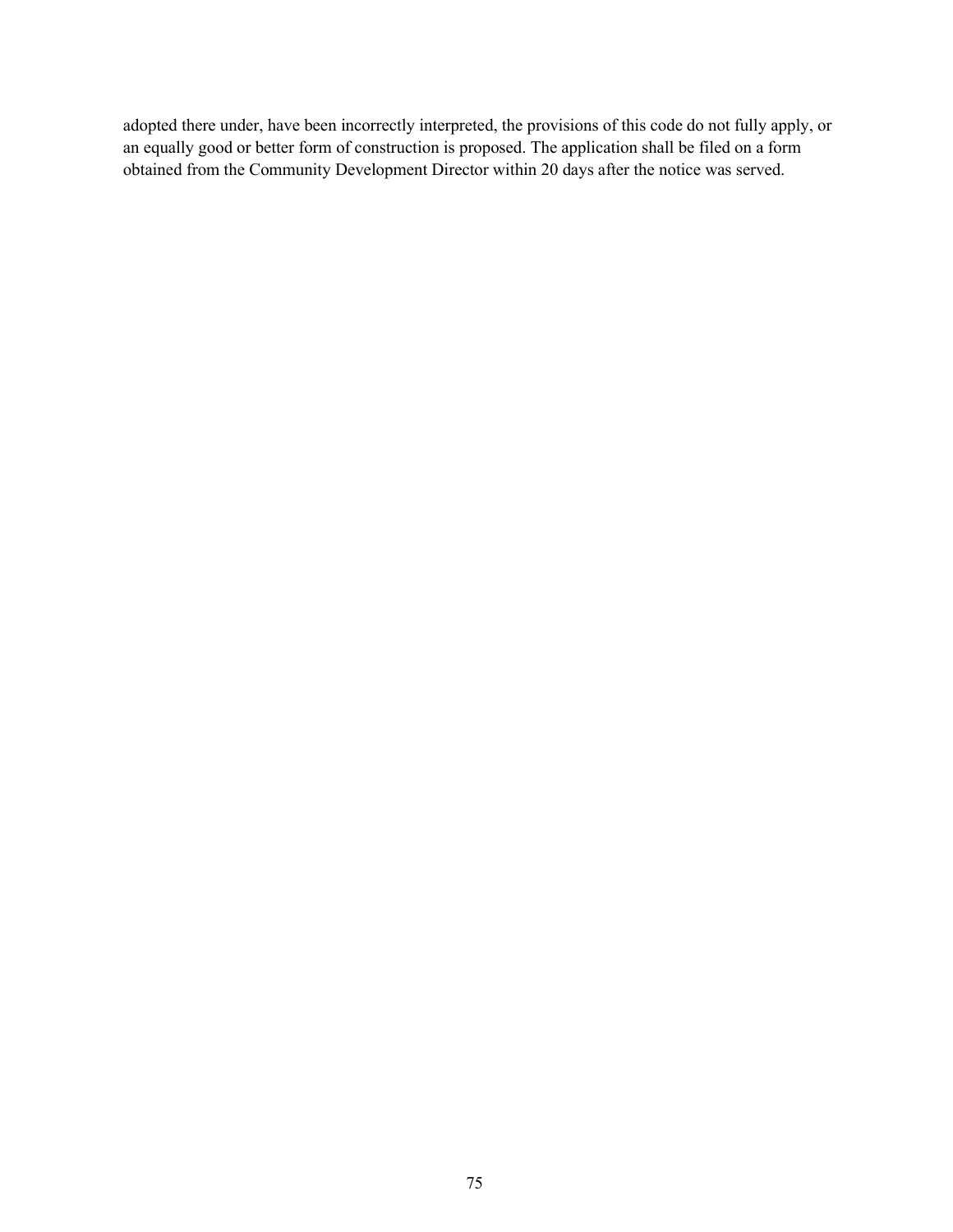adopted there under, have been incorrectly interpreted, the provisions of this code do not fully apply, or an equally good or better form of construction is proposed. The application shall be filed on a form obtained from the Community Development Director within 20 days after the notice was served.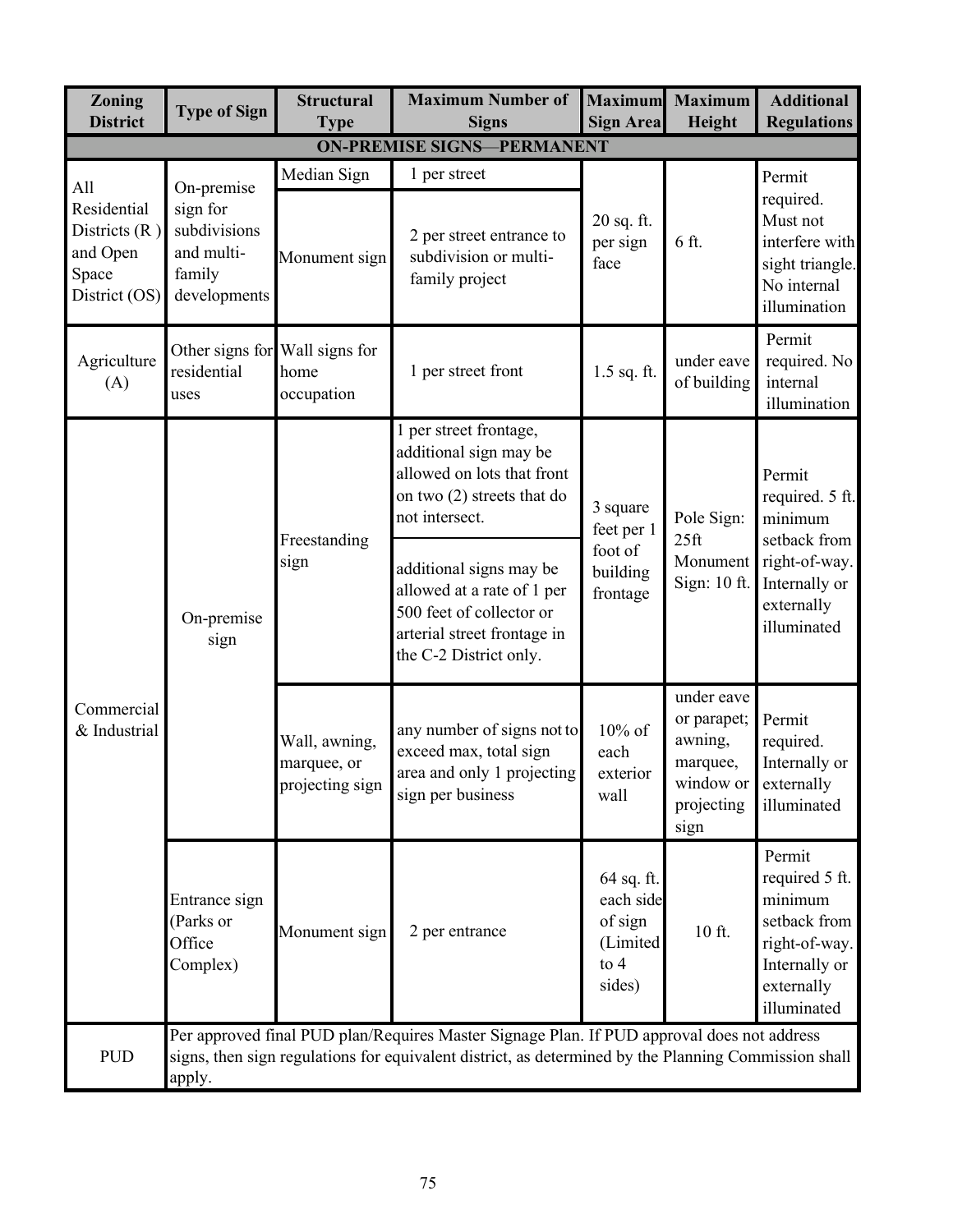| <b>ON-PREMISE SIGNS-PERMANENT</b><br>Median Sign<br>1 per street<br>Permit<br>On-premise<br>All<br>required.<br>Residential<br>sign for<br>Must not<br>20 sq. ft.<br>subdivisions<br>Districts $(R)$<br>2 per street entrance to<br>6 ft.<br>per sign<br>and Open<br>and multi-<br>subdivision or multi-<br>Monument sign<br>face<br>sight triangle.<br>family<br>Space<br>family project<br>No internal<br>District (OS)<br>developments<br>illumination<br>Permit<br>Other signs for Wall signs for<br>required. No<br>Agriculture<br>under eave<br>1 per street front<br>residential<br>$1.5$ sq. ft.<br>home<br>internal<br>of building<br>(A)<br>occupation<br>uses<br>illumination<br>1 per street frontage,<br>additional sign may be<br>allowed on lots that front<br>Permit<br>on two (2) streets that do<br>required. 5 ft.<br>3 square<br>not intersect.<br>Pole Sign:<br>minimum<br>feet per 1 | <b>Zoning</b><br><b>District</b> | <b>Type of Sign</b>                                                                                                                                                                                          | <b>Structural</b><br><b>Type</b>                | <b>Maximum Number of</b><br><b>Signs</b>    | <b>Maximum</b><br><b>Sign Area</b>                                 | <b>Maximum</b><br>Height                                               | <b>Additional</b><br><b>Regulations</b>                                                                            |  |
|------------------------------------------------------------------------------------------------------------------------------------------------------------------------------------------------------------------------------------------------------------------------------------------------------------------------------------------------------------------------------------------------------------------------------------------------------------------------------------------------------------------------------------------------------------------------------------------------------------------------------------------------------------------------------------------------------------------------------------------------------------------------------------------------------------------------------------------------------------------------------------------------------------|----------------------------------|--------------------------------------------------------------------------------------------------------------------------------------------------------------------------------------------------------------|-------------------------------------------------|---------------------------------------------|--------------------------------------------------------------------|------------------------------------------------------------------------|--------------------------------------------------------------------------------------------------------------------|--|
|                                                                                                                                                                                                                                                                                                                                                                                                                                                                                                                                                                                                                                                                                                                                                                                                                                                                                                            |                                  |                                                                                                                                                                                                              |                                                 |                                             |                                                                    |                                                                        |                                                                                                                    |  |
|                                                                                                                                                                                                                                                                                                                                                                                                                                                                                                                                                                                                                                                                                                                                                                                                                                                                                                            |                                  |                                                                                                                                                                                                              |                                                 |                                             |                                                                    |                                                                        | interfere with                                                                                                     |  |
|                                                                                                                                                                                                                                                                                                                                                                                                                                                                                                                                                                                                                                                                                                                                                                                                                                                                                                            |                                  |                                                                                                                                                                                                              |                                                 |                                             |                                                                    |                                                                        |                                                                                                                    |  |
|                                                                                                                                                                                                                                                                                                                                                                                                                                                                                                                                                                                                                                                                                                                                                                                                                                                                                                            | Commercial<br>& Industrial       | On-premise<br>sign                                                                                                                                                                                           | Freestanding                                    |                                             | foot of                                                            | 25 <sup>ft</sup>                                                       | setback from                                                                                                       |  |
|                                                                                                                                                                                                                                                                                                                                                                                                                                                                                                                                                                                                                                                                                                                                                                                                                                                                                                            |                                  |                                                                                                                                                                                                              | Wall, awning,<br>marquee, or<br>projecting sign | exceed max, total sign<br>sign per business | $10\%$ of<br>each<br>exterior<br>wall                              | under eave<br>or parapet;<br>awning,<br>marquee,<br>projecting<br>sign | Permit<br>required.<br>Internally or<br>externally<br>illuminated                                                  |  |
| any number of signs not to<br>area and only 1 projecting<br>window or                                                                                                                                                                                                                                                                                                                                                                                                                                                                                                                                                                                                                                                                                                                                                                                                                                      |                                  | Entrance sign<br>(Parks or<br>Office<br>Complex)                                                                                                                                                             |                                                 | 2 per entrance                              | 64 sq. ft.<br>each side<br>of sign<br>(Limited<br>to $4$<br>sides) | 10 ft.                                                                 | Permit<br>required 5 ft.<br>minimum<br>setback from<br>right-of-way.<br>Internally or<br>externally<br>illuminated |  |
| Monument sign                                                                                                                                                                                                                                                                                                                                                                                                                                                                                                                                                                                                                                                                                                                                                                                                                                                                                              | <b>PUD</b>                       | Per approved final PUD plan/Requires Master Signage Plan. If PUD approval does not address<br>signs, then sign regulations for equivalent district, as determined by the Planning Commission shall<br>apply. |                                                 |                                             |                                                                    |                                                                        |                                                                                                                    |  |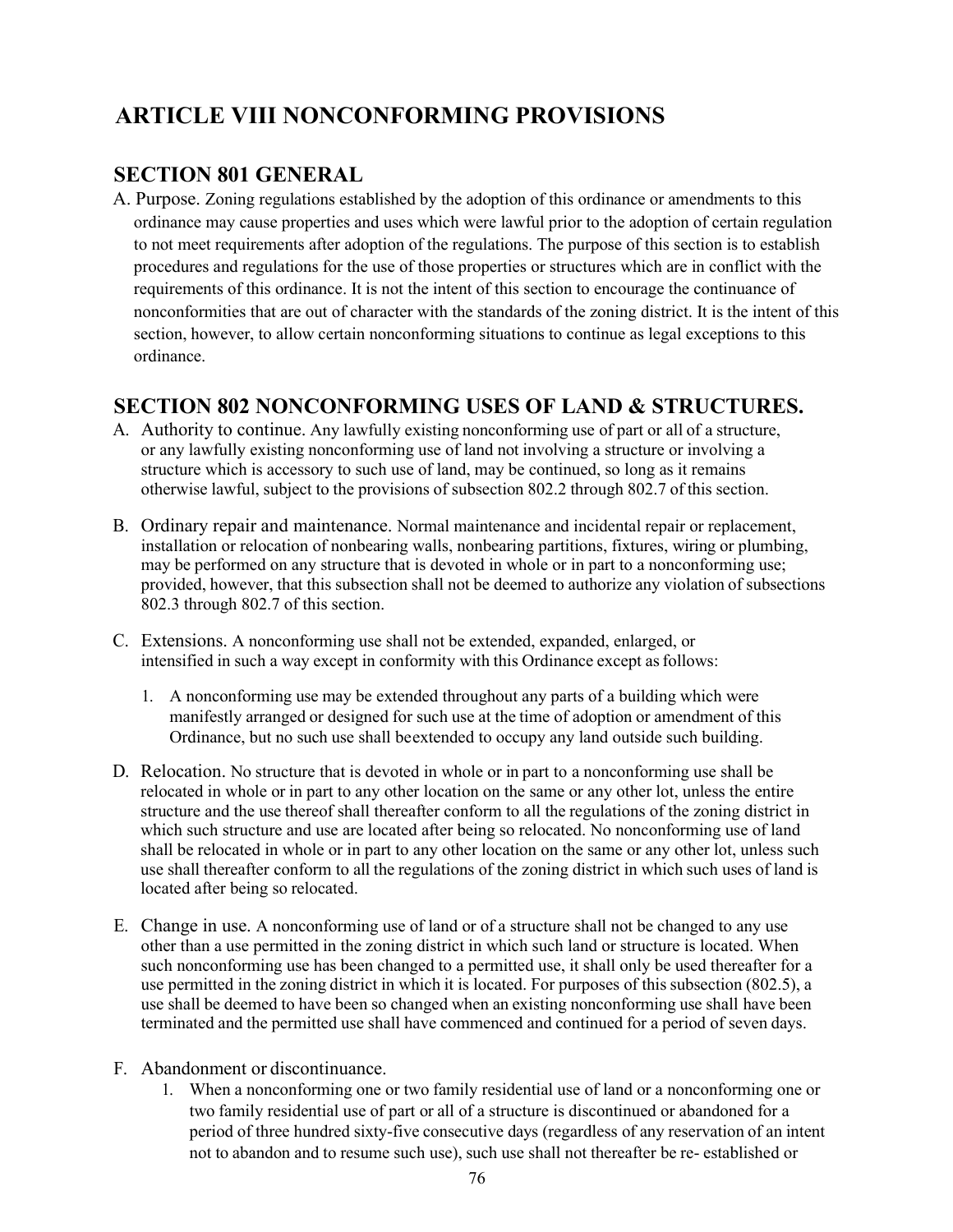# **ARTICLE VIII NONCONFORMING PROVISIONS**

## **SECTION 801 GENERAL**

A. Purpose. Zoning regulations established by the adoption of this ordinance or amendments to this ordinance may cause properties and uses which were lawful prior to the adoption of certain regulation to not meet requirements after adoption of the regulations. The purpose of this section is to establish procedures and regulations for the use of those properties or structures which are in conflict with the requirements of this ordinance. It is not the intent of this section to encourage the continuance of nonconformities that are out of character with the standards of the zoning district. It is the intent of this section, however, to allow certain nonconforming situations to continue as legal exceptions to this ordinance.

### **SECTION 802 NONCONFORMING USES OF LAND & STRUCTURES.**

- A. Authority to continue. Any lawfully existing nonconforming use of part or all of a structure, or any lawfully existing nonconforming use of land not involving a structure or involving a structure which is accessory to such use of land, may be continued, so long as it remains otherwise lawful, subject to the provisions of subsection 802.2 through 802.7 of this section.
- B. Ordinary repair and maintenance. Normal maintenance and incidental repair or replacement, installation or relocation of nonbearing walls, nonbearing partitions, fixtures, wiring or plumbing, may be performed on any structure that is devoted in whole or in part to a nonconforming use; provided, however, that this subsection shall not be deemed to authorize any violation of subsections 802.3 through 802.7 of this section.
- C. Extensions. A nonconforming use shall not be extended, expanded, enlarged, or intensified in such a way except in conformity with this Ordinance except asfollows:
	- 1. A nonconforming use may be extended throughout any parts of a building which were manifestly arranged or designed for such use at the time of adoption or amendment of this Ordinance, but no such use shall beextended to occupy any land outside such building.
- D. Relocation. No structure that is devoted in whole or in part to a nonconforming use shall be relocated in whole or in part to any other location on the same or any other lot, unless the entire structure and the use thereof shall thereafter conform to all the regulations of the zoning district in which such structure and use are located after being so relocated. No nonconforming use of land shall be relocated in whole or in part to any other location on the same or any other lot, unless such use shall thereafter conform to all the regulations of the zoning district in which such uses of land is located after being so relocated.
- E. Change in use. A nonconforming use of land or of a structure shall not be changed to any use other than a use permitted in the zoning district in which such land or structure is located. When such nonconforming use has been changed to a permitted use, it shall only be used thereafter for a use permitted in the zoning district in which it is located. For purposes of this subsection (802.5), a use shall be deemed to have been so changed when an existing nonconforming use shall have been terminated and the permitted use shall have commenced and continued for a period of seven days.
- F. Abandonment or discontinuance.
	- 1. When a nonconforming one or two family residential use of land or a nonconforming one or two family residential use of part or all of a structure is discontinued or abandoned for a period of three hundred sixty-five consecutive days (regardless of any reservation of an intent not to abandon and to resume such use), such use shall not thereafter be re- established or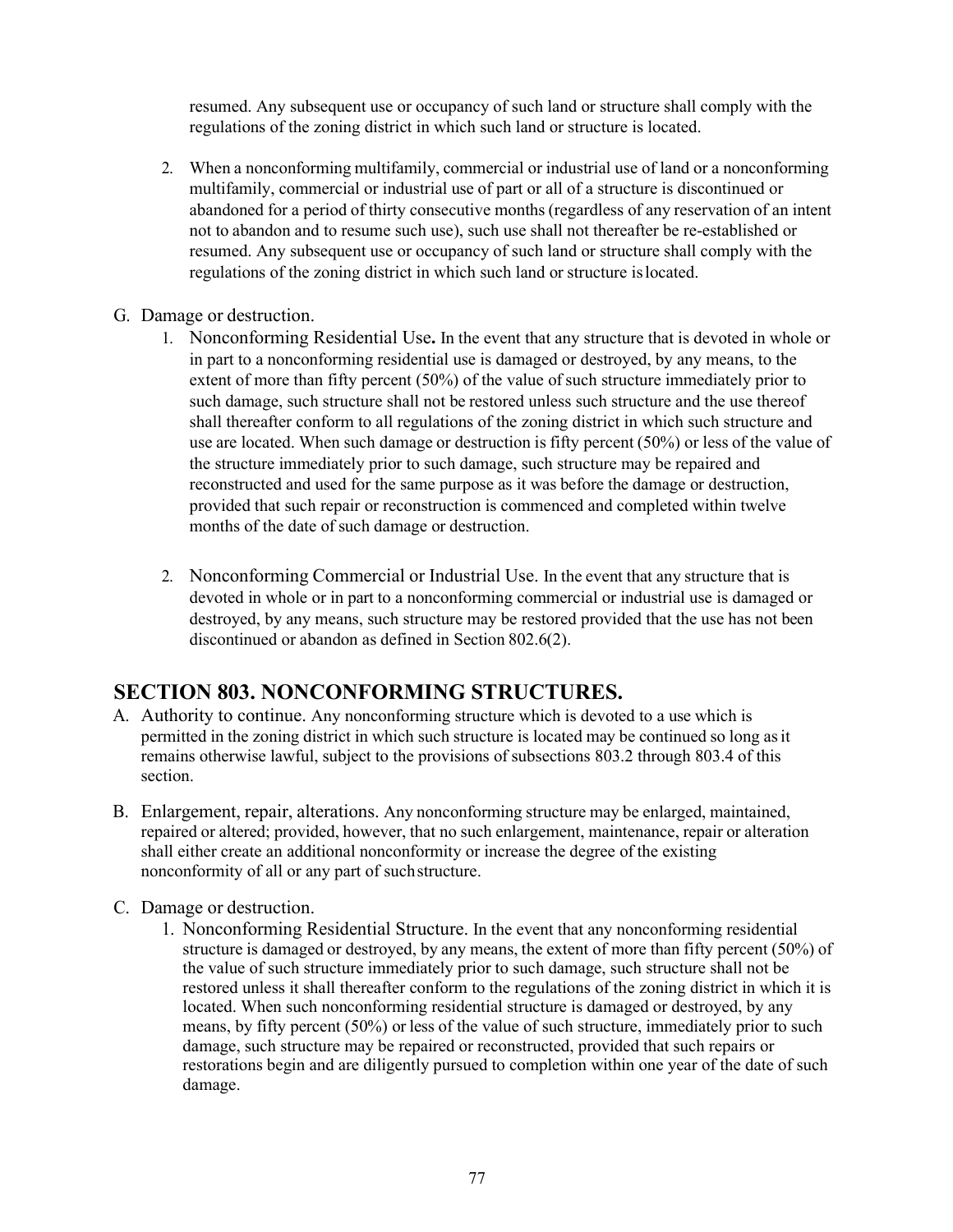resumed. Any subsequent use or occupancy of such land or structure shall comply with the regulations of the zoning district in which such land or structure is located.

- 2. When a nonconforming multifamily, commercial or industrial use of land or a nonconforming multifamily, commercial or industrial use of part or all of a structure is discontinued or abandoned for a period of thirty consecutive months (regardless of any reservation of an intent not to abandon and to resume such use), such use shall not thereafter be re-established or resumed. Any subsequent use or occupancy of such land or structure shall comply with the regulations of the zoning district in which such land or structure islocated.
- G. Damage or destruction.
	- 1. Nonconforming Residential Use**.** In the event that any structure that is devoted in whole or in part to a nonconforming residential use is damaged or destroyed, by any means, to the extent of more than fifty percent (50%) of the value of such structure immediately prior to such damage, such structure shall not be restored unless such structure and the use thereof shall thereafter conform to all regulations of the zoning district in which such structure and use are located. When such damage or destruction is fifty percent (50%) or less of the value of the structure immediately prior to such damage, such structure may be repaired and reconstructed and used for the same purpose as it was before the damage or destruction, provided that such repair or reconstruction is commenced and completed within twelve months of the date of such damage or destruction.
	- 2. Nonconforming Commercial or Industrial Use. In the event that any structure that is devoted in whole or in part to a nonconforming commercial or industrial use is damaged or destroyed, by any means, such structure may be restored provided that the use has not been discontinued or abandon as defined in Section 802.6(2).

# **SECTION 803. NONCONFORMING STRUCTURES.**

- A. Authority to continue. Any nonconforming structure which is devoted to a use which is permitted in the zoning district in which such structure is located may be continued so long as it remains otherwise lawful, subject to the provisions of subsections 803.2 through 803.4 of this section.
- B. Enlargement, repair, alterations. Any nonconforming structure may be enlarged, maintained, repaired or altered; provided, however, that no such enlargement, maintenance, repair or alteration shall either create an additional nonconformity or increase the degree of the existing nonconformity of all or any part of suchstructure.
- C. Damage or destruction.
	- 1. Nonconforming Residential Structure. In the event that any nonconforming residential structure is damaged or destroyed, by any means, the extent of more than fifty percent (50%) of the value of such structure immediately prior to such damage, such structure shall not be restored unless it shall thereafter conform to the regulations of the zoning district in which it is located. When such nonconforming residential structure is damaged or destroyed, by any means, by fifty percent (50%) or less of the value of such structure, immediately prior to such damage, such structure may be repaired or reconstructed, provided that such repairs or restorations begin and are diligently pursued to completion within one year of the date of such damage.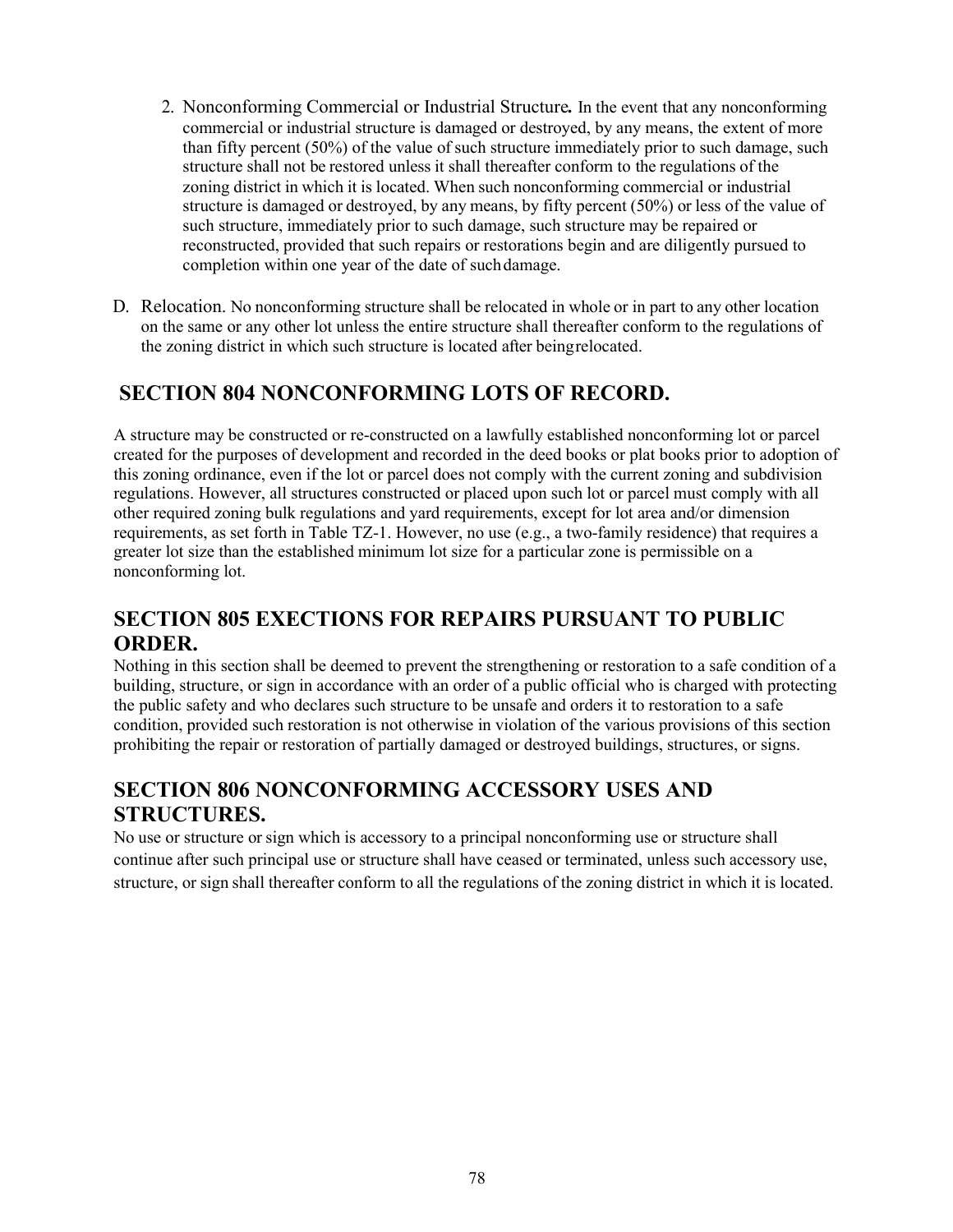- 2. Nonconforming Commercial or Industrial Structure*.* In the event that any nonconforming commercial or industrial structure is damaged or destroyed, by any means, the extent of more than fifty percent (50%) of the value of such structure immediately prior to such damage, such structure shall not be restored unless it shall thereafter conform to the regulations of the zoning district in which it is located. When such nonconforming commercial or industrial structure is damaged or destroyed, by any means, by fifty percent (50%) or less of the value of such structure, immediately prior to such damage, such structure may be repaired or reconstructed, provided that such repairs or restorations begin and are diligently pursued to completion within one year of the date of suchdamage.
- D. Relocation. No nonconforming structure shall be relocated in whole or in part to any other location on the same or any other lot unless the entire structure shall thereafter conform to the regulations of the zoning district in which such structure is located after beingrelocated.

# **SECTION 804 NONCONFORMING LOTS OF RECORD.**

A structure may be constructed or re-constructed on a lawfully established nonconforming lot or parcel created for the purposes of development and recorded in the deed books or plat books prior to adoption of this zoning ordinance, even if the lot or parcel does not comply with the current zoning and subdivision regulations. However, all structures constructed or placed upon such lot or parcel must comply with all other required zoning bulk regulations and yard requirements, except for lot area and/or dimension requirements, as set forth in Table TZ-1. However, no use (e.g., a two-family residence) that requires a greater lot size than the established minimum lot size for a particular zone is permissible on a nonconforming lot.

# **SECTION 805 EXECTIONS FOR REPAIRS PURSUANT TO PUBLIC ORDER.**

Nothing in this section shall be deemed to prevent the strengthening or restoration to a safe condition of a building, structure, or sign in accordance with an order of a public official who is charged with protecting the public safety and who declares such structure to be unsafe and orders it to restoration to a safe condition, provided such restoration is not otherwise in violation of the various provisions of this section prohibiting the repair or restoration of partially damaged or destroyed buildings, structures, or signs.

# **SECTION 806 NONCONFORMING ACCESSORY USES AND STRUCTURES.**

No use or structure or sign which is accessory to a principal nonconforming use or structure shall continue after such principal use or structure shall have ceased or terminated, unless such accessory use, structure, or sign shall thereafter conform to all the regulations of the zoning district in which it is located.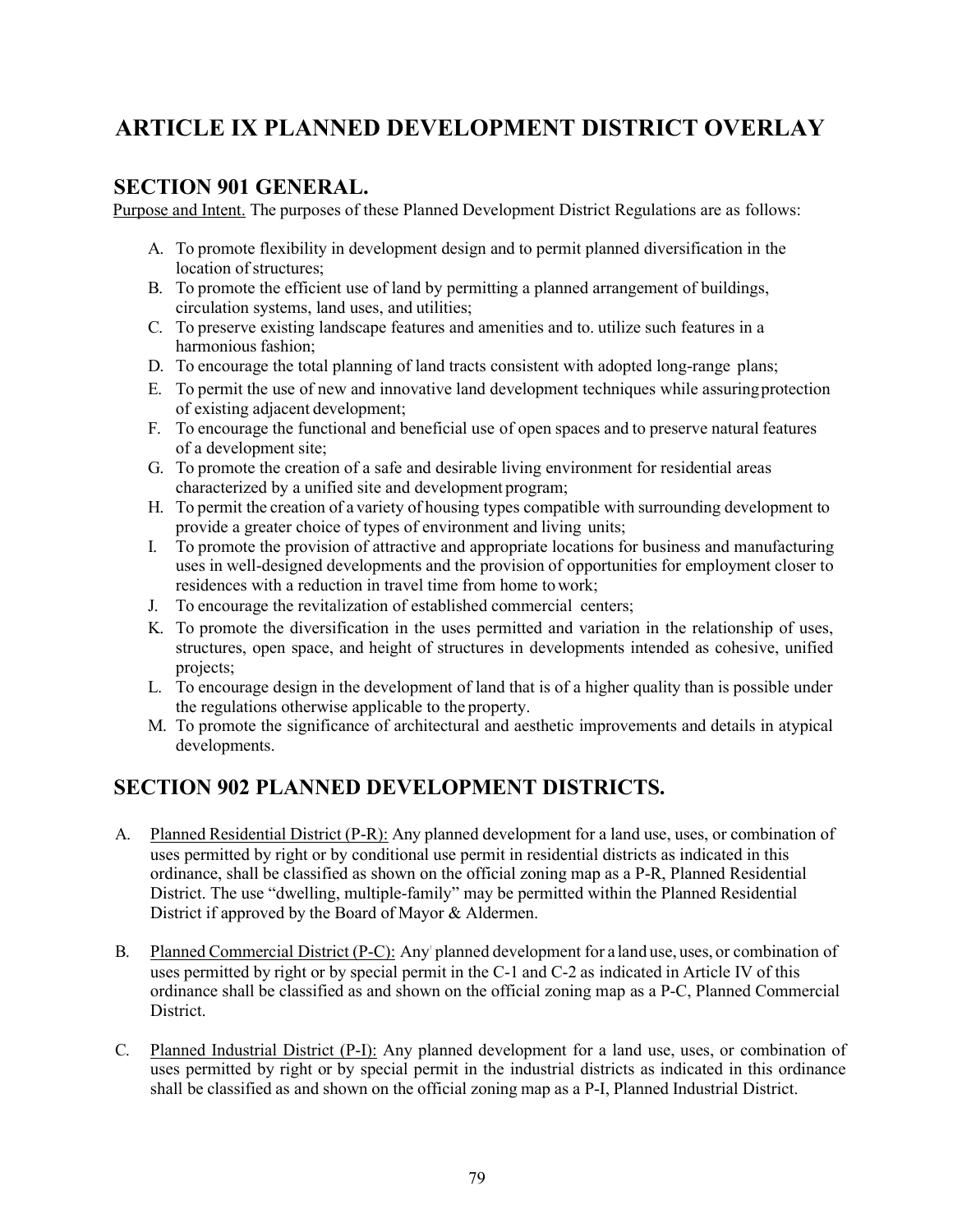# **ARTICLE IX PLANNED DEVELOPMENT DISTRICT OVERLAY**

#### **SECTION 901 GENERAL.**

Purpose and Intent. The purposes of these Planned Development District Regulations are as follows:

- A. To promote flexibility in development design and to permit planned diversification in the location of structures:
- B. To promote the efficient use of land by permitting a planned arrangement of buildings, circulation systems, land uses, and utilities;
- C. To preserve existing landscape features and amenities and to. utilize such features in a harmonious fashion;
- D. To encourage the total planning of land tracts consistent with adopted long-range plans;
- E. To permit the use of new and innovative land development techniques while assuringprotection of existing adjacent development;
- F. To encourage the functional and beneficial use of open spaces and to preserve natural features of a development site;
- G. To promote the creation of a safe and desirable living environment for residential areas characterized by a unified site and development program;
- H. To permit the creation of a variety of housing types compatible with surrounding development to provide a greater choice of types of environment and living units;
- I. To promote the provision of attractive and appropriate locations for business and manufacturing uses in well-designed developments and the provision of opportunities for employment closer to residences with a reduction in travel time from home towork;
- J. To encourage the revitalization of established commercial centers;
- K. To promote the diversification in the uses permitted and variation in the relationship of uses, structures, open space, and height of structures in developments intended as cohesive, unified projects;
- L. To encourage design in the development of land that is of a higher quality than is possible under the regulations otherwise applicable to the property.
- M. To promote the significance of architectural and aesthetic improvements and details in atypical developments.

# **SECTION 902 PLANNED DEVELOPMENT DISTRICTS.**

- A. Planned Residential District (P-R): Any planned development for a land use, uses, or combination of uses permitted by right or by conditional use permit in residential districts as indicated in this ordinance, shall be classified as shown on the official zoning map as a P-R, Planned Residential District. The use "dwelling, multiple-family" may be permitted within the Planned Residential District if approved by the Board of Mayor & Aldermen.
- B. Planned Commercial District (P-C): Any' planned development for a land use, uses, or combination of uses permitted by right or by special permit in the C-1 and C-2 as indicated in Article IV of this ordinance shall be classified as and shown on the official zoning map as a P-C, Planned Commercial District.
- C. Planned Industrial District (P-I): Any planned development for a land use, uses, or combination of uses permitted by right or by special permit in the industrial districts as indicated in this ordinance shall be classified as and shown on the official zoning map as a P-I, Planned Industrial District.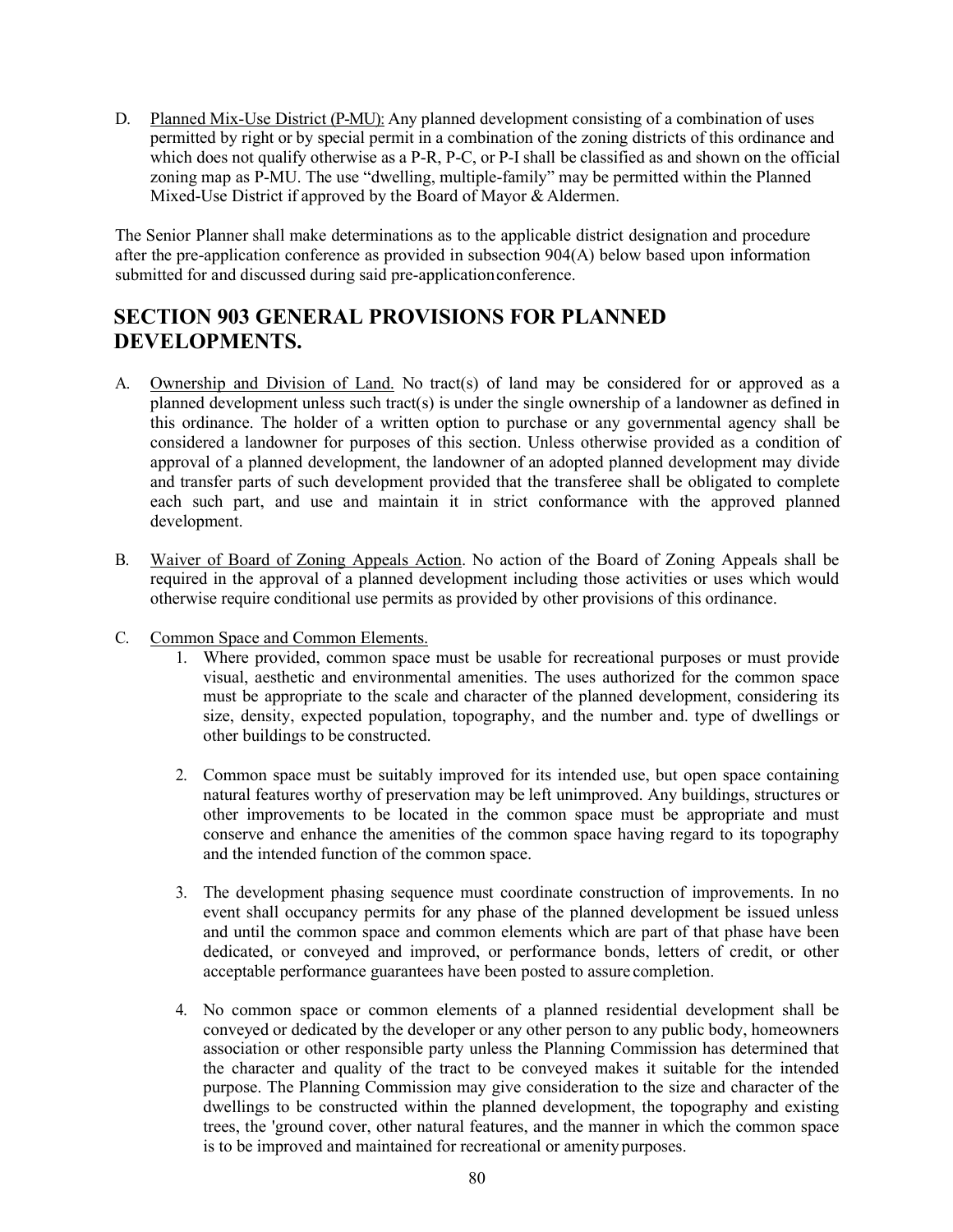D. Planned Mix-Use District (P-MU): Any planned development consisting of a combination of uses permitted by right or by special permit in a combination of the zoning districts of this ordinance and which does not qualify otherwise as a P-R, P-C, or P-I shall be classified as and shown on the official zoning map as P-MU. The use "dwelling, multiple-family" may be permitted within the Planned Mixed-Use District if approved by the Board of Mayor & Aldermen.

The Senior Planner shall make determinations as to the applicable district designation and procedure after the pre-application conference as provided in subsection 904(A) below based upon information submitted for and discussed during said pre-applicationconference.

## **SECTION 903 GENERAL PROVISIONS FOR PLANNED DEVELOPMENTS.**

- A. Ownership and Division of Land. No tract(s) of land may be considered for or approved as a planned development unless such tract(s) is under the single ownership of a landowner as defined in this ordinance. The holder of a written option to purchase or any governmental agency shall be considered a landowner for purposes of this section. Unless otherwise provided as a condition of approval of a planned development, the landowner of an adopted planned development may divide and transfer parts of such development provided that the transferee shall be obligated to complete each such part, and use and maintain it in strict conformance with the approved planned development.
- B. Waiver of Board of Zoning Appeals Action. No action of the Board of Zoning Appeals shall be required in the approval of a planned development including those activities or uses which would otherwise require conditional use permits as provided by other provisions of this ordinance.
- C. Common Space and Common Elements.
	- 1. Where provided, common space must be usable for recreational purposes or must provide visual, aesthetic and environmental amenities. The uses authorized for the common space must be appropriate to the scale and character of the planned development, considering its size, density, expected population, topography, and the number and. type of dwellings or other buildings to be constructed.
	- 2. Common space must be suitably improved for its intended use, but open space containing natural features worthy of preservation may be left unimproved. Any buildings, structures or other improvements to be located in the common space must be appropriate and must conserve and enhance the amenities of the common space having regard to its topography and the intended function of the common space.
	- 3. The development phasing sequence must coordinate construction of improvements. In no event shall occupancy permits for any phase of the planned development be issued unless and until the common space and common elements which are part of that phase have been dedicated, or conveyed and improved, or performance bonds, letters of credit, or other acceptable performance guarantees have been posted to assure completion.
	- 4. No common space or common elements of a planned residential development shall be conveyed or dedicated by the developer or any other person to any public body, homeowners association or other responsible party unless the Planning Commission has determined that the character and quality of the tract to be conveyed makes it suitable for the intended purpose. The Planning Commission may give consideration to the size and character of the dwellings to be constructed within the planned development, the topography and existing trees, the 'ground cover, other natural features, and the manner in which the common space is to be improved and maintained for recreational or amenity purposes.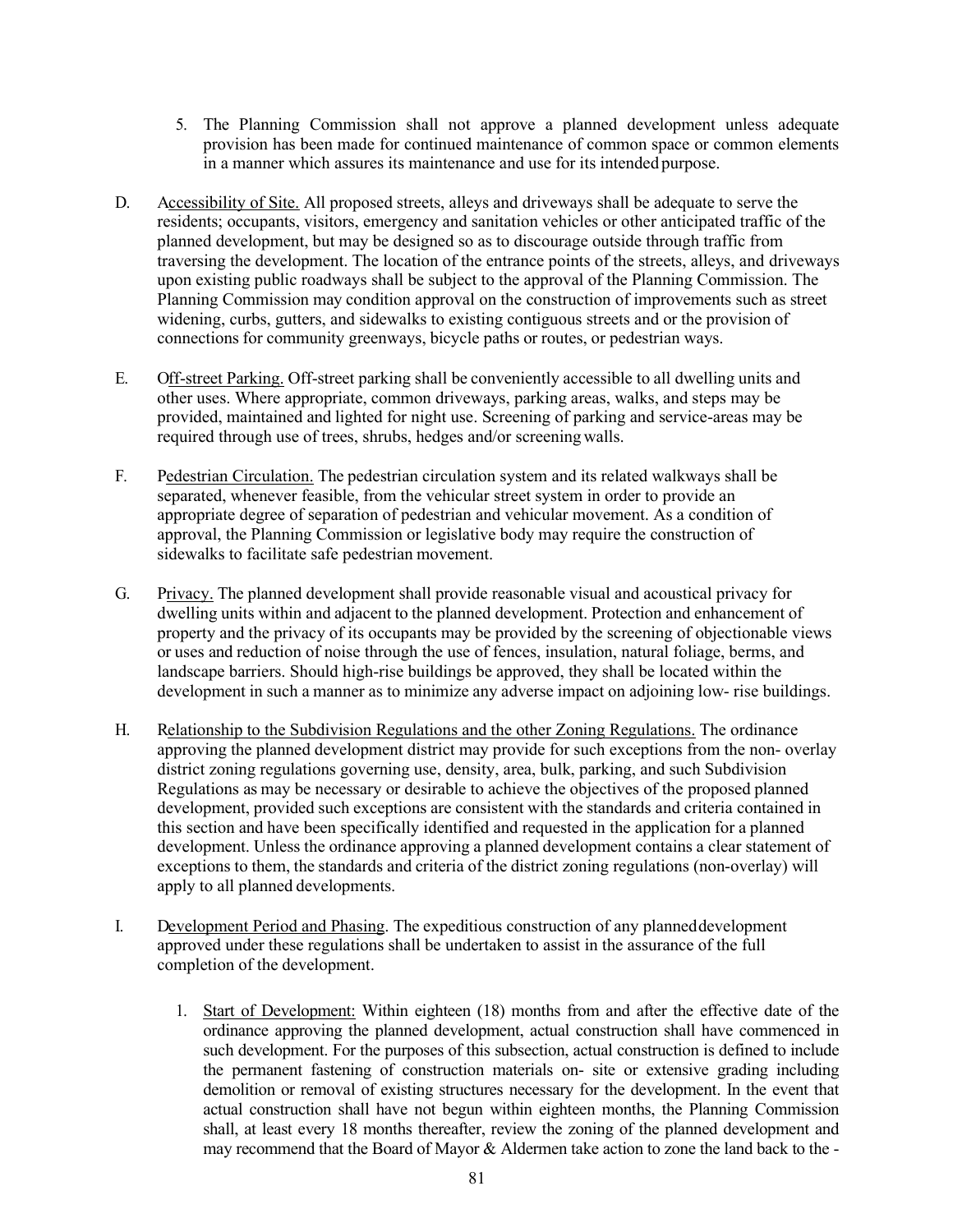- 5. The Planning Commission shall not approve a planned development unless adequate provision has been made for continued maintenance of common space or common elements in a manner which assures its maintenance and use for its intended purpose.
- D. Accessibility of Site. All proposed streets, alleys and driveways shall be adequate to serve the residents; occupants, visitors, emergency and sanitation vehicles or other anticipated traffic of the planned development, but may be designed so as to discourage outside through traffic from traversing the development. The location of the entrance points of the streets, alleys, and driveways upon existing public roadways shall be subject to the approval of the Planning Commission. The Planning Commission may condition approval on the construction of improvements such as street widening, curbs, gutters, and sidewalks to existing contiguous streets and or the provision of connections for community greenways, bicycle paths or routes, or pedestrian ways.
- E. Off-street Parking. Off-street parking shall be conveniently accessible to all dwelling units and other uses. Where appropriate, common driveways, parking areas, walks, and steps may be provided, maintained and lighted for night use. Screening of parking and service-areas may be required through use of trees, shrubs, hedges and/or screening walls.
- F. Pedestrian Circulation. The pedestrian circulation system and its related walkways shall be separated, whenever feasible, from the vehicular street system in order to provide an appropriate degree of separation of pedestrian and vehicular movement. As a condition of approval, the Planning Commission or legislative body may require the construction of sidewalks to facilitate safe pedestrian movement.
- G. Privacy. The planned development shall provide reasonable visual and acoustical privacy for dwelling units within and adjacent to the planned development. Protection and enhancement of property and the privacy of its occupants may be provided by the screening of objectionable views or uses and reduction of noise through the use of fences, insulation, natural foliage, berms, and landscape barriers. Should high-rise buildings be approved, they shall be located within the development in such a manner as to minimize any adverse impact on adjoining low- rise buildings.
- H. Relationship to the Subdivision Regulations and the other Zoning Regulations. The ordinance approving the planned development district may provide for such exceptions from the non- overlay district zoning regulations governing use, density, area, bulk, parking, and such Subdivision Regulations as may be necessary or desirable to achieve the objectives of the proposed planned development, provided such exceptions are consistent with the standards and criteria contained in this section and have been specifically identified and requested in the application for a planned development. Unless the ordinance approving a planned development contains a clear statement of exceptions to them, the standards and criteria of the district zoning regulations (non-overlay) will apply to all planned developments.
- I. Development Period and Phasing. The expeditious construction of any planneddevelopment approved under these regulations shall be undertaken to assist in the assurance of the full completion of the development.
	- 1. Start of Development: Within eighteen (18) months from and after the effective date of the ordinance approving the planned development, actual construction shall have commenced in such development. For the purposes of this subsection, actual construction is defined to include the permanent fastening of construction materials on- site or extensive grading including demolition or removal of existing structures necessary for the development. In the event that actual construction shall have not begun within eighteen months, the Planning Commission shall, at least every 18 months thereafter, review the zoning of the planned development and may recommend that the Board of Mayor & Aldermen take action to zone the land back to the -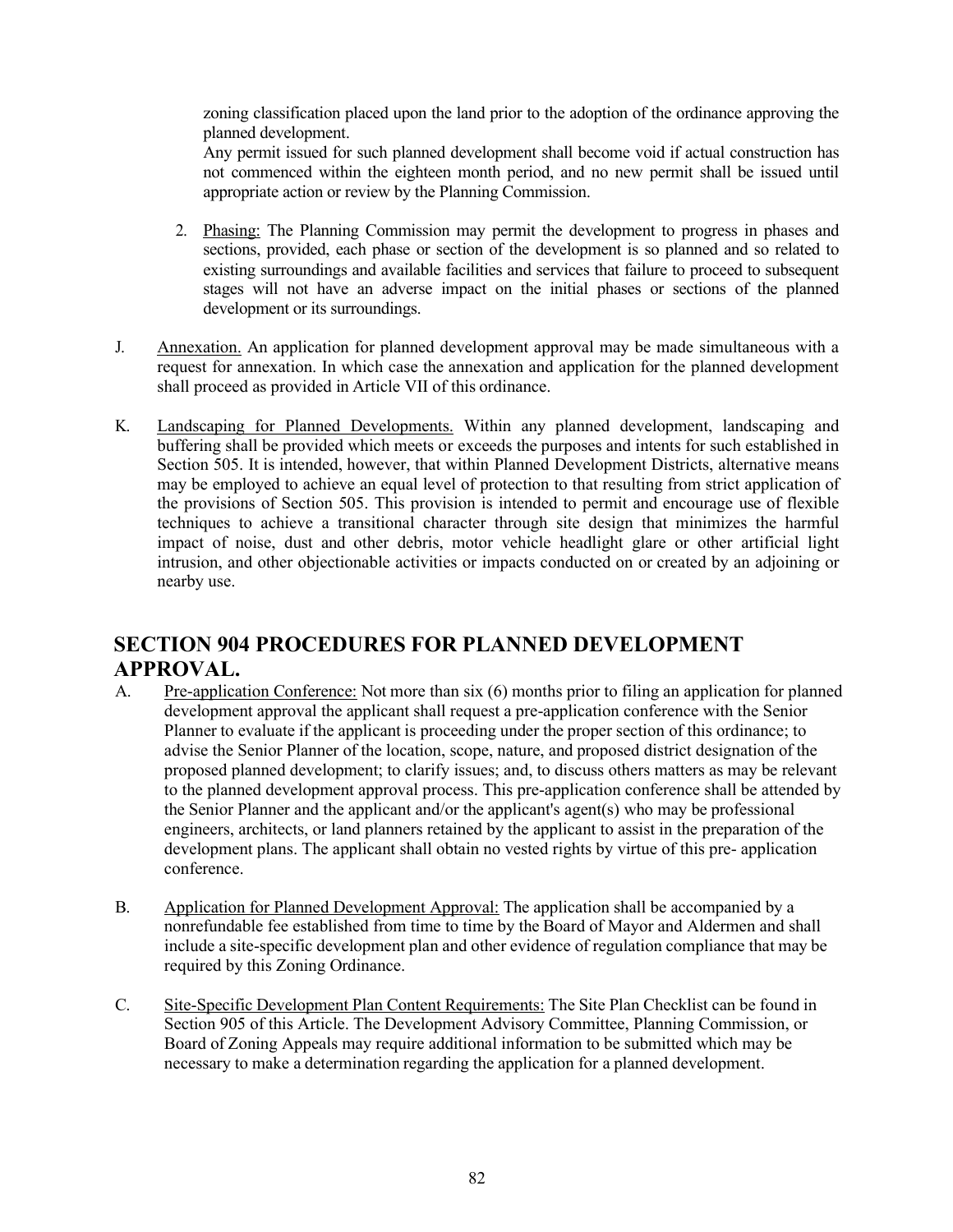zoning classification placed upon the land prior to the adoption of the ordinance approving the planned development.

Any permit issued for such planned development shall become void if actual construction has not commenced within the eighteen month period, and no new permit shall be issued until appropriate action or review by the Planning Commission.

- 2. Phasing: The Planning Commission may permit the development to progress in phases and sections, provided, each phase or section of the development is so planned and so related to existing surroundings and available facilities and services that failure to proceed to subsequent stages will not have an adverse impact on the initial phases or sections of the planned development or its surroundings.
- J. Annexation. An application for planned development approval may be made simultaneous with a request for annexation. In which case the annexation and application for the planned development shall proceed as provided in Article VII of this ordinance.
- K. Landscaping for Planned Developments. Within any planned development, landscaping and buffering shall be provided which meets or exceeds the purposes and intents for such established in Section 505. It is intended, however, that within Planned Development Districts, alternative means may be employed to achieve an equal level of protection to that resulting from strict application of the provisions of Section 505. This provision is intended to permit and encourage use of flexible techniques to achieve a transitional character through site design that minimizes the harmful impact of noise, dust and other debris, motor vehicle headlight glare or other artificial light intrusion, and other objectionable activities or impacts conducted on or created by an adjoining or nearby use.

# **SECTION 904 PROCEDURES FOR PLANNED DEVELOPMENT APPROVAL.**

- A. Pre-application Conference: Not more than six (6) months prior to filing an application for planned development approval the applicant shall request a pre-application conference with the Senior Planner to evaluate if the applicant is proceeding under the proper section of this ordinance; to advise the Senior Planner of the location, scope, nature, and proposed district designation of the proposed planned development; to clarify issues; and, to discuss others matters as may be relevant to the planned development approval process. This pre-application conference shall be attended by the Senior Planner and the applicant and/or the applicant's agent(s) who may be professional engineers, architects, or land planners retained by the applicant to assist in the preparation of the development plans. The applicant shall obtain no vested rights by virtue of this pre- application conference.
- B. Application for Planned Development Approval: The application shall be accompanied by a nonrefundable fee established from time to time by the Board of Mayor and Aldermen and shall include a site-specific development plan and other evidence of regulation compliance that may be required by this Zoning Ordinance.
- C. Site-Specific Development Plan Content Requirements: The Site Plan Checklist can be found in Section 905 of this Article. The Development Advisory Committee, Planning Commission, or Board of Zoning Appeals may require additional information to be submitted which may be necessary to make a determination regarding the application for a planned development.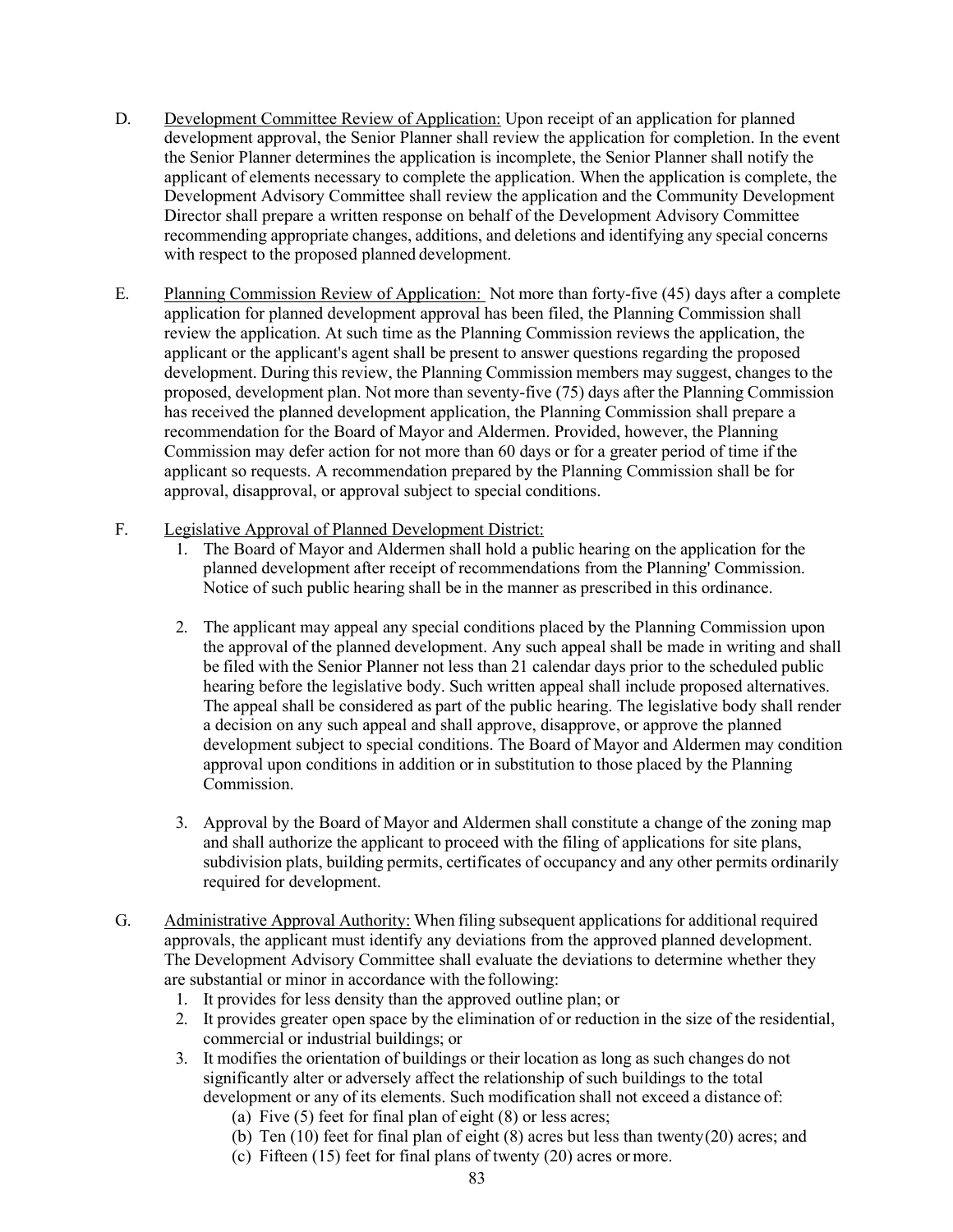- D. Development Committee Review of Application: Upon receipt of an application for planned development approval, the Senior Planner shall review the application for completion. In the event the Senior Planner determines the application is incomplete, the Senior Planner shall notify the applicant of elements necessary to complete the application. When the application is complete, the Development Advisory Committee shall review the application and the Community Development Director shall prepare a written response on behalf of the Development Advisory Committee recommending appropriate changes, additions, and deletions and identifying any special concerns with respect to the proposed planned development.
- E. Planning Commission Review of Application: Not more than forty-five (45) days after a complete application for planned development approval has been filed, the Planning Commission shall review the application. At such time as the Planning Commission reviews the application, the applicant or the applicant's agent shall be present to answer questions regarding the proposed development. During this review, the Planning Commission members may suggest, changes to the proposed, development plan. Not more than seventy-five (75) days after the Planning Commission has received the planned development application, the Planning Commission shall prepare a recommendation for the Board of Mayor and Aldermen. Provided, however, the Planning Commission may defer action for not more than 60 days or for a greater period of time if the applicant so requests. A recommendation prepared by the Planning Commission shall be for approval, disapproval, or approval subject to special conditions.
- F. Legislative Approval of Planned Development District:
	- 1. The Board of Mayor and Aldermen shall hold a public hearing on the application for the planned development after receipt of recommendations from the Planning' Commission. Notice of such public hearing shall be in the manner as prescribed in this ordinance.
	- 2. The applicant may appeal any special conditions placed by the Planning Commission upon the approval of the planned development. Any such appeal shall be made in writing and shall be filed with the Senior Planner not less than 21 calendar days prior to the scheduled public hearing before the legislative body. Such written appeal shall include proposed alternatives. The appeal shall be considered as part of the public hearing. The legislative body shall render a decision on any such appeal and shall approve, disapprove, or approve the planned development subject to special conditions. The Board of Mayor and Aldermen may condition approval upon conditions in addition or in substitution to those placed by the Planning Commission.
	- 3. Approval by the Board of Mayor and Aldermen shall constitute a change of the zoning map and shall authorize the applicant to proceed with the filing of applications for site plans, subdivision plats, building permits, certificates of occupancy and any other permits ordinarily required for development.
- G. Administrative Approval Authority: When filing subsequent applications for additional required approvals, the applicant must identify any deviations from the approved planned development. The Development Advisory Committee shall evaluate the deviations to determine whether they are substantial or minor in accordance with the following:
	- 1. It provides for less density than the approved outline plan; or
	- 2. It provides greater open space by the elimination of or reduction in the size of the residential, commercial or industrial buildings; or
	- 3. It modifies the orientation of buildings or their location as long as such changes do not significantly alter or adversely affect the relationship of such buildings to the total development or any of its elements. Such modification shall not exceed a distance of:
		- (a) Five  $(5)$  feet for final plan of eight  $(8)$  or less acres;
		- (b) Ten (10) feet for final plan of eight (8) acres but less than twenty(20) acres; and
		- (c) Fifteen (15) feet for final plans of twenty (20) acres ormore.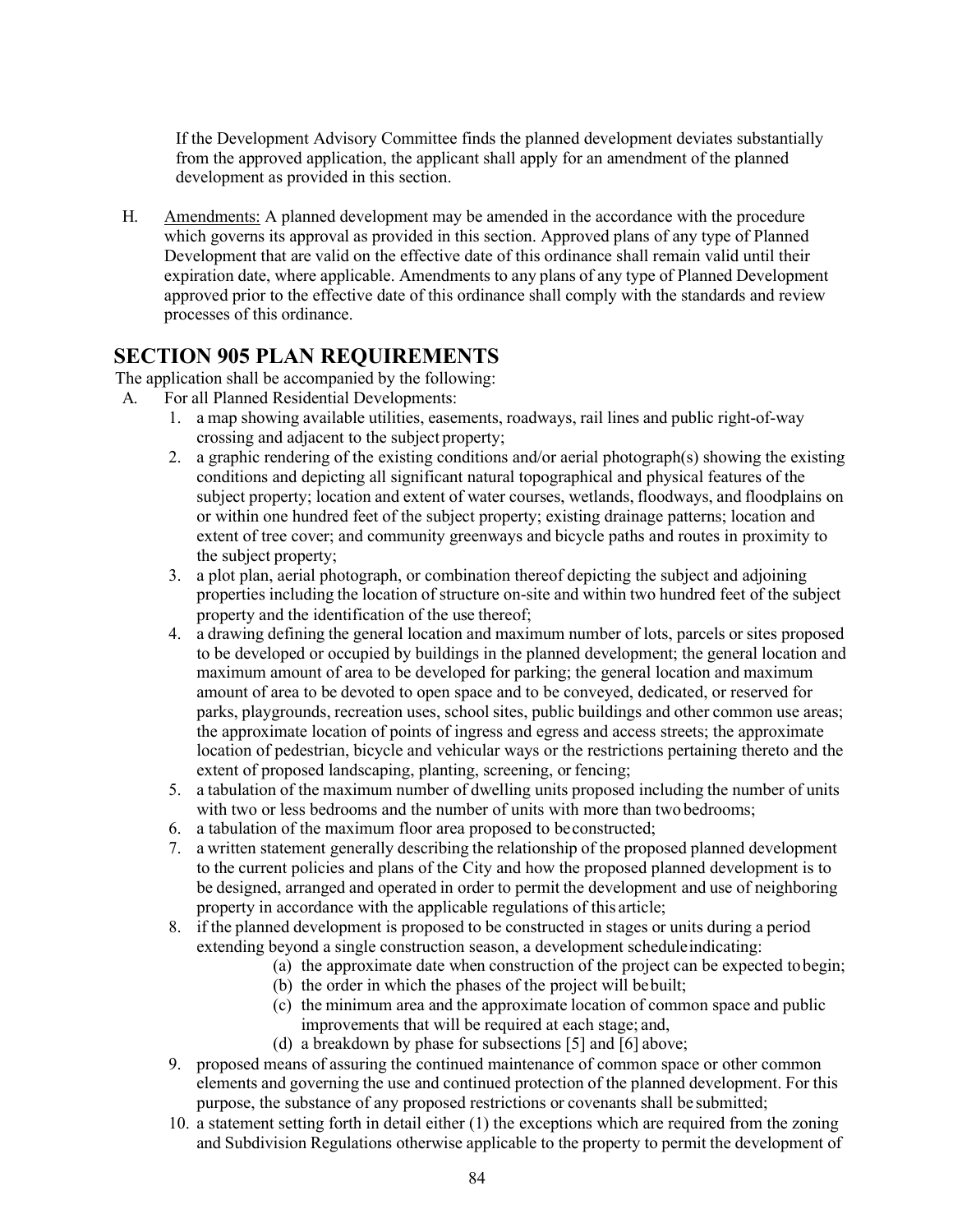If the Development Advisory Committee finds the planned development deviates substantially from the approved application, the applicant shall apply for an amendment of the planned development as provided in this section.

H. Amendments: A planned development may be amended in the accordance with the procedure which governs its approval as provided in this section. Approved plans of any type of Planned Development that are valid on the effective date of this ordinance shall remain valid until their expiration date, where applicable. Amendments to any plans of any type of Planned Development approved prior to the effective date of this ordinance shall comply with the standards and review processes of this ordinance.

### **SECTION 905 PLAN REQUIREMENTS**

The application shall be accompanied by the following:

- A. For all Planned Residential Developments:
	- 1. a map showing available utilities, easements, roadways, rail lines and public right-of-way crossing and adjacent to the subject property;
	- 2. a graphic rendering of the existing conditions and/or aerial photograph(s) showing the existing conditions and depicting all significant natural topographical and physical features of the subject property; location and extent of water courses, wetlands, floodways, and floodplains on or within one hundred feet of the subject property; existing drainage patterns; location and extent of tree cover; and community greenways and bicycle paths and routes in proximity to the subject property;
	- 3. a plot plan, aerial photograph, or combination thereof depicting the subject and adjoining properties including the location of structure on-site and within two hundred feet of the subject property and the identification of the use thereof;
	- 4. a drawing defining the general location and maximum number of lots, parcels or sites proposed to be developed or occupied by buildings in the planned development; the general location and maximum amount of area to be developed for parking; the general location and maximum amount of area to be devoted to open space and to be conveyed, dedicated, or reserved for parks, playgrounds, recreation uses, school sites, public buildings and other common use areas; the approximate location of points of ingress and egress and access streets; the approximate location of pedestrian, bicycle and vehicular ways or the restrictions pertaining thereto and the extent of proposed landscaping, planting, screening, or fencing;
	- 5. a tabulation of the maximum number of dwelling units proposed including the number of units with two or less bedrooms and the number of units with more than two bedrooms;
	- 6. a tabulation of the maximum floor area proposed to beconstructed;
	- 7. a written statement generally describing the relationship of the proposed planned development to the current policies and plans of the City and how the proposed planned development is to be designed, arranged and operated in order to permit the development and use of neighboring property in accordance with the applicable regulations of this article;
	- 8. if the planned development is proposed to be constructed in stages or units during a period extending beyond a single construction season, a development scheduleindicating:
		- (a) the approximate date when construction of the project can be expected tobegin;
		- (b) the order in which the phases of the project will bebuilt;
		- (c) the minimum area and the approximate location of common space and public improvements that will be required at each stage; and,
		- (d) a breakdown by phase for subsections [5] and [6] above;
	- 9. proposed means of assuring the continued maintenance of common space or other common elements and governing the use and continued protection of the planned development. For this purpose, the substance of any proposed restrictions or covenants shall be submitted;
	- 10. a statement setting forth in detail either (1) the exceptions which are required from the zoning and Subdivision Regulations otherwise applicable to the property to permit the development of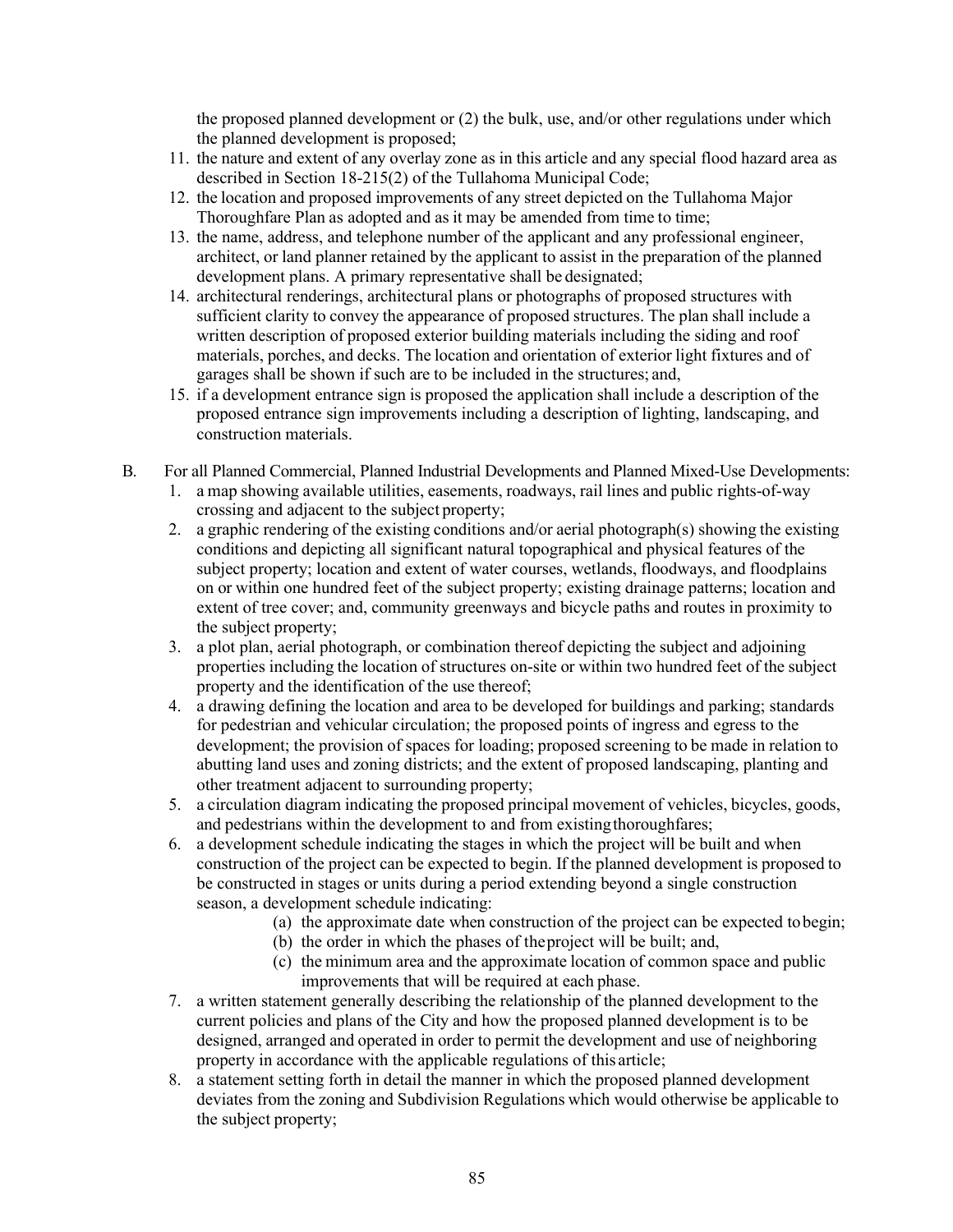the proposed planned development or (2) the bulk, use, and/or other regulations under which the planned development is proposed;

- 11. the nature and extent of any overlay zone as in this article and any special flood hazard area as described in Section 18-215(2) of the Tullahoma Municipal Code;
- 12. the location and proposed improvements of any street depicted on the Tullahoma Major Thoroughfare Plan as adopted and as it may be amended from time to time;
- 13. the name, address, and telephone number of the applicant and any professional engineer, architect, or land planner retained by the applicant to assist in the preparation of the planned development plans. A primary representative shall be designated;
- 14. architectural renderings, architectural plans or photographs of proposed structures with sufficient clarity to convey the appearance of proposed structures. The plan shall include a written description of proposed exterior building materials including the siding and roof materials, porches, and decks. The location and orientation of exterior light fixtures and of garages shall be shown if such are to be included in the structures; and,
- 15. if a development entrance sign is proposed the application shall include a description of the proposed entrance sign improvements including a description of lighting, landscaping, and construction materials.
- B. For all Planned Commercial, Planned Industrial Developments and Planned Mixed-Use Developments:
	- 1. a map showing available utilities, easements, roadways, rail lines and public rights-of-way crossing and adjacent to the subject property;
	- 2. a graphic rendering of the existing conditions and/or aerial photograph(s) showing the existing conditions and depicting all significant natural topographical and physical features of the subject property; location and extent of water courses, wetlands, floodways, and floodplains on or within one hundred feet of the subject property; existing drainage patterns; location and extent of tree cover; and, community greenways and bicycle paths and routes in proximity to the subject property;
	- 3. a plot plan, aerial photograph, or combination thereof depicting the subject and adjoining properties including the location of structures on-site or within two hundred feet of the subject property and the identification of the use thereof;
	- 4. a drawing defining the location and area to be developed for buildings and parking; standards for pedestrian and vehicular circulation; the proposed points of ingress and egress to the development; the provision of spaces for loading; proposed screening to be made in relation to abutting land uses and zoning districts; and the extent of proposed landscaping, planting and other treatment adjacent to surrounding property;
	- 5. a circulation diagram indicating the proposed principal movement of vehicles, bicycles, goods, and pedestrians within the development to and from existingthoroughfares;
	- 6. a development schedule indicating the stages in which the project will be built and when construction of the project can be expected to begin. If the planned development is proposed to be constructed in stages or units during a period extending beyond a single construction season, a development schedule indicating:
		- (a) the approximate date when construction of the project can be expected tobegin;
		- (b) the order in which the phases of theproject will be built; and,
		- (c) the minimum area and the approximate location of common space and public improvements that will be required at each phase.
	- 7. a written statement generally describing the relationship of the planned development to the current policies and plans of the City and how the proposed planned development is to be designed, arranged and operated in order to permit the development and use of neighboring property in accordance with the applicable regulations of this article;
	- 8. a statement setting forth in detail the manner in which the proposed planned development deviates from the zoning and Subdivision Regulations which would otherwise be applicable to the subject property;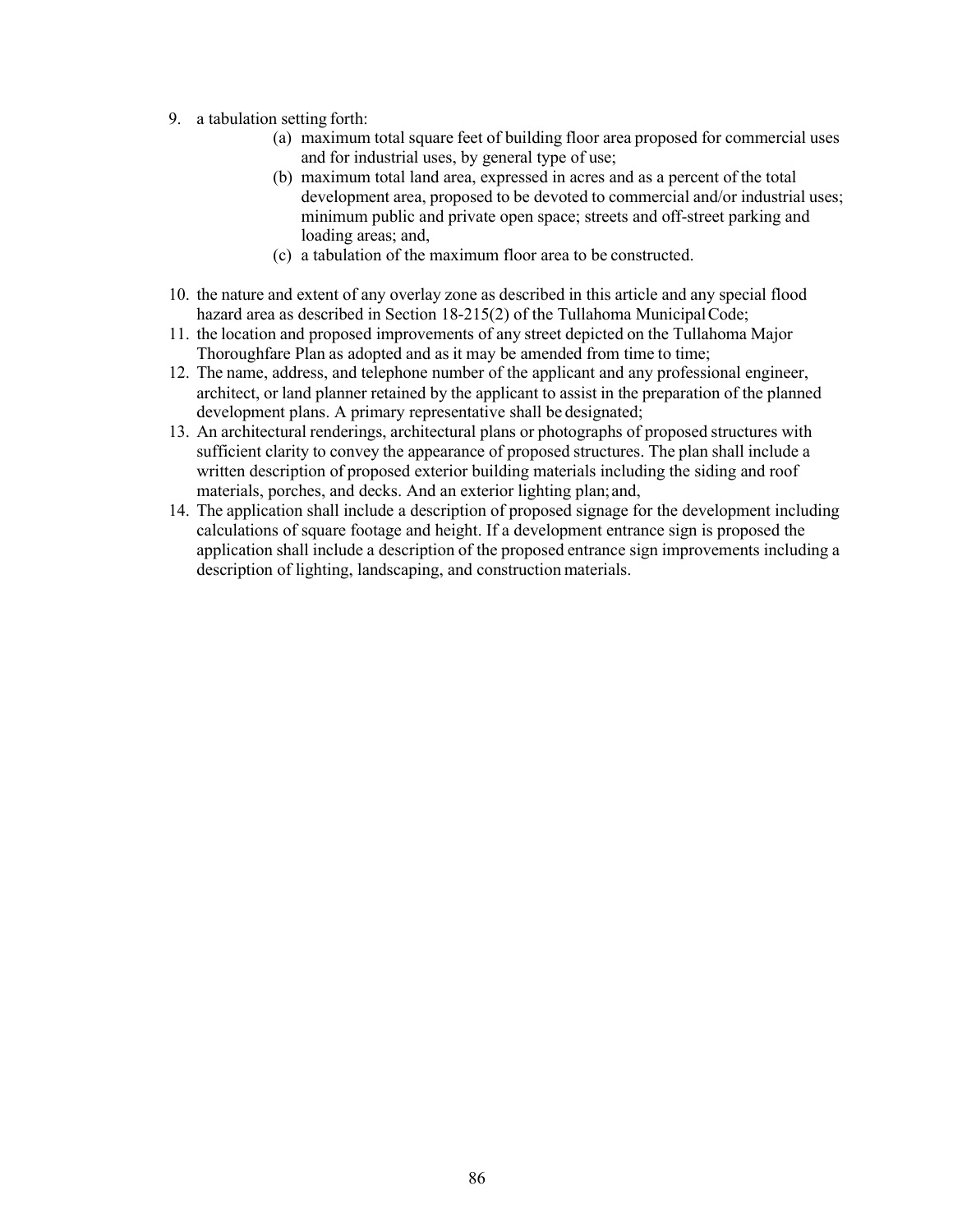- 9. a tabulation setting forth:
	- (a) maximum total square feet of building floor area proposed for commercial uses and for industrial uses, by general type of use;
	- (b) maximum total land area, expressed in acres and as a percent of the total development area, proposed to be devoted to commercial and/or industrial uses; minimum public and private open space; streets and off-street parking and loading areas; and,
	- (c) a tabulation of the maximum floor area to be constructed.
- 10. the nature and extent of any overlay zone as described in this article and any special flood hazard area as described in Section 18-215(2) of the Tullahoma MunicipalCode;
- 11. the location and proposed improvements of any street depicted on the Tullahoma Major Thoroughfare Plan as adopted and as it may be amended from time to time;
- 12. The name, address, and telephone number of the applicant and any professional engineer, architect, or land planner retained by the applicant to assist in the preparation of the planned development plans. A primary representative shall be designated;
- 13. An architectural renderings, architectural plans or photographs of proposed structures with sufficient clarity to convey the appearance of proposed structures. The plan shall include a written description of proposed exterior building materials including the siding and roof materials, porches, and decks. And an exterior lighting plan;and,
- 14. The application shall include a description of proposed signage for the development including calculations of square footage and height. If a development entrance sign is proposed the application shall include a description of the proposed entrance sign improvements including a description of lighting, landscaping, and construction materials.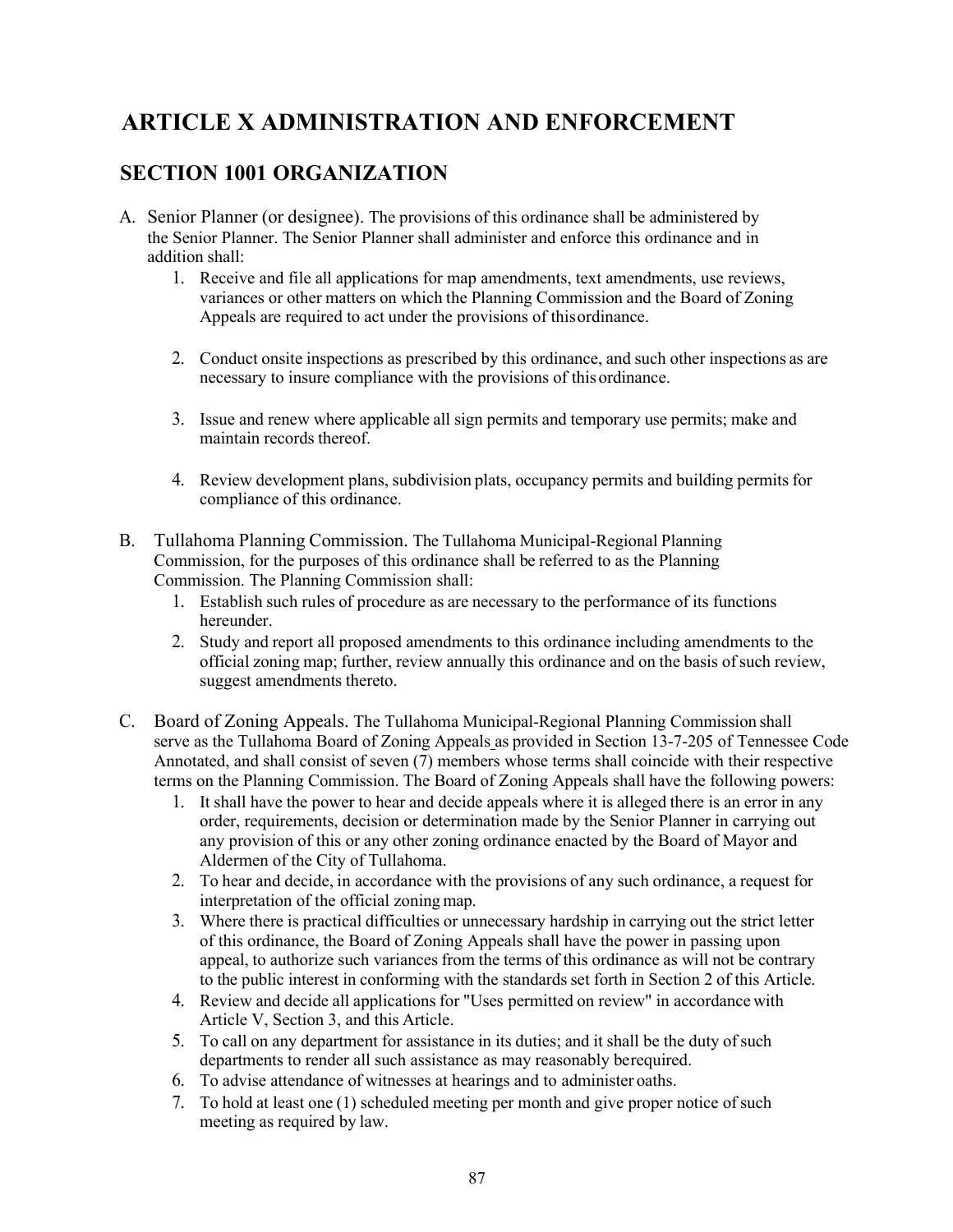# **ARTICLE X ADMINISTRATION AND ENFORCEMENT**

### **SECTION 1001 ORGANIZATION**

- A. Senior Planner (or designee). The provisions of this ordinance shall be administered by the Senior Planner. The Senior Planner shall administer and enforce this ordinance and in addition shall:
	- 1. Receive and file all applications for map amendments, text amendments, use reviews, variances or other matters on which the Planning Commission and the Board of Zoning Appeals are required to act under the provisions of thisordinance.
	- 2. Conduct onsite inspections as prescribed by this ordinance, and such other inspections as are necessary to insure compliance with the provisions of thisordinance.
	- 3. Issue and renew where applicable all sign permits and temporary use permits; make and maintain records thereof.
	- 4. Review development plans, subdivision plats, occupancy permits and building permits for compliance of this ordinance.
- B. Tullahoma Planning Commission. The Tullahoma Municipal-Regional Planning Commission, for the purposes of this ordinance shall be referred to as the Planning Commission. The Planning Commission shall:
	- 1. Establish such rules of procedure as are necessary to the performance of its functions hereunder.
	- 2. Study and report all proposed amendments to this ordinance including amendments to the official zoning map; further, review annually this ordinance and on the basis ofsuch review, suggest amendments thereto.
- C. Board of Zoning Appeals. The Tullahoma Municipal-Regional Planning Commission shall serve as the Tullahoma Board of Zoning Appeals as provided in Section 13-7-205 of Tennessee Code Annotated, and shall consist of seven (7) members whose terms shall coincide with their respective terms on the Planning Commission. The Board of Zoning Appeals shall have the following powers:
	- 1. It shall have the power to hear and decide appeals where it is alleged there is an error in any order, requirements, decision or determination made by the Senior Planner in carrying out any provision of this or any other zoning ordinance enacted by the Board of Mayor and Aldermen of the City of Tullahoma.
	- 2. To hear and decide, in accordance with the provisions of any such ordinance, a request for interpretation of the official zoning map.
	- 3. Where there is practical difficulties or unnecessary hardship in carrying out the strict letter of this ordinance, the Board of Zoning Appeals shall have the power in passing upon appeal, to authorize such variances from the terms of this ordinance as will not be contrary to the public interest in conforming with the standards set forth in Section 2 of this Article.
	- 4. Review and decide all applications for "Uses permitted on review" in accordance with Article V, Section 3, and this Article.
	- 5. To call on any department for assistance in its duties; and it shall be the duty ofsuch departments to render all such assistance as may reasonably berequired.
	- 6. To advise attendance of witnesses at hearings and to administer oaths.
	- 7. To hold at least one (1) scheduled meeting per month and give proper notice of such meeting as required by law.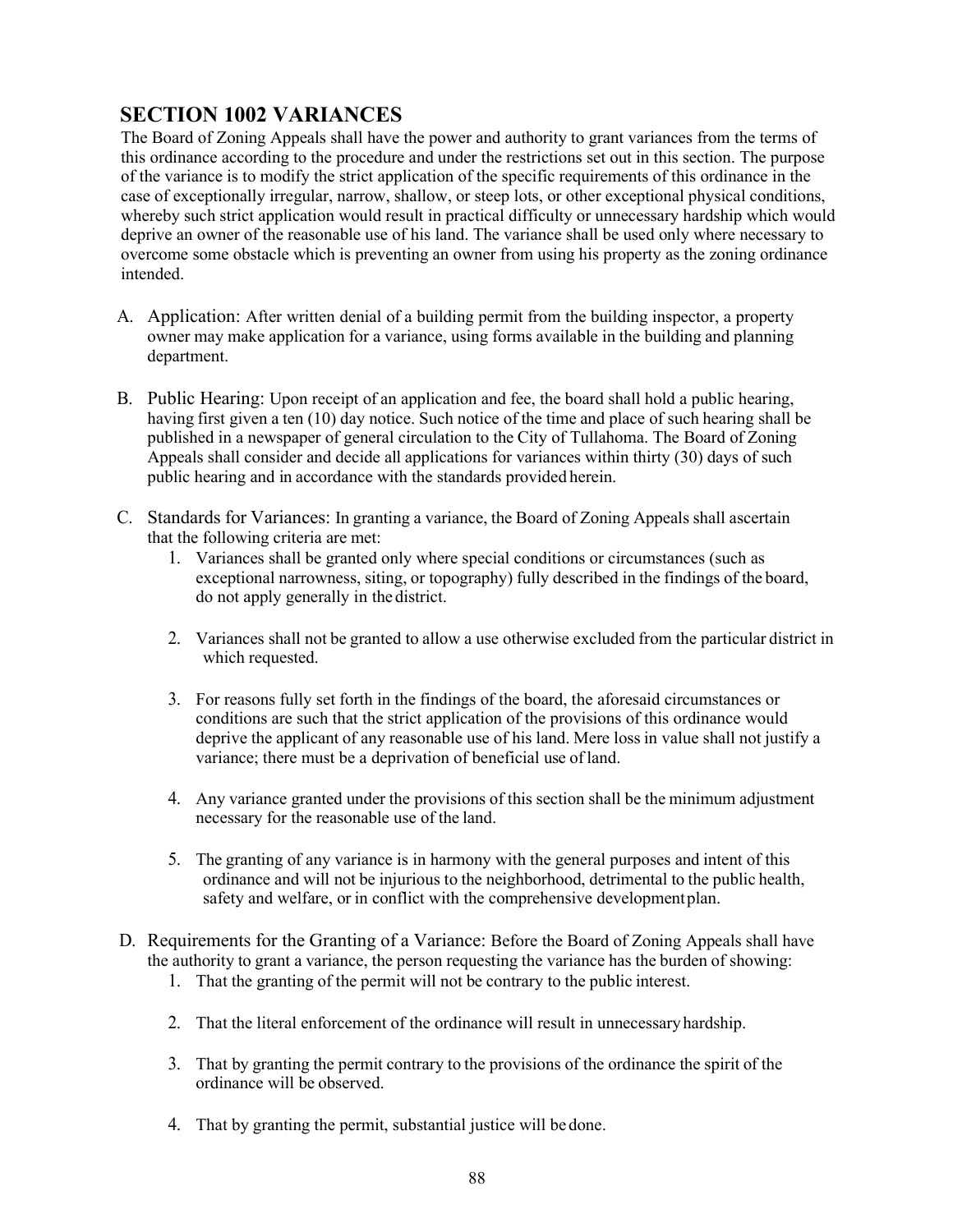## **SECTION 1002 VARIANCES**

The Board of Zoning Appeals shall have the power and authority to grant variances from the terms of this ordinance according to the procedure and under the restrictions set out in this section. The purpose of the variance is to modify the strict application of the specific requirements of this ordinance in the case of exceptionally irregular, narrow, shallow, or steep lots, or other exceptional physical conditions, whereby such strict application would result in practical difficulty or unnecessary hardship which would deprive an owner of the reasonable use of his land. The variance shall be used only where necessary to overcome some obstacle which is preventing an owner from using his property as the zoning ordinance intended.

- A. Application: After written denial of a building permit from the building inspector, a property owner may make application for a variance, using forms available in the building and planning department.
- B. Public Hearing: Upon receipt of an application and fee, the board shall hold a public hearing, having first given a ten (10) day notice. Such notice of the time and place of such hearing shall be published in a newspaper of general circulation to the City of Tullahoma. The Board of Zoning Appeals shall consider and decide all applications for variances within thirty (30) days of such public hearing and in accordance with the standards provided herein.
- C. Standards for Variances: In granting a variance, the Board of Zoning Appeals shall ascertain that the following criteria are met:
	- 1. Variances shall be granted only where special conditions or circumstances (such as exceptional narrowness, siting, or topography) fully described in the findings of the board, do not apply generally in the district.
	- 2. Variances shall not be granted to allow a use otherwise excluded from the particular district in which requested.
	- 3. For reasons fully set forth in the findings of the board, the aforesaid circumstances or conditions are such that the strict application of the provisions of this ordinance would deprive the applicant of any reasonable use of his land. Mere loss in value shall not justify a variance; there must be a deprivation of beneficial use ofland.
	- 4. Any variance granted under the provisions of this section shall be the minimum adjustment necessary for the reasonable use of the land.
	- 5. The granting of any variance is in harmony with the general purposes and intent of this ordinance and will not be injurious to the neighborhood, detrimental to the public health, safety and welfare, or in conflict with the comprehensive developmentplan.
- D. Requirements for the Granting of a Variance: Before the Board of Zoning Appeals shall have the authority to grant a variance, the person requesting the variance has the burden of showing:
	- 1. That the granting of the permit will not be contrary to the public interest.
	- 2. That the literal enforcement of the ordinance will result in unnecessaryhardship.
	- 3. That by granting the permit contrary to the provisions of the ordinance the spirit of the ordinance will be observed.
	- 4. That by granting the permit, substantial justice will be done.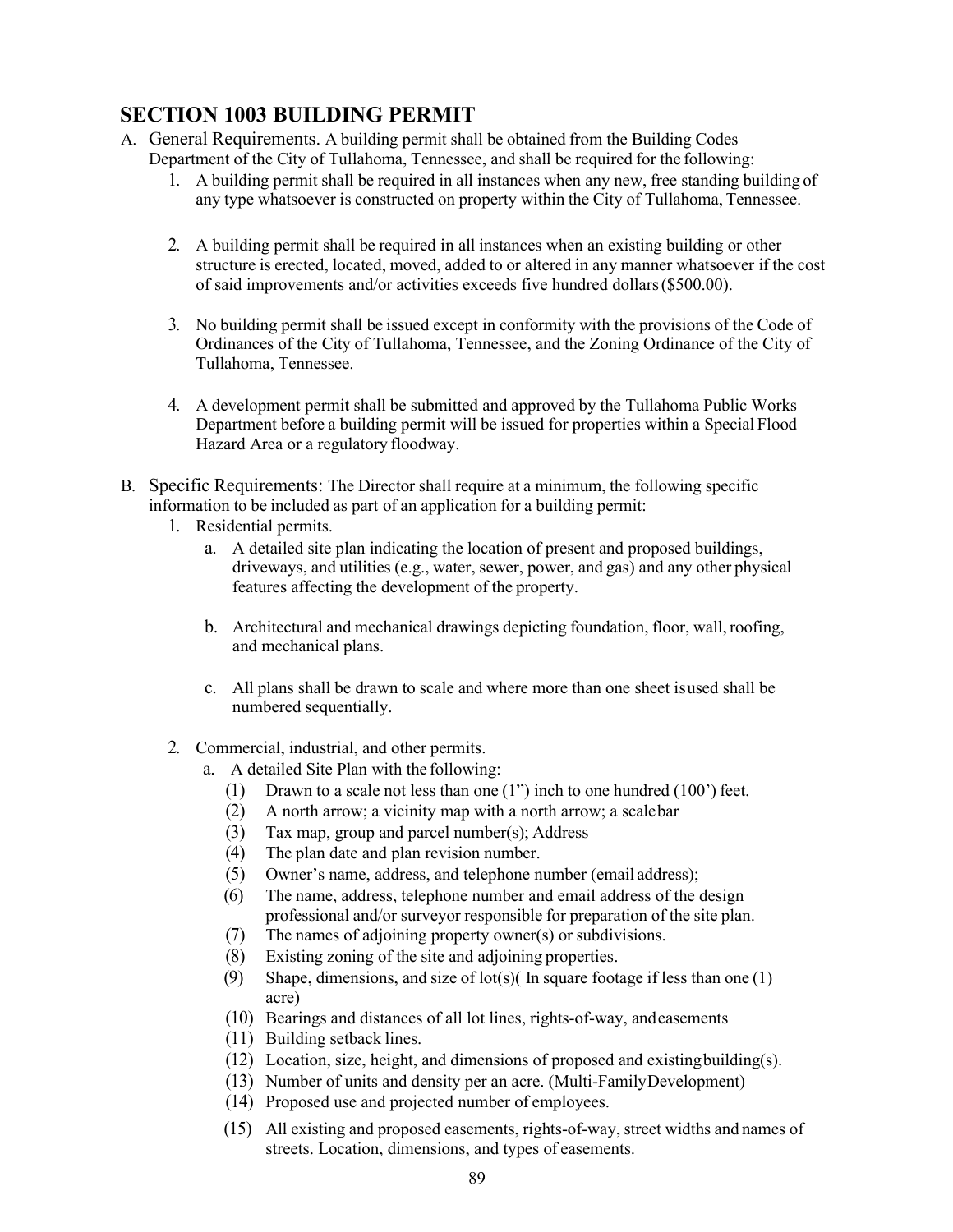# **SECTION 1003 BUILDING PERMIT**

- A. General Requirements. A building permit shall be obtained from the Building Codes Department of the City of Tullahoma, Tennessee, and shall be required for the following:
	- 1. A building permit shall be required in all instances when any new, free standing building of any type whatsoever is constructed on property within the City of Tullahoma, Tennessee.
	- 2. A building permit shall be required in all instances when an existing building or other structure is erected, located, moved, added to or altered in any manner whatsoever if the cost of said improvements and/or activities exceeds five hundred dollars(\$500.00).
	- 3. No building permit shall be issued except in conformity with the provisions of the Code of Ordinances of the City of Tullahoma, Tennessee, and the Zoning Ordinance of the City of Tullahoma, Tennessee.
	- 4. A development permit shall be submitted and approved by the Tullahoma Public Works Department before a building permit will be issued for properties within a Special Flood Hazard Area or a regulatory floodway.
- B. Specific Requirements: The Director shall require at a minimum, the following specific information to be included as part of an application for a building permit:
	- 1. Residential permits.
		- a. A detailed site plan indicating the location of present and proposed buildings, driveways, and utilities (e.g., water, sewer, power, and gas) and any other physical features affecting the development of the property.
		- b. Architectural and mechanical drawings depicting foundation, floor, wall,roofing, and mechanical plans.
		- c. All plans shall be drawn to scale and where more than one sheet isused shall be numbered sequentially.
	- 2. Commercial, industrial, and other permits.
		- a. A detailed Site Plan with the following:
			- (1) Drawn to a scale not less than one (1") inch to one hundred (100') feet.
			- (2) A north arrow; a vicinity map with a north arrow; a scalebar
			- (3) Tax map, group and parcel number(s); Address
			- (4) The plan date and plan revision number.
			- (5) Owner's name, address, and telephone number (email address);
			- (6) The name, address, telephone number and email address of the design professional and/or surveyor responsible for preparation of the site plan.
			- (7) The names of adjoining property owner(s) or subdivisions.
			- (8) Existing zoning of the site and adjoining properties.
			- (9) Shape, dimensions, and size of lot(s)( In square footage if less than one  $(1)$ acre)
			- (10) Bearings and distances of all lot lines, rights-of-way, andeasements
			- (11) Building setback lines.
			- (12) Location, size, height, and dimensions of proposed and existingbuilding(s).
			- (13) Number of units and density per an acre. (Multi-FamilyDevelopment)
			- (14) Proposed use and projected number of employees.
			- (15) All existing and proposed easements, rights-of-way, street widths and names of streets. Location, dimensions, and types of easements.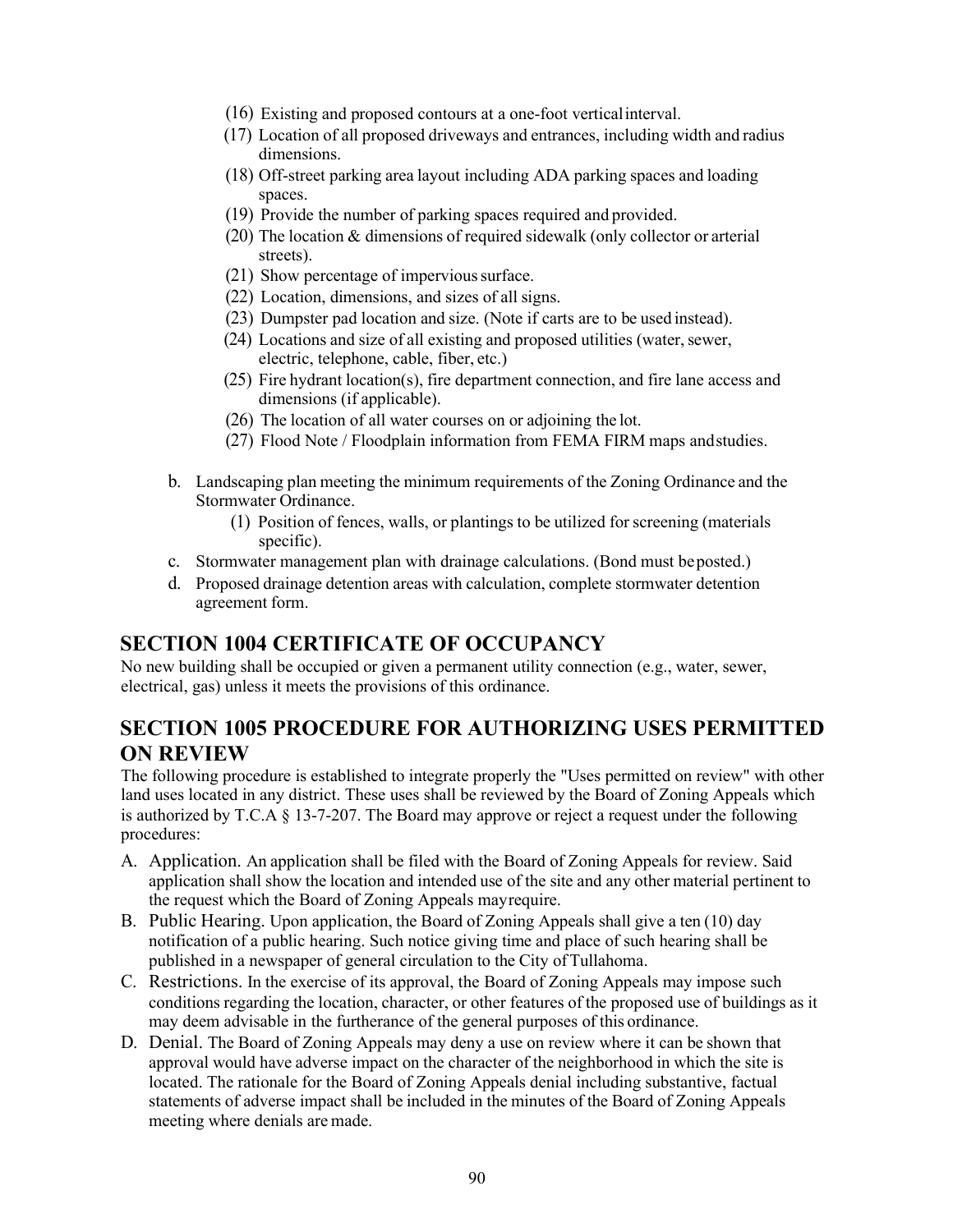- (16) Existing and proposed contours at a one-foot verticalinterval.
- (17) Location of all proposed driveways and entrances, including width and radius dimensions.
- (18) Off-street parking area layout including ADA parking spaces and loading spaces.
- (19) Provide the number of parking spaces required and provided.
- (20) The location & dimensions of required sidewalk (only collector or arterial streets).
- (21) Show percentage of impervious surface.
- (22) Location, dimensions, and sizes of all signs.
- (23) Dumpster pad location and size. (Note if carts are to be used instead).
- (24) Locations and size of all existing and proposed utilities (water, sewer, electric, telephone, cable, fiber, etc.)
- (25) Fire hydrant location(s), fire department connection, and fire lane access and dimensions (if applicable).
- (26) The location of all water courses on or adjoining the lot.
- (27) Flood Note / Floodplain information from FEMA FIRM maps andstudies.
- b. Landscaping plan meeting the minimum requirements of the Zoning Ordinance and the Stormwater Ordinance.
	- (1) Position of fences, walls, or plantings to be utilized for screening (materials specific).
- c. Stormwater management plan with drainage calculations. (Bond must beposted.)
- d. Proposed drainage detention areas with calculation, complete stormwater detention agreement form.

#### **SECTION 1004 CERTIFICATE OF OCCUPANCY**

No new building shall be occupied or given a permanent utility connection (e.g., water, sewer, electrical, gas) unless it meets the provisions of this ordinance.

#### **SECTION 1005 PROCEDURE FOR AUTHORIZING USES PERMITTED ON REVIEW**

The following procedure is established to integrate properly the "Uses permitted on review" with other land uses located in any district. These uses shall be reviewed by the Board of Zoning Appeals which is authorized by T.C.A  $\S$  13-7-207. The Board may approve or reject a request under the following procedures:

- A. Application. An application shall be filed with the Board of Zoning Appeals for review. Said application shall show the location and intended use of the site and any other material pertinent to the request which the Board of Zoning Appeals mayrequire.
- B. Public Hearing. Upon application, the Board of Zoning Appeals shall give a ten (10) day notification of a public hearing. Such notice giving time and place of such hearing shall be published in a newspaper of general circulation to the City ofTullahoma.
- C. Restrictions. In the exercise of its approval, the Board of Zoning Appeals may impose such conditions regarding the location, character, or other features of the proposed use of buildings as it may deem advisable in the furtherance of the general purposes of this ordinance.
- D. Denial. The Board of Zoning Appeals may deny a use on review where it can be shown that approval would have adverse impact on the character of the neighborhood in which the site is located. The rationale for the Board of Zoning Appeals denial including substantive, factual statements of adverse impact shall be included in the minutes of the Board of Zoning Appeals meeting where denials are made.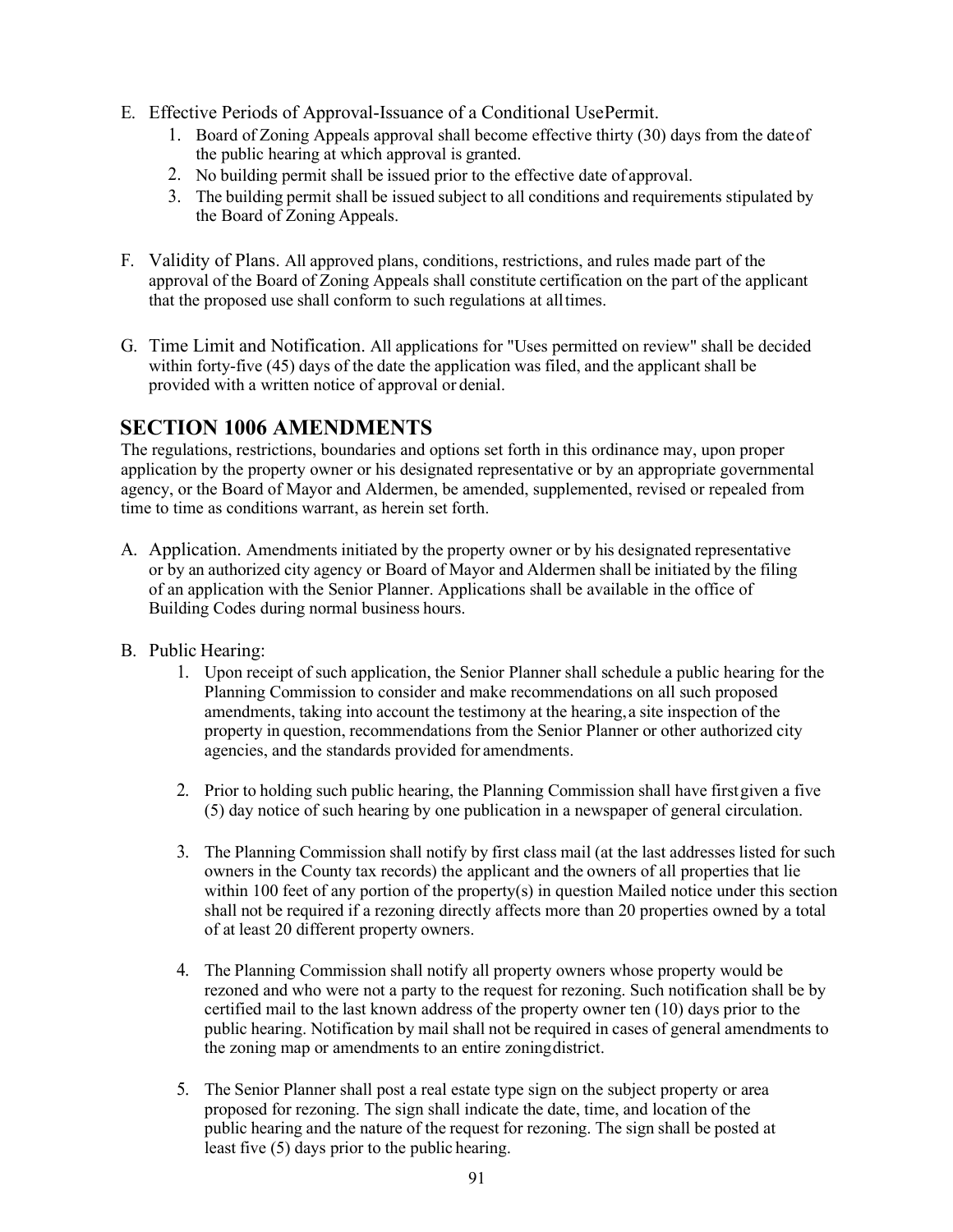- E. Effective Periods of Approval-Issuance of a Conditional UsePermit.
	- 1. Board of Zoning Appeals approval shall become effective thirty (30) days from the dateof the public hearing at which approval is granted.
	- 2. No building permit shall be issued prior to the effective date of approval.
	- 3. The building permit shall be issued subject to all conditions and requirements stipulated by the Board of Zoning Appeals.
- F. Validity of Plans. All approved plans, conditions, restrictions, and rules made part of the approval of the Board of Zoning Appeals shall constitute certification on the part of the applicant that the proposed use shall conform to such regulations at alltimes.
- G. Time Limit and Notification. All applications for "Uses permitted on review" shall be decided within forty-five (45) days of the date the application was filed, and the applicant shall be provided with a written notice of approval or denial.

#### **SECTION 1006 AMENDMENTS**

The regulations, restrictions, boundaries and options set forth in this ordinance may, upon proper application by the property owner or his designated representative or by an appropriate governmental agency, or the Board of Mayor and Aldermen, be amended, supplemented, revised or repealed from time to time as conditions warrant, as herein set forth.

- A. Application. Amendments initiated by the property owner or by his designated representative or by an authorized city agency or Board of Mayor and Aldermen shall be initiated by the filing of an application with the Senior Planner. Applications shall be available in the office of Building Codes during normal business hours.
- B. Public Hearing:
	- 1. Upon receipt of such application, the Senior Planner shall schedule a public hearing for the Planning Commission to consider and make recommendations on all such proposed amendments, taking into account the testimony at the hearing,a site inspection of the property in question, recommendations from the Senior Planner or other authorized city agencies, and the standards provided for amendments.
	- 2. Prior to holding such public hearing, the Planning Commission shall have firstgiven a five (5) day notice of such hearing by one publication in a newspaper of general circulation.
	- 3. The Planning Commission shall notify by first class mail (at the last addresses listed for such owners in the County tax records) the applicant and the owners of all properties that lie within 100 feet of any portion of the property(s) in question Mailed notice under this section shall not be required if a rezoning directly affects more than 20 properties owned by a total of at least 20 different property owners.
	- 4. The Planning Commission shall notify all property owners whose property would be rezoned and who were not a party to the request for rezoning. Such notification shall be by certified mail to the last known address of the property owner ten (10) days prior to the public hearing. Notification by mail shall not be required in cases of general amendments to the zoning map or amendments to an entire zoningdistrict.
	- 5. The Senior Planner shall post a real estate type sign on the subject property or area proposed for rezoning. The sign shall indicate the date, time, and location of the public hearing and the nature of the request for rezoning. The sign shall be posted at least five (5) days prior to the public hearing.